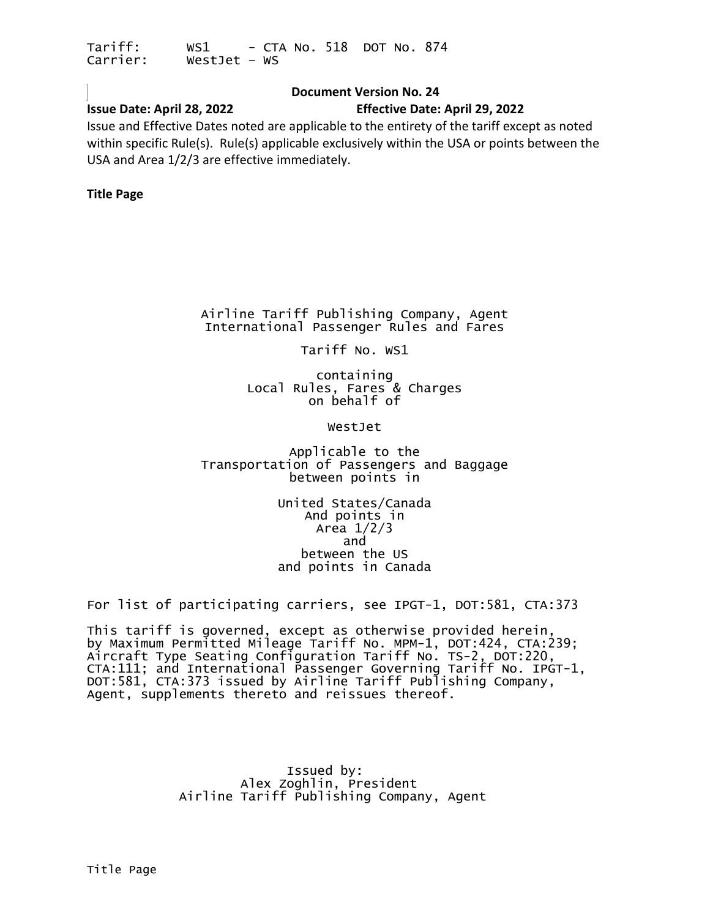#### **Document Version No. 24**

#### <span id="page-0-0"></span>**Issue Date: April 28, 2022 Effective Date: April 29, 2022**

Issue and Effective Dates noted are applicable to the entirety of the tariff except as noted within specific Rule(s). Rule(s) applicable exclusively within the USA or points between the USA and Area 1/2/3 are effective immediately.

#### **Title Page**

Airline Tariff Publishing Company, Agent International Passenger Rules and Fares

Tariff No. WS1

containing Local Rules, Fares & Charges on behalf of

WestJet

Applicable to the Transportation of Passengers and Baggage between points in

> United States/Canada And points in Area 1/2/3 and between the US and points in Canada

For list of participating carriers, see IPGT-1, DOT:581, CTA:373

This tariff is governed, except as otherwise provided herein, by Maximum Permitted Mileage Tariff No. MPM-1, DOT:424, CTA:239; Aircraft Type Seating Configuration Tariff No. TS-2, DOT:220, CTA:111; and International Passenger Governing Tariff No. IPGT-1, DOT:581, CTA:373 issued by Airline Tariff Publishing Company, Agent, supplements thereto and reissues thereof.

> Issued by:<br>Alex Zoghlin, President Airline Tariff Publishing Company, Agent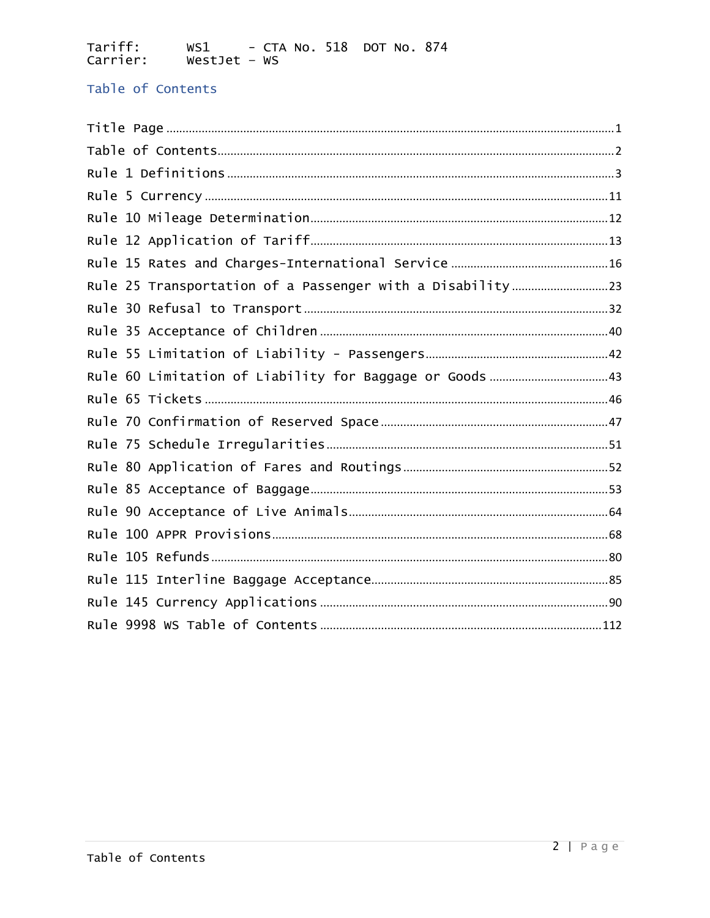### <span id="page-1-0"></span>Table of Contents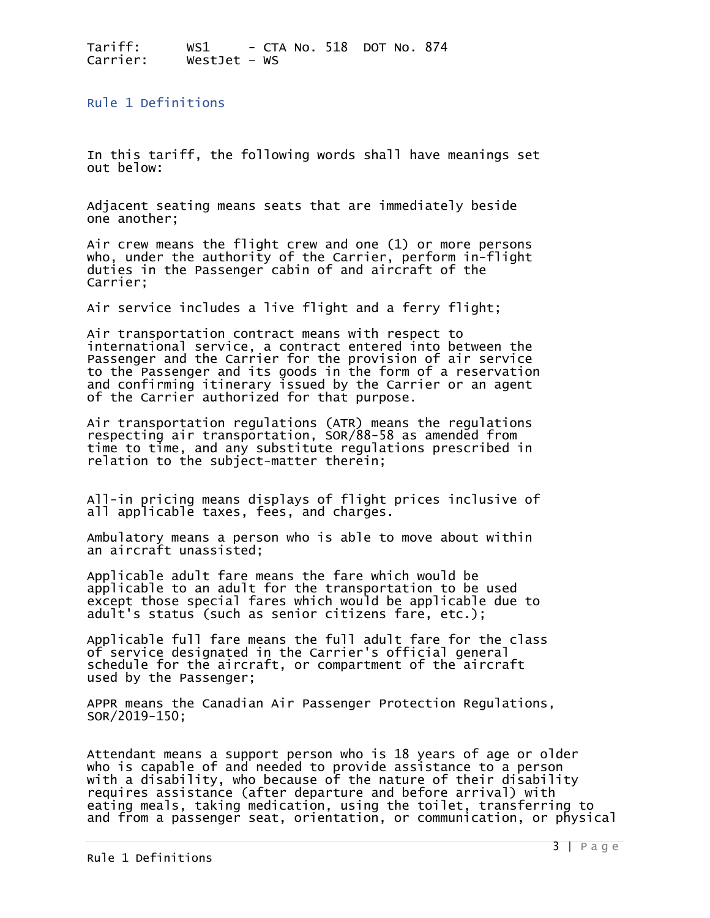<span id="page-2-0"></span>Rule 1 Definitions

In this tariff, the following words shall have meanings set out below:

Adjacent seating means seats that are immediately beside one another;

Air crew means the flight crew and one (1) or more persons who, under the authority of the Carrier, perform in-flight duties in the Passenger cabin of and aircraft of the Carrier;

Air service includes a live flight and a ferry flight;

Air transportation contract means with respect to international service, a contract entered into between the Passenger and the Carrier for the provision of air service to the Passenger and its goods in the form of a reservation and confirming itinerary issued by the Carrier or an agent of the Carrier authorized for that purpose.

Air transportation regulations (ATR) means the regulations respecting air transportation, SOR/88-58 as amended from time to time, and any substitute regulations prescribed in relation to the subject-matter therein;

All-in pricing means displays of flight prices inclusive of all applicable taxes, fees, and charges.

Ambulatory means a person who is able to move about within an aircraft unassisted;

Applicable adult fare means the fare which would be applicable to an adult for the transportation to be used except those special fares which would be applicable due to adult's status (such as senior citizens fare, etc.);

Applicable full fare means the full adult fare for the class of service designated in the Carrier's official general schedule for the aircraft, or compartment of the aircraft used by the Passenger;

APPR means the Canadian Air Passenger Protection Regulations, SOR/2019-150;

Attendant means a support person who is 18 years of age or older who is capable of and needed to provide assistance to a person with a disability, who because of the nature of their disability requires assistance (after departure and before arrival) with eating meals, taking medication, using the toilet, transferring to and from a passenger seat, orientation, or communication, or physical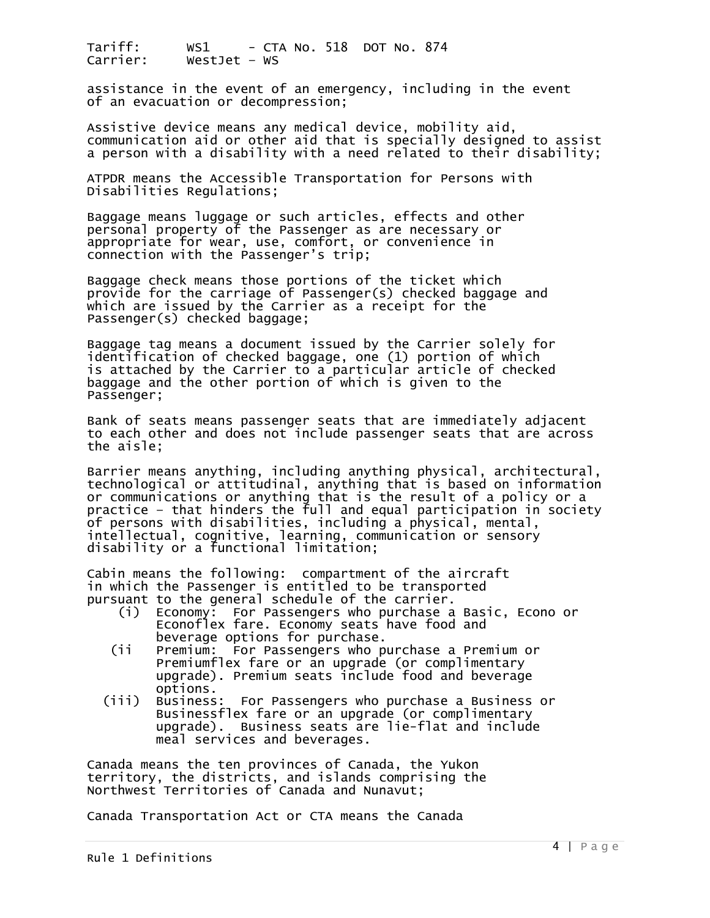assistance in the event of an emergency, including in the event of an evacuation or decompression;

Assistive device means any medical device, mobility aid, communication aid or other aid that is specially designed to assist a person with a disability with a need related to their disability;

ATPDR means the Accessible Transportation for Persons with Disabilities Regulations;

Baggage means luggage or such articles, effects and other personal property of the Passenger as are necessary or appropriate for wear, use, comfort, or convenience in connection with the Passenger's trip;

Baggage check means those portions of the ticket which provide for the carriage of Passenger(s) checked baggage and which are issued by the Carrier as a receipt for the Passenger(s) checked baggage;

Baggage tag means a document issued by the Carrier solely for identification of checked baggage, one (1) portion of which is attached by the Carrier to a particular article of checked baggage and the other portion of which is given to the Passenger;

Bank of seats means passenger seats that are immediately adjacent to each other and does not include passenger seats that are across the aisle;

Barrier means anything, including anything physical, architectural, technological or attitudinal, anything that is based on information or communications or anything that is the result of a policy or a practice – that hinders the full and equal participation in society of persons with disabilities, including a physical, mental, intellectual, cognitive, learning, communication or sensory disability or a functional limitation;

Cabin means the following: compartment of the aircraft in which the Passenger is entitled to be transported pursuant to the general schedule of the carrier.

- (i) Economy: For Passengers who purchase a Basic, Econo or Econoflex fare. Economy seats have food and<br>beverage options for purchase.<br>ii Premium: For Passengers who purchase a Prem
- Premium: For Passengers who purchase a Premium or<br>Premiumflex fare or an upgrade (or complimentary upgrade). Premium seats include food and beverage<br>options.
- options. (iii) Business: For Passengers who purchase a Business or Businessflex fare or an upgrade (or complimentary upgrade). Business seats are lie-flat and include meal services and beverages.

Canada means the ten provinces of Canada, the Yukon territory, the districts, and islands comprising the Northwest Territories of Canada and Nunavut;

Canada Transportation Act or CTA means the Canada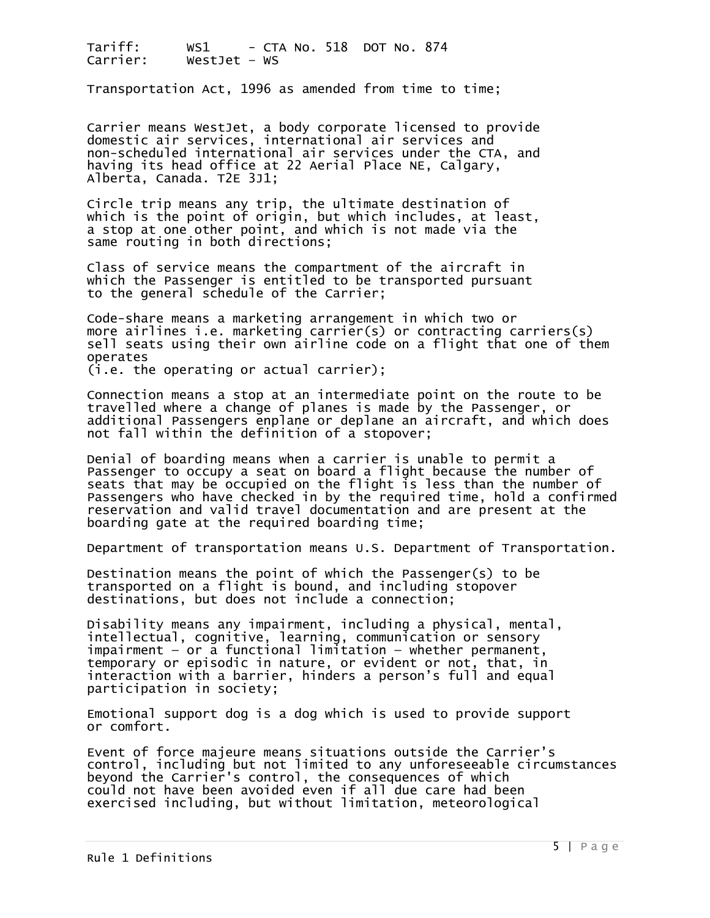Transportation Act, 1996 as amended from time to time;

Carrier means WestJet, a body corporate licensed to provide domestic air services, international air services and non-scheduled international air services under the CTA, and having its head office at 22 Aerial Place NE, Calgary, Alberta, Canada. T2E 3J1;

Circle trip means any trip, the ultimate destination of which is the point of origin, but which includes, at least, a stop at one other point, and which is not made via the same routing in both directions;

Class of service means the compartment of the aircraft in which the Passenger is entitled to be transported pursuant to the general schedule of the Carrier;

Code-share means a marketing arrangement in which two or more airlines i.e. marketing carrier(s) or contracting carriers(s) sell seats using their own airline code on a flight that one of them operates

(i.e. the operating or actual carrier);

Connection means a stop at an intermediate point on the route to be travelled where a change of planes is made by the Passenger, or additional Passengers enplane or deplane an aircraft, and which does not fall within the definition of a stopover;

Denial of boarding means when a carrier is unable to permit a Passenger to occupy a seat on board a flight because the number of seats that may be occupied on the flight is less than the number of Passengers who have checked in by the required time, hold a confirmed reservation and valid travel documentation and are present at the boarding gate at the required boarding time;

Department of transportation means U.S. Department of Transportation.

Destination means the point of which the Passenger(s) to be transported on a flight is bound, and including stopover destinations, but does not include a connection;

Disability means any impairment, including a physical, mental, intellectual, cognitive, learning, communication or sensory  $impairment - or a functional limitation - whether permanent,$ temporary or episodic in nature, or evident or not, that, in interaction with a barrier, hinders a person's full and equal participation in society;

Emotional support dog is a dog which is used to provide support or comfort.

Event of force majeure means situations outside the Carrier's control, including but not limited to any unforeseeable circumstances beyond the Carrier's control, the consequences of which could not have been avoided even if all due care had been exercised including, but without limitation, meteorological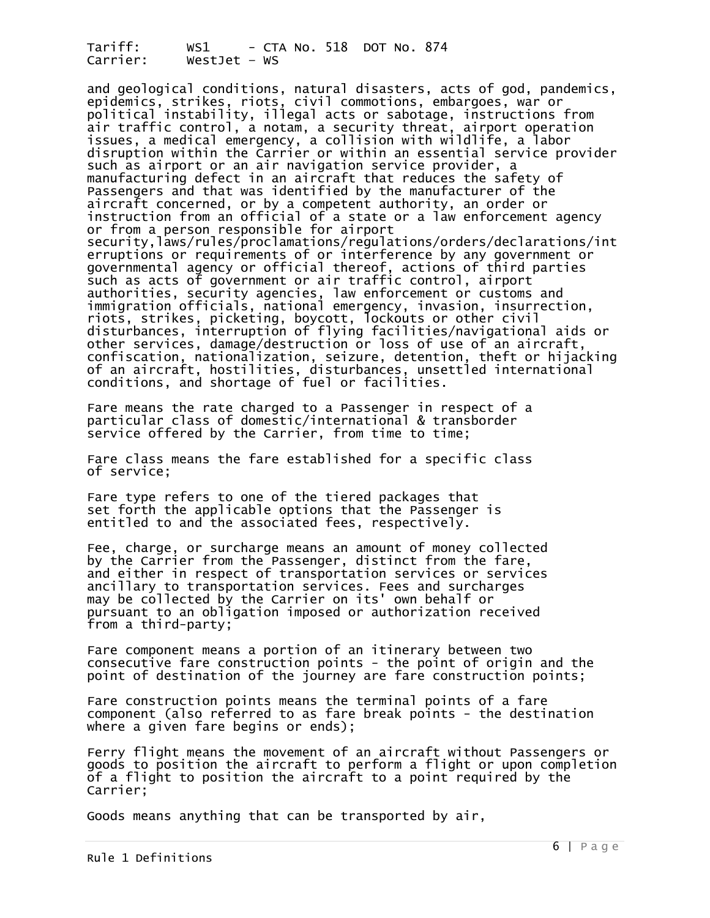and geological conditions, natural disasters, acts of god, pandemics, epidemics, strikes, riots, civil commotions, embargoes, war or political instability, illegal acts or sabotage, instructions from air traffic control, a notam, a security threat, airport operation issues, a medical emergency, a collision with wildlife, a labor disruption within the Carrier or within an essential service provider such as airport or an air navigation service provider, a manufacturing defect in an aircraft that reduces the safety of Passengers and that was identified by the manufacturer of the aircraft concerned, or by a competent authority, an order or instruction from an official of a state or a law enforcement agency or from a person responsible for airport security,laws/rules/proclamations/regulations/orders/declarations/int erruptions or requirements of or interference by any government or governmental agency or official thereof, actions of third parties such as acts of government or air traffic control, airport authorities, security agencies, law enforcement or customs and immigration officials, national emergency, invasion, insurrection, riots, strikes, picketing, boycott, lockouts or other civil disturbances, interruption of flying facilities/navigational aids or other services, damage/destruction or loss of use of an aircraft, confiscation, nationalization, seizure, detention, theft or hijacking of an aircraft, hostilities, disturbances, unsettled international conditions, and shortage of fuel or facilities.

Fare means the rate charged to a Passenger in respect of a particular class of domestic/international & transborder service offered by the Carrier, from time to time;

Fare class means the fare established for a specific class of service;

Fare type refers to one of the tiered packages that set forth the applicable options that the Passenger is entitled to and the associated fees, respectively.

Fee, charge, or surcharge means an amount of money collected by the Carrier from the Passenger, distinct from the fare, and either in respect of transportation services or services ancillary to transportation services. Fees and surcharges may be collected by the Carrier on its' own behalf or pursuant to an obligation imposed or authorization received from a third-party;

Fare component means a portion of an itinerary between two consecutive fare construction points - the point of origin and the point of destination of the journey are fare construction points;

Fare construction points means the terminal points of a fare component (also referred to as fare break points - the destination where a given fare begins or ends);

Ferry flight means the movement of an aircraft without Passengers or goods to position the aircraft to perform a flight or upon completion of a flight to position the aircraft to a point required by the Carrier;

Goods means anything that can be transported by air,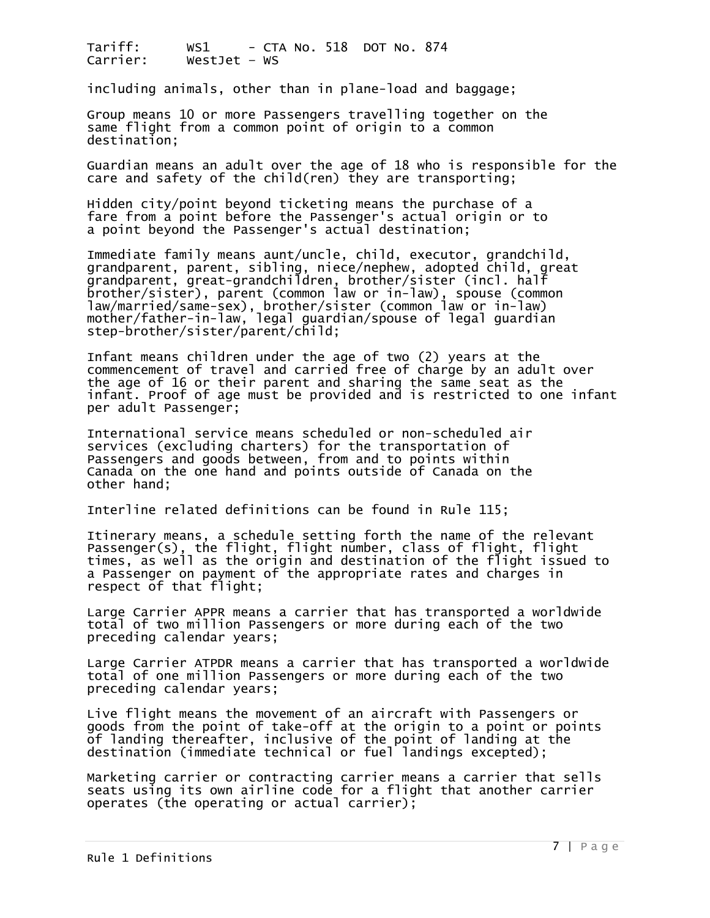including animals, other than in plane-load and baggage;

Group means 10 or more Passengers travelling together on the same flight from a common point of origin to a common destination;

Guardian means an adult over the age of 18 who is responsible for the care and safety of the child(ren) they are transporting;

Hidden city/point beyond ticketing means the purchase of a fare from a point before the Passenger's actual origin or to a point beyond the Passenger's actual destination;

Immediate family means aunt/uncle, child, executor, grandchild, grandparent, parent, sibling, niece/nephew, adopted child, great grandparent, great-grandchildren, brother/sister (incl. half brother/sister), parent (common law or in-law), spouse (common law/married/same-sex), brother/sister (common law or in-law) mother/father-in-law, legal guardian/spouse of legal guardian step-brother/sister/parent/child;

Infant means children under the age of two (2) years at the commencement of travel and carried free of charge by an adult over the age of 16 or their parent and sharing the same seat as the infant. Proof of age must be provided and is restricted to one infant per adult Passenger;

International service means scheduled or non-scheduled air services (excluding charters) for the transportation of Passengers and goods between, from and to points within Canada on the one hand and points outside of Canada on the other hand;

Interline related definitions can be found in Rule 115;

Itinerary means, a schedule setting forth the name of the relevant Passenger(s), the flight, flight number, class of flight, flight times, as well as the origin and destination of the flight issued to a Passenger on payment of the appropriate rates and charges in respect of that flight;

Large Carrier APPR means a carrier that has transported a worldwide total of two million Passengers or more during each of the two preceding calendar years;

Large Carrier ATPDR means a carrier that has transported a worldwide total of one million Passengers or more during each of the two preceding calendar years;

Live flight means the movement of an aircraft with Passengers or goods from the point of take-off at the origin to a point or points of landing thereafter, inclusive of the point of landing at the destination (immediate technical or fuel landings excepted);

Marketing carrier or contracting carrier means a carrier that sells seats using its own airline code for a flight that another carrier operates (the operating or actual carrier);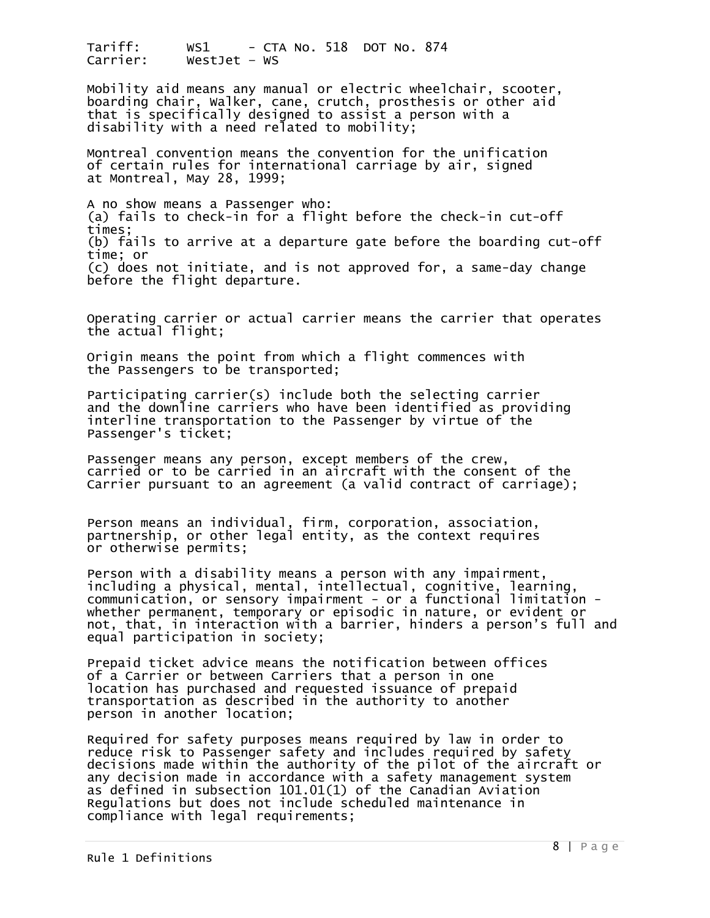Mobility aid means any manual or electric wheelchair, scooter, boarding chair, Walker, cane, crutch, prosthesis or other aid that is specifically designed to assist a person with a disability with a need related to mobility;

Montreal convention means the convention for the unification of certain rules for international carriage by air, signed at Montreal, May 28, 1999;

A no show means a Passenger who: (a) fails to check-in for a flight before the check-in cut-off times; (b) fails to arrive at a departure gate before the boarding cut-off time; or (c) does not initiate, and is not approved for, a same-day change before the flight departure.

Operating carrier or actual carrier means the carrier that operates the actual flight;

Origin means the point from which a flight commences with the Passengers to be transported;

Participating carrier(s) include both the selecting carrier and the downline carriers who have been identified as providing interline transportation to the Passenger by virtue of the Passenger's ticket;

Passenger means any person, except members of the crew, carried or to be carried in an aircraft with the consent of the Carrier pursuant to an agreement (a valid contract of carriage);

Person means an individual, firm, corporation, association, partnership, or other legal entity, as the context requires or otherwise permits;

Person with a disability means a person with any impairment, including a physical, mental, intellectual, cognitive, learning, communication, or sensory impairment - or a functional limitation whether permanent, temporary or episodic in nature, or evident or not, that, in interaction with a barrier, hinders a person's full and equal participation in society;

Prepaid ticket advice means the notification between offices of a Carrier or between Carriers that a person in one location has purchased and requested issuance of prepaid transportation as described in the authority to another person in another location;

Required for safety purposes means required by law in order to reduce risk to Passenger safety and includes required by safety decisions made within the authority of the pilot of the aircraft or any decision made in accordance with a safety management system as defined in subsection 101.01(1) of the Canadian Aviation Regulations but does not include scheduled maintenance in compliance with legal requirements;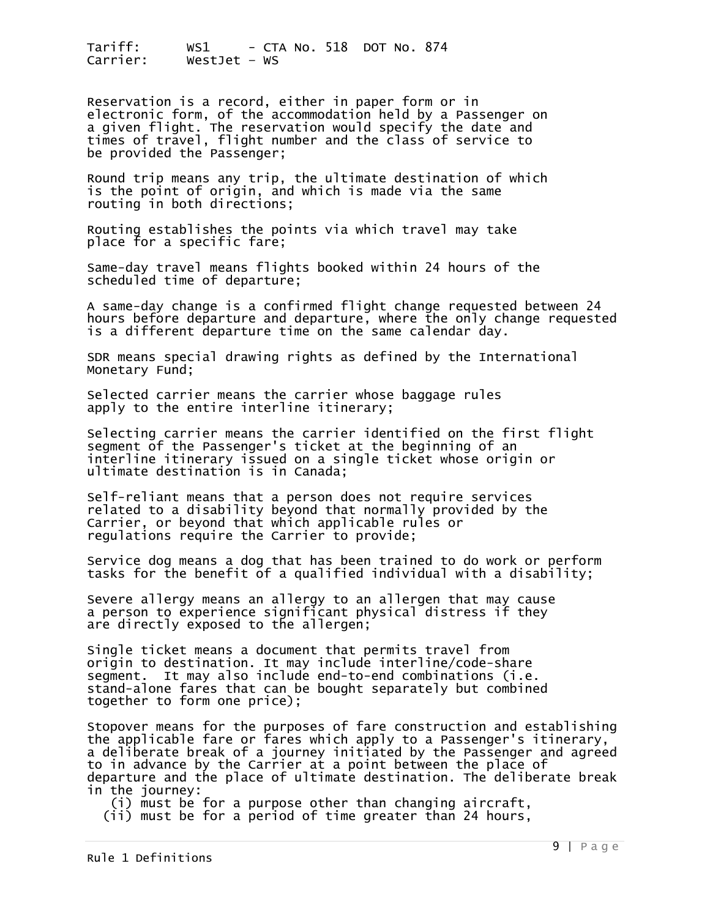Reservation is a record, either in paper form or in electronic form, of the accommodation held by a Passenger on a given flight. The reservation would specify the date and times of travel, flight number and the class of service to be provided the Passenger;

Round trip means any trip, the ultimate destination of which is the point of origin, and which is made via the same routing in both directions;

Routing establishes the points via which travel may take place for a specific fare;

Same-day travel means flights booked within 24 hours of the scheduled time of departure;

A same-day change is a confirmed flight change requested between 24 hours before departure and departure, where the only change requested is a different departure time on the same calendar day.

SDR means special drawing rights as defined by the International Monetary Fund;

Selected carrier means the carrier whose baggage rules apply to the entire interline itinerary;

Selecting carrier means the carrier identified on the first flight segment of the Passenger's ticket at the beginning of an interline itinerary issued on a single ticket whose origin or ultimate destination is in Canada;

Self-reliant means that a person does not require services related to a disability beyond that normally provided by the Carrier, or beyond that which applicable rules or regulations require the Carrier to provide;

Service dog means a dog that has been trained to do work or perform tasks for the benefit of a qualified individual with a disability;

Severe allergy means an allergy to an allergen that may cause a person to experience significant physical distress if they are directly exposed to the allergen;

Single ticket means a document that permits travel from origin to destination. It may include interline/code-share segment. It may also include end-to-end combinations (i.e. stand-alone fares that can be bought separately but combined together to form one price);

Stopover means for the purposes of fare construction and establishing the applicable fare or fares which apply to a Passenger's itinerary, a deliberate break of a journey initiated by the Passenger and agreed to in advance by the Carrier at a point between the place of departure and the place of ultimate destination. The deliberate break in the journey:<br>(i) must be for a purpose other than changing aircraft,

(ii) must be for a period of time greater than 24 hours,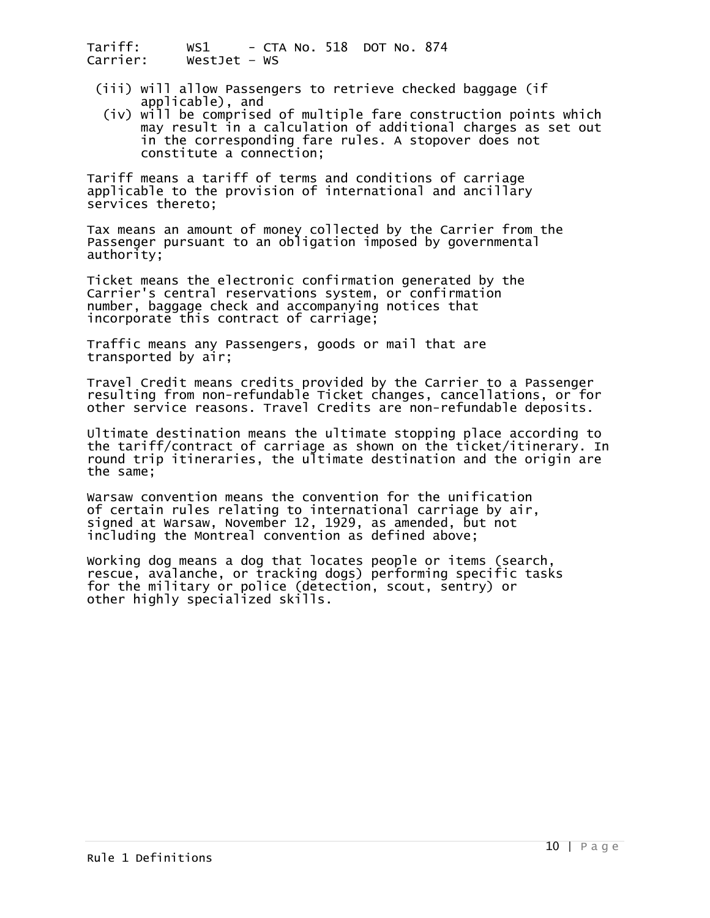- (iii) will allow Passengers to retrieve checked baggage (if<br>applicable), and<br>(iv) will be comprised of multiple fare construction points which
- may result in a calculation of additional charges as set out<br>in the corresponding fare rules. A stopover does not in the corresponding fare rules. A stopover does not<br>constitute a connection;

Tariff means a tariff of terms and conditions of carriage applicable to the provision of international and ancillary services thereto;

Tax means an amount of money collected by the Carrier from the Passenger pursuant to an obligation imposed by governmental authority;

Ticket means the electronic confirmation generated by the Carrier's central reservations system, or confirmation number, baggage check and accompanying notices that incorporate this contract of carriage;

Traffic means any Passengers, goods or mail that are transported by air;

Travel Credit means credits provided by the Carrier to a Passenger resulting from non-refundable Ticket changes, cancellations, or for other service reasons. Travel Credits are non-refundable deposits.

Ultimate destination means the ultimate stopping place according to the tariff/contract of carriage as shown on the ticket/itinerary. In round trip itineraries, the ultimate destination and the origin are the same;

Warsaw convention means the convention for the unification of certain rules relating to international carriage by air, signed at Warsaw, November 12, 1929, as amended, but not including the Montreal convention as defined above;

Working dog means a dog that locates people or items (search, rescue, avalanche, or tracking dogs) performing specific tasks for the military or police (detection, scout, sentry) or other highly specialized skills.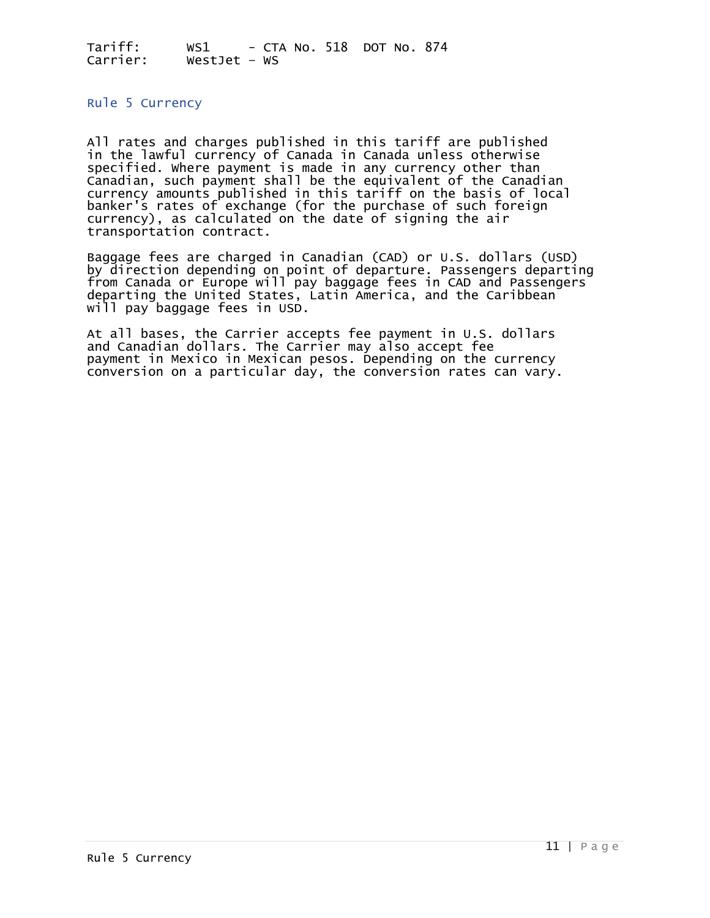#### <span id="page-10-0"></span>Rule 5 Currency

All rates and charges published in this tariff are published in the lawful currency of Canada in Canada unless otherwise specified. Where payment is made in any currency other than Canadian, such payment shall be the equivalent of the Canadian currency amounts published in this tariff on the basis of local banker's rates of exchange (for the purchase of such foreign currency), as calculated on the date of signing the air transportation contract.

Baggage fees are charged in Canadian (CAD) or U.S. dollars (USD) by direction depending on point of departure. Passengers departing from Canada or Europe will pay baggage fees in CAD and Passengers departing the United States, Latin America, and the Caribbean will pay baggage fees in USD.

At all bases, the Carrier accepts fee payment in U.S. dollars and Canadian dollars. The Carrier may also accept fee payment in Mexico in Mexican pesos. Depending on the currency conversion on a particular day, the conversion rates can vary.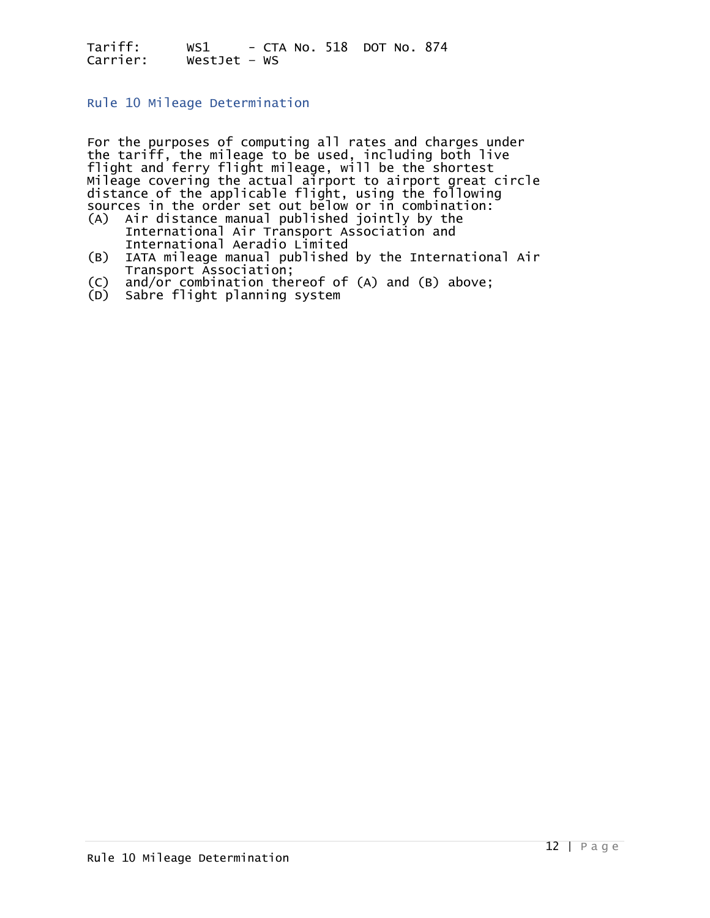<span id="page-11-0"></span>Rule 10 Mileage Determination

For the purposes of computing all rates and charges under the tariff, the mileage to be used, including both live flight and ferry flight mileage, will be the shortest Mileage covering the actual airport to airport great circle distance of the applicable flight, using the following sources in the order set out below or in combination:

- (A) Air distance manual published jointly by the International Air Transport Association and International Aeradio Limited
- (B) IATA mileage manual published by the International Air Transport Association;<br>(C) and/or combination the
- (C) and/or combination thereof of (A) and (B) above;
- Sabre flight planning system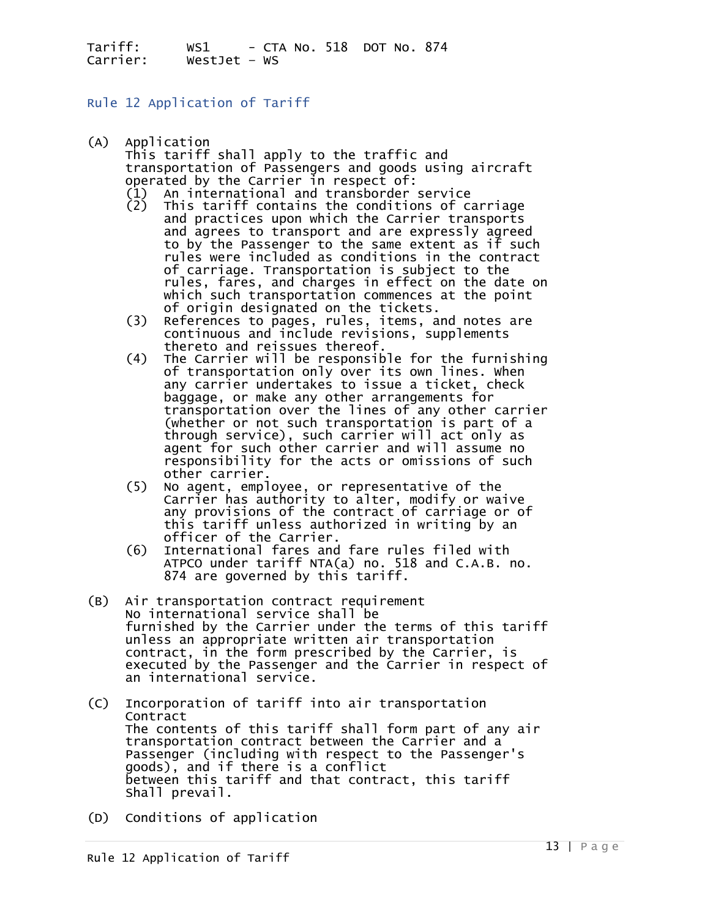#### <span id="page-12-0"></span>Rule 12 Application of Tariff

(A) Application<br>This tariff shall apply to the traffic and transportation of Passengers and goods using aircraft<br>operated by the Carrier in respect of:

- 
- (1) An international and transborder service<br>(2) This tariff contains the conditions of carriage<br>and practices upon which the Carrier transports and agrees to transport and are expressly agreed to by the Passenger to the same extent as if such rules were included as conditions in the contract of carriage. Transportation is subject to the<br>rules, fares, and charges in effect on the date on<br>which such transportation commences at the point<br>of origin designated on the tickets.<br>(3) References to pages, rules, items,
- 
- thereto and reissues thereof. (4) The Carrier will be responsible for the furnishing of transportation only over its own lines. When any carrier undertakes to issue a ticket, check<br>baggage, or make any other arrangements for<br>transportation over the lines of any other carrier<br>(whether or not such transportation is part of a<br>through service), such carrier
	- responsibility for the acts or omissions of such<br>other carrier.<br>(5) No agent, employee, or representative of the<br>carrier has authority to alter, modify or waive any provisions of the contract of carriage or of<br>this tariff unless authorized in writing by an<br>officer of the Carrier.
	- (6) International fares and fare rules filed with ATPCO under tariff NTA(a) no. 518 and C.A.B. no. 874 are governed by this tariff.
- (B) Air transportation contract requirement<br>No international service shall be<br>furnished by the Carrier under the terms of this tariff unless an appropriate written air transportation<br>contract, in the form prescribed by the Carrier, is executed by the Passenger and the Carrier in respect of an international service.
- (C) Incorporation of tariff into air transportation<br>Contract<br>The contents of this tariff shall form part of any air transportation contract between the Carrier and a<br>Passenger (including with respect to the Passenger's<br>goods), and if there is a conflict between this tariff and that contract, this tariff<br>Shall prevail.
- (D) Conditions of application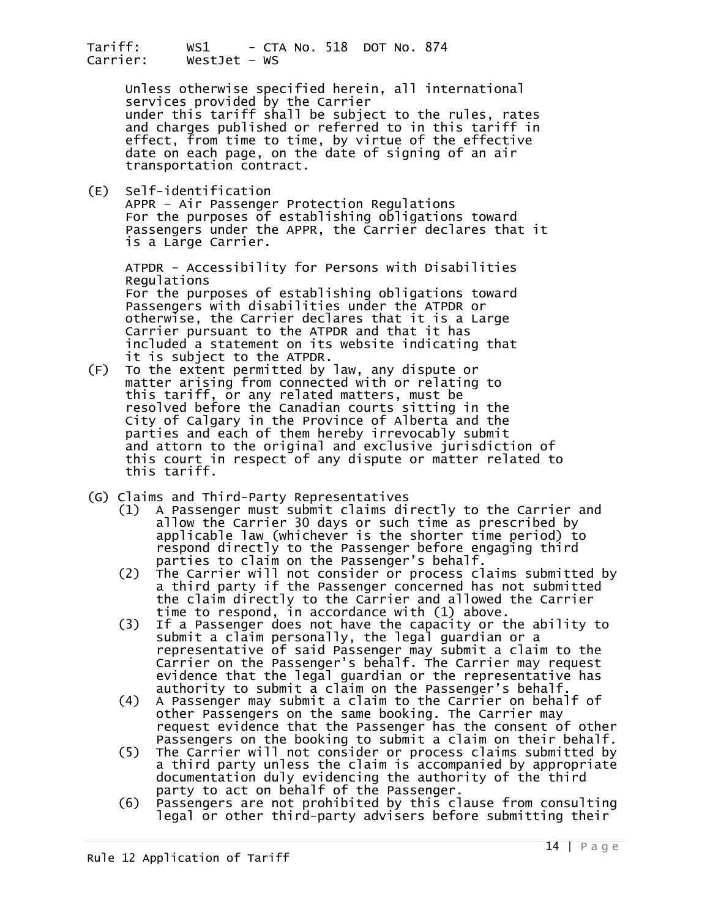> Unless otherwise specified herein, all international<br>services provided by the Carrier<br>under this tariff shall be subject to the rules, rates and charges published or referred to in this tariff in effect, from time to time, by virtue of the effective date on each page, on the date of signing of an air<br>transportation contract.

(E) Self-identification APPR – Air Passenger Protection Regulations For the purposes of establishing obligations toward Passengers under the APPR, the Carrier declares that it is a Large Carrier.

ATPDR - Accessibility for Persons with Disabilities<br>Regulations<br>For the purposes of establishing obligations toward Passengers with disabilities under the ATPDR or otherwise, the Carrier declares that it is a Large<br>Carrier pursuant to the ATPDR and that it has<br>included a statement on its website indicating that

- it is subject to the ATPDR.<br>(F) To the extent permitted by law, any dispute or matter arising from connected with or relating to<br>this tariff, or any related matters, must be resolved before the Canadian courts sitting in the City of Calgary in the Province of Alberta and the parties and each of them hereby irrevocably submit<br>and attorn to the original and exclusive jurisdiction of this court in respect of any dispute or matter related to this tariff.
- 
- (G) Claims and Third-Party Representatives<br>(1) A Passenger must submit claims directly to the Carrier and (1) A Passenger must submit claims directly to the Carrier and allow the Carrier 30 days or such time as prescribed by applicable law (whichever is the shorter time period) to respond directly to the Passenger before engaging third<br>parties to claim on the Passenger's behalf.<br>(2) The Carrier will not consider or process claims submitte
	- (2) The Carrier will not consider or process claims submitted by a third party if the Passenger concerned has not submitted the claim directly to the Carrier and allowed the Carrier
	- time to respond, in accordance with (1) above.<br>(3) If a Passenger does not have the capacity or t If a Passenger does not have the capacity or the ability to submit a claim personally, the legal guardian or a representative of said Passenger may submit a claim to the evidence that the legal guardian or the representative has<br>authority to submit a claim on the Passenger's behalf.
	- (4) A Passenger may submit a claim to the Carrier on behalf of<br>other Passengers on the same booking. The Carrier may<br>request evidence that the Passenger has the consent of other
	- Passengers on the booking to submit a claim on their behalf.<br>
	(5) The Carrier will not consider or process claims submitted by<br>
	a third party unless the claim is accompanied by appropriate<br>
	documentation duly evidencing th
	-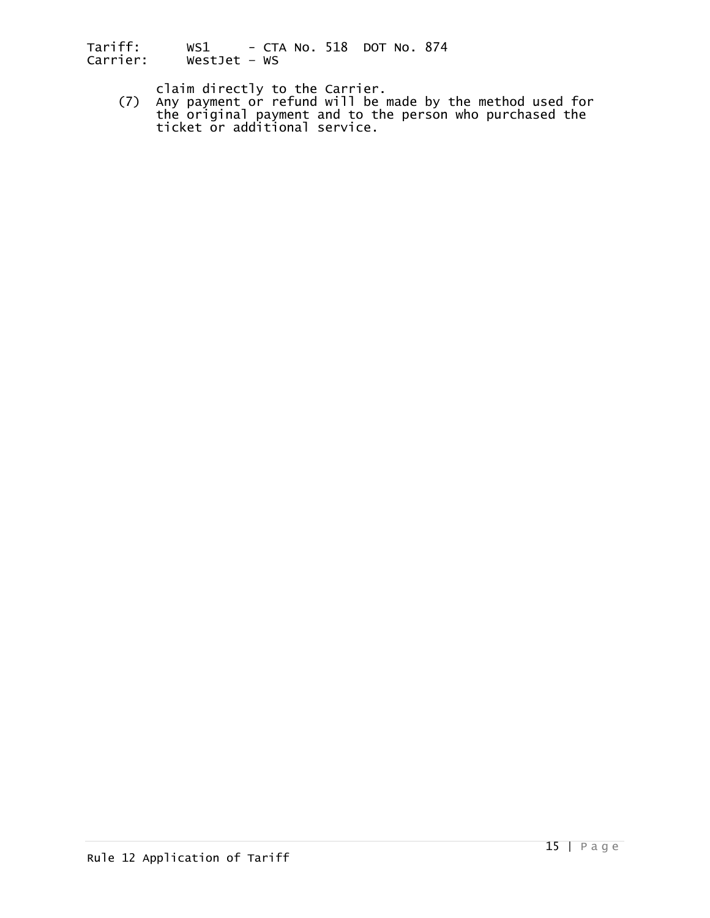claim directly to the Carrier.<br>(7) Any payment or refund will be made by the method used for<br>the original payment and to the person who purchased the ticket or additional service.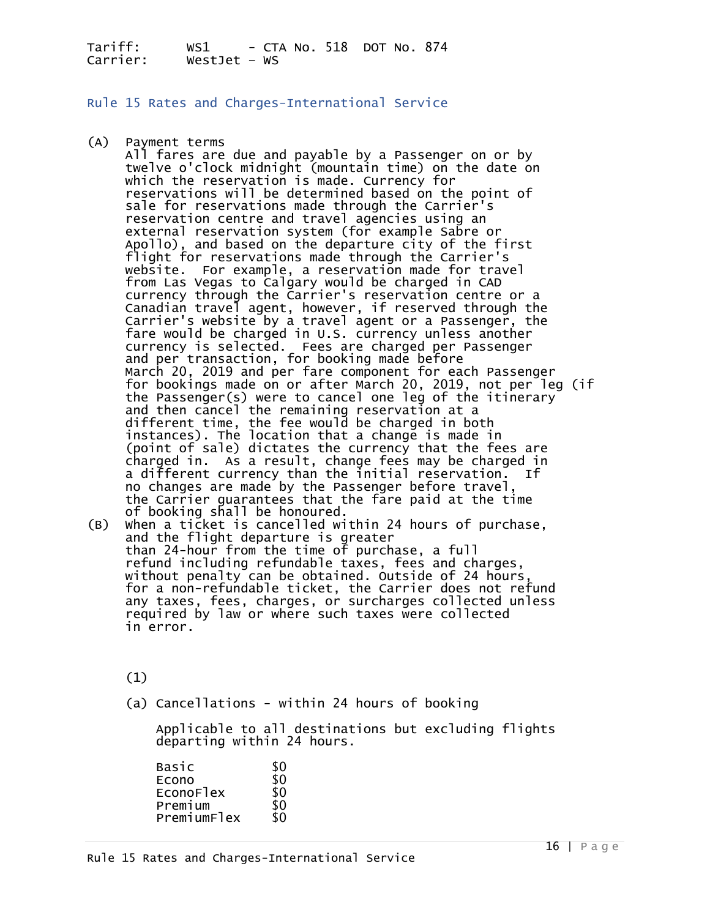<span id="page-15-0"></span>Rule 15 Rates and Charges-International Service

(A) Payment terms<br>All fares are due and payable by a Passenger on or by twelve o'clock midnight (mountain time) on the date on<br>which the reservation is made. Currency for reservations will be determined based on the point of<br>sale for reservations made through the Carrier's<br>reservation centre and travel agencies using an external reservation system (for example Sabre or<br>Apollo), and based on the departure city of the first<br>flight for reservations made through the Carrier's website. For example, a reservation made for travel<br>from Las Vegas to Calgary would be charged in CAD<br>currency through the Carrier's reservation centre or a<br>Canadian travel agent, however, if reserved through the<br>Carrier's currency is selected. Fees are charged per Passenger and per transaction, for booking made before March 20, 2019 and per fare component for each Passenger<br>for bookings made on or after March 20, 2019, not per leg (if<br>the Passenger(s) were to cancel one leg of the itinerary and then cancel the remaining reservation at a<br>different time, the fee would be charged in both<br>instances). The location that a change is made in<br>(point of sale) dictates the currency that the fees are charged in. As a result, change fees may be charged in a different currency than the initial reservation. If no changes are made by the Passenger before travel, the Carrier guarantees that the fare paid at the time of booking shall be honoured.  $(B)$  When a ticket is cancelled within 24 hours of purchase,<br>and the flight departure is greater

than 24-hour from the time of purchase, a full<br>refund including refundable taxes, fees and charges,<br>without penalty can be obtained. Outside of 24 hours for a non-refundable ticket, the Carrier does not refund any taxes, fees, charges, or surcharges collected unless required by law or where such taxes were collected in error.

(1)

(a) Cancellations - within 24 hours of booking

Applicable to all destinations but excluding flights<br>departing within 24 hours.

| \$0 |
|-----|
| \$0 |
| \$0 |
| \$0 |
|     |
|     |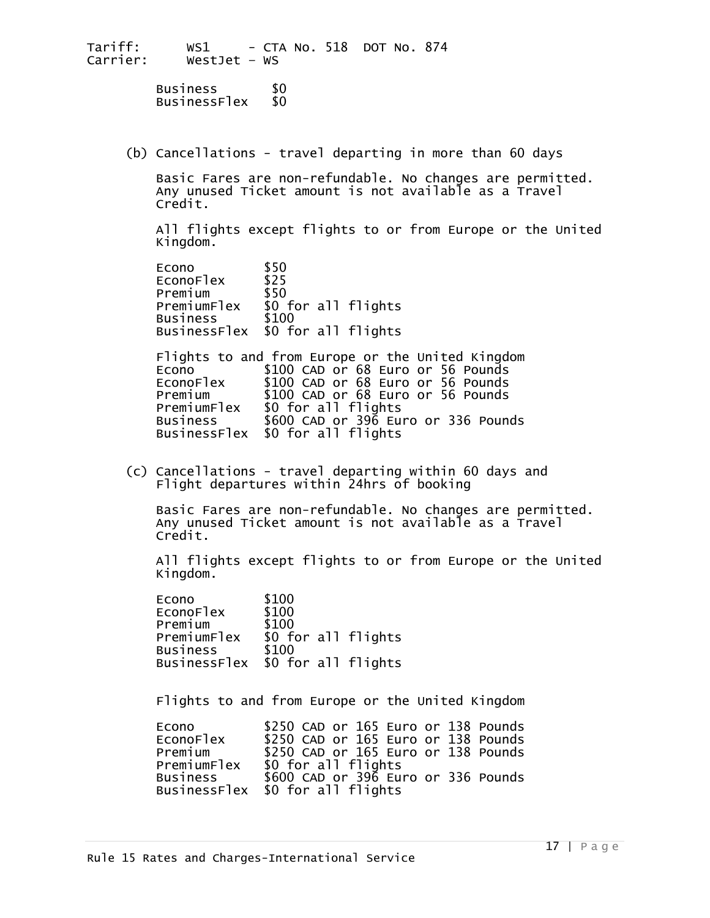Business \$0<br>BusinessFlex \$0

(b) Cancellations - travel departing in more than 60 days

 Basic Fares are non-refundable. No changes are permitted. Any unused Ticket amount is not available as a Travel Credit.

 All flights except flights to or from Europe or the United Kingdom.

| Econo                 | \$50                |
|-----------------------|---------------------|
| ECONOF <sub>lex</sub> | \$25                |
| Premium               | \$50                |
| PremiumFlex           | \$0 for all flights |
| <b>Business</b>       | \$100               |
| <b>BusinessFlex</b>   | \$0 for all flights |

Flights to and from Europe or the United Kingdom<br>Econo \$100 CAD or 68 Euro or 56 Pounds<br>EconoFlex \$100 CAD or 68 Euro or 56 Pounds EconoFlex \$100 CAD or 68 Euro or 56 Pounds<br>Premium \$100 CAD or 68 Euro or 56 Pounds Premium \$100 CAD or 68 Euro or 56 Pounds PremiumFlex \$0 for all flights Business \$600 CAD or 396 Euro or 336 Pounds BusinessFlex \$0 for all flights

(c) Cancellations - travel departing within 60 days and Flight departures within 24hrs of booking

Basic Fares are non-refundable. No changes are permitted.<br>Any unused Ticket amount is not available as a Travel Credit.

All flights except flights to or from Europe or the United Kingdom.

Econo \$100<br>EconoFlex \$100 Premium \$100<br>PremiumFlex \$0 for all flights<br>Business \$100 Business \$100 BusinessFlex \$0 for all flights

Flights to and from Europe or the United Kingdom

| Econo           | \$250 CAD or 165 Euro or 138 Pounds |
|-----------------|-------------------------------------|
| EconoFlex       | \$250 CAD or 165 Euro or 138 Pounds |
| Premium         | \$250 CAD or 165 Euro or 138 Pounds |
| PremiumFlex     | \$0 for all flights                 |
| <b>Business</b> | \$600 CAD or 396 Euro or 336 Pounds |
|                 | BusinessFlex \$0 for all flights    |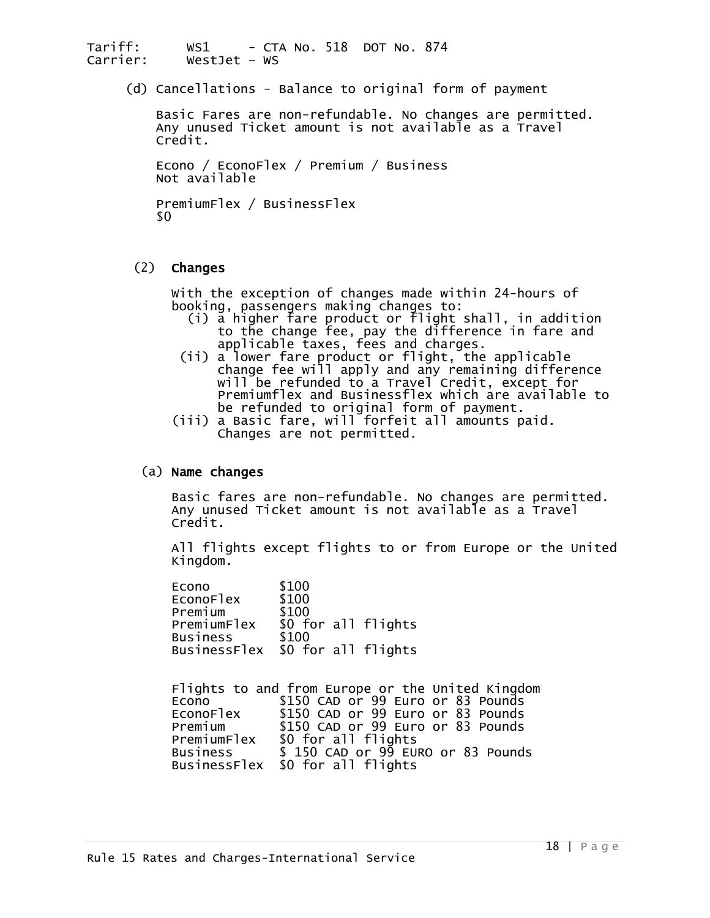(d) Cancellations - Balance to original form of payment

 Basic Fares are non-refundable. No changes are permitted. Any unused Ticket amount is not available as a Travel<br>Credit.

Econo / EconoFlex / Premium / Business<br>Not available

PremiumFlex / BusinessFlex<br>\$0

(2) Changes

- With the exception of changes made within 24-hours of booking, passengers making changes to: (i) a higher fare product or flight shall, in addition to the change fee, pay the difference in fare and applicable taxes, fees and charges.
	- (ii) a lower fare product or flight, the applicable<br>change fee will apply and any remaining difference<br>will be refunded to a Travel Credit, except for Premiumflex and Businessflex which are available to be refunded to original form of payment.
- (iii) a Basic fare, will forfeit all amounts paid. Changes are not permitted.

#### (a) Name changes

Basic fares are non-refundable. No changes are permitted.<br>Any unused Ticket amount is not available as a Travel<br>Credit.

All flights except flights to or from Europe or the United<br>Kingdom.

| \$0 for all flights              |
|----------------------------------|
|                                  |
| BusinessFlex \$0 for all flights |
|                                  |

Flights to and from Europe or the United Kingdom<br>Econo \$150 CAD or 99 Euro or 83 Pounds Econo Flex \$150 CAD or 99 Euro or 83 Pounds<br>Premium \$150 CAD or 99 Euro or 83 Pounds<br>Premium Flex \$0 for all flights PremiumFlex \$0 for all flights<br>Business \$ 150 CAD or 99 EURO or 83 Pounds BusinessFlex \$0 for all flights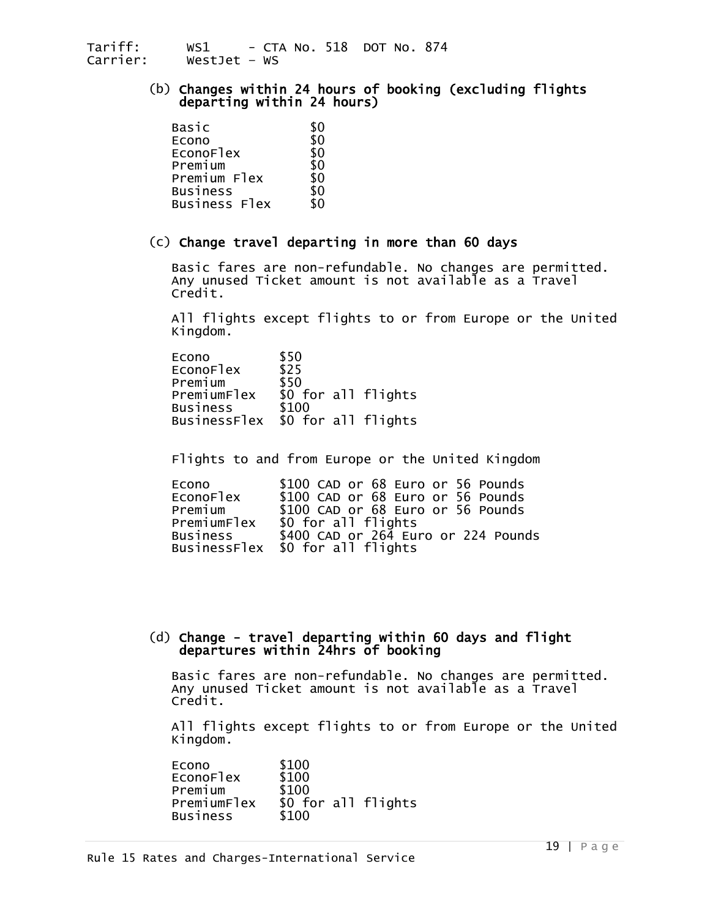## (b) Changes within 24 hours of booking (excluding flights departing within 24 hours)

| Basic           |     |
|-----------------|-----|
| Econo           | \$0 |
| EconoFlex       | \$0 |
| Premium         | \$0 |
| Premium Flex    | \$0 |
| <b>Business</b> | \$0 |
| Business Flex   | 80  |

#### (c) Change travel departing in more than 60 days

 Basic fares are non-refundable. No changes are permitted. Any unused Ticket amount is not available as a Travel Credit.

All flights except flights to or from Europe or the United Kingdom.

| \$50                             |
|----------------------------------|
| \$25                             |
| \$50                             |
| \$0 for all flights              |
| \$100                            |
| BusinessFlex \$0 for all flights |
|                                  |

Flights to and from Europe or the United Kingdom

| Econo       | \$100 CAD or 68 Euro or 56 Pounds   |
|-------------|-------------------------------------|
| EconoFlex   | \$100 CAD or 68 Euro or 56 Pounds   |
| Premium     | \$100 CAD or 68 Euro or 56 Pounds   |
| PremiumFlex | \$0 for all flights                 |
| Business    | \$400 CAD or 264 Euro or 224 Pounds |
|             | BusinessFlex \$0 for all flights    |

#### (d) Change - travel departing within 60 days and flight departures within 24hrs of booking

 Basic fares are non-refundable. No changes are permitted. Any unused Ticket amount is not available as a Travel Credit.

 All flights except flights to or from Europe or the United Kingdom.

Econo \$100<br>
EconoFlex \$100<br>
Premium \$100<br>
PremiumFlex \$0 fo PremiumFlex \$0 for all flights<br>Business \$100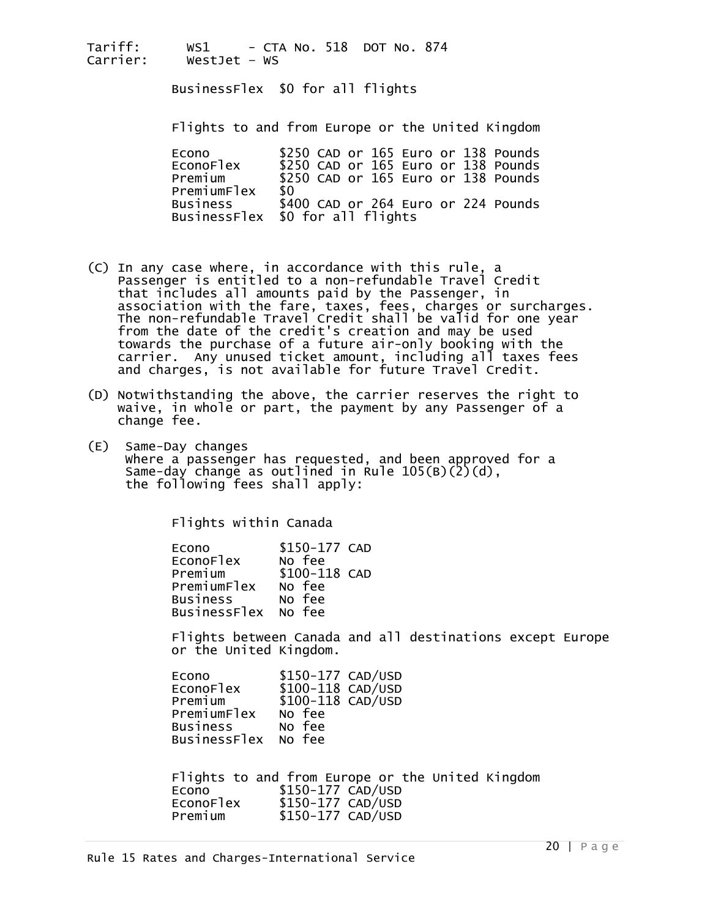BusinessFlex \$0 for all flights

Flights to and from Europe or the United Kingdom

| Econo           | \$250 CAD or 165 Euro or 138 Pounds |
|-----------------|-------------------------------------|
| EconoFlex       | \$250 CAD or 165 Euro or 138 Pounds |
| Premium         | \$250 CAD or 165 Euro or 138 Pounds |
| PremiumFlex     | -80                                 |
| <b>Business</b> | \$400 CAD or 264 Euro or 224 Pounds |
|                 | BusinessFlex \$0 for all flights    |

- (C) In any case where, in accordance with this rule, a Passenger is entitled to a non-refundable Travel Credit that includes all amounts paid by the Passenger, in association with the fare, taxes, fees, charges or surcharges. The non-refundable Travel Credit shall be valid for one year<br>from the date of the credit's creation and may be used towards the purchase of a future air-only booking with the carrier. Any unused ticket amount, including all taxes fees and charges, is not available for future Travel Credit.
- (D) Notwithstanding the above, the carrier reserves the right to waive, in whole or part, the payment by any Passenger of a change fee.
- (E) Same-Day changes where a passenger has requested, and been approved for a Same-day change as outlined in Rule  $105(B)(2)(d)$ , the following fees shall apply:

Flights within Canada

Econo \$150-177 CAD<br>EconoFlex No fee<br>Premium \$100-118 CAD Premium \$100-118 CAD<br>PremiumFlex No fee<br>Business No fee BusinessFlex No fee

> Flights between Canada and all destinations except Europe or the United Kingdom.

| \$150-177 CAD/USD   |
|---------------------|
| \$100-118 CAD/USD   |
| \$100-118 CAD/USD   |
| No fee              |
| No fee              |
| BusinessFlex No fee |
|                     |

 Flights to and from Europe or the United Kingdom Econo \$150-177 CAD/USD EconoFlex \$150-177 CAD/USD<br>Premium \$150-177 CAD/USD \$150-177 CAD/USD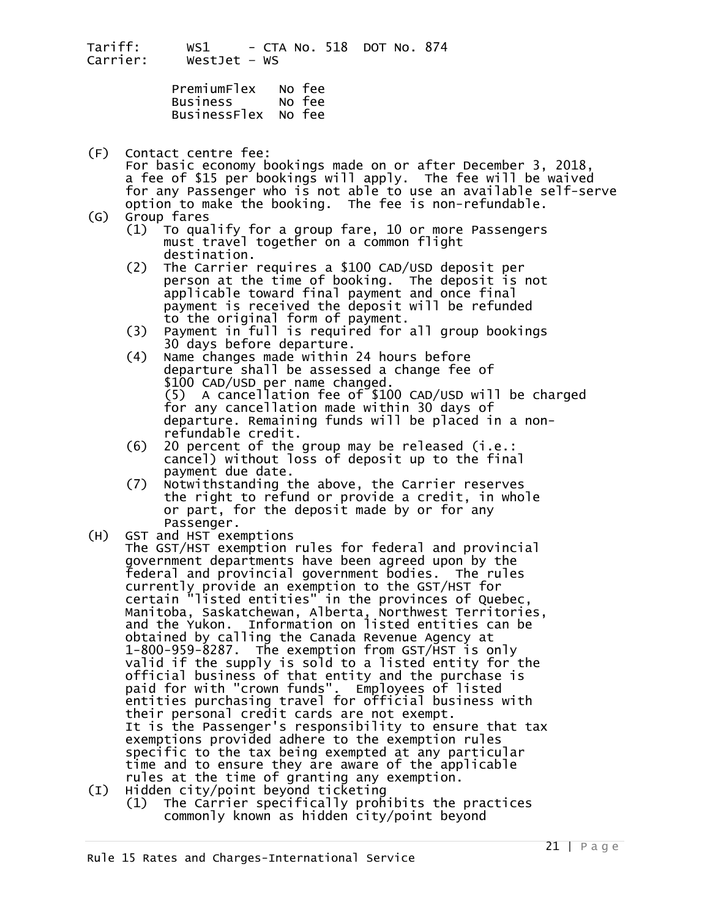PremiumFlex No fee<br>Business No fee<br>BusinessFlex No fee

- (F) Contact centre fee: For basic economy bookings made on or after December 3, 2018, a fee of \$15 per bookings will apply. The fee will be waived for any Passenger who is not able to use an available self-serve option to make the booking. The fee is non-refundable.
- - Group fares<br>(1) To qualify for a group fare, 10 or more Passengers<br>must travel together on a common flight
	- destination.<br>
	(2) The Carrier requires a \$100 CAD/USD deposit per person at the time of booking. The deposit is not applicable toward final payment and once final payment is received the deposit will be refunded
	- to the original form of payment.<br>
	(3) Payment in full is required for all group bookings<br>
	30 days before departure.
	- 30 Name changes made within 24 hours before<br>departure shall be assessed a change fee of<br>\$100 CAD/USD per name changed.<br>(5) A cancellation fee of \$100 CAD/USD will be charged for any cancellation made within 30 days of departure. Remaining funds will be placed in a non-
	- $r = 20$  percent of the group may be released (i.e.: cancel) without loss of deposit up to the final<br>payment due date.
- (7) Notwithstanding the above, the Carrier reserves the right to refund or provide a credit, in whole or part, for the deposit made by or for any<br>Passenger.<br>(H) GST and HST exemptions<br>The GST/HST exemption rules for federal and provincial
- government departments have been agreed upon by the<br>federal and provincial government bodies. The rules federal and provincial government bodies. The rules<br>currently provide an exemption to the GST/HST for<br>certain "listed entities" in the provinces of Quebec, Manitoba, Saskatchewan, Alberta, Northwest Territories, and the Yukon. Information on listed entities can be<br>obtained by calling the Canada Revenue Agency at obtained by calling the Canada Revenue Agency at<br>1-800-959-8287. The exemption from GST/HST is only<br>valid if the supply is sold to a listed entity for the official business of that entity and the purchase is<br>paid for with "crown funds". Employees of listed entities purchasing travel for official business with their personal credit cards are not exempt. It is the Passenger's responsibility to ensure that tax<br>exemptions provided adhere to the exemption rules<br>specific to the tax being exempted at any particular<br>time and to ensure they are aware of the applicable<br>rules at th
	- $(1)$  The Carrier specifically prohibits the practices commonly known as hidden city/point beyond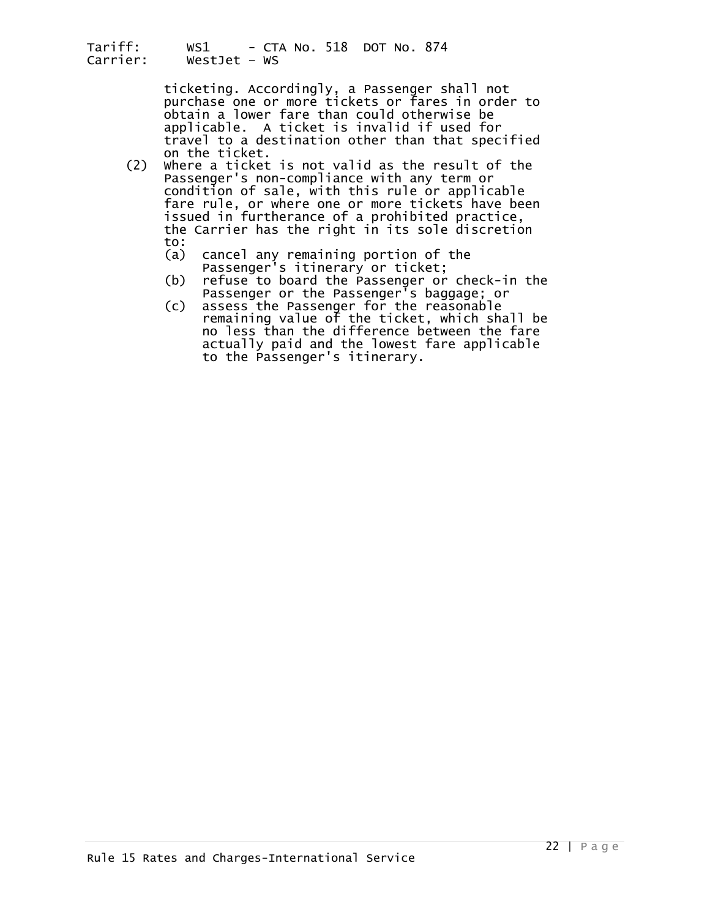> ticketing. Accordingly, a Passenger shall not purchase one or more tickets or fares in order to obtain a lower fare than could otherwise be applicable. A ticket is invalid if used for<br>travel to a destination other than that specified<br>on the ticket.

- (2) Where a ticket is not valid as the result of the passenger's non-compliance with any term or condition of sale, with this rule or applicable fare rule, or where one or more tickets have been<br>issued in furtherance of a prohibited practice,<br>the Carrier has the right in its sole discretion<br>to:
	-
	- (a) cancel any remaining portion of the<br>Passenger's itinerary or ticket;<br>(b) refuse to board the Passenger or check-in the<br>Passenger or the Passenger's baggage; or<br>(c) assess the Passenger for the reasonable
- (c) assess the Passenger for the reasonable remaining value of the ticket, which shall be no less than the difference between the fare actually paid and the lowest fare applicable to the Passenger's itinerary.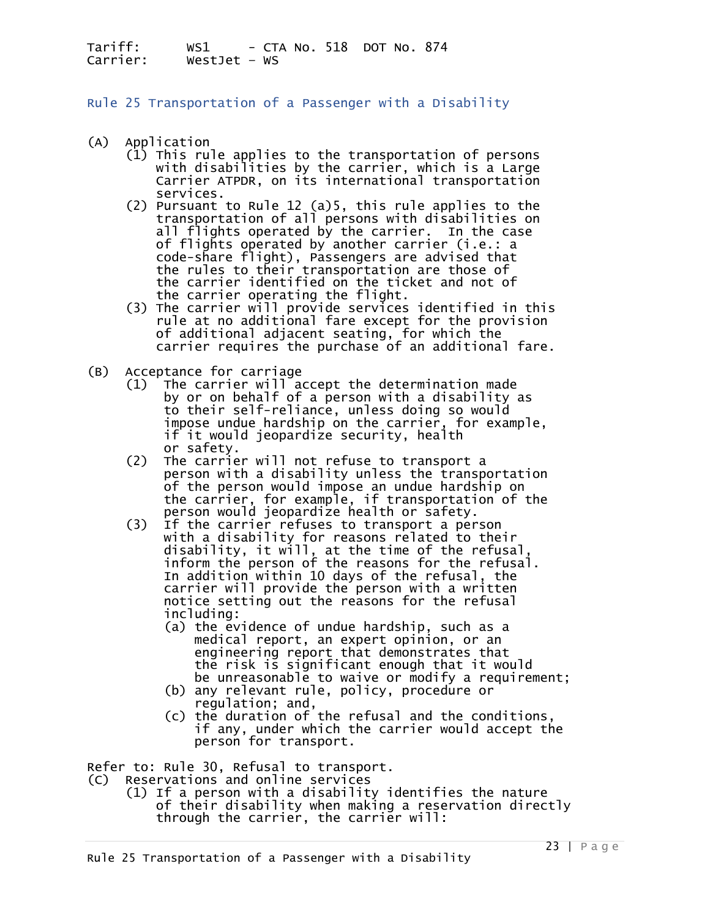<span id="page-22-0"></span>Rule 25 Transportation of a Passenger with a Disability

- 
- (A) Application<br>(1) This rule applies to the transportation of persons (1115 This rule applies to the transportation of persons with disabilities by the carrier, which is a Large<br>Carrier ATPDR, on its international transportation
	- services.<br>(2) Pursuant to Rule 12 (a)5, this rule applies to the transportation of all persons with disabilities on all flights operated by the carrier. In the case of flights operated by another carrier (i.e.: a code-share flight), Passengers are advised that the rules to their transportation are those of<br>the carrier identified on the ticket and not of<br>the carrier operating the flight.<br>(3) The carrier will provide services identified in this<br>rule at no additional fare except fo
	- of additional adjacent seating, for which the<br>carrier requires the purchase of an additional fare.
- 
- (B) Acceptance for carriage<br>(1) The carrier will accept the determination made<br>by or on behalf of a person with a disability as (1) The carrier will accept the determination made<br>by or on behalf of a person with a disability as<br>to their self-reliance, unless doing so would<br>impose undue hardship on the carrier, for example,<br>if it would jeopardize se
	- (2) The carrier will not refuse to transport a person with a disability unless the transportation of the person would impose an undue hardship on the carrier, for example, if transportation of the<br>person would jeopardize health or safety.<br>(3) If the carrier refuses to transport a person
- with a disability for reasons related to their<br>disability, it will, at the time of the refusal,<br>inform the person of the reasons for the refusal. In addition within 10 days of the refusal, the carrier will provide the person with a written notice setting out the reasons for the refusal including: (a) the evidence of undue hardship, such as a
	- medical report, an expert opinion, or an the risk is significant enough that it would be unreasonable to waive or modify a requirement;<br>(b) any relevant rule, policy, procedure or
	-
	- (b) any relevant rule, policy, procedure or regulation; and, (c) the duration of the refusal and the conditions, if any, under which the carrier would accept the person for transport.

Refer to: Rule 30, Refusal to transport.

(C) Reservations and online services

 (1) If a person with a disability identifies the nature of their disability when making a reservation directly through the carrier, the carrier will: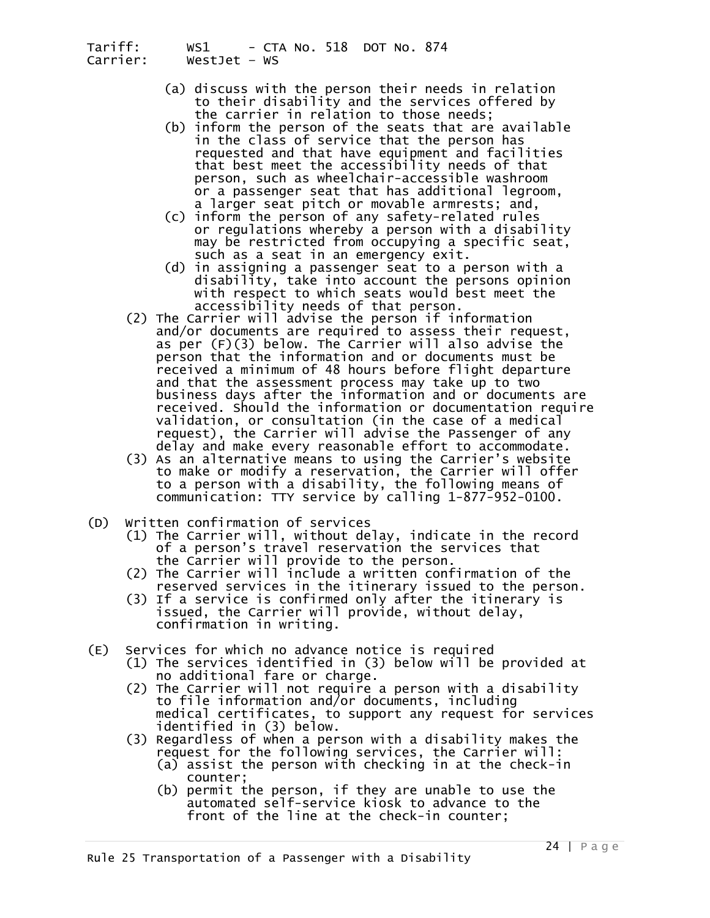- (a) discuss with the person their needs in relation to their disability and the services offered by the carrier in relation to those needs;
- (b) inform the person of the seats that are available in the class of service that the person has requested and that have equipment and facilities<br>that best meet the accessibility needs of that<br>person, such as wheelchair-accessible washroom<br>or a passenger seat that has additional legroom,
- a larger seat pitch or movable armrests; and,<br>(c) inform the person of any safety-related rules<br>or regulations whereby a person with a disability<br>may be restricted from occupying a specific seat,
- such as a seat in an emergency exit.<br>(d) in assigning a passenger seat to a person with a<br>disability, take into account the persons opinion<br>with respect to which seats would best meet the
- accessibility needs of that person.<br>(2) The Carrier will advise the person if information and/or documents are required to assess their request,<br>as per (F)(3) below. The Carrier will also advise the person that the information and or documents must be<br>received a minimum of 48 hours before flight departure<br>and that the assessment process may take up to two business days after the information and or documents are received. Should the information or documentation require validation, or consultation (in the case of a medical request), the Carrier will advise the Passenger of any<br>delay and make every reasonable effort to accommodate.
	- (3) As an alternative means to using the Carrier's website to make or modify a reservation, the Carrier will offer to a person with a disability, the following means of communication: TTY service by calling 1-877-952-0100.
- (D) Written confirmation of services
	- (1) The Carrier will, without delay, indicate in the record of a person's travel reservation the services that<br>the Carrier will provide to the person.<br>(2) The Carrier will include a written confirmation of the
	- (2) The Carrier will include a written confirmed in the itinerary issued to the person.<br>(3) If a service is confirmed only after the itinerary is
	- issued, the Carrier will provide, without delay, confirmation in writing.
- (E) Services for which no advance notice is required
	- (1) The services identified in (3) below will be provided at no additional fare or charge.<br>(2) The Carrier will not require a person with a disability
		- to file information and/or documents, including<br>medical certificates, to support any request for services<br>identified in (3) below.
		- -
		- (3) Regardless of when a person with a disability makes the<br>request for the following services, the Carrier will:<br>(a) assist the person with checking in at the check-in<br>counter;<br>(b) permit the person, if they are unable t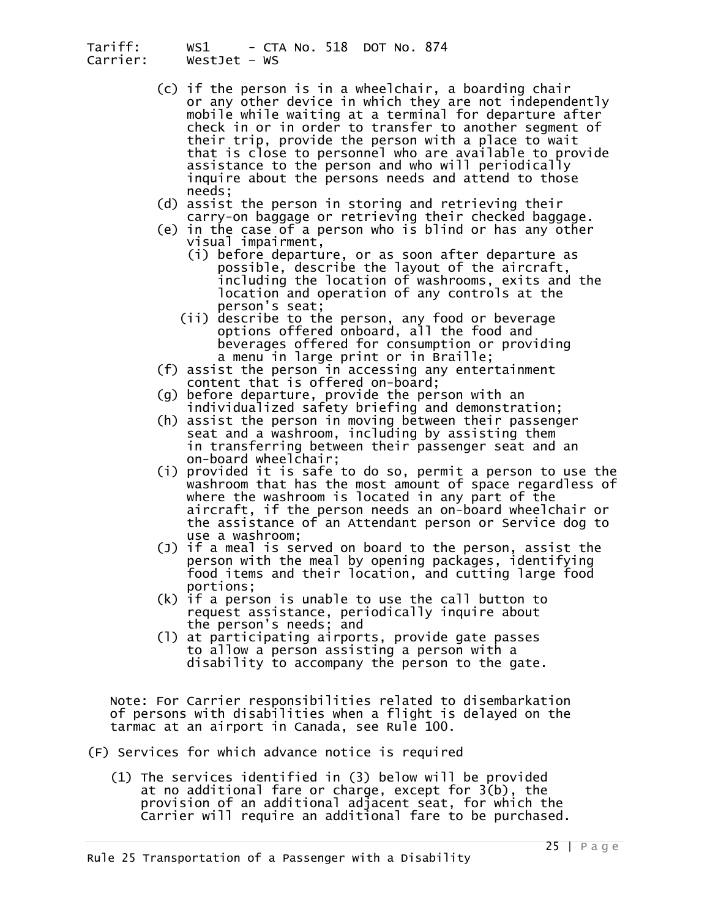- (c) if the person is in a wheelchair, a boarding chair or any other device in which they are not independently mobile while waiting at a terminal for departure after check in or in order to transfer to another segment of their trip, provide the person with a place to wait that is close to personnel who are available to provide assistance to the person and who will periodically inquire about the persons needs and attend to those
- needs;<br>(d) assist the person in storing and retrieving their<br>carry-on baggage or retrieving their checked baggage.<br>(e) in the case of a person who is blind or has any other<br>visual impairment,
- - (i) before departure, or as soon after departure as possible, describe the layout of the aircraft, including the location of washrooms, exits and the location and operation of any controls at the person's seat;
	- (ii) describe to the person, any food or beverage options offered onboard, all the food and beverages offered for consumption or providing<br>a menu in large print or in Braille;
- (f) assist the person in accessing any entertainment content that is offered on-board;
- (g) before departure, provide the person with an individualized safety briefing and demonstration;
- (h) assist the person in moving between their passenger seat and a washroom, including by assisting them<br>in transferring between their passenger seat and an on-board wheelchair;
	- (i) provided it is safe to do so, permit a person to use the washroom that has the most amount of space regardless of where the washroom is located in any part of the aircraft, if the person needs an on-board wheelchair or<br>the assistance of an Attendant person or Service dog to<br>use a washroom;
	- (J) if a meal is served on board to the person, assist the person with the meal by opening packages, identifying
	- portions;<br>(k) if a person is unable to use the call button to request assistance, periodically inquire about
	- (1) at participating airports, provide gate passes to allow a person assisting a person with a disability to accompany the person to the gate.

 Note: For Carrier responsibilities related to disembarkation of persons with disabilities when a flight is delayed on the tarmac at an airport in Canada, see Rule 100.

- (F) Services for which advance notice is required
	- (1) The services identified in (3) below will be provided at no additional fare or charge, except for 3(b), the provision of an additional adjacent seat, for which the Carrier will require an additional fare to be purchased.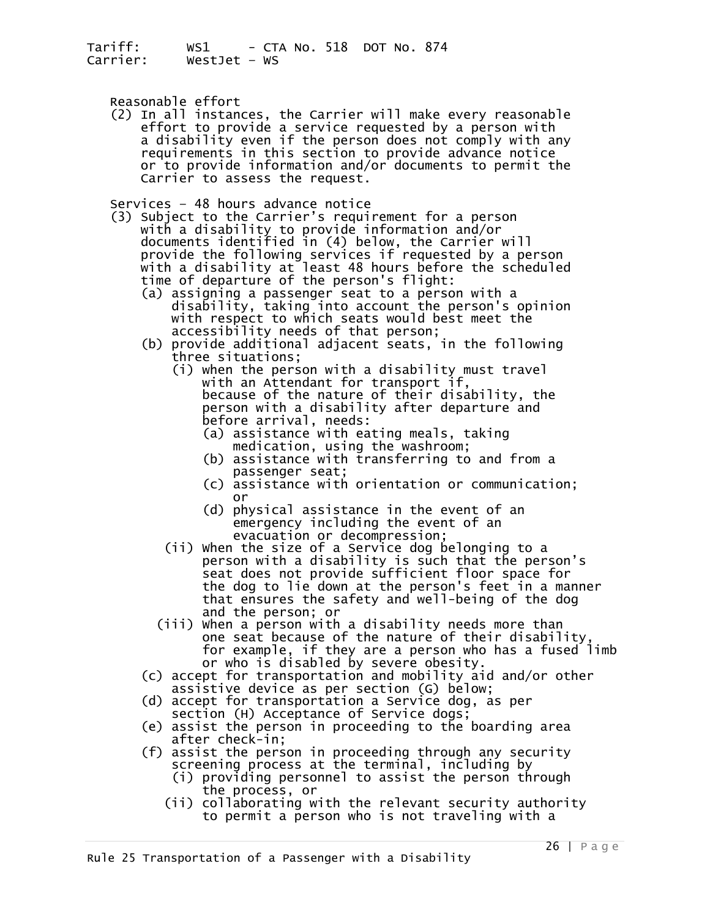Reasonable effort<br>(2) In all instances, the Carrier will make every reasonable effort to provide a service requested by a person with<br>a disability even if the person does not comply with any requirements in this section to provide advance notice<br>or to provide information and/or documents to permit the<br>Carrier to assess the request.

- Services 48 hours advance notice (3) Subject to the Carrier's requirement for a person with a disability to provide information and/or provide the following services if requested by a person<br>with a disability at least 48 hours before the scheduled<br>time of departure of the person's flight:<br>(a) assigning a passenger seat to a person with a
- disability, taking into account the person's opinion with respect to which seats would best meet the<br>accessibility needs of that person;
	-
	- (b) provide additional adjacent seats, in the following<br>three situations;<br>(i) when the person with a disability must travel<br>with an Attendant for transport if,<br>because of the nature of their disability, the person with a disability after departure and before arrival, needs:
		- (a) assistance with eating meals, taking medication, using the washroom;
		- (b) assistance with transferring to and from a
		- (c) assistance with orientation or communication;<br>or
		- (d) physical assistance in the event of an emergency including the event of an
		- evacuation or decompression;<br>(ii) when the size of a Service dog belonging to a person with a disability is such that the person's seat does not provide sufficient floor space for the dog to lie down at the person's feet in a manner that ensures the safety and well-being of the dog
		- and the person; or<br>(iii) when a person with a disability needs more than) one seat because of the nature of their disability, for example, if they are a person who has a fused limb or who is disabled by severe obesity.
	- (c) accept for transportation and mobility aid and/or other assistive device as per section (G) below;
	- (d) accept for transportation a Service dog, as per<br>section (H) Acceptance of Service dogs;<br>(e) assist the person in proceeding to the boarding area
	-
	- after check-in;<br>
	(f) assist the person in proceeding through any security<br>
	screening process at the terminal, including by<br>
	(i) providing personnel to assist the person through<br>
	the process, or<br>
	(ii) collaborating with the
		-
		-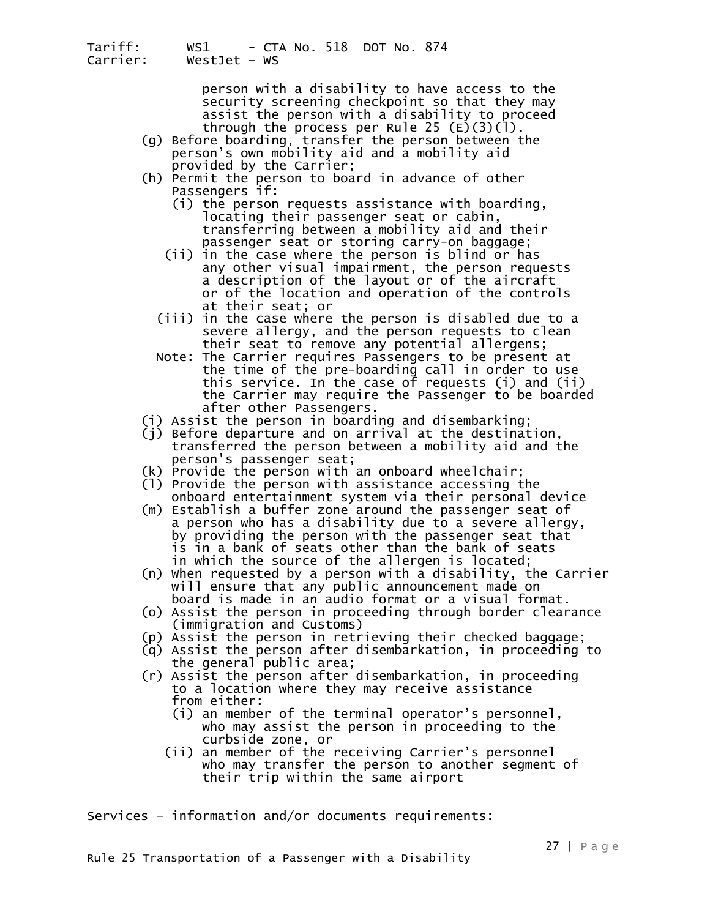person with a disability to have access to the security screening checkpoint so that they may assist the person with a disability to proceed

- through the process per Rule 25 (E)(3)(l).<br>g) Before boarding, transfer the person between the person's own mobility aid and a mobility aid provided by the Carrier; (h) Permit the person to board in advance of other
	- - Passengers if:<br>(i) the person requests assistance with boarding,<br>locating their passenger seat or cabin, transferring between a mobility aid and their
		- passenger seat or storing carry-on baggage; (ii) in the case where the person is blind or has any other visual impairment, the person requests a description of the layout or of the aircraft or of the location and operation of the controls at their seat; or
		- (iii) in the case where the person is disabled due to a<br>severe allergy, and the person requests to clean<br>their seat to remove any potential allergens;
		- Note: The Carrier requires Passengers to be present at<br>the time of the pre-boarding call in order to use<br>this service. In the case of requests (i) and (ii) the Carrier may require the Passenger to be boarded after other Passengers.
	-
	- (i) Assist the person in boarding and disembarking; transferred the person between a mobility aid and the person's passenger seat;<br>(k) Provide the person with an onboard wheelchair;
	-
	- (1) Provide the person with assistance accessing the onboard entertainment system via their personal device
	- (m) Establish a buffer zone around the passenger seat of<br>a person who has a disability due to a severe allergy,<br>by providing the person with the passenger seat that<br>is in a bank of seats other than the bank of seats
	- in which the source of the allergen is located;<br>(n) When requested by a person with a disability, the Carrier will ensure that any public announcement made on<br>board is made in an audio format or a visual format.
	- (o) Assist the person in proceeding through border clearance
	- (p) Assist the person in retrieving their checked baggage;
	- (q) Assist the person after disembarkation, in proceeding to
	- (r) Assist the person after disembarkation, in proceeding<br>to a location where they may receive assistance
		- from either:<br>(i) an member of the terminal operator's personnel,<br>who may assist the person in proceeding to the
		- curbside zone, or<br>(ii) an member of the receiving Carrier's personnel<br>who may transfer the person to another segment of their trip within the same airport

Services – information and/or documents requirements: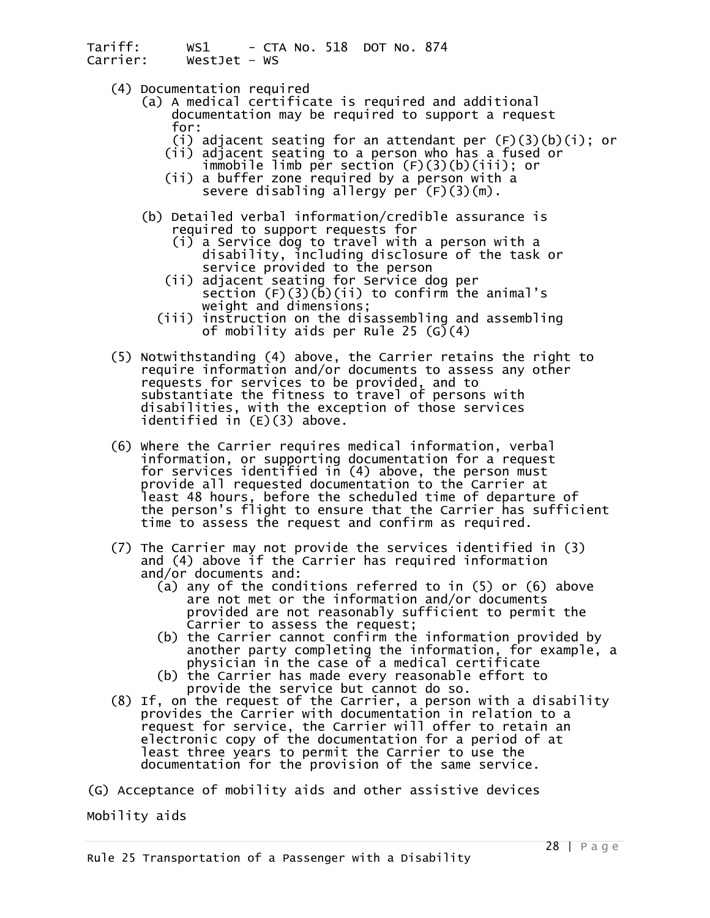- 
- (4) Documentation required (a) A medical certificate is required and additional documentation may be required to support a request
- for: (i) adjacent seating for an attendant per (F)(3)(b)(i); or
- (ii) adjacent seating to a person who has a fused or immobile limb per section (F)(3)(b)(iii); or (ii) a buffer zone required by a person with a
	- severe disabling allergy per (F)(3)(m).
	- (b) Detailed verbal information/credible assurance is required to support requests for
		-
		- disability, including disclosure of the task or service provided to the person<br>(ii) adjacent seating for Service dog per section (F)(3)(b)(ii) to confirm the animal's weight and dimensions;
		- (iii) instruction on the disassembling and assembling of mobility aids per Rule 25 (G)(4)
	- (5) Notwithstanding (4) above, the Carrier retains the right to require information and/or documents to assess any other requests for services to be provided, and to substantiate the fitness to travel of persons with disabilities, with the exception of those services identified in (E)(3) above.
- (6) Where the Carrier requires medical information, verbal information, or supporting documentation for a request for services identified in (4) above, the person must<br>provide all requested documentation to the Carrier at<br>least 48 hours, before the scheduled time of departure of the person's flight to ensure that the Carrier has sufficient<br>time to assess the request and confirm as required.
	- (7) The Carrier may not provide the services identified in (3) and (4) above if the Carrier has required information
		- (a) any of the conditions referred to in (5) or (6) above are not met or the information and/or documents provided are not reasonably sufficient to permit the<br>Carrier to assess the request;
- $(b)$  the Carrier cannot confirm the information provided by another party completing the information, for example, a physician in the case of a medical certificate (b) the Carrier has made every reasonable effort to
	-
	- provide the service but cannot do so.<br>(8) If, on the request of the Carrier, a person with a disability provides the Carrier with documentation in relation to a request for service, the Carrier will offer to retain an electronic copy of the documentation for a period of at least three years to permit the Carrier to use the documentation for the provision of the same service.
- (G) Acceptance of mobility aids and other assistive devices

Mobility aids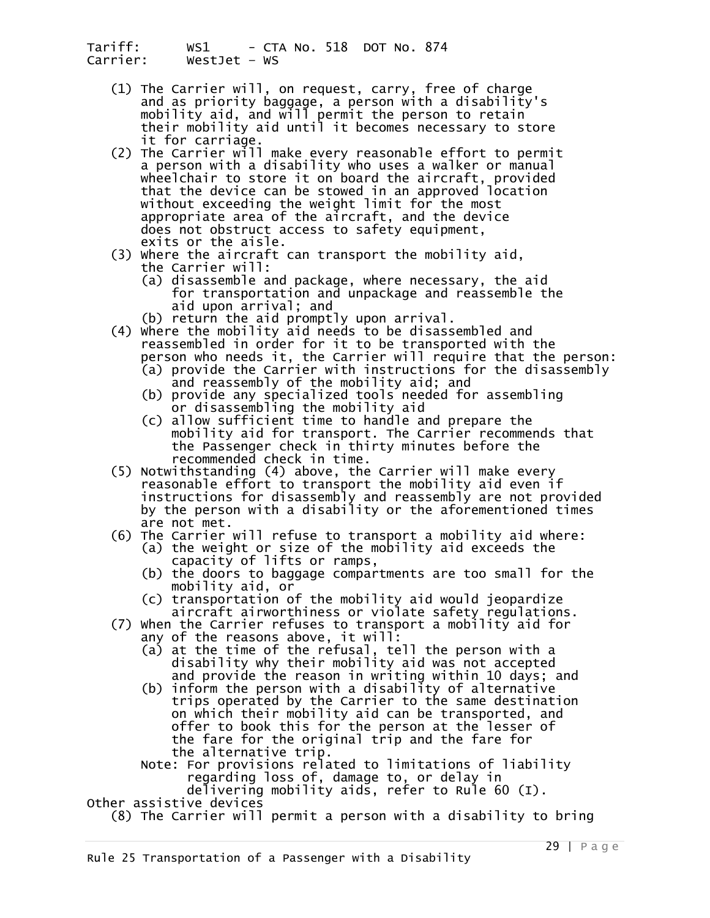- (1) The Carrier will, on request, carry, free of charge and as priority baggage, a person with a disability's mobility aid, and will permit the person to retain<br>their mobility aid until it becomes necessary to store<br>it for carriage.<br>(2) The Carrier will make every reasonable effort to permit
- The Carrier with a disability who uses a walker or manual wheelchair to store it on board the aircraft, provided<br>that the device can be stowed in an approved location without exceeding the weight limit for the most<br>appropriate area of the aircraft, and the device<br>does not obstruct access to safety equipment,<br>exits or the aisle.
- (3) Where the aircraft can transport the mobility aid,<br>the Carrier will:<br>(a) disassemble and package, where necessary, the aid<br>for transportation and unpackage and reassemble the
	- aid upon arrival; and<br>(b) return the aid promptly upon arrival.
	-
- (4) where the mobility aid needs to be disassembled and<br>reassembled in order for it to be transported with the
	- person who needs it, the Carrier will require that the person:<br>(a) provide the Carrier with instructions for the disassembly and reassembly of the mobility aid; and
	- (b) provide any specialized tools needed for assembling or disassembling the mobility aid
	- (c) allow sufficient time to handle and prepare the mobility aid for transport. The Carrier recommends that the Passenger check in thirty minutes before the recommended check in time.
- (5) Notwithstanding (4) above, the Carrier will make every reasonable effort to transport the mobility aid even if instructions for disassembly and reassembly are not provided<br>by the person with a disability or the aforementioned times<br>are not met.<br>(6) The Carrier will refuse to transport a mobility aid where:
- (a) the weight or size of the mobility aid exceeds the<br>capacity of lifts or ramps,<br>(b) the doors to baggage compartments are too small for the
	-
	- mobility aid, or  $\overline{c}$  is a mobility are mobility and would jeopardize (c) transportation of the mobility aid would jeopardize aircraft airworthiness or violate safety regulations.
- (7) When the Carrier refuses to transport a mobility aid for any of the reasons above, it will:
	- (a) at the time of the refusal, tell the person with a disability why their mobility aid was not accepted and provide the reason in writing within 10 days; and<br>(b) inform the person with a disability of alternative
	- trips operated by the Carrier to the same destination<br>on which their mobility aid can be transported, and<br>offer to book this for the person at the lesser of

the fare for the original trip and the fare for<br>the alternative trip.<br>Note: For provisions related to limitations of liability<br>regarding loss of, damage to, or delay in<br>delivering mobility aids, refer to Rule 60 (I).

Other assistive devices

(8) The Carrier will permit a person with a disability to bring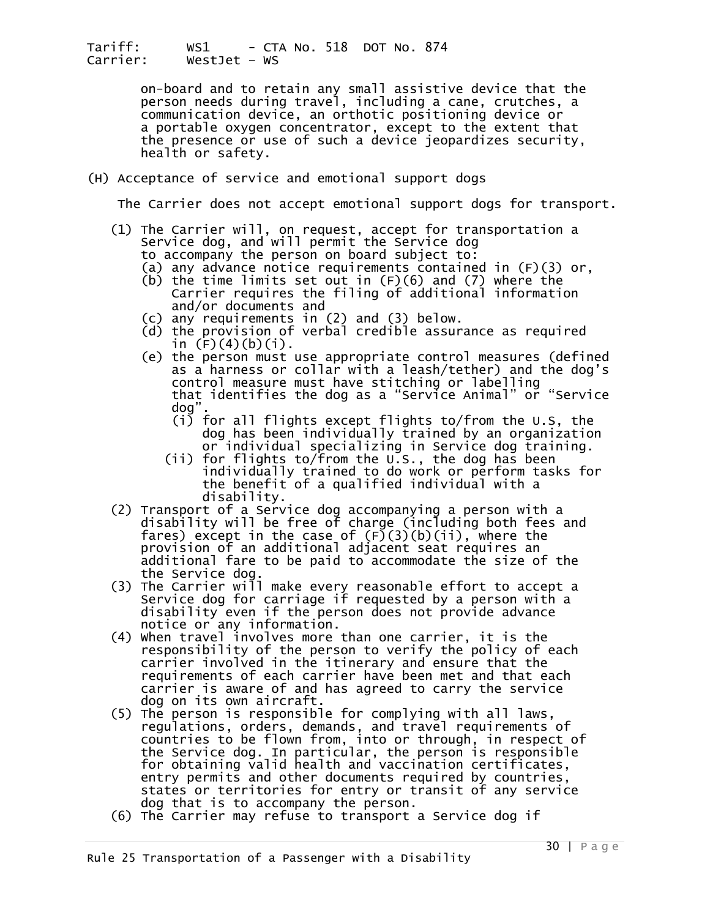> on-board and to retain any small assistive device that the person needs during travel, including a cane, crutches, a communication device, an orthotic positioning device or a portable oxygen concentrator, except to the extent that the presence or use of such a device jeopardizes security, health or safety.

#### (H) Acceptance of service and emotional support dogs

The Carrier does not accept emotional support dogs for transport.

- (1) The Carrier will, on request, accept for transportation a<br>Service dog, and will permit the Service dog
	-
	- to accompany the person on board subject to:<br>(a) any advance notice requirements contained in  $(F)(3)$  or,<br>(b) the time limits set out in  $(F)(6)$  and  $(7)$  where the<br>Carrier requires the filing of additional information and/or documents and
	-
	- (c) any requirements in (2) and (3) below.<br>(d) the provision of verbal credible assurance as required<br>in  $(F)(4)(b)(i)$ .
	- (e) the person must use appropriate control measures (defined<br>as a harness or collar with a leash/tether) and the dog's<br>control measure must have stitching or labelling that identifies the dog as a "Service Animal" or "Service dog".
- (i) for all flights except flights to/from the U.S, the dog has been individually trained by an organization or individual specializing in Service dog training.
- (ii) for flights to/from the U.S., the dog has been individually trained to do work or perform tasks for the benefit of a qualified individual with a disability.
	- (2) Transport of a Service dog accompanying a person with a disability will be free of charge (including both fees and fares) except in the case of  $(F)(3)(b)(ii)$ , where the provision of an additional adjacent seat requires a additional fare to be paid to accommodate the size of the<br>the Service dog.
	- the Service dog. (3) The Carrier will make every reasonable effort to accept a Service dog for carriage if requested by a person with a disability even if the person does not provide advance notice or any information.
	- (4) when travel involves more than one carrier, it is the responsibility of the person to verify the policy of each carrier involved in the itinerary and ensure that the requirements of each carrier have been met and that each dog on its own aircraft.<br>(5) The person is responsible for complying with all laws,
	- regulations, orders, demands, and travel requirements of<br>countries to be flown from, into or through, in respect of<br>the Service dog. In particular, the person is responsible<br>for obtaining valid health and vaccination certi
	-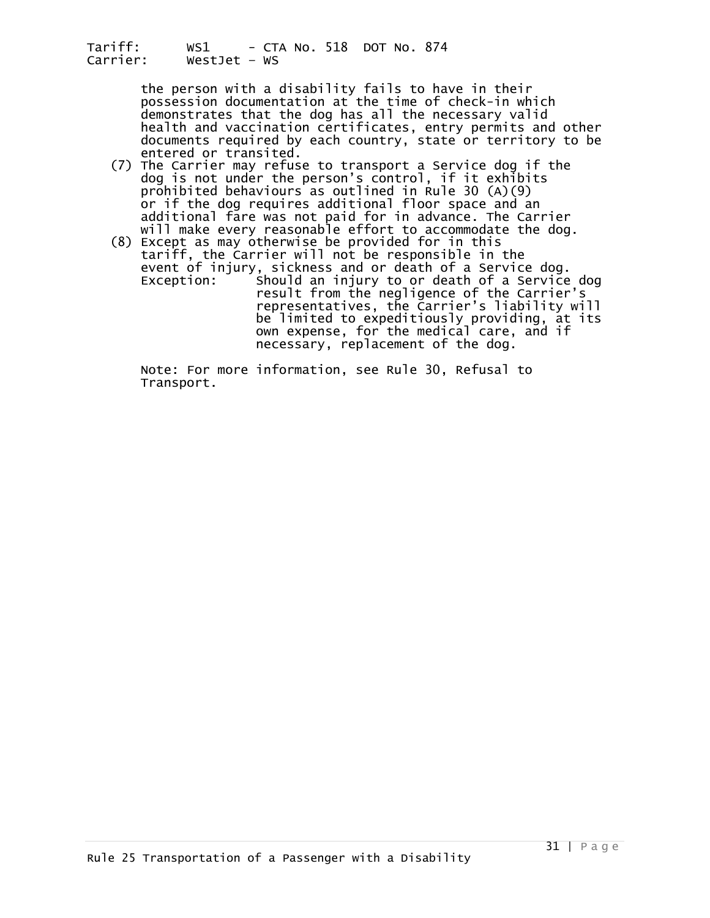> the person with a disability fails to have in their possession documentation at the time of check-in which demonstrates that the dog has all the necessary valid health and vaccination certificates, entry permits and other documents required by each country, state or territory to be entered or transited.

- (7) The Carrier may refuse to transport a Service dog if the dog is not under the person's control, if it exhibits prohibited behaviours as outlined in Rule 30 (A)(9) additional fare was not paid for in advance. The Carrier<br>will make every reasonable effort to accommodate the dog.<br>(8) Except as may otherwise be provided for in this<br>tariff, the Carrier will not be responsible in the
- event of injury, sickness and or death of a Service dog.<br>Exception: Should an injury to or death of a Service Should an injury to or death of a Service dog<br>result from the negligence of the Carrier's<br>representatives, the Carrier's liability will be limited to expeditiously providing, at its own expense, for the medical care, and if necessary, replacement of the dog.

 Note: For more information, see Rule 30, Refusal to Transport.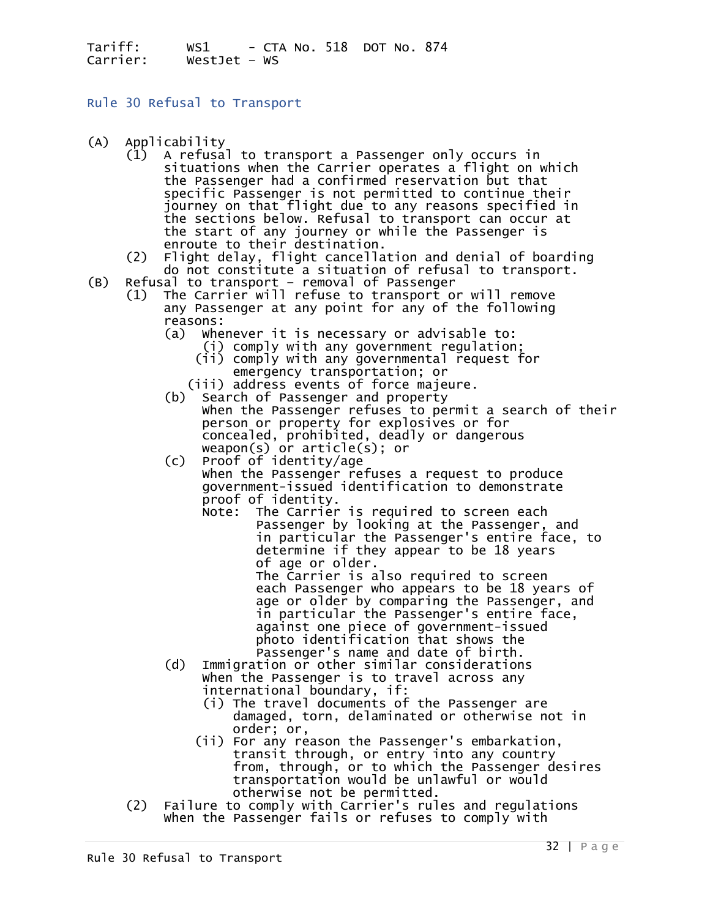<span id="page-31-0"></span>Rule 30 Refusal to Transport

- 
- (A) Applicability<br>(1) A refusal to transport a Passenger only occurs in (1) A refusal to transport a Passenger only occurs in<br>situations when the Carrier operates a flight on which<br>the Passenger had a confirmed reservation but that specific Passenger is not permitted to continue their<br>journey on that flight due to any reasons specified in<br>the sections below. Refusal to transport can occur at the start of any journey or while the Passenger is<br>enroute to their destination.<br>(2) Flight delay, flight cancellation and denial of boarding
	-
- do not constitute a situation of refusal to transport.<br>(B) Refusal to transport removal of Passenger
	- (1) The Carrier will refuse to transport or will remove any Passenger at any point for any of the following reasons:  $\qquad$  (a) Whenever it is necessary or advisable to:
		- - (i) comply with any government regulation; (ii) comply with any governmental request for
			-
		- emergency transportation; or<br>(iii) address events of force majeure.<br>Search of Passenger and property (b) Search of Passenger and property<br>
		when the Passenger refuses to permit a search of their<br>
		person or property for explosives or for<br>
		concealed, prohibited, deadly or dangerous<br>
		weapon(s) or article(s); or<br>
		(c) Proof of

 (c) Proof of identity/age When the Passenger refuses a request to produce government-issued identification to demonstrate proof of identity.<br>Note: The Carrier is required to screen each

- Note: The Carrier is required to screen each Passenger by looking at the Passenger, and in particular the Passenger's entire face, to determine if they appear to be 18 years of age or older. The Carrier is also required to screen each Passenger who appears to be 18 years of age or older by comparing the Passenger, and in particular the Passenger's entire face, against one piece of government-issued
	- photo identification that shows the<br>Passenger's name and date of birth.
	- (d) Immigration or other similar considerations when the Passenger is to travel across any<br>international boundary, if:
		- (i) The travel documents of the Passenger are<br>damaged, torn, delaminated or otherwise not in
		- order; or, (ii) For any reason the Passenger's embarkation, transit through, or entry into any country from, through, or to which the Passenger desires transportation would be unlawful or would
	- otherwise not be permitted.<br>Failure to comply with Carrier's rules and regulations (2) Failure to comply with Carrier's rules and regulations when the Passenger fails or refuses to comply with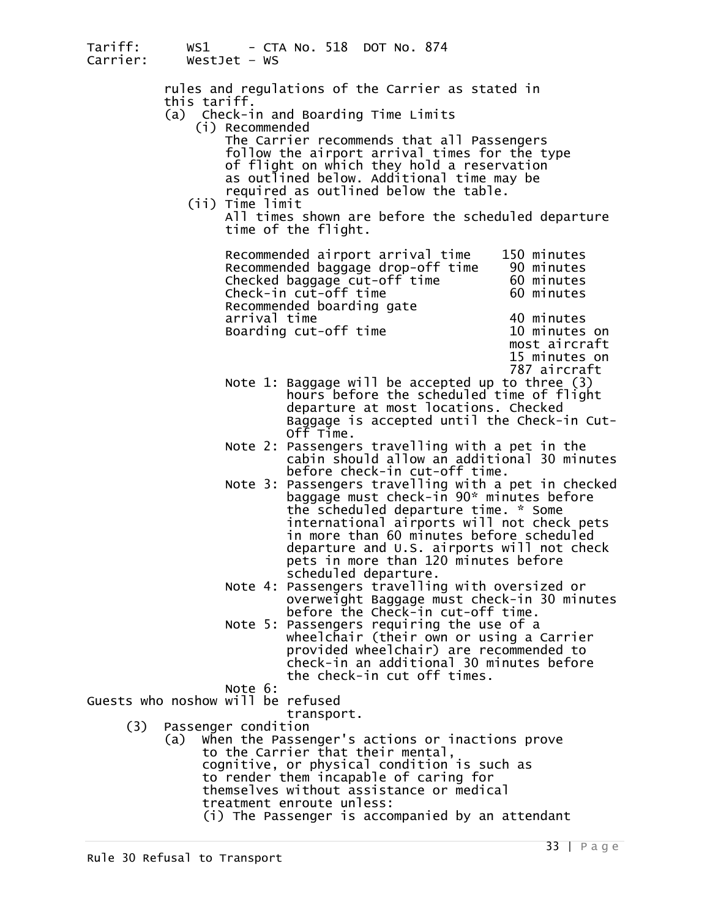| Tariff:<br>Carrier:               |                            | $WestJet - WS$  | WS1 - CTA No. 518 DOT No. 874                                                                   |                               |
|-----------------------------------|----------------------------|-----------------|-------------------------------------------------------------------------------------------------|-------------------------------|
|                                   |                            |                 | rules and regulations of the Carrier as stated in                                               |                               |
|                                   | this tariff.               |                 | (a) Check-in and Boarding Time Limits                                                           |                               |
|                                   |                            | (i) Recommended | The Carrier recommends that all Passengers                                                      |                               |
|                                   |                            |                 | follow the airport arrival times for the type<br>of flight on which they hold a reservation     |                               |
|                                   |                            |                 | as outlined below. Additional time may be                                                       |                               |
|                                   |                            | (ii) Time limit | required as outlined below the table.                                                           |                               |
|                                   |                            |                 | All times shown are before the scheduled departure<br>time of the flight.                       |                               |
|                                   |                            |                 | Recommended airport arrival time                                                                | 150 minutes                   |
|                                   |                            |                 | Recommended baggage drop-off time<br>Checked baggage cut-off time                               | 90 minutes<br>60 minutes      |
|                                   |                            |                 | Check-in cut-off time<br>Recommended boarding gate                                              | 60 minutes                    |
|                                   |                            | arrival time    | Boarding cut-off time                                                                           | 40 minutes<br>10 minutes on   |
|                                   |                            |                 |                                                                                                 | most aircraft                 |
|                                   |                            |                 |                                                                                                 | 15 minutes on<br>787 aircraft |
|                                   |                            |                 | Note 1: Baggage will be accepted up to three $(3)$<br>hours before the scheduled time of flight |                               |
|                                   |                            |                 | departure at most locations. Checked                                                            |                               |
|                                   |                            |                 | Baggage is accepted until the Check-in Cut-<br>Off Time.                                        |                               |
|                                   |                            |                 | Note 2: Passengers travelling with a pet in the<br>cabin should allow an additional 30 minutes  |                               |
|                                   |                            |                 | before check-in cut-off time.<br>Note 3: Passengers travelling with a pet in checked            |                               |
|                                   |                            |                 | baggage must check-in 90* minutes before                                                        |                               |
|                                   |                            |                 | the scheduled departure time. * Some<br>international airports will not check pets              |                               |
|                                   |                            |                 | in more than 60 minutes before scheduled<br>departure and U.S. airports will not check          |                               |
|                                   |                            |                 | pets in more than 120 minutes before                                                            |                               |
|                                   |                            |                 | scheduled departure.<br>Note 4: Passengers travelling with oversized or                         |                               |
|                                   |                            |                 | overweight Baggage must check-in 30 minutes<br>before the Check-in cut-off time.                |                               |
|                                   |                            | Note 5:         | Passengers requiring the use of a                                                               |                               |
|                                   |                            |                 | wheelchair (their own or using a Carrier<br>provided wheelchair) are recommended to             |                               |
|                                   |                            |                 | check-in an additional 30 minutes before<br>the check-in cut off times.                         |                               |
| Guests who noshow will be refused |                            | Note 6:         |                                                                                                 |                               |
|                                   |                            |                 | transport.                                                                                      |                               |
| (3)                               | Passenger condition<br>(a) |                 | When the Passenger's actions or inactions prove                                                 |                               |
|                                   |                            |                 | to the Carrier that their mental,<br>cognitive, or physical condition is such as                |                               |
|                                   |                            |                 | to render them incapable of caring for                                                          |                               |
|                                   |                            |                 | themselves without assistance or medical<br>treatment enroute unless:                           |                               |

treatment enroute unless: (i) The Passenger is accompanied by an attendant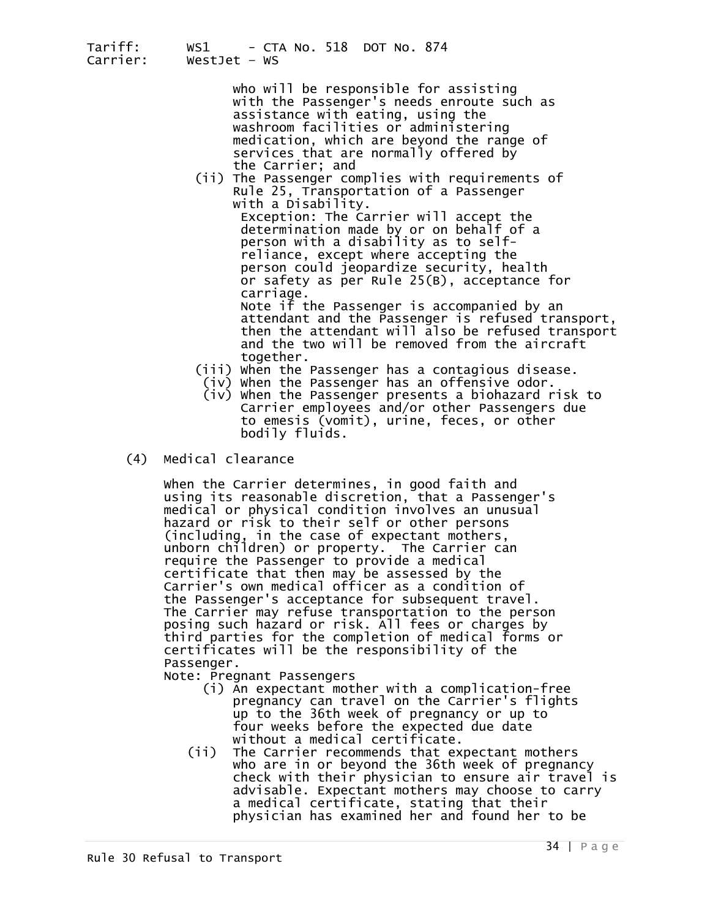| Tariff:<br>Carrier: | WS1 - CTA No. 518 DOT No. 874<br>Westlet $-$ WS                                                                                                                                                                                                                                                                                     |
|---------------------|-------------------------------------------------------------------------------------------------------------------------------------------------------------------------------------------------------------------------------------------------------------------------------------------------------------------------------------|
|                     | who will be responsible for assisting<br>with the Passenger's needs enroute such as<br>assistance with eating, using the<br>washroom facilities or administering<br>medication, which are beyond the range of<br>services that are normally offered by<br>the Carrier; and                                                          |
|                     | (ii) The Passenger complies with requirements of<br>Rule 25, Transportation of a Passenger<br>with a Disability.<br>Exception: The Carrier will accept the<br>determination made by or on behalf of a<br>person with a disability as to self-<br>reliance, except where accepting the<br>person could jeopardize security, health   |
|                     | or safety as per Rule 25(B), acceptance for<br>carriage.<br>Note if the Passenger is accompanied by an<br>attendant and the Passenger is refused transport,<br>then the attendant will also be refused transport<br>and the two will be removed from the aircraft<br>together.<br>(iii) When the Passenger has a contagious disease |

- ther. When the Passenger has a contagious disease.<br>(iv) When the Passenger has an offensive odor.
- (iv) When the Passenger presents a biohazard risk to Carrier employees and/or other Passengers due to emesis (vomit), urine, feces, or other bodily fluids.
- (4) Medical clearance

 When the Carrier determines, in good faith and using its reasonable discretion, that a Passenger's medical or physical condition involves an unusual<br>hazard or risk to their self or other persons<br>(including, in the case of expectant mothers, unborn children) or property. The Carrier can require the Passenger to provide a medical certificate that then may be carrier's own medical officer as a condition of<br>the Passenger's acceptance for subsequent travel. The Carrier may refuse transportation to the person<br>posing such hazard or risk. All fees or charges by third parties for the completion of medical forms or certificates will be the responsibility of the Passenger.<br>Note: Pregnant Passengers<br>(i) An expectant mother with a complication-free

- pregnancy can travel on the Carrier's flights<br>up to the 36th week of pregnancy or up to<br>four weeks before the expected due date
- without a medical certificate.<br>(ii) The Carrier recommends that expectant mothers<br>who are in or beyond the 36th week of pregnancy<br>check with their physician to ensure air travel is<br>advisable. Expectant mothers may choose t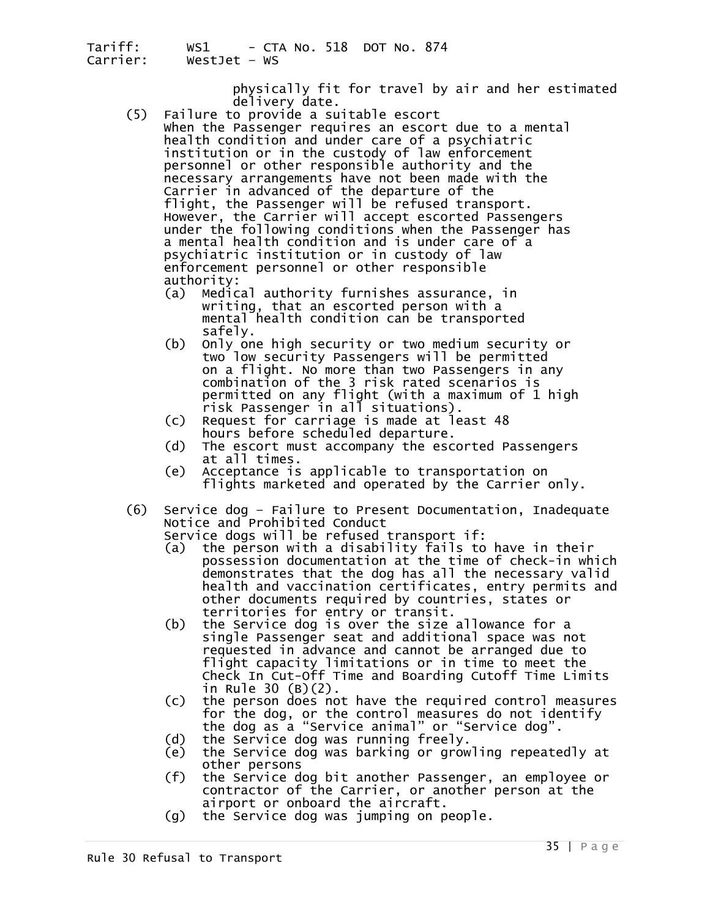physically fit for travel by air and her estimated<br>delivery date.<br>(5) Failure to provide a suitable escort<br>when the Passenger requires an escort due to a mental

- health condition and under care of a psychiatric institution or in the custody of law enforcement personnel or other responsible authority and the necessary arrangements have not been made with the flight, the Passenger will be refused transport.<br>However, the Carrier will accept escorted Passengers<br>under the following conditions when the Passenger has a mental health condition and is under care of a psychiatric institution or in custody of law enforcement personnel or other responsible authority: (a) Medical authority furnishes assurance, in
	- writing, that an escorted person with a mental health condition can be transported
	- safely.<br>Only one high security or two medium security or (b) Only one high security or two medium security two low security Passengers will be permitted on a flight. No more than two Passengers in any combination of the 3 risk rated scenarios is permitted on any flight (with a maximum of 1 high risk Passenger in all situations).
	- (c) Request for carriage is made at least 48
	- (d) The escort must accompany the escorted Passengers
	- at all times.<br>Acceptance is applicable to transportation on (e) Acceptance is applicable to transportation on<br>flights marketed and operated by the Carrier only.
- (6) Service dog Failure to Present Documentation, Inadequate<br>Notice and Prohibited Conduct<br>Service dogs will be refused transport if:<br>(a) the person with a disability fails to have in their

- possession documentation at the time of check-in which demonstrates that the dog has all the necessary valid health and vaccination certificates, entry permits and other documents required by countries, states or
- territories for entry or transit.<br>(b) the Service dog is over the size (b) the Service dog is over the size allowance for a single Passenger seat and additional space was not requested in advance and cannot be arranged due to flight capacity limitations or in time to meet the Check In Cut-Off Time and Boarding Cutoff Time Limits
- in Rule 30 (B)(2).<br>(c) the person does not have the required control measures<br>for the dog, or the control measures do not identify<br>the dog as a "Service animal" or "Service dog".
- 
- 
- (d) the Service dog was running freely.<br>
(e) the Service dog was barking or growling repeatedly at<br>
other persons<br>
(f) the Service dog bit another Passenger, an employee or<br>
contractor of the Carrier, or another person at
- $(q)$  the Service dog was jumping on people.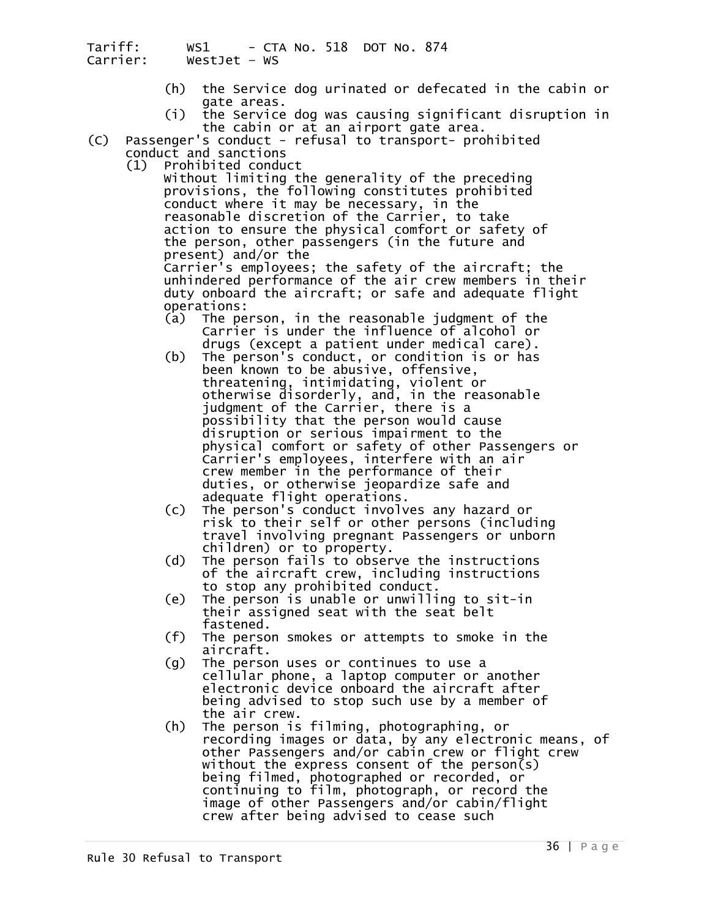- (h) the Service dog urinated or defecated in the cabin or gate areas. (i) the Service dog was causing significant disruption in
- the cabin or at an airport gate area.
- (C) Passenger's conduct refusal to transport- prohibited
	-

conduct and sanctions<br>(1) Prohibited conduct<br>without limiting the generality of the preceding<br>provisions, the following constitutes prohibited provide the following conduct where it may be necessary, in the<br>reasonable discretion of the Carrier, to take<br>action to ensure the physical comfort or safety of<br>the person, other passengers (in the future and

present) and/or the<br>Carrier's employees; the safety of the aircraft; the<br>unhindered performance of the air crew members in their<br>duty onboard the aircraft; or safe and adequate flight operations:<br>(a) The pe

- The person, in the reasonable judgment of the<br>Carrier is under the influence of alcohol or<br>drugs (except a patient under medical care).
- (b) The person's conduct, or condition is or has<br>been known to be abusive, offensive, threatening, intimidating, violent or otherwise disorderly, and, in the reasonable judgment of the Carrier, there is a possibility that the person would cause disruption or serious impairment to the<br>physical comfort or safety of other Passengers or Carrier's employees, interfere with an air crew member in the performance of their duties, or otherwise jeopardize safe and adequate flight operations.
	- (c) The person's conduct involves any hazard or<br>risk to their self or other persons (including<br>travel involving pregnant Passengers or unborn<br>children) or to property.
	- $(d)$  The person fails to observe the instructions of the aircraft crew, including instructions
	- to stop any prohibited conduct. (e) The person is unable or unwilling to sit-in their assigned seat with the seat belt
	- $(f)$  The person smokes or attempts to smoke in the aircraft.<br>The person uses or continues to use a
	- (g) The person uses or continues to use a<br>cellular phone, a laptop computer or another electronic device onboard the aircraft after being advised to stop such use by a member of the air crew.<br>The person is filming, photographing, or
	- (h) The person is filming, photographing, or<br>recording images or data, by any electronic means, of<br>other Passengers and/or cabin\_crew or flight crew without the express consent of the person(s)<br>being filmed, photographed or recorded, or<br>continuing to film, photograph, or record the image of other Passengers and/or cabin/flight crew after being advised to cease such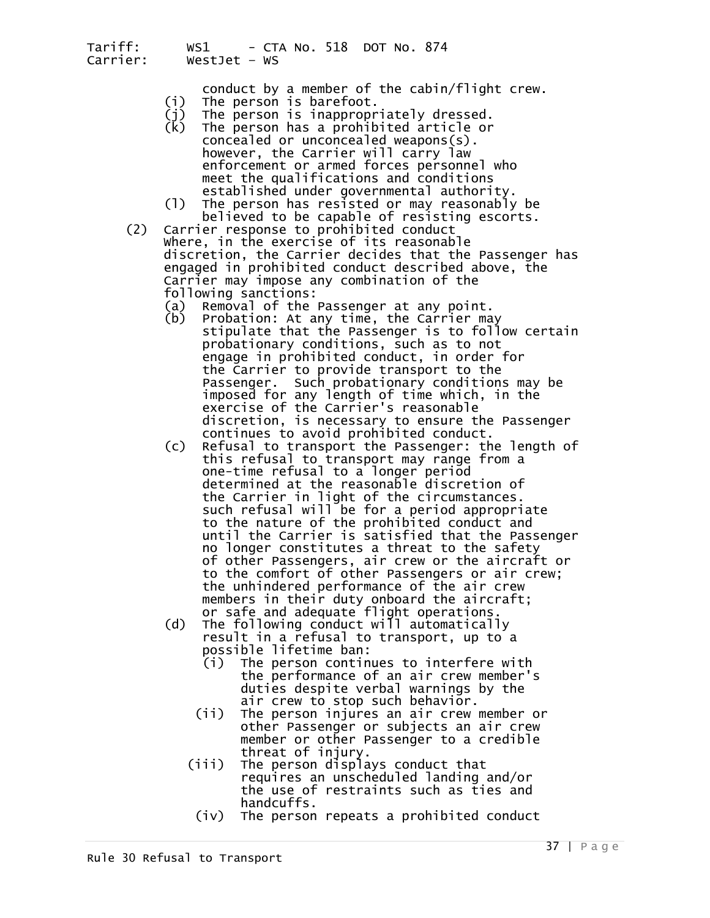conduct by a member of the cabin/flight crew.<br>(i) The person is barefoot.<br>(j) The person is inappropriately dressed.<br>(k) The person has a prohibited article or

- 
- 
- The person has a prohibited article or concealed or unconcealed weapons(s). however, the Carrier will carry law enforcement or armed forces personnel who meet the qualifications and conditions
	-
	- established under governmental authority.<br>(l) The person has resisted or may reasonably be<br>believed to be capable of resisting escorts.<br>(2) Carrier response to prohibited conduct<br>where, in the exercise of its reasonable discretion, the Carrier decides that the Passenger has engaged in prohibited conduct described above, the Carrier may impose any combination of the following sanctions:
		- (a) Removal of the Passenger at any point.<br>(b) Probation: At any time, the Carrier may
		- stipulate that the Passenger is to follow certain probationary conditions, such as to not engage in prohibited conduct, in order for<br>the Carrier to provide transport to the Passenger. Such probationary conditions may be imposed for any length of time which, in the exercise of the Carrier's reasonable discretion, is necessary to ensure the Passenger
- continues to avoid prohibited conduct. (c) Refusal to transport the Passenger: the length of this refusal to transport may range from a one-time refusal to a longer period determined at the reasonable discretion of the Carrier in light of the circumstances. such refusal will be for a period appropriate<br>to the nature of the prohibited conduct and until the Carrier is satisfied that the Passenger of other Passengers, air crew or the aircraft or to the comfort of other Passengers or air crew; the unhindered performance of the air crew members in their duty onboard the aircraft; or safe and adequate flight operations.
	- (d) The following conduct will automatically result in a refusal to transport, up to a
		- possible lifetime ban:<br>(i) The person continues to interfere with (i) The person continues to interfere with<br>the performance of an air crew member's<br>duties despite verbal warnings by the
		- air crew to stop such behavior.<br>(ii) The person injures an air crew member or<br>other Passenger or subjects an air crew
		- member or other Passenger to a credible<br>threat of injury.<br>(iii) The person displays conduct that<br>requires an unscheduled landing and/or<br>the use of restraints such as ties and<br>handcuffs.<br>(iv) The person repeats a prohibited
			-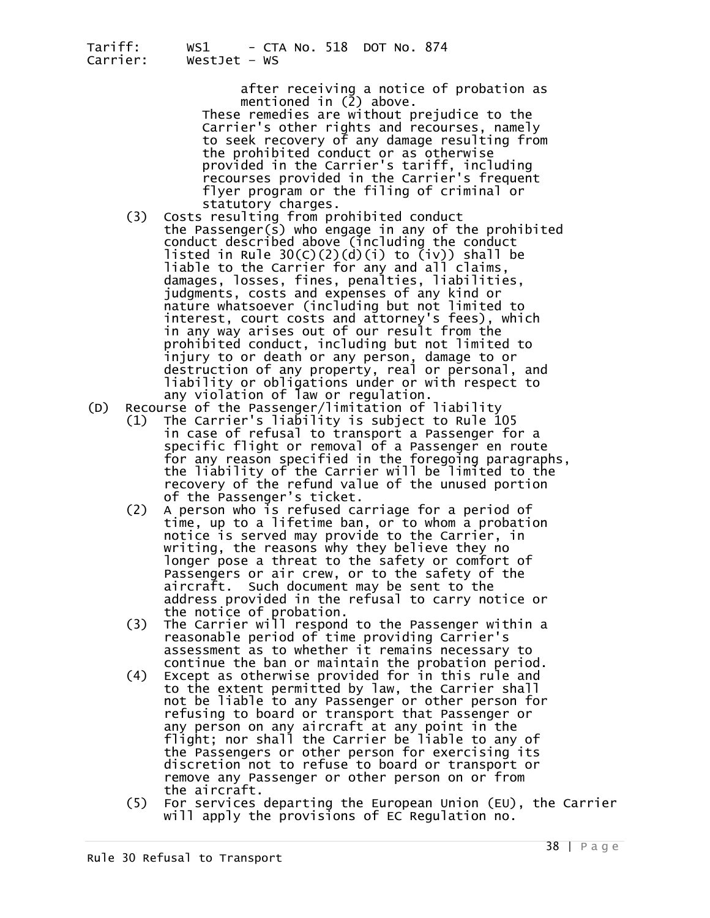after receiving a notice of probation as<br>mentioned in (2) above.

These remedies are without prejudice to the Carrier's other rights and recourses, namely to seek recovery of any damage resulting from provided in the Carrier's tariff, including recourses provided in the Carrier's frequent flyer program or the filing of criminal or<br>statutory charges.

- (3) Costs resulting from prohibited conduct<br>the Passenger(s) who engage in any of the prohibited<br>conduct described above (including the conduct<br>listed in Rule  $30(C)(2)(d)(i)$  to  $(iv)$ ) shall be conduct described above (including the conduct<br>listed in Rule 30(C)(2)(d)(i) to (iv)) shall be<br>liable to the Carrier for any and all claims,<br>damages, losses, fines, penalties, liabilities,<br>judgments, costs and expenses of nature whatsoever (including but not limited to interest, court costs and attorney's fees), which<br>in any way arises out of our result from the prohibited conduct, including but not limited to<br>injury to or death or any person, damage to or<br>destruction of any property, real or personal, and<br>liability or obligations under or with respect to
- any violation of law or regulation.<br>(D) Recourse of the Passenger/limitation of Recourse of the Passenger/limitation of liability
	- (1) The Carrier's liability is subject to Rule 105 in case of refusal to transport a Passenger for a specific flight or removal of a Passenger en route for any reason specified in the foregoing paragraphs, the liability of the Carrier will be limited to the recovery of the refund value of the unused portion<br>of the Passenger's ticket.<br>(2) A person who is refused carriage for a period of
- A person who is refused carriage for a period of<br>time, up to a lifetime ban, or to whom a probation<br>notice is served may provide to the Carrier, in<br>writing, the reasons why they believe they no longer pose a threat to the safety or comfort of<br>Passengers or air crew, or to the safety of the aircraft. Such document may be sent to the<br>address provided in the refusal to carry notice or the notice of probation.
- (3) The Carrier will respond to the Passenger within a reasonable period of time providing Carrier's assessment as to whether it remains necessary to<br>continue the ban or maintain the probation period.
	- (4) Except as otherwise provided for in this rule and<br>to the extent permitted by law, the Carrier shall not be liable to any Passenger or other person for<br>refusing to board or transport that Passenger or All persons on any aircraft at any point in the<br>flight; nor shall the Carrier be liable to any of<br>the Passengers or other person for exercising its<br>discretion not to refuse to board or transport or<br>remove any Passenger or
	-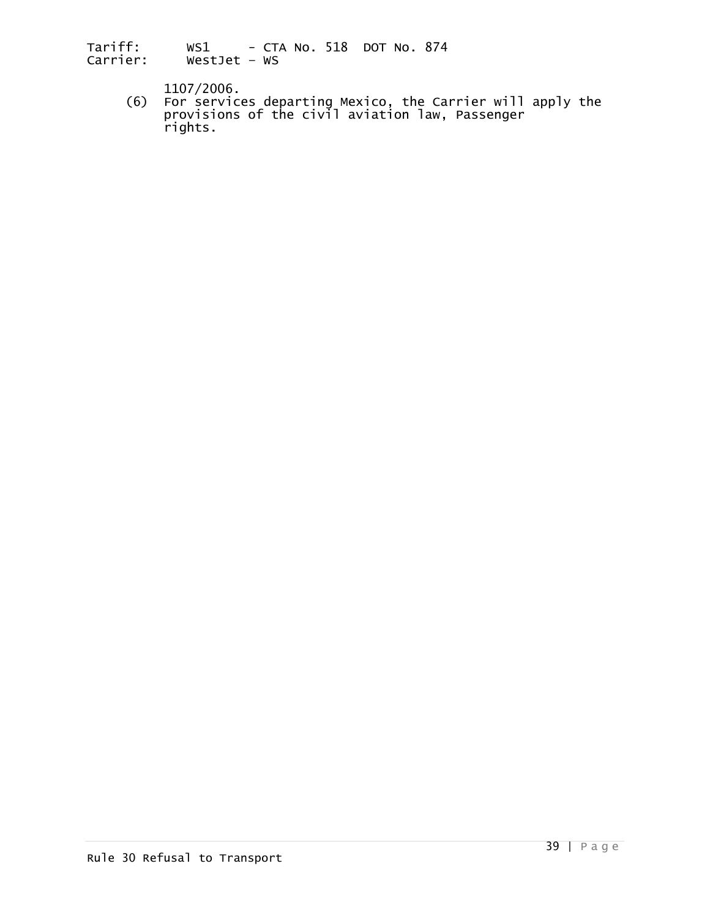1107/2006. (6) For services departing Mexico, the Carrier will apply the provisions of the civil aviation law, Passenger rights.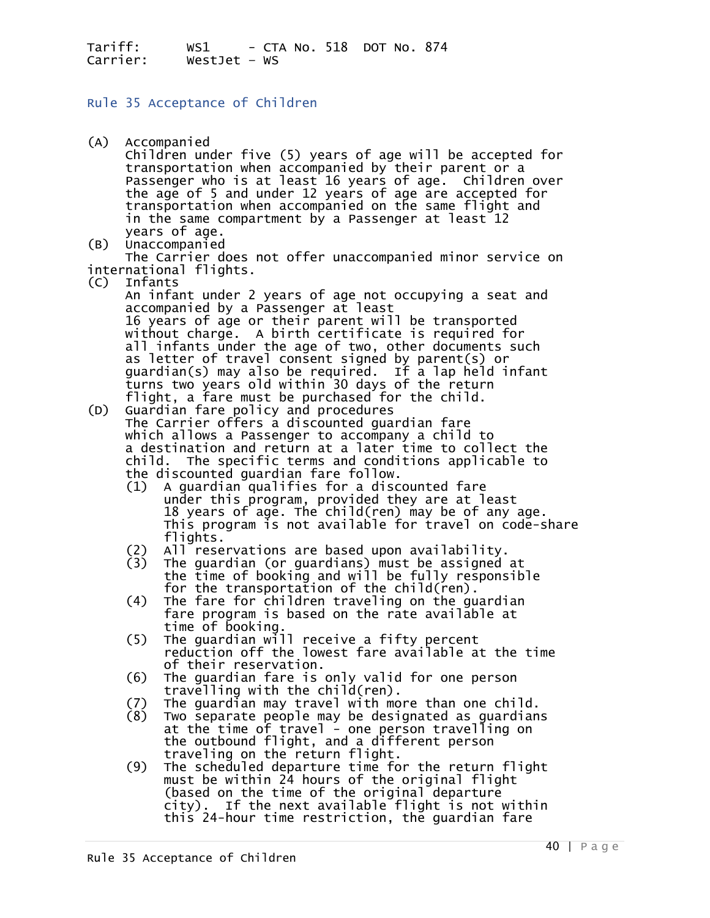### Rule 35 Acceptance of Children

- (A) Accompanied<br>Children under five (5) years of age will be accepted for transportation when accompanied by their parent or a<br>Passenger who is at least 16 years of age. Children over Passenger of 5 and under 12 years of age are accepted for<br>transportation when accompanied on the same flight and<br>in the same compartment by a Passenger at least 12 years of age.<br>(B) Unaccompanied<br>The Carrier does not offer unaccompanied minor service on international flights. (C) Infants An infant under 2 years of age not occupying a seat and accompanied by a Passenger at least 16 years of age or their parent will be transported without charge. A birth certificate is required for all infants under the age of two, other documents such<br>as letter of travel consent signed by parent(s) or guardian(s) may also be required. If a lap held infant turns two years old within 30 days of the return<br>flight, a fare must be purchased for the child. (D) Guardian fare policy and procedures The Carrier offers a discounted guardian fare which allows a Passenger to accompany a child to a destination and return at a later time to collect the child. The specific terms and conditions applicable to<br>the discounted guardian fare follow.<br>(1) A guardian qualifies for a discounted fare<br>under this program, provided they are at least 18 years of age. The child(ren) may be of any age.<br>This program is not available for travel on code-share<br>flights. flights. (2) All reservations are based upon availability. (3) The guardian (or guardians) must be assigned at the time of booking and will be fully responsible<br>for the transportation of the child(ren). (4) The fare for children traveling on the guardian<br>fare program is based on the rate available at<br>time of booking.<br>(5) The quardian will receive a fifty percent (5) The guardian will receive a fifty percent reduction off the lowest fare available at the time<br>of their reservation. (6) The guardian fare is only valid for one person (7) The guardian may travel with more than one child.<br>(8) Two separate people may be designated as guardians at the time of travel - one person travelling on<br>the outbound flight, and a different person<br>traveling on the return flight.<br>(9) The scheduled departure time for the return flight
	- must be within 24 hours of the original flight<br>(based on the time of the original departure<br>city). If the next available flight is not within this 24-hour time restriction, the guardian fare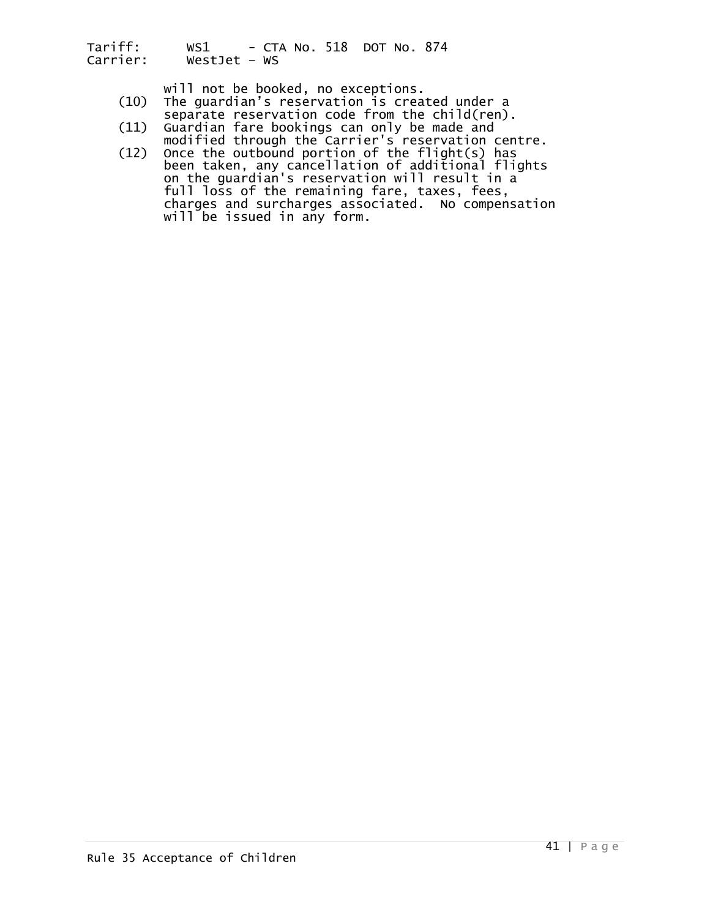- will not be booked, no exceptions.<br>(10) The guardian's reservation is created under a<br>separate reservation code from the child(ren).<br>(11) Guardian fare bookings can only be made and
- (11) Guardian fare bookings can only be made and modified through the Carrier's reservation centre.
- (12) Once the outbound portion of the flight(s) has been taken, any cancellation of additional flights on the guardian's reservation will result in a full loss of the remaining fare, taxes, fees,<br>charges and surcharges associated. No compensation<br>will be issued in any form.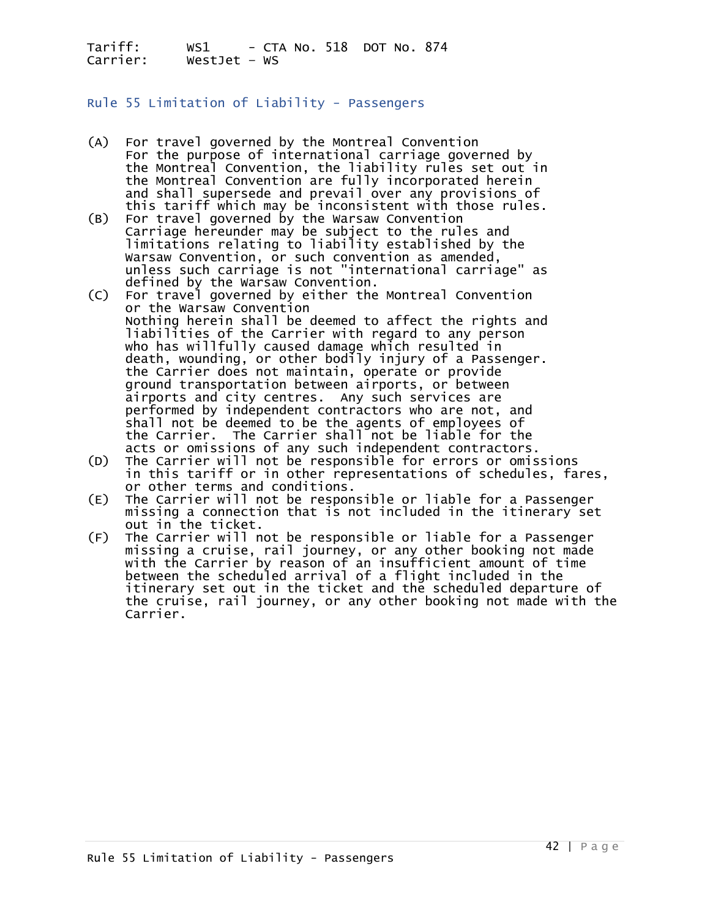#### Rule 55 Limitation of Liability - Passengers

- (A) For travel governed by the Montreal Convention<br>For the purpose of international carriage governed by the Montreal Convention, the liability rules set out in<br>the Montreal Convention are fully incorporated herein and shall supersede and prevail over any provisions of<br>this tariff which may be inconsistent with those rules.<br>(B) For travel governed by the Warsaw Convention
- For travel governed by the Warsaw Convention Carriage hereunder may be subject to the rules and limitations relating to liability established by the Warsaw Convention, or such convention as amended, unless such carriage is not "international carriage" as defined by the Warsaw Convention.<br>(C) For travel governed by either the Montreal Convention
- or the Warsaw Convention<br>Nothing herein shall be deemed to affect the rights and<br>liabilities of the Carrier with regard to any person<br>who has willfully caused damage which resulted in who has willfully caused damage which resulted in<br>death, wounding, or other bodily injury of a Passenger. the Carrier does not maintain, operate or provide ground transportation between airports, or between<br>airports and city centres. Any such services are<br>performed by independent contractors who are not, and<br>shall not be deemed to be the agents of employees of<br>the Carrier. Th
- (D) The Carrier will not be responsible for errors or omissions<br>in this tariff or in other representations of schedules, fares,<br>or other terms and conditions.<br>(E) The Carrier will not be responsible or liable for a Passeng
- missing a connection that is not included in the itinerary set<br>out in the ticket.<br>(F) The Carrier will not be responsible or liable for a Passenger
- (F) The Carrier will not be responsible or liable for a Passenger missing a cruise, rail journey, or any other booking not made with the Carrier by reason of an insufficient amount of time between the scheduled arrival of a flight included in the<br>itinerary set out in the ticket and the scheduled departure of the cruise, rail journey, or any other booking not made with the Carrier.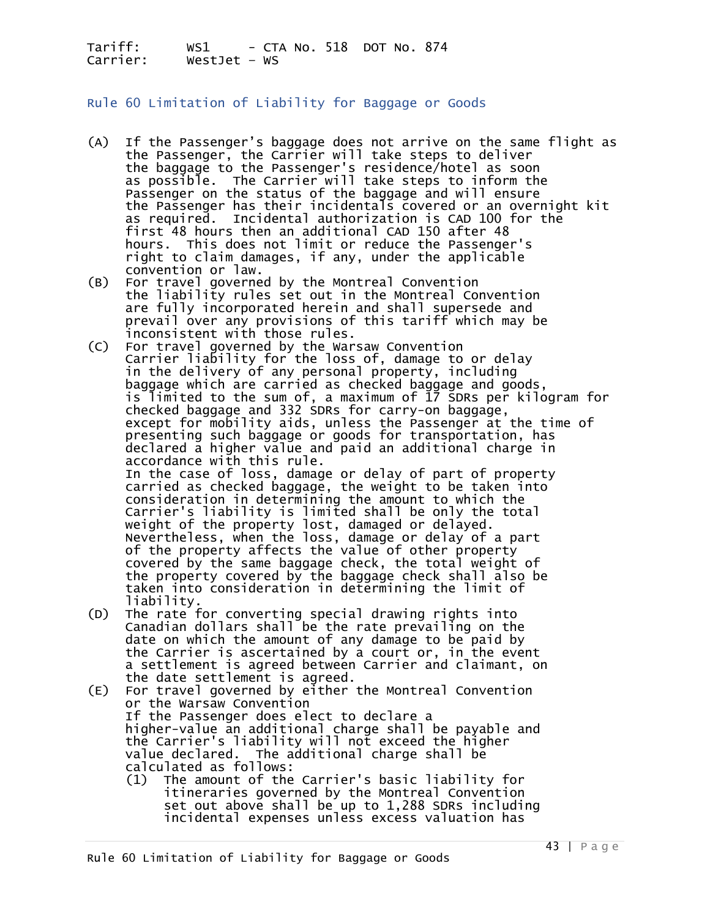Rule 60 Limitation of Liability for Baggage or Goods

- (A) If the Passenger's baggage does not arrive on the same flight as the Passenger, the Carrier will take steps to deliver<br>the baggage to the Passenger's residence/hotel as soon<br>as possible. The Carrier will take steps to inform the as possible. The Carrier will take steps to inform the<br>Passenger on the status of the baggage and will ensure<br>the Passenger has their incidentals covered or an overnight kit<br>as required. Incidental authorization is CAD 100 first 48 hours then an additional CAD 150 after 48<br>hours. This does not limit or reduce the Passenger's<br>right to claim damages, if any, under the applicable
- convention or law.<br>(B) For travel governed by the Montreal Convention the liability rules set out in the Montreal Convention<br>are fully incorporated herein and shall supersede and<br>prevail over any provisions of this tariff which may be<br>inconsistent with those rules.
- (C) For travel governed by the Warsaw Convention Carrier liability for the loss of, damage to or delay in the delivery of any personal property, including baggage which are carried as checked baggage and goods,<br>is limited to the sum of, a maximum of 17 SDRs per kilogram for<br>checked baggage and 332 SDRs for carry-on baggage,<br>except for mobility aids, unless the Passenger at t accordance with this rule.<br>In the case of loss, damage or delay of part of property<br>carried as checked baggage, the weight to be taken into<br>consideration in determining the amount to which the consideration in determining the amount to which the<br>Carrier's liability is limited shall be only the total<br>weight of the property lost, damaged or delayed. Nevertheless, when the loss, damage or delay of a part<br>of the property affects the value of other property<br>covered by the same baggage check, the total weight of covered by the same baggage check, the total weight of<br>the property covered by the baggage check shall also be<br>taken into consideration in determining the limit of liability.<br>(D) The rate for converting special drawing rights into
- Canadian dollars shall be the rate prevailing on the date on which the amount of any damage to be paid by<br>the Carrier is ascertained by a court or, in the event a settlement is agreed between Carrier and claimant, on the date settlement is agreed.<br>(E) For travel governed by either the Montreal Convention
- (E) For travel governed by either the Montreal Convention or the Warsaw Convention If the Passenger does elect to declare a higher-value an additional charge shall be payable and<br>the Carrier's liability will not exceed the higher<br>value declared. The additional charge shall be
	- calculated as follows: (1) The amount of the Carrier's basic liability for itineraries governed by the Montreal Convention set out above shall be up to 1,288 SDRs including incidental expenses unless excess valuation has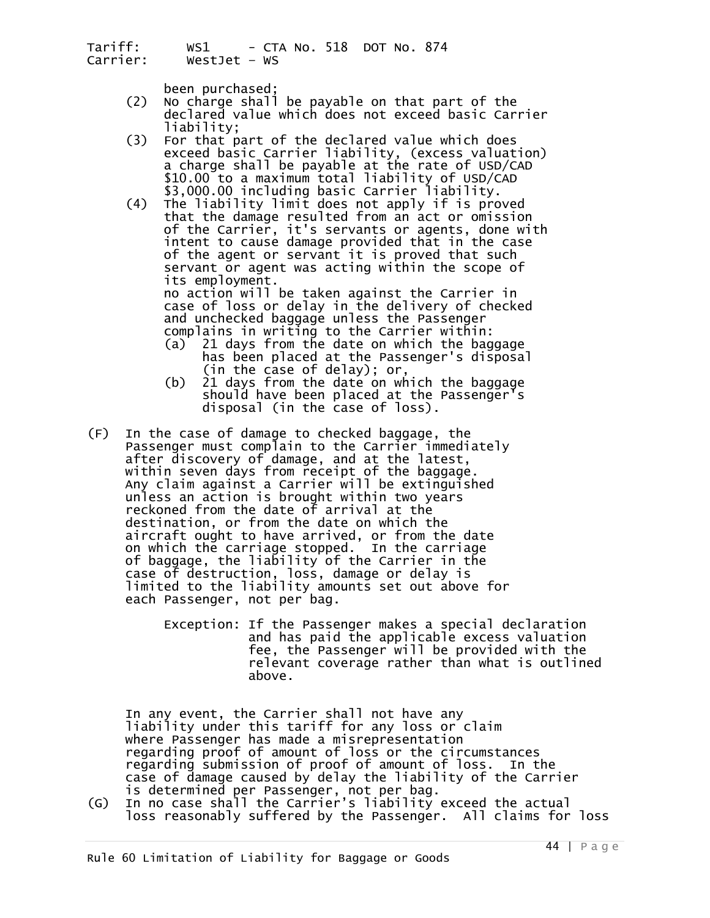- been purchased;<br>(2) No charge shall be payable on that part of the<br>declared value which does not exceed basic Carrier<br>liability;
- (3) For that part of the declared value which does<br>exceed basic carrier liability, (excess valuation) exceed a charge shall be payable at the rate of USD/CAD<br>\$10.00 to a maximum total liability of USD/CAD<br>\$3,000.00 including basic Carrier liability.
- (4) The liability limit does not apply if is proved<br>that the damage resulted from an act or omission<br>of the Carrier, it's servants or agents, done with<br>intent to cause damage provided that in the case of the agent or servant it is proved that such<br>servant or agent was acting within the scope of<br>its employment.<br>no action will be taken against the Carrier in

case of loss or delay in the delivery of checked<br>and unchecked baggage unless the Passenger complains in writing to the Carrier within:<br>(a) 21 days from the date on which the baggage

- (a) 21 days from the date on which the baggage has been placed at the Passenger's disposal
- (in the case of delay); or, (b) 21 days from the date on which the baggage should have been placed at the Passenger's disposal (in the case of loss).
- (F) In the case of damage to checked baggage, the Passenger must complain to the Carrier immediately after discovery of damage, and at the latest, within seven days from receipt of the baggage.<br>Any claim against a Carrier will be extinguished<br>unless an action is brought within two years reckoned from the date of arrival at the<br>destination, or from the date on which the<br>aircraft ought to have arrived, or from the date<br>on which the carriage stopped. In the carriage of baggage, the liability of the Carrier in the case of destruction, loss, damage or delay is limited to the liability amounts set out above for each Passenger, not per bag.
	- Exception: If the Passenger makes a special declaration and has paid the applicable excess valuation fee, the Passenger will be provided with the relevant coverage rather than what is outlined above.

In any event, the Carrier shall not have any<br>liability under this tariff for any loss or claim where Passenger has made a misrepresentation<br>regarding proof of amount of loss or the circumstances<br>regarding submission of proof of amount of loss. In the<br>case of damage caused by delay the liability of the Carrier

is determined per Passenger, not per bag.<br>(G) In no case shall the Carrier's liability exceed the actual<br>loss reasonably suffered by the Passenger. All claims for loss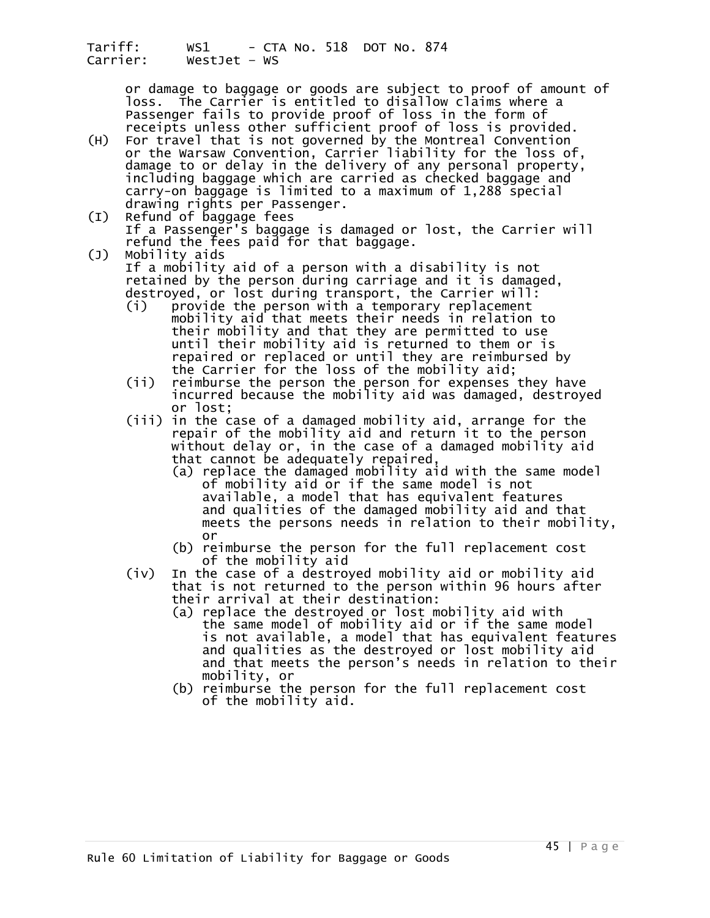or damage to baggage or goods are subject to proof of amount of<br>loss. The Carrier is entitled to disallow claims where a<br>Passenger fails to provide proof of loss in the form of receipts unless other sufficient proof of loss is provided.

- (H) For travel that is not governed by the Montreal Convention or the Warsaw Convention, Carrier liability for the loss of,<br>damage to or delay in the delivery of any personal property,<br>including baggage which are carried as checked baggage and carry-on baggage is limited to a maximum of 1,288 special<br>drawing rights per Passenger.<br>(I) Refund of baggage fees<br>If a Passenger's baggage is damaged or lost, the Carrier will
- refund the fees paid for that baggage.<br>(J) Mobility aids
	- If a mobility aid of a person with a disability is not<br>retained by the person during carriage and it is damaged,<br>destroyed, or lost during transport, the Carrier will:
- (i) provide the person with a temporary replacement mobility aid that meets their needs in relation to<br>their mobility and that they are permitted to use until their mobility aid is returned to them or is<br>repaired or replaced or until they are reimbursed by<br>the Carrier for the loss of the mobility aid;<br>(ii) reimburse the person the person for expenses they have
	- incurred because the mobility aid was damaged, destroyed or lost;
- (iii) in the case of a damaged mobility aid, arrange for the repair of the mobility aid and return it to the person without delay or, in the case of a damaged mobility aid that cannot be adequately repaired,
	- (a) replace the damaged mobility aid with the same model of mobility aid or if the same model is not available, a model that has equivalent features and qualities of the damaged mobility aid and that meets the persons needs in relation to their mobility, or
	- (b) reimburse the person for the full replacement cost<br>of the mobility aid<br>(iv) In the case of a destroyed mobility aid or mobility aid
	- that is not returned to the person within 96 hours after<br>their arrival at their destination:
		- (a) replace the destroyed or lost mobility aid with the same model of mobility aid or if the same model is not available, a model that has equivalent features and qualities as the destroyed or lost mobility aid and that meets the person's needs in relation to their mobility, or
		- (b) reimburse the person for the full replacement cost of the mobility aid.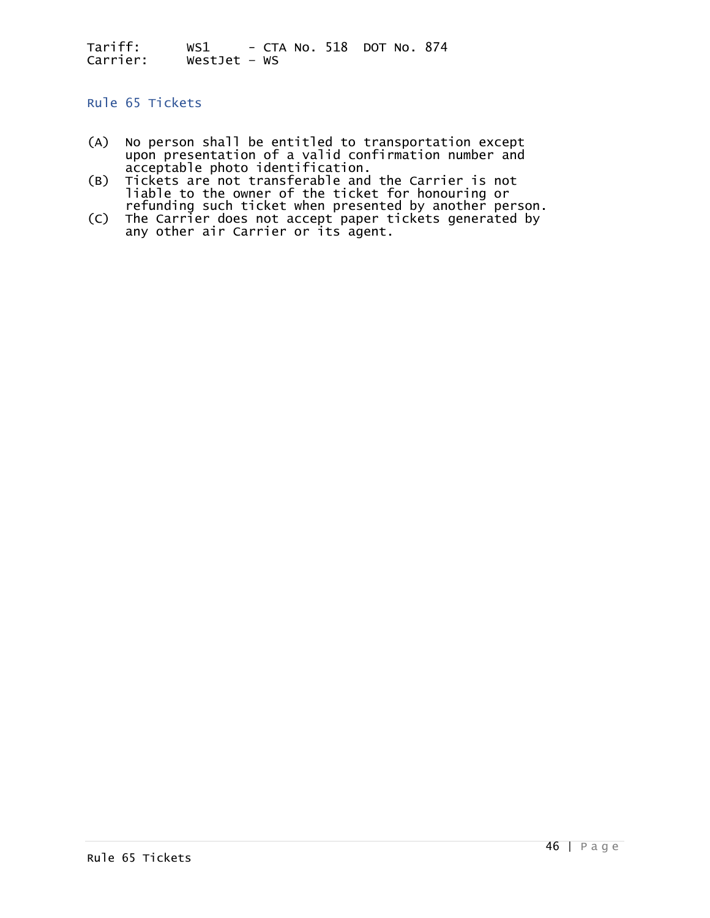## Rule 65 Tickets

- (A) No person shall be entitled to transportation except upon presentation of a valid confirmation number and<br>acceptable photo identification.<br>(B) Tickets are not transferable and the Carrier is not
- (B) Tiable to the owner of the ticket for honouring or<br>refunding such ticket when presented by another person.<br>(C) The Carrier does not accept paper tickets generated by
- (C) The Carrier does not accept paper tickets generated by any other air Carrier or its agent.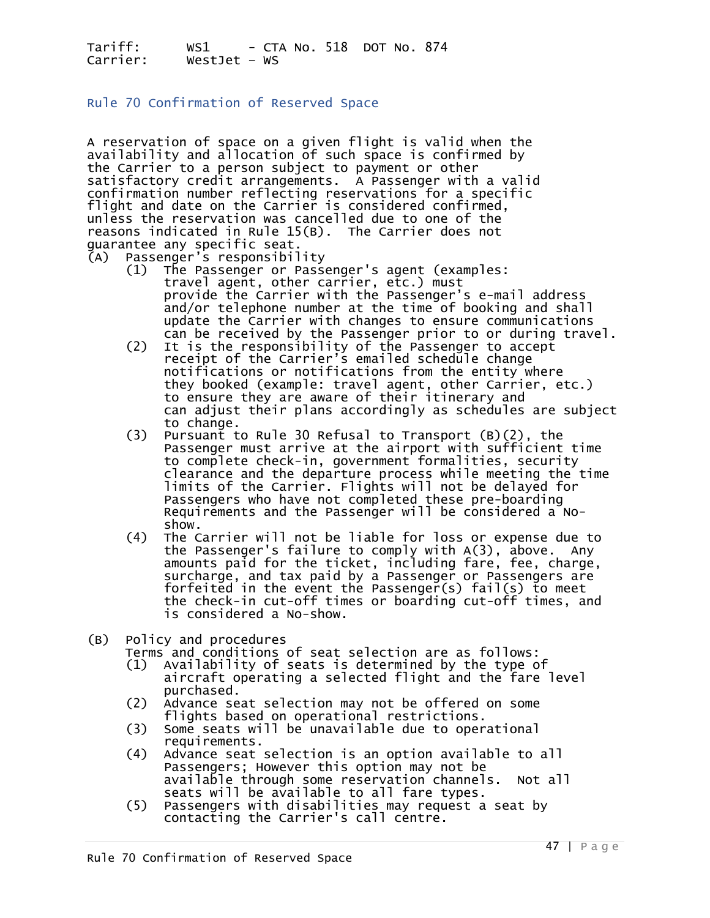#### Rule 70 Confirmation of Reserved Space

A reservation of space on a given flight is valid when the availability and allocation of such space is confirmed by the Carrier to a person subject to payment or other satisfactory credit arrangements. A Passenger with a valid confirmation number reflecting reservations for a specific flight and date on the Carrier is considered confirmed, unless the reservation was cancelled due to one of the reasons indicated in Rule 15(B). The Carrier does not guarantee any specific seat.

- (A) Passenger's responsibility
	- (1) The Passenger or Passenger's agent (examples:<br>travel agent, other carrier, etc.) must<br>provide the Carrier with the Passenger's e-mail address<br>and/or telephone number at the time of booking and shall<br>update the Carrier
- (2) It is the responsibility of the Passenger to accept of the Carrier's emailed schedule change notifications or notifications from the entity where they booked (example: travel agent, other Carrier, etc.)<br>to ensure they are aware of their itinerary and<br>can adjust their plans accordingly as schedules are subject<br>to change.<br>(3) Pursuant to Rule 30 Refusal to Transport (
	- to complete check-in, government formalities, security clearance and the departure process while meeting the time limits of the Carrier. Flights will not be delayed for Requirements and the Passenger will be considered a No-<br>show.<br>(4) The Carrier will not be liable for loss or expense due to
- (4) The Carrier will not be liable for loss or expense due to the Passenger's failure to comply with A(3), above. Any amounts paid for the ticket, including fare, fee, charge, surcharge, and tax paid by a Passenger or Passengers are<br>forfeited in the event the Passenger(s) fail(s) to meet the check-in cut-off times or boarding cut-off times, and is considered a No-show.
- 
- (B) Policy and procedures<br>Terms and conditions of seat selection are as follows:
	- $(1)$  Availability of seats is determined by the type of
	- aircraft operating a selected flight and the fare level
	- (2) Advance seat selection may not be offered on some<br>flights based on operational restrictions.<br>(3) Some seats will be unavailable due to operational
	-
	- requirements.<br>(4) Advance seat selection is an option available to all<br>passengers: However this option may not be available through some reservation channels. Not all<br>seats will be available to all fare types.
	- (5) Passengers with disabilities may request a seat by contacting the Carrier's call centre.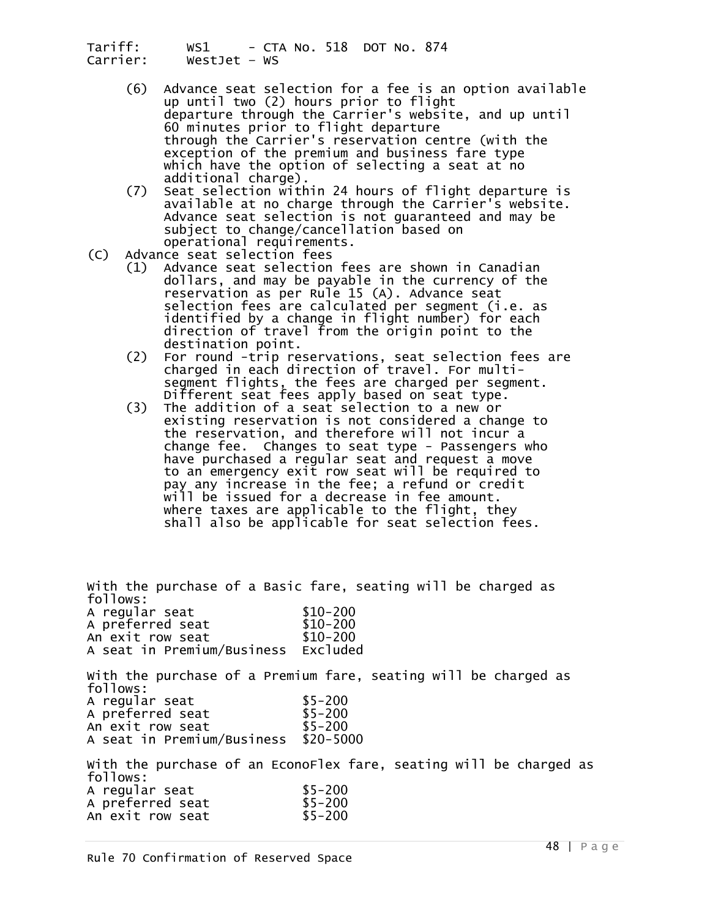- (6) Advance seat selection for a fee is an option available up until two (2) hours prior to flight departure through the Carrier's website, and up until 60 minutes prior to flight departure through the Carrier's reservation centre (with the exception of the premium and business fare type<br>which have the option of selecting a seat at no<br>additional charge).<br>(7) Seat selection within 24 hours of flight departure is
- available at no charge through the Carrier's website.<br>Advance seat selection is not guaranteed and may be<br>subject to change/cancellation based on
- operational requirements.<br>(C) Advance seat selection fees
- (1) Advance seat selection fees are shown in Canadian<br>dollars, and may be payable in the currency of the<br>reservation as per Rule 15 (A). Advance seat selection fees are calculated per segment (i.e. as identified by a change in flight number) for each<br>direction of travel from the origin point to the
	- destination point.<br>(2) For round -trip reservations, seat selection fees are<br>charged in each direction of travel. For multi-<br>segment flights, the fees are charged per segment. Different seat fees apply based on seat type. (3) The addition of a seat selection to a new or
- existing reservation is not considered a change to the reservation, and therefore will not incur a<br>change fee. Changes to seat type - Passengers who have purchased a regular seat and request a move to an emergency exit row seat will be required to pay any increase in the fee; a refund or credit will be issued for a decrease in fee amount. shall also be applicable for seat selection fees.

With the purchase of a Basic fare, seating will be charged as follows: A regular seat \$10-200<br>A preferred seat \$10-200 A preferred seat \$10-200<br>An exit row seat \$10-200 An exit row seat A seat in Premium/Business Excluded With the purchase of a Premium fare, seating will be charged as follows: A regular seat \$5-200 A preferred seat \$5-200 An exit row seat A seat in Premium/Business \$20-5000 With the purchase of an EconoFlex fare, seating will be charged as follows: A regular seat \$5-200 A preferred seat \$5-200<br>An exit row seat \$5-200 An exit row seat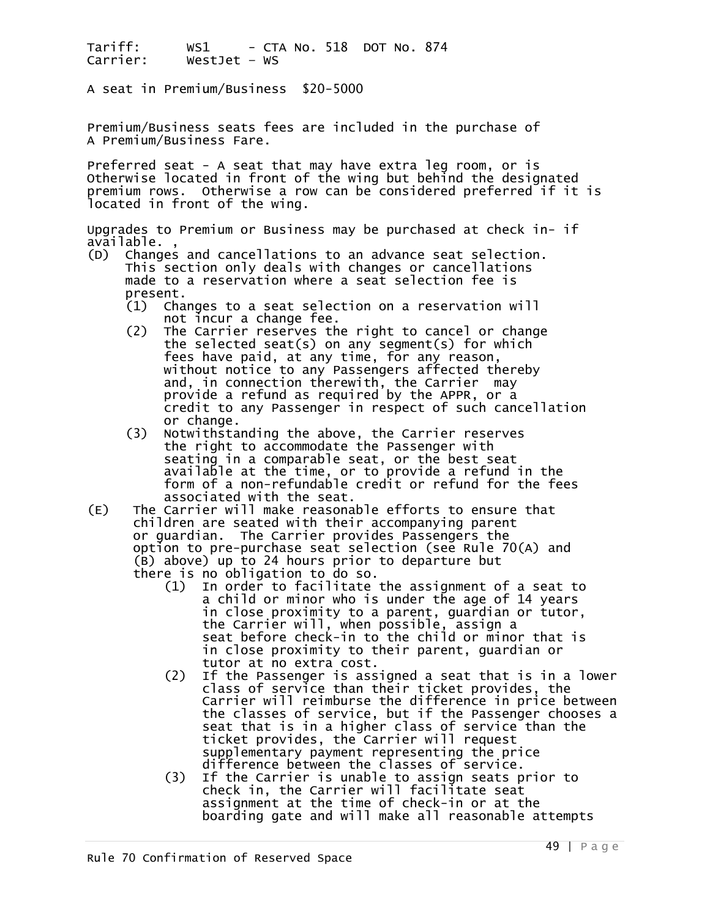A seat in Premium/Business \$20-5000

Premium/Business seats fees are included in the purchase of A Premium/Business Fare.

Preferred seat - A seat that may have extra leg room, or is Otherwise located in front of the wing but behind the designated premium rows. Otherwise a row can be considered preferred if it is located in front of the wing.

Upgrades to Premium or Business may be purchased at check in- if

- (D) Changes and cancellations to an advance seat selection.<br>This section only deals with changes or cancellations<br>made to a reservation where a seat selection fee is<br>present.<br>(1) Changes to a seat selection on a reservatio
	- Changes to a seat selection on a reservation will<br>not incur a change fee.
	- (2) The Carrier reserves the right to cancel or change the selected seat(s) on any segment(s) for which fees have paid, at any time, for any reason,<br>without notice to any Passengers affected thereby<br>and, in connection therewith, the Carrier may<br>provide a refund as required by the APPR, or a credit to any Passenger in respect of such cancellation or change.<br>(3) Notwithsta
- Notwithstanding the above, the Carrier reserves the right to accommodate the Passenger with seating in a comparable seat, or the best seat available at the time, or to provide a refund in the<br>form of a non-refundable credit or refund for the fees<br>associated with the seat.<br>(E) The Carrier will make reasonable efforts to ensure that
- children are seated with their accompanying parent<br>or guardian. The Carrier provides Passengers the option to pre-purchase seat selection (see Rule 70(A) and<br>(B) above) up to 24 hours prior to departure but<br>there is no obligation to do so.
	- (1) In order to facilitate the assignment of a seat to a child or minor who is under the age of 14 years in close proximity to a parent, guardian or tutor, the Carrier will, when possible, assign a seat before check-in to the child or minor that is in close proximity to their parent, guardian or
- (2) If the Passenger is assigned a seat that is in a lower class of service than their ticket provides, the<br>Carrier will reimburse the difference in price between the classes of service, but if the Passenger chooses a seat that is in a higher class of service than the ticket provides, the Carrier will request<br>supplementary payment representing the price
	- difference between the classes of service.<br>(3) If the Carrier is unable to assign seats prior to<br>check in, the Carrier will facilitate seat<br>assignment at the time of check-in or at the<br>boarding gate and will make all reaso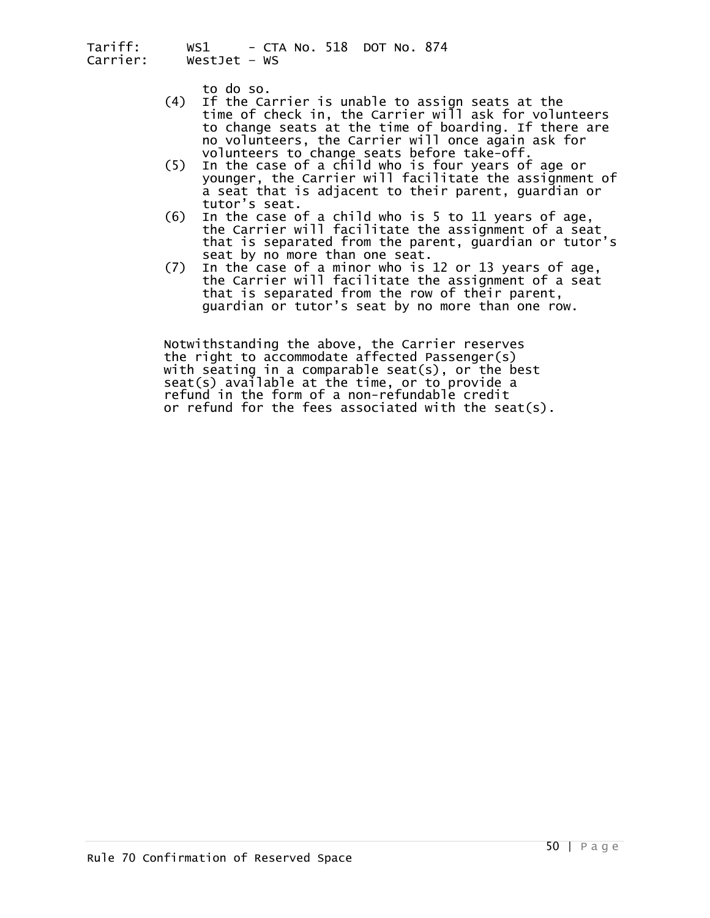- to do so.<br>(4) If the Carrier is unable to assign seats at the<br>time of check in, the Carrier will ask for volunteers to change seats at the time of boarding. If there are<br>no volunteers, the Carrier will once again ask for
- volunteers to change seats before take-off.<br>(5) In the case of a child who is four years of age or younger, the Carrier will facilitate the assignment of
	- a seat that is adjacent to their parent, guardian or tutor's seat. (6) In the case of a child who is 5 to 11 years of age, the Carrier will facilitate the assignment of a seat that is separated from the parent, guardian or tutor's seat by no more than one seat.
- seat by no more than one seat.<br>(7) In the case of a minor who is 12 or 13 years of age,<br>the Carrier will facilitate the assignment of a seat<br>that is separated from the row of their parent, guardian or tutor's seat by no more than one row.

Notwithstanding the above, the Carrier reserves<br>the right to accommodate affected Passenger(s)<br>with seating in a comparable seat(s), or the best<br>seat(s) available at the time, or to provide a<br>refund in the form of a non-re or refund for the fees associated with the seat(s).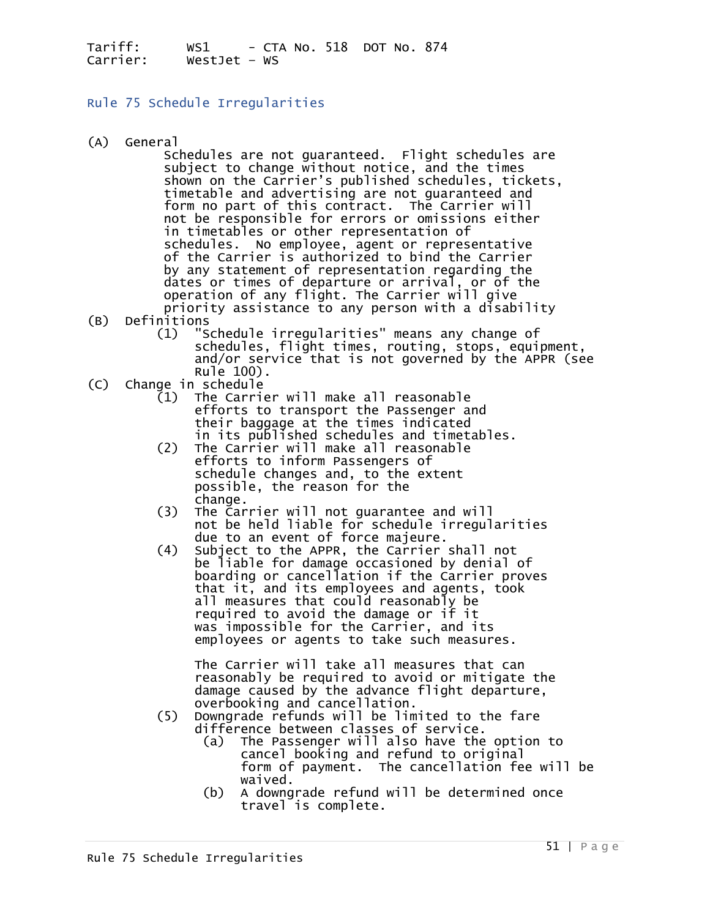Rule 75 Schedule Irregularities

(A) General<br>Schedules are not guaranteed. Flight schedules are subject to change without notice, and the times shown on the Carrier's published schedules, tickets, timetable and advertising are not guaranteed and form no part of this contract. The Carrier will not be responsible for errors or omissions either in timetables or other schedules. No employee, agent or representative<br>of the Carrier is authorized to bind the Carrier by any statement of representation regarding the<br>dates or times of departure or arrival, or of the<br>operation of any flight. The Carrier will give<br>priority assistance to any person with a disability<br>(B) Definitions

- - (1) "Schedule irregularities" means any change of<br>schedules, flight times, routing, stops, equipment, and/or service that is not governed by the APPR (see
- .Rule 100)<br>Change in schedule
- (C) Change in schedule<br>
(1) The Carrier will make all reasonable<br>
efforts to transport the Passenger and<br>
their baggage at the times indicated<br>
in its published schedules and timetables.<br>
(2) The Carrier will make all reas
	- efforts to inform Passengers of schedule changes and, to the extent possible, the reason for the
	- change.<br>
	(3) The Carrier will not guarantee and will<br>
	not be held liable for schedule irregularities<br>
	due to an event of force majeure.
	- (4) Subject to the APPR, the Carrier shall not<br>be liable for damage occasioned by denial of<br>boarding or cancellation if the Carrier proves that it, and its employees and agents, took<br>all measures that could reasonably be required to avoid the damage or if it<br>was impossible for the Carrier, and its employees or agents to take such measures.

 The Carrier will take all measures that can reasonably be required to avoid or mitigate the damage caused by the advance flight departure,

- overbooking and cancellation.<br>(5) Downgrade refunds will be limited to the fare<br>difference between classes of service.
	- (a) The Passenger will also have the option to<br>cancel booking and refund to original form of payment. The cancellation fee will be waived. (b) A downgrade refund will be determined once
	- travel is complete.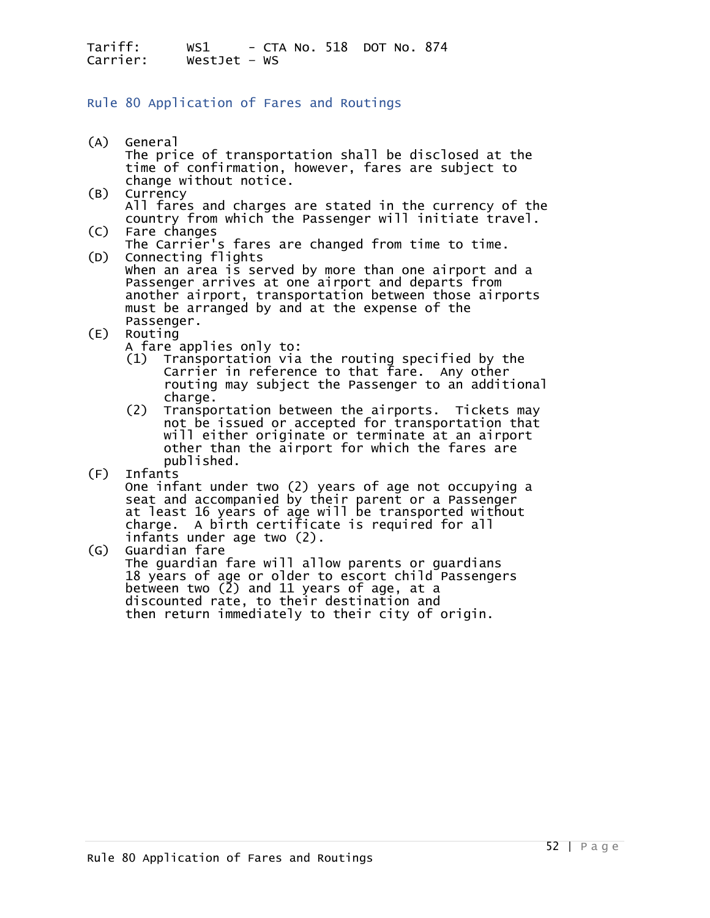### Rule 80 Application of Fares and Routings

- (A) General The price of transportation shall be disclosed at the time of confirmation, however, fares are subject to change without notice.
- (B) Currency All fares and charges are stated in the currency of the country from which the Passenger will initiate travel.
- (C) Fare changes<br>The Carrier's fares are changed from time to time.<br>(D) Connecting flights
- Connecting flights<br>When an area is served by more than one airport and a Passenger arrives at one airport and departs from<br>another airport, transportation between those airports<br>must be arranged by and at the expense of the<br>Passenger.<br>(E) Routing
- -
	- A fare applies only to:<br>(1) Transportation via the routing specified by the Carrier in reference to that fare. Any other
- routing may subject the Passenger to an additional<br>charge.<br>(2) Transportation between the airports. Tickets may<br>not be issued or accepted for transportation that<br>will either originate or terminate at an airport<br>other than published.<br>(F) Infants
- 

(F) Infants One infant under two (2) years of age not occupying a seat and accompanied by their parent or a Passenger<br>at least 16 years of age will be transported without<br>charge. A birth certificate is required for all infants under age two (2).

(G) Guardian fare The guardian fare will allow parents or guardians 18 years of age or older to escort child Passengers between two (2) and 11 years of age, at a then return immediately to their city of origin.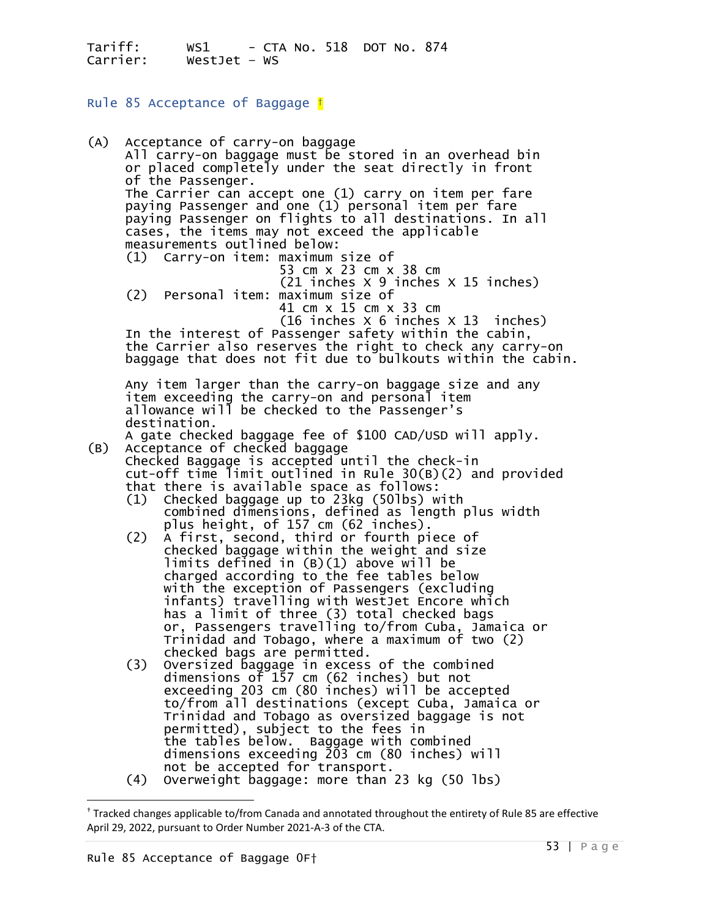Rule 85 Acceptance of Baggage [†](#page-52-0)

(A) Acceptance of carry-on baggage All carry-on baggage must be stored in an overhead bin<br>or placed completely under the seat directly in front<br>of the Passenger. The Carrier can accept one (1) carry on item per fare<br>paying Passenger and one (1) personal item per fare<br>paying Passenger on flights to all destinations. In all cases, the items may not exceed the applicable<br>measurements outlined below:<br>(1) Carry-on item: maximum size of<br>53 cm x 23 cm x 38 cm<br>(21 inches x 9 inches x 15 inches) (2) Personal item: maximum size of<br>41 cm x 15 cm x 33 cm<br>(16 inches  $\times$  6 inches  $\times$  13 inches) In the interest of Passenger safety within the cabin,<br>the Carrier also reserves the right to check any carry-on baggage that does not fit due to bulkouts within the cabin. Any item larger than the carry-on baggage size and any item exceeding the carry-on and personal item<br>allowance will be checked to the Passenger's destination.<br>A gate checked baggage fee of \$100 CAD/USD will apply.<br>(B) Acceptance of checked baggage Acceptance of checked baggage Checked Baggage is accepted until the check-in cut-off time limit outlined in Rule 30(B)(2) and provided that there is available space as follows:<br>(1) Checked baggage up to 23kg (50lbs) with (1) Checked baggage up to 23kg (50lbs) with combined dimensions, defined as length plus width plus height, of 157 cm (62 inches). (2) A first, second, third or fourth piece of checked baggage within the weight and size checked baggage within the weight and size<br>limits defined in (B)(1) above will be<br>charged according to the fee tables below<br>with the exception of Passengers (excluding<br>infants) travelling with WestJet Encore which has a limit of three (3) total checked bags<br>or, Passengers travelling to/from Cuba, Jamaica or Trinidad and Tobago, where a maximum of two (2) checked bags are permitted. (3) Oversized baggage in excess of the combined dimensions of 157 cm (62 inches) but not exceeding 203 cm (80 inches) will be accepted<br>to/from all destinations (except Cuba, Jamaica or<br>Trinidad and Tobago as oversized baggage is not permitted), subject to the fees in the tables below. Baggage with combined dimensions exceeding 203 cm (80 inches) will<br>not be accepted for transport. (4) Overweight baggage: more than 23 kg (50 lbs)

<span id="page-52-0"></span><sup>†</sup> Tracked changes applicable to/from Canada and annotated throughout the entirety of Rule 85 are effective April 29, 2022, pursuant to Order Number 2021-A-3 of the CTA.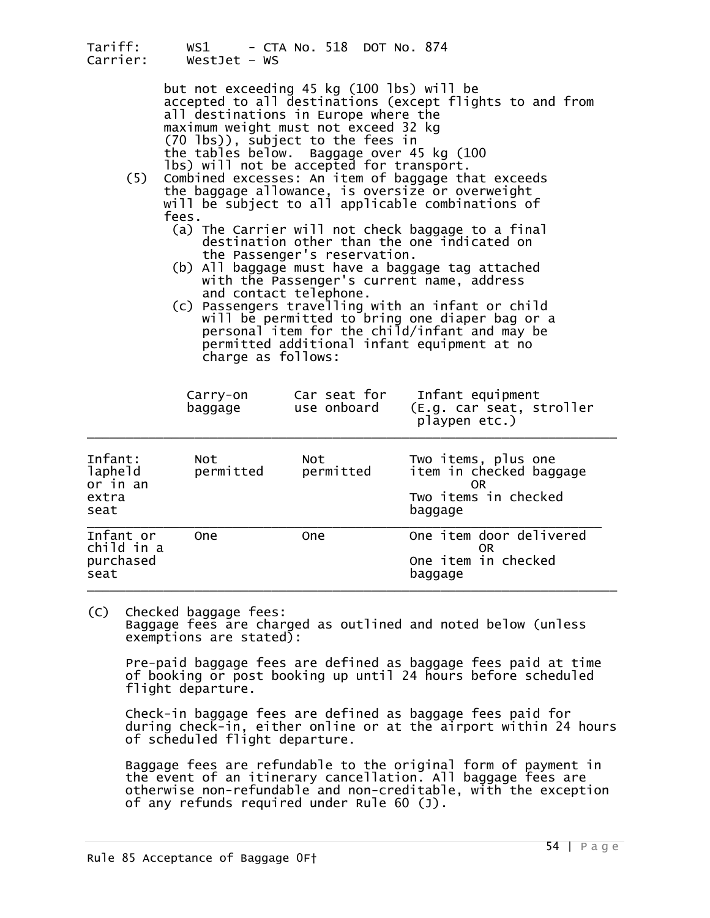| Tariff:<br>Carrier:                             | WS1<br>Westlet $-$ WS                                                                                                                                                                                                                                                                                                                                                                                                                                                                                                                                                                                                                                                                                                                                                                                                                                                                                                                                                                       | - CTA No. 518 DOT No. 874   |                                                                                         |  |  |  |
|-------------------------------------------------|---------------------------------------------------------------------------------------------------------------------------------------------------------------------------------------------------------------------------------------------------------------------------------------------------------------------------------------------------------------------------------------------------------------------------------------------------------------------------------------------------------------------------------------------------------------------------------------------------------------------------------------------------------------------------------------------------------------------------------------------------------------------------------------------------------------------------------------------------------------------------------------------------------------------------------------------------------------------------------------------|-----------------------------|-----------------------------------------------------------------------------------------|--|--|--|
| (5)                                             | but not exceeding 45 kg (100 lbs) will be<br>accepted to all destinations (except flights to and from<br>all destinations in Europe where the<br>maximum weight must not exceed 32 kg<br>(70 lbs)), subject to the fees in<br>the tables below.<br>Baggage over 45 kg (100<br>lbs) will not be accepted for transport.<br>Combined excesses: An item of baggage that exceeds<br>the baggage allowance, is oversize or overweight<br>will be subject to all applicable combinations of<br>fees.<br>(a) The Carrier will not check baggage to a final<br>destination other than the one indicated on<br>the Passenger's reservation.<br>(b) All baggage must have a baggage tag attached<br>with the Passenger's current name, address<br>and contact telephone.<br>(c) Passengers travelling with an infant or child<br>will be permitted to bring one diaper bag or a<br>personal item for the child/infant and may be<br>permitted additional infant equipment at no<br>charge as follows: |                             |                                                                                         |  |  |  |
|                                                 | Carry-on<br>baggage                                                                                                                                                                                                                                                                                                                                                                                                                                                                                                                                                                                                                                                                                                                                                                                                                                                                                                                                                                         | Car seat for<br>use onboard | Infant equipment<br>(E.g. car seat, stroller<br>playpen etc.)                           |  |  |  |
| Infant:<br>lapheld<br>or in an<br>extra<br>seat | Not<br>permitted                                                                                                                                                                                                                                                                                                                                                                                                                                                                                                                                                                                                                                                                                                                                                                                                                                                                                                                                                                            | Not<br>permitted            | Two items, plus one<br>item in checked baggage<br>0R<br>Two items in checked<br>baggage |  |  |  |
| Infant or<br>child in a<br>purchased<br>seat    | <b>One</b>                                                                                                                                                                                                                                                                                                                                                                                                                                                                                                                                                                                                                                                                                                                                                                                                                                                                                                                                                                                  | 0ne                         | One item door delivered<br>OR.<br>One item in checked<br>baggage                        |  |  |  |

(C) Checked baggage fees: Baggage fees are charged as outlined and noted below (unless exemptions are stated):

 Pre-paid baggage fees are defined as baggage fees paid at time of booking or post booking up until 24 hours before scheduled flight departure.

 Check-in baggage fees are defined as baggage fees paid for during check-in, either online or at the airport within 24 hours of scheduled flight departure.

 Baggage fees are refundable to the original form of payment in the event of an itinerary cancellation. All baggage fees are<br>otherwise non-refundable and non-creditable, with the exception of any refunds required under Rule 60 (J).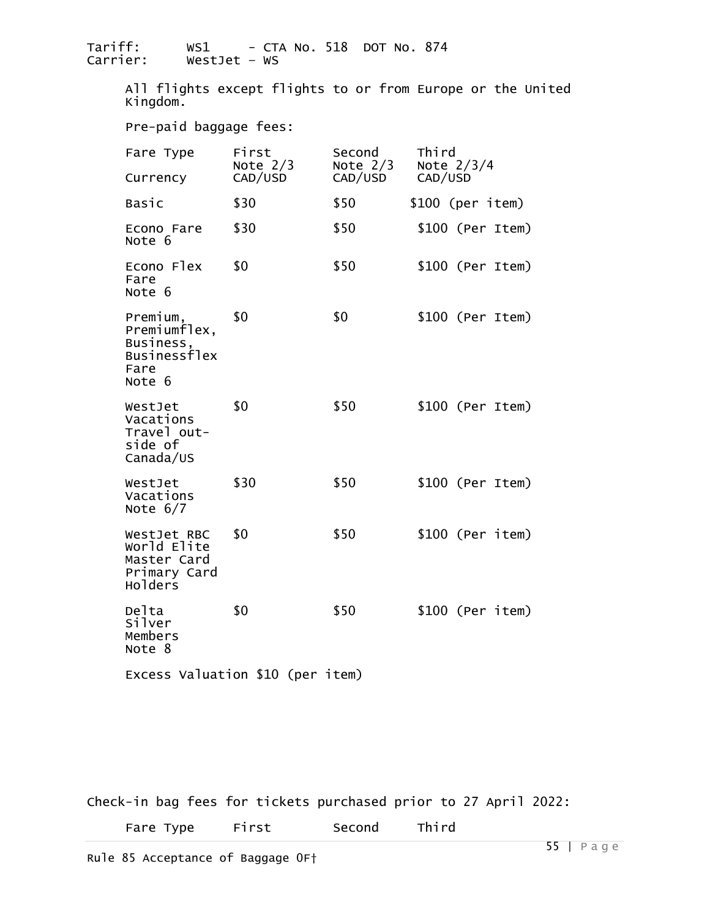All flights except flights to or from Europe or the United Kingdom.

Pre-paid baggage fees:

| Fare Type                                                               | First<br>Note $2/3$ | Second<br>Note $2/3$ | Third<br>Note $2/3/4$ |
|-------------------------------------------------------------------------|---------------------|----------------------|-----------------------|
| Currency                                                                | CAD/USD             | CAD/USD              | CAD/USD               |
| Basic                                                                   | \$30                | \$50                 | $$100$ (per item)     |
| Econo Fare<br>Note 6                                                    | \$30                | \$50                 | $$100$ (Per Item)     |
| Econo Flex<br>Fare<br>Note 6                                            | \$0                 | \$50                 | $$100$ (Per Item)     |
| Premium,<br>Premiumflex,<br>Business,<br>Businessflex<br>Fare<br>Note 6 | \$0                 | \$0                  | $$100$ (Per Item)     |
| WestJet<br>Vacations<br>Travel out-<br>side of<br>Canada/US             | \$0                 | \$50                 | $$100$ (Per Item)     |
| WestJet<br>Vacations<br>Note $6/7$                                      | \$30                | \$50                 | $$100$ (Per Item)     |
| WestJet RBC<br>World Elite<br>Master Card<br>Primary Card<br>Holders    | \$0                 | \$50                 | $$100$ (Per item)     |
| Delta<br>Silver<br>Members<br>Note 8                                    | \$0                 | \$50                 | $$100$ (Per item)     |
| Excess Valuation \$10 (per item)                                        |                     |                      |                       |

Check-in bag fees for tickets purchased prior to 27 April 2022:

| Fare Type | First | Second | Third |
|-----------|-------|--------|-------|
|-----------|-------|--------|-------|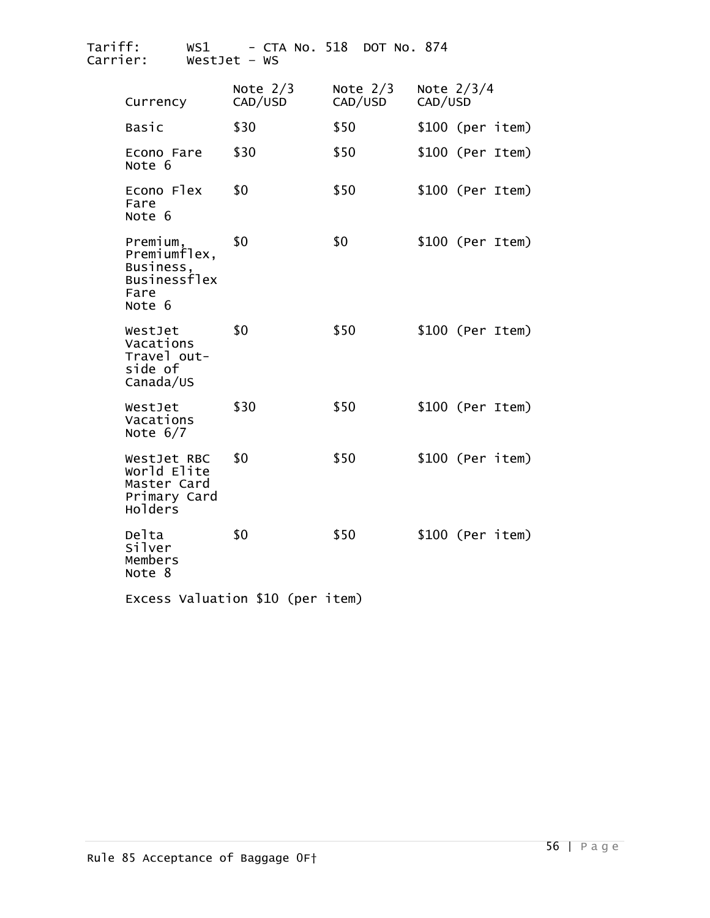| Tariff:<br>Carrier:                                                     | WS1<br>$WestJet - WS$ | - CTA No. 518         |      | DOT No. 874           |         |              |                   |
|-------------------------------------------------------------------------|-----------------------|-----------------------|------|-----------------------|---------|--------------|-------------------|
| Currency                                                                |                       | Note $2/3$<br>CAD/USD |      | Note $2/3$<br>CAD/USD | CAD/USD | Note $2/3/4$ |                   |
| Basic                                                                   |                       | \$30                  | \$50 |                       |         |              | \$100 (per item)  |
| Econo Fare<br>Note 6                                                    |                       | \$30                  | \$50 |                       |         |              | $$100$ (Per Item) |
| Econo Flex<br>Fare<br>Note 6                                            |                       | \$0                   | \$50 |                       |         |              | $$100$ (Per Item) |
| Premium,<br>Premiumflex,<br>Business,<br>Businessflex<br>Fare<br>Note 6 |                       | \$0                   | \$0  |                       |         |              | $$100$ (Per Item) |
| WestJet<br>Vacations<br>Travel out-<br>side of<br>Canada/US             |                       | \$0                   | \$50 |                       |         |              | $$100$ (Per Item) |
| WestJet<br>Vacations<br>Note $6/7$                                      |                       | \$30                  | \$50 |                       |         |              | \$100 (Per Item)  |
| WestJet RBC<br>World Elite<br>Master Card<br>Primary Card<br>Holders    |                       | \$0                   | \$50 |                       |         |              | $$100$ (Per item) |
| Delta<br>Silver<br>Members<br>Note 8                                    |                       | \$0                   | \$50 |                       |         |              | $$100$ (Per item) |

Excess Valuation \$10 (per item)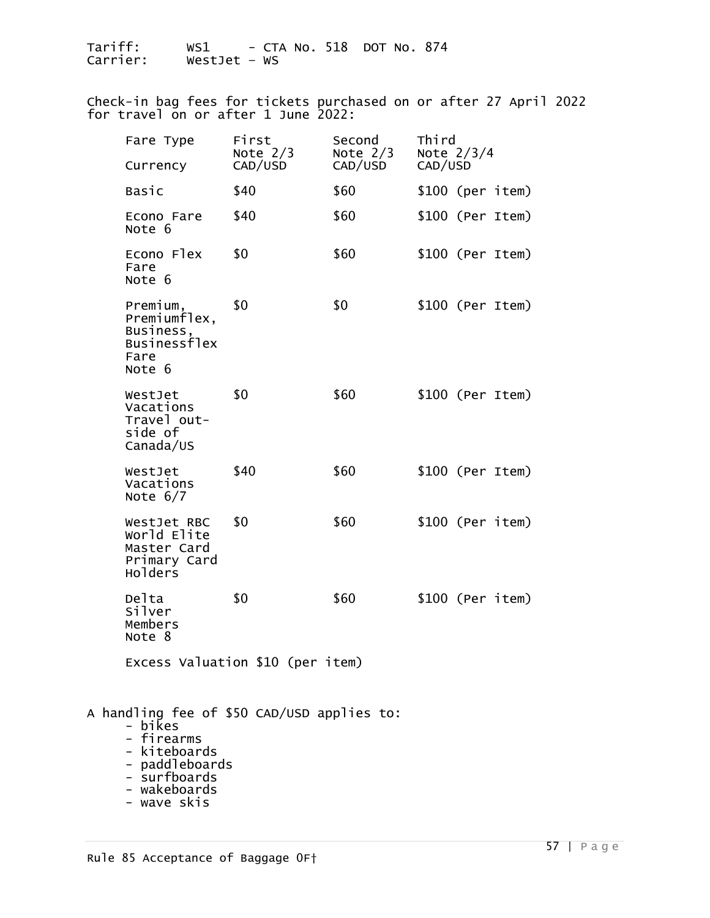Check-in bag fees for tickets purchased on or after 27 April 2022 for travel on or after 1 June 2022:

| Fare Type<br>Currency                                                                               | First<br>Note $2/3$<br>CAD/USD | Second<br>Note $2/3$<br>CAD/USD | Third<br>Note $2/3/4$<br>CAD/USD |
|-----------------------------------------------------------------------------------------------------|--------------------------------|---------------------------------|----------------------------------|
| Basic                                                                                               | \$40                           | \$60                            | $$100$ (per item)                |
| Econo Fare<br>Note 6                                                                                | \$40                           | \$60                            | $$100$ (Per Item)                |
| Econo Flex<br>Fare<br>Note 6                                                                        | \$0                            | \$60                            | \$100 (Per Item)                 |
| Premium,<br>Premiumflex,<br>Business,<br>Businessflex<br>Fare<br>Note 6                             | \$0                            | \$0                             | $$100$ (Per Item)                |
| WestJet<br>Vacations<br>Travel out-<br>side of<br>Canada/US                                         | \$0                            | \$60                            | $$100$ (Per Item)                |
| WestJet<br>Vacations<br>Note $6/7$                                                                  | \$40                           | \$60                            | $$100$ (Per Item)                |
| WestJet RBC<br>World Elite<br>Master Card<br>Primary Card<br>Holders                                | \$0                            | \$60                            | $$100$ (Per item)                |
| Delta<br>Silver<br>Members<br>Note 8                                                                | \$0                            | \$60                            | $$100$ (Per item)                |
| Excess Valuation \$10 (per item)                                                                    |                                |                                 |                                  |
| A handling fee of \$50 CAD/USD applies to:<br>- bikes<br>- firearms<br>- kiteboards<br>naddlahoardc |                                |                                 |                                  |

- paddleboards
- 
- wakeboards - wave skis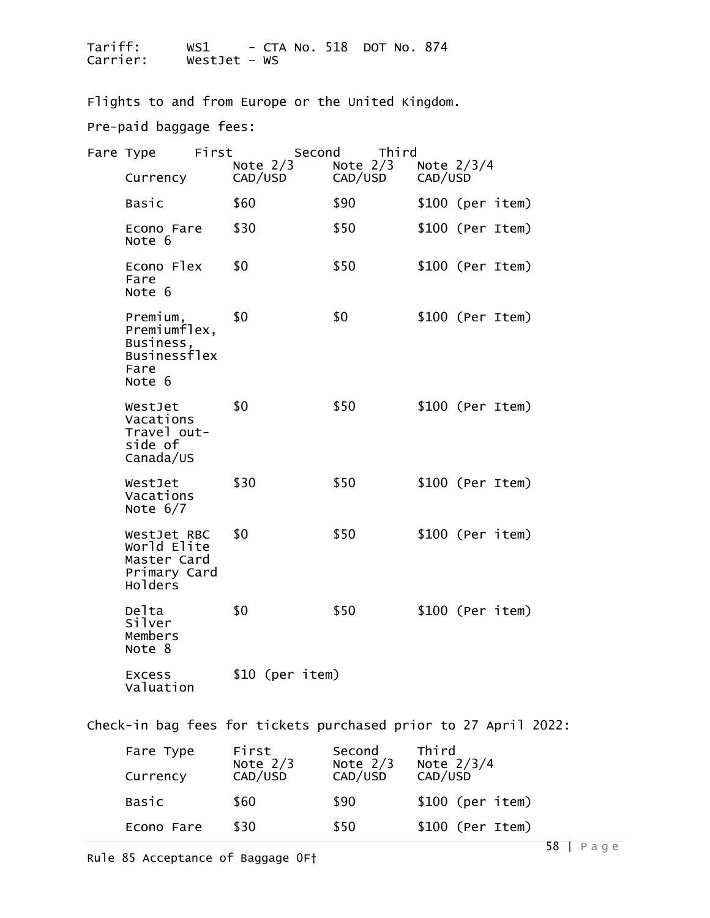Flights to and from Europe or the United Kingdom. Pre-paid baggage fees:

| Fare Type                                                               | First |            |                 |         | Second Third |                         |                   |
|-------------------------------------------------------------------------|-------|------------|-----------------|---------|--------------|-------------------------|-------------------|
| Currency                                                                |       | Note $2/3$ | CAD/USD         | CAD/USD | Note $2/3$   | Note $2/3/4$<br>CAD/USD |                   |
| <b>Basic</b>                                                            |       | \$60       |                 | \$90    |              |                         | $$100$ (per item) |
| Econo Fare<br>Note 6                                                    |       | \$30       |                 | \$50    |              |                         | $$100$ (Per Item) |
| Econo Flex<br>Fare<br>Note 6                                            |       | \$0        |                 | \$50    |              |                         | $$100$ (Per Item) |
| Premium,<br>Premiumflex,<br>Business,<br>Businessflex<br>Fare<br>Note 6 |       | \$0        |                 | \$0     |              |                         | $$100$ (Per Item) |
| WestJet<br>Vacations<br>Travel out-<br>side of<br>Canada/US             |       | \$0        |                 | \$50    |              |                         | $$100$ (Per Item) |
| WestJet<br>Vacations<br>Note $6/7$                                      |       | \$30       |                 | \$50    |              |                         | $$100$ (Per Item) |
| WestJet RBC<br>World Elite<br>Master Card<br>Primary Card<br>Holders    |       | \$0        |                 | \$50    |              |                         | $$100$ (Per item) |
| Delta<br>Silver<br>Members<br>Note 8                                    |       | \$0        |                 | \$50    |              |                         | $$100$ (Per item) |
| Excess<br>Valuation                                                     |       |            | \$10 (per item) |         |              |                         |                   |

Check-in bag fees for tickets purchased prior to 27 April 2022:

| Fare Type<br>Currency | First<br>Note $2/3$<br>CAD/USD | Second<br>Note $2/3$<br>CAD/USD | Third<br>Note $2/3/4$<br>CAD/USD |
|-----------------------|--------------------------------|---------------------------------|----------------------------------|
| Basic                 | \$60                           | \$90                            | $$100$ (per item)                |
| Econo Fare            | \$30                           | \$50                            | \$100 (Per Item)                 |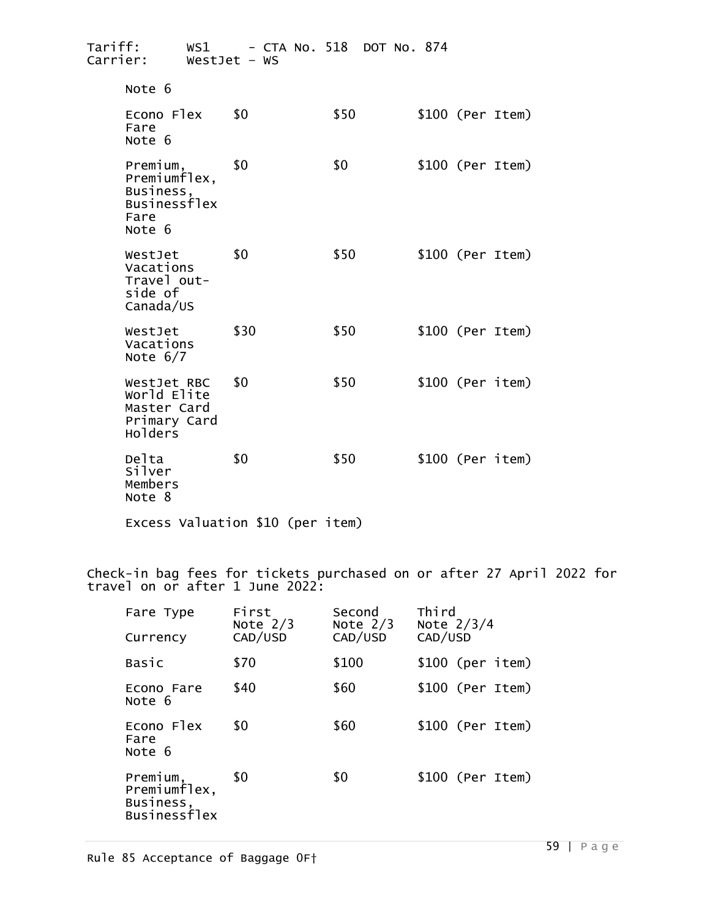| Tariff:<br>Carrier:                                                            | WestJet $-$ WS | WS1 - CTA No. 518 DOT No. 874 |                   |
|--------------------------------------------------------------------------------|----------------|-------------------------------|-------------------|
| Note 6                                                                         |                |                               |                   |
| Econo Flex<br>Fare<br>Note 6                                                   | \$0            | \$50                          | $$100$ (Per Item) |
| Premium,<br>Premiumflex,<br>Business,<br><b>Businessflex</b><br>Fare<br>Note 6 | \$0            | \$0                           | $$100$ (Per Item) |
| WestJet<br>Vacations<br>Travel out-<br>side of<br>Canada/US                    | \$0            | \$50                          | $$100$ (Per Item) |
| WestJet<br>Vacations<br>Note $6/7$                                             | \$30           | \$50                          | $$100$ (Per Item) |
| WestJet RBC<br>World Elite<br>Master Card<br>Primary Card<br>Holders           | \$0            | \$50                          | $$100$ (Per item) |
| Delta<br>Silver<br>Members<br>Note 8                                           | \$0            | \$50                          | $$100$ (Per item) |

Excess Valuation \$10 (per item)

Check-in bag fees for tickets purchased on or after 27 April 2022 for travel on or after 1 June 2022:

| Fare Type<br>Currency                                        | First<br>Note $2/3$<br>CAD/USD | Second<br>Note $2/3$<br>CAD/USD | Third<br>Note $2/3/4$<br>CAD/USD |
|--------------------------------------------------------------|--------------------------------|---------------------------------|----------------------------------|
| Basic                                                        | \$70                           | \$100                           | $$100$ (per item)                |
| Econo Fare<br>Note 6                                         | \$40                           | \$60                            | $$100$ (Per Item)                |
| Econo Flex<br>Fare<br>Note 6                                 | \$0                            | \$60                            | $$100$ (Per Item)                |
| Premium,<br>Premiumflex,<br>Business,<br><b>Businessflex</b> | \$0                            | \$0                             | $$100$ (Per Item)                |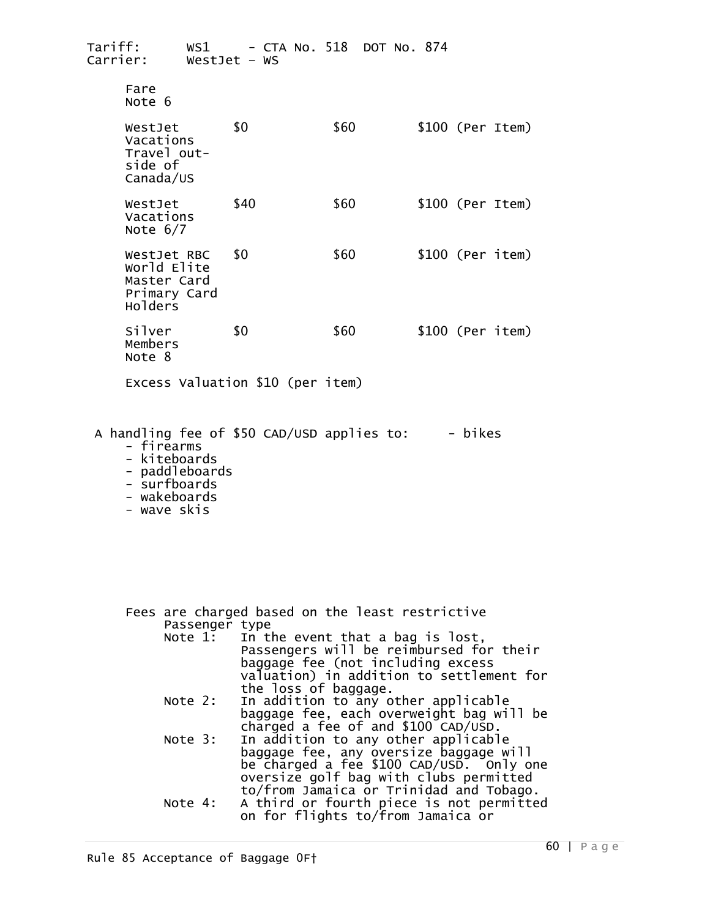| Tariff:<br>Carrier:                                                  | $WestJet - WS$ | WS1 - CTA No. 518 DOT No. 874 |                   |
|----------------------------------------------------------------------|----------------|-------------------------------|-------------------|
| Fare<br>Note 6                                                       |                |                               |                   |
| WestJet<br>Vacations<br>Travel out-<br>side of<br>Canada/US          | \$0            | \$60                          | $$100$ (Per Item) |
| WestJet<br>Vacations<br>Note $6/7$                                   | \$40           | \$60                          | $$100$ (Per Item) |
| WestJet RBC<br>World Elite<br>Master Card<br>Primary Card<br>Holders | \$0            | \$60                          | $$100$ (Per item) |
| Silver<br>Members<br>Note 8                                          | \$0            | \$60                          | $$100$ (Per item) |
| Excess Valuation \$10 (per item)                                     |                |                               |                   |

A handling fee of \$50 CAD/USD applies to:  $-$  bikes

- kiteboards
- 
- paddleboards<br>- surfboards<br>- wakeboards
- 
- 
- wave skis

Fees are charged based on the least restrictive<br>Passenger type

- Note 1: In the event that a bag is lost, Passengers will be reimbursed for their baggage fee (not including excess valuation) in addition to settlement for<br>the loss of baggage.
- Note 2: In addition to any other applicable<br>baggage fee, each overweight bag will be<br>charged a fee of and \$100 CAD/USD.
- charged a fee of and \$100 CAD/USD.<br>Note 3: In addition to any other applicable<br>baggage fee, any oversize baggage will be charged a fee \$100 CAD/USD. Only one<br>oversize golf bag with clubs permitted to/from Jamaica or Trinidad and Tobago.<br>Note 4: A third or fourth piece is not permitted<br>on for flights to/from Jamaica or
	-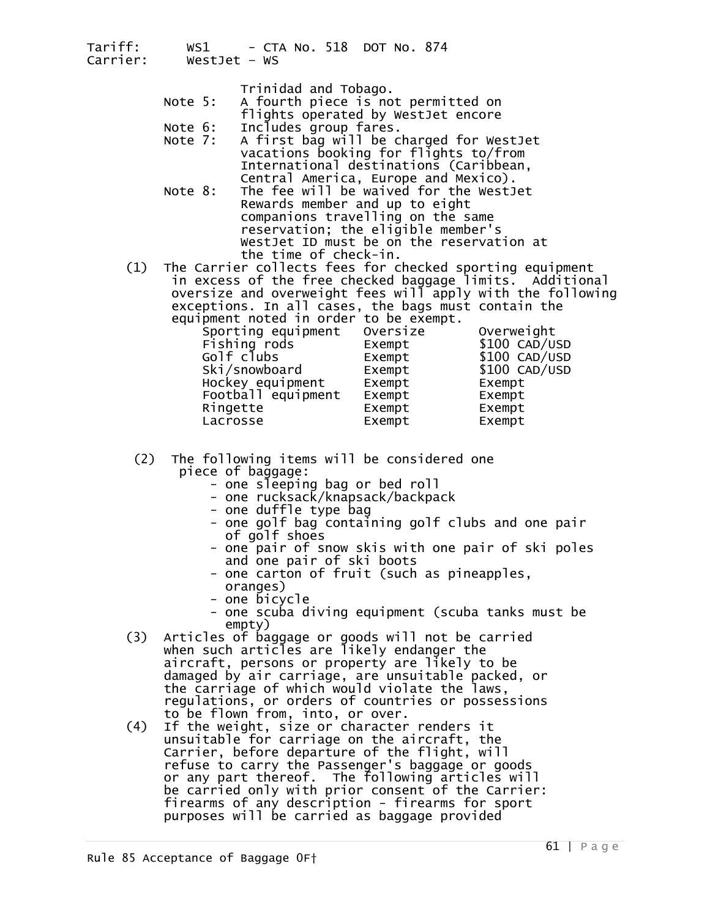|     |         | Trinidad and Tobago.                                  |
|-----|---------|-------------------------------------------------------|
|     | Note 5: | A fourth piece is not permitted on                    |
|     |         | flights operated by WestJet encore                    |
|     | Note 6: | Includes group fares.                                 |
|     |         | Note 7: A first bag will be charged for WestJet       |
|     |         | vacations booking for flights to/from                 |
|     |         | International destinations (Caribbean,                |
|     |         | Central America, Europe and Mexico).                  |
|     | Note 8: | The fee will be waived for the WestJet                |
|     |         | Rewards member and up to eight                        |
|     |         | companions travelling on the same                     |
|     |         | reservation; the eligible member's                    |
|     |         | WestJet ID must be on the reservation at              |
|     |         | the time of check-in.                                 |
| (1) |         | the Cannien cellects fees for shesked spenting equipm |

(1) The Carrier collects fees for checked sporting equipment<br>in excess of the free checked baggage limits. Additional<br>oversize and overweight fees will apply with the following exceptions. In all cases, the bags must contain the

| equipment noted in order to be exempt. |          |                |
|----------------------------------------|----------|----------------|
| Sporting equipment                     | Oversize | Overweight     |
| Fishing rods                           | Exempt   | \$100 CAD/USD  |
| Golf clubs                             | Exempt   | $$100$ CAD/USD |
| Ski/snowboard                          | Exempt   | $$100$ CAD/USD |
| Hockey equipment                       | Exempt   | Exempt         |
| Football equipment                     | Exempt   | Exempt         |
| Ringette                               | Exempt   | Exempt         |
| Lacrosse                               | Exempt   | Exempt         |
|                                        |          |                |

# (2) The following items will be considered one<br>piece of baggage:

- 
- one sleeping bag or bed roll<br>- one rucksack/knapsack/backpack<br>- one duffle type bag
- 
- one golf bag containing golf clubs and one pair<br>of golf shoes
- one pair of snow skis with one pair of ski poles and one pair of ski boots
- one carton of fruit (such as pineapples, oranges) one bicycle
- 
- one scuba diving equipment (scuba tanks must be
- empty) (3) Articles of baggage or goods will not be carried when such articles are likely endanger the aircraft, persons or property are likely to be<br>damaged by air carriage, are unsuitable packed, or<br>the carriage of which would violate the laws, regulations, or orders of countries or possessions<br>to be flown from, into, or over.<br>(4) If the weight, size or character renders it
- (4) If the weight, size or character renders it unsuitable for carriage on the aircraft, the Carrier, before departure of the flight, will refuse to carry the Passenger's baggage or goods or any part thereof. The following articles will<br>be carried only with prior consent of the Carrier: firearms of any description - firearms for sport purposes will be carried as baggage provided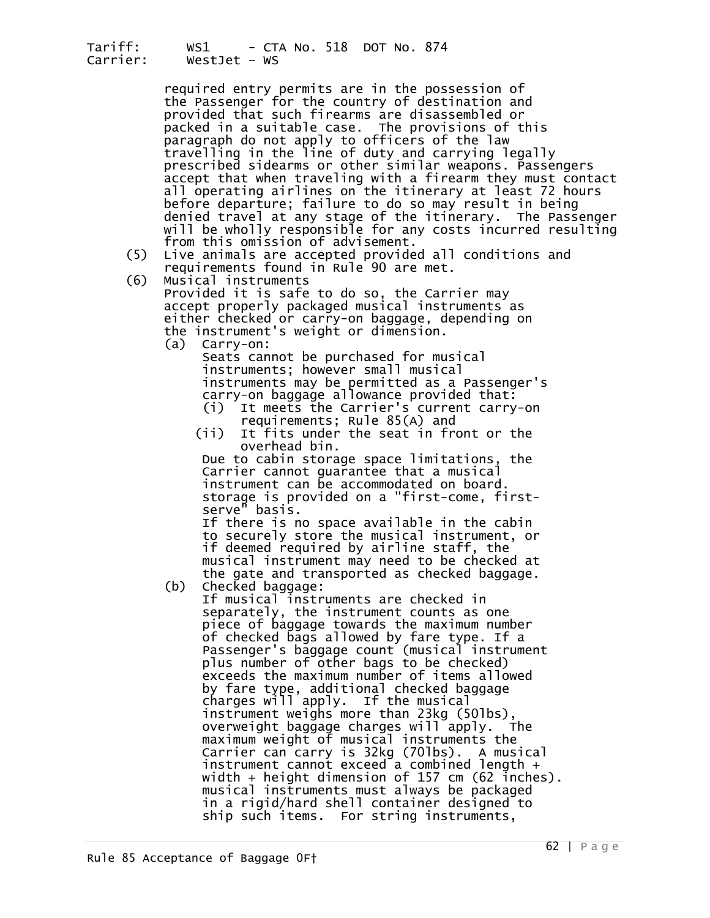required entry permits are in the possession of the Passenger for the country of destination and provided that such firearms are disassembled or packed in a suitable case. The provisions of this paragraph do not apply to officers of the law travelling in the line of duty and carrying legally<br>prescribed sidearms or other similar weapons. Passengers<br>accept that when traveling with a firearm they must contact all operating airlines on the itinerary at least 72 hours<br>before departure; failure to do so may result in being<br>denied travel at any stage of the itinerary. The Passenger<br>will be wholly responsible for any costs incurred

- from this omission of a commals are accepted provided all conditions and requirements found in Rule 90 are met.<br>(6) Musical instruments Provided it is safe to do so, the Carrier may
- 

 accept properly packaged musical instruments as either checked or carry-on baggage, depending on the instrument's weight or dimension.

 (a) Carry-on: Seats cannot be purchased for musical instruments; however small musical instruments may be permitted as a Passenger's carry-on baggage allowance provided that: (i) It meets the Carrier's current carry-on

- requirements; Rule 85(A) and<br>It fits under the seat in fro
- It fits under the seat in front or the overhead bin.

 Due to cabin storage space limitations, the Carrier cannot guarantee that a musical instrument can be accommodated on board. storage is provided on a "first-come, first-

If there is no space available in the cabin<br>to securely store the musical instrument, or if deemed required by airline staff, the musical instrument may need to be checked at

the gate and transported as checked baggage. (b) Checked baggage: If musical instruments are checked in separately, the instrument counts as one<br>piece of baggage towards the maximum number of checked bags allowed by fare type. If a Passenger's baggage count (musical instrument plus number of other bags to be checked) exceeds the maximum number of items allowed<br>by fare type, additional checked baggage charges will apply. If the musical<br>instrument weighs more than 23kg (50lbs),<br>overweight baggage charges will apply. The overweight baggage charges will apply. The maximum weight of musical instruments the<br>Carrier can carry is 32kg (70lbs). A musical<br>instrument cannot exceed a combined length + width + height dimension of 157 cm (62 inches). musical instruments must always be packaged in a rigid/hard shell container designed to ship such items. For string instruments,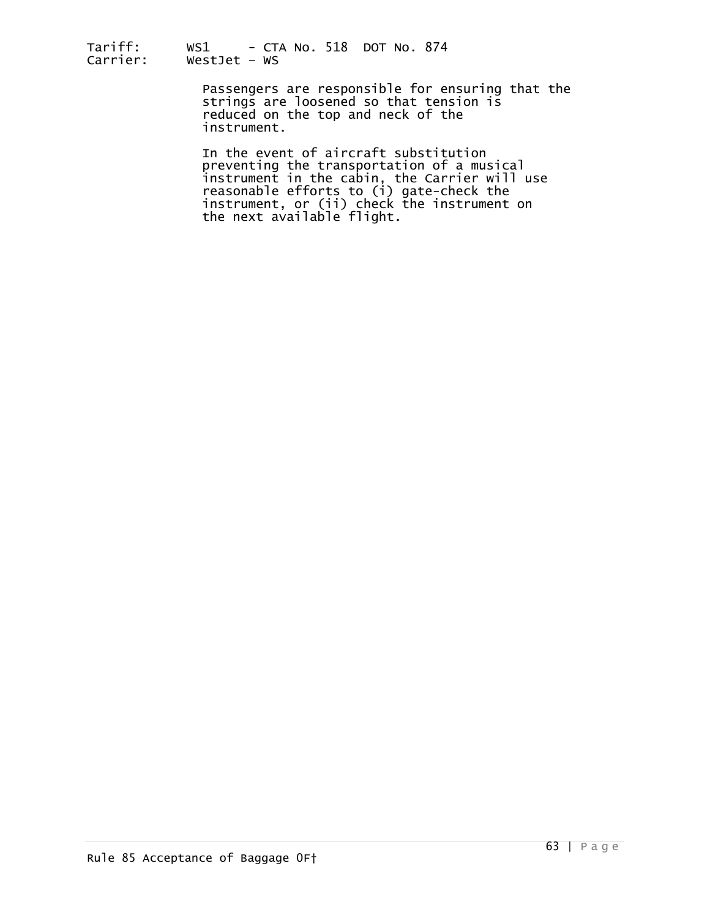> Passengers are responsible for ensuring that the strings are loosened so that tension is reduced on the top and neck of the instrument.

In the event of aircraft substitution<br>preventing the transportation of a musical<br>instrument in the cabin, the Carrier will use reasonable efforts to (i) gate-check the<br>instrument, or (ii) check the instrument on<br>the next available flight.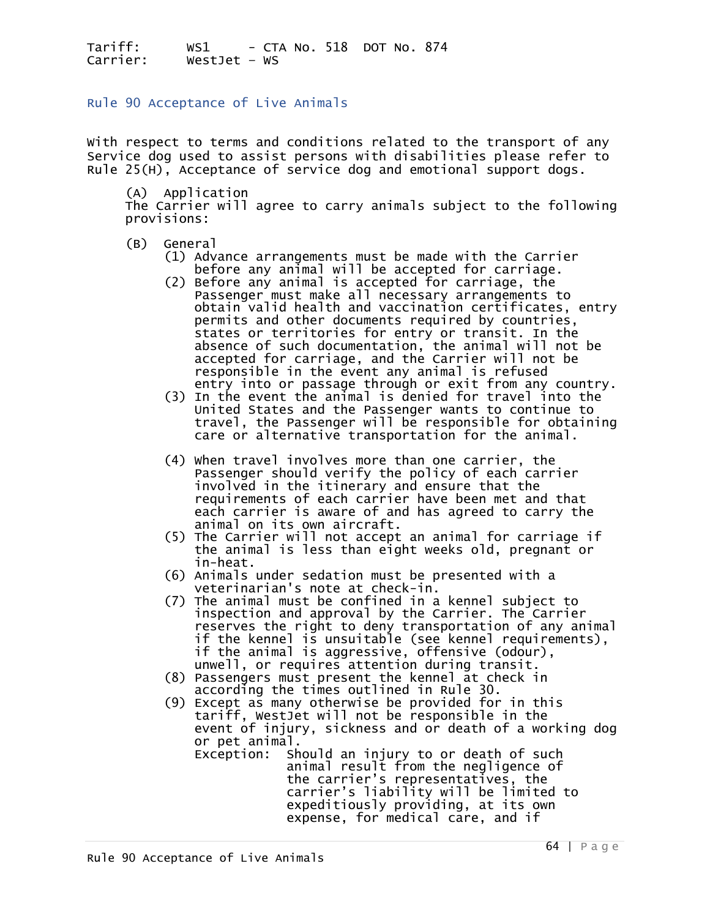Rule 90 Acceptance of Live Animals

With respect to terms and conditions related to the transport of any Service dog used to assist persons with disabilities please refer to Rule 25(H), Acceptance of service dog and emotional support dogs.

(A) Application

The Carrier will agree to carry animals subject to the following provisions:

- 
- (B) General<br>(1) Advance arrangements must be made with the Carrier before any animal will be accepted for carriage.<br>(2) Before any animal is accepted for carriage, the
- Passenger must make all necessary arrangements to<br>obtain valid health and vaccination certificates, entry<br>permits and other documents required by countries,<br>states or territories for entry or transit. In the absence of such documentation, the animal will not be accepted for carriage, and the Carrier will not be responsible in the event any animal is refused responsible in the event any animal is refused<br>entry into or passage through or exit from any country.
- (3) In the event the animal is denied for travel into the United States and the Passenger wants to continue to<br>travel, the Passenger will be responsible for obtaining care or alternative transportation for the animal.
	- (4) When travel involves more than one carrier, the Passenger should verify the policy of each carrier<br>involved in the itinerary and ensure that the requirements of each carrier have been met and that each carrier is aware of and has agreed to carry the<br>animal on its own aircraft.
	- (5) The Carrier will not accept an animal for carriage if the animal is less than eight weeks old, pregnant or
	- in-heat.<br>(6) Animals under sedation must be presented with a
- veterinarian's note at check-in.<br>(7) The animal must be confined in a kennel subject to (7) The animal must be confined in a kennel subject to<br>inspection and approval by the Carrier. The Carrier<br>reserves the right to deny transportation of any animal if the kennel is unsuitable (see kennel requirements),<br>if the animal is aggressive, offensive (odour),<br>unwell, or requires attention during transit.
	- unwell, or requires attention during transit.<br>(8) Passengers must present the kennel at check in according the times outlined in Rule 30.
	- (9) Except as many otherwise be provided for in this<br>tariff, WestJet will not be responsible in the<br>event of injury, sickness and or death of a working dog<br>or pet animal.<br>Exception: Should an injury to or death of such
		- animal result from the negligence of<br>the carrier's representatives, the carrier's liability will be limited to expeditiously providing, at its own expense, for medical care, and if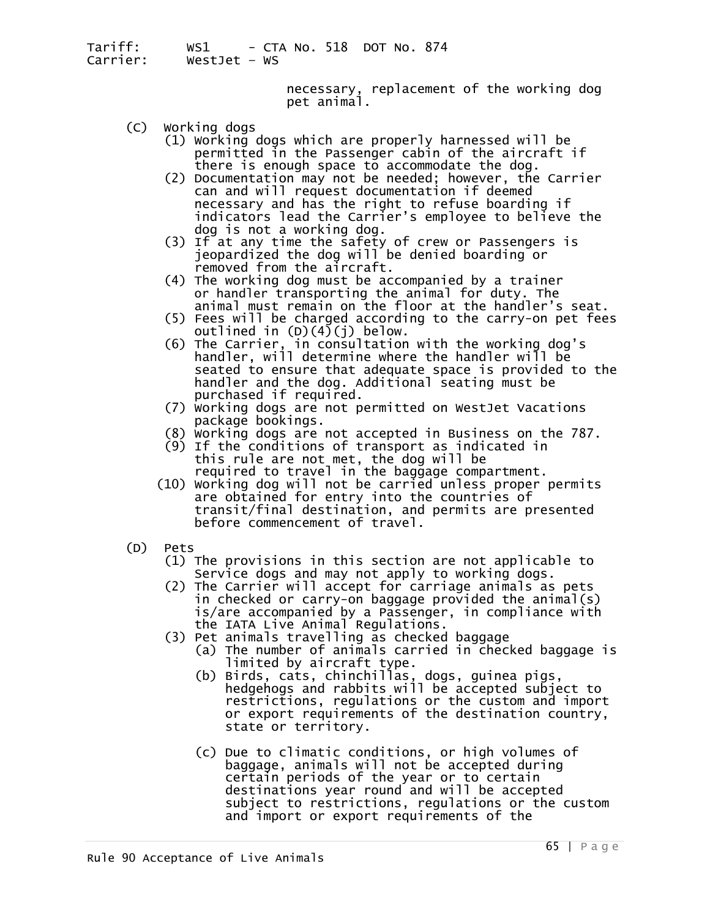necessary, replacement of the working dog pet animal.

- 
- (C) Working dogs<br>(1) Working dogs which are properly harnessed will be<br>permitted in the Passenger cabin of the aircraft if
	- there is enough space to accommodate the dog.<br>(2) Documentation may not be needed; however, the Carrier<br>can and will request documentation if deemed necessary and has the right to refuse boarding if<br>indicators lead the Carrier's employee to believe the<br>dog is not a working dog.<br>(3) If at any time the safety of crew or Passengers is<br>jeopardized the dog will be denied bo
	-
	- removed from the aircraft.<br>(4) The working dog must be accompanied by a trainer<br>or handler transporting the animal for duty. The<br>animal must remain on the floor at the handler's seat.
	- (5) Fees will be charged according to the carry-on pet fees<br>outlined in (D)(4)(j) below.<br>(6) The Carrier, in consultation with the working dog's
	- handler, will determine where the handler will be<br>seated to ensure that adequate space is provided to the handler and the dog. Additional seating must be
	- (7) Working dogs are not permitted on WestJet Vacations package bookings.
	- (8) Working dogs are not accepted in Business on the 787. (9) If the conditions of transport as indicated in
	- this rule are not met, the dog will be<br>required to travel in the baggage compartment.
	- $r(10)$  working dog will not be carried unless proper permits are obtained for entry into the countries of transit/final destination, and permits are presented before commencement of travel.
- 
- (D) Pets<br>(1) The provisions in this section are not applicable to )<br>Service dogs and may not apply to working dogs.
- (2) The Carrier will accept for carriage animals as pets in checked or carry-on baggage provided the animal(s) is/are accompanied by a Passenger, in compliance with
	-
	- (3) Pet animals travelling as checked baggage<br>(a) The number of animals carried in checked baggage is<br>limited by aircraft type.
		- (b) Birds, cats, chinchillas, dogs, guinea pigs,<br>hedgehogs and rabbits will be accepted subject to<br>restrictions, regulations or the custom and import or export requirements of the destination country, state or territory.
		- (c) Due to climatic conditions, or high volumes of baggage, animals will not be accepted during certain periods of the year or to certain destinations year round and will be accepted subject to restrictions, regulations or the custom<br>and import or export requirements of the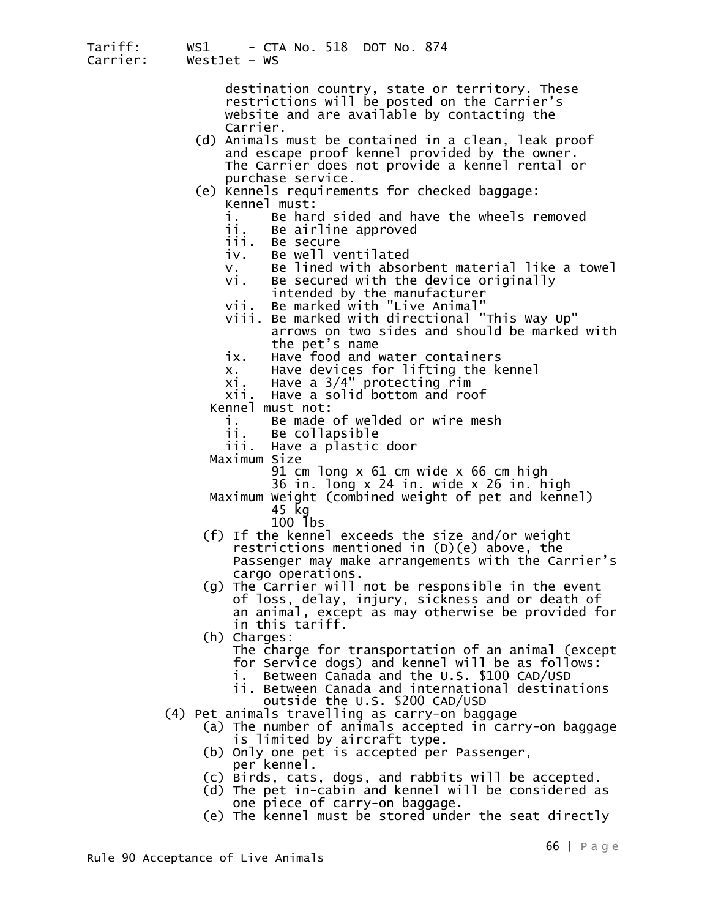> destination country, state or territory. These restrictions will be posted on the Carrier's website and are available by contacting the

- (d) Animals must be contained in a clean, leak proof and escape proof kennel provided by the owner. The Carrier does not provide a kennel rental or<br>purchase service.
- (e) Kennels requirements for checked baggage: Kennel must:
	- i. Be hard sided and have the wheels removed ii. Be airline approved
	-
	-
	-
	- iv. Be well ventilated<br>v. Be lined with absorbent material like a towel<br>vi. Be secured with the device originally<br>intended by the manufacturer<br>vii. Be marked with "Live Animal"
	-
	-
	-
	- intended by the manufacturer<br>vii. Be marked with "Live Animal"<br>viii. Be marked with directional "This Way Up" arrows on two sides and should be marked with the pet's name
	-
	- ix. Have food and water containers<br>x. Have devices for lifting the kennel<br>xi. Have a 3/4" protecting rim<br>xii. Have a solid bottom and roof
	-
	- xii. Have a solid bottom and roof Kennel must not:
	- - i. Be made of welded or wire mesh
		- Be collapsible
		- iii. Have a plastic door
	-
	- Maximum Size<br>91 cm long x 61 cm wide x 66 cm high
		-
	- 36 in. long x 24 in. wide x 26 in. high 36 in. long x 24 in. wide x 26 in. high Maximum Weight (combined weight of pet and kennel) 45 kg<br>100 lbs
		-
	- $(f)$  If the kennel exceeds the size and/or weight restrictions mentioned in (D)(e) above, the Passenger may make arrangements with the Carrier's cargo operations.
	- (g) The Carrier will not be responsible in the event of loss, delay, injury, sickness and or death of an animal, except as may otherwise be provided for in this tariff.<br>(h) Charges:
	- - The charge for transportation of an animal (except
		-
		- for Service dogs) and kennel will be as follows: i. Between Canada and the U.S. \$100 CAD/USD
- 
- outside the U.S. \$200 CAD/USD<br>(4) Pet animals travelling as carry-on baggage<br>(a) The number of animals accepted in carry-on baggage
	-
	-
	- (b) Only one pet is accepted per Passenger,<br>
	(c) Birds, cats, dogs, and rabbits will be accepted.<br>
	(d) The pet in-cabin and kennel will be considered as<br>
	one piece of carry-on baggage.<br>
	(e) The kennel must be stored under
	-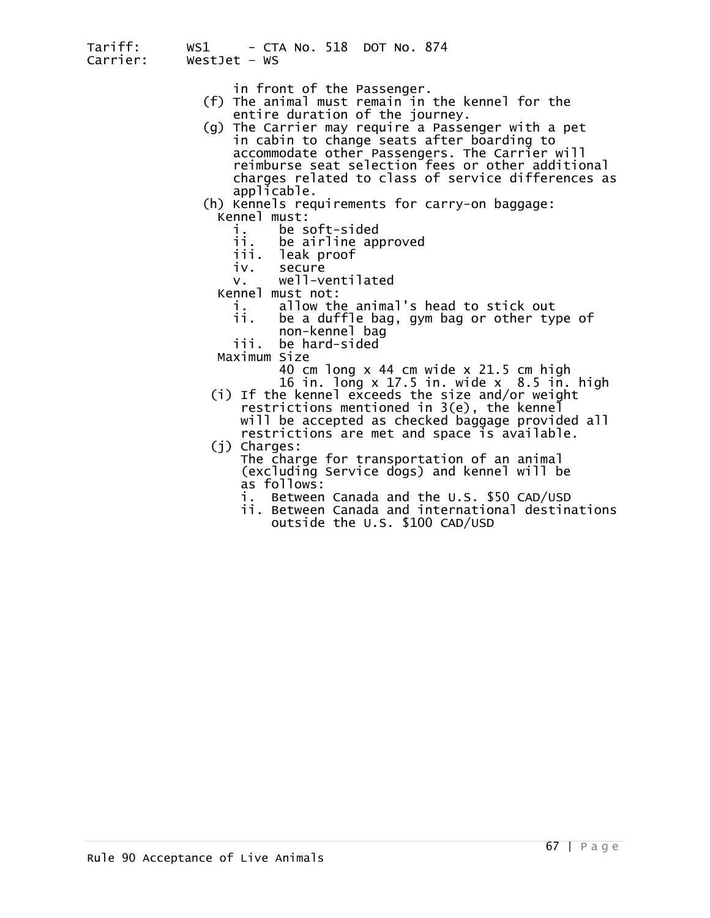- 
- in front of the Passenger. (f) The animal must remain in the kennel for the entire duration of the journey.
- (g) The Carrier may require a Passenger with a pet in cabin to change seats after boarding to accommodate other Passengers. The Carrier will reimburse seat selection fees or other additional charges related to class of service differences as

applicable.<br>
(h) Kennels requirements for carry-on baggage:<br>
Kennel must:<br>
i. be soft-sided<br>
ii. be airline approved

- -
	- ii. be airline approved<br>iii. leak proof leak proof
	-
	- iv. secure<br>v. well-ventilated
- v. well-ven<br>:Kennel must not
	-
	- i. allow the animal's head to stick out ii. be a duffle bag, gym bag or other type of non-kennel bag
		-
- -
- Maximum Size<br>40 cm long x 44 cm wide x 21.5 cm high<br>16 in. long x 17.5 in. wide x 8.5 in. high (i) If the kennel exceeds the size and/or weight restrictions mentioned in 3(e), the kennel will be accepted as checked baggage provided all
- restrictions are met and space is available. (j) Charges:
	- The charge for transportation of an animal (excluding Service dogs) and kennel will be as follows:
		- i. Between Canada and the U.S. \$50 CAD/USD
		- ii. Between Canada and international destinations outside the U.S. \$100 CAD/USD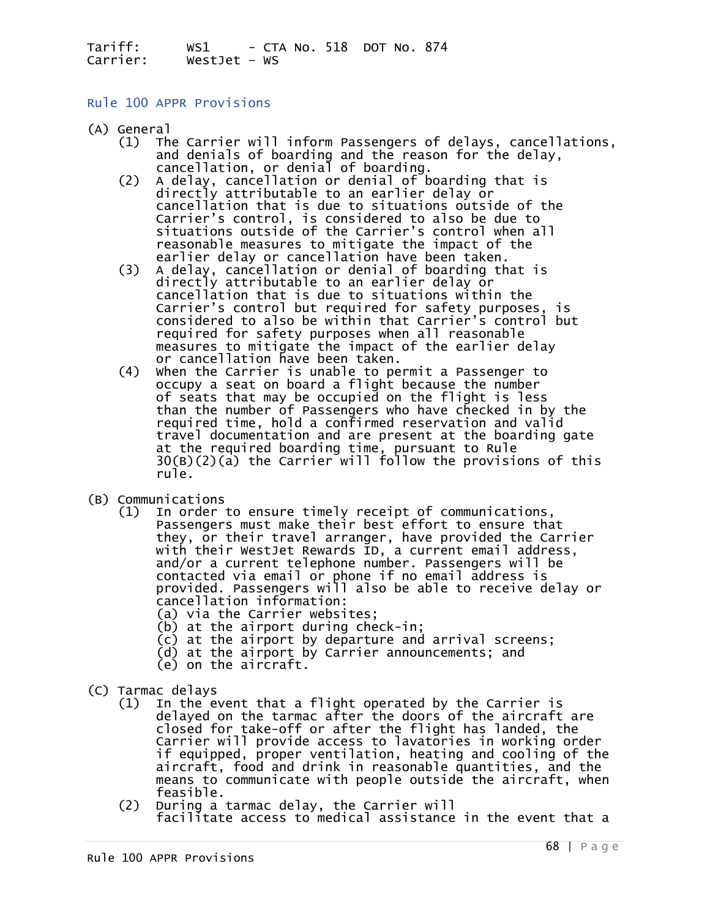### Rule 100 APPR Provisions

- 
- (A) General (1) The Carrier will inform Passengers of delays, cancellations, and denials of boarding and the reason for the delay,<br>cancellation, or denial of boarding.<br>(2) A delay, cancellation or denial of boarding that is
	- directly attributable to an earlier delay or<br>cancellation that is due to situations outside of the<br>Carrier's control, is considered to also be due to situations outside of the Carrier's control when all reasonable measures to mitigate the impact of the earlier delay or cancellation have been taken.<br>A delay, cancellation or denial of boarding that is
	- (3) A delay, cancellation or denial of boarding that is<br>directly attributable to an earlier delay or<br>cancellation that is due to situations within the<br>Carrier's control but required for safety purposes, is<br>considered to al measures to mitigate the impact of the earlier delay or cancellation have been taken.
- (4) When the Carrier is unable to permit a Passenger to occupy a seat on board a flight because the number<br>of seats that may be occupied on the flight is less<br>than the number of Passengers who have checked in by the<br>required time, hold a confirmed reservation and valid<br>travel d at the required boarding time, pursuant to Rule<br>30(B)(2)(a) the Carrier will follow the provisions of this<br>rule.
- 
- (B) Communications (1) In order to ensure timely receipt of communications, Passengers must make their best effort to ensure that they, or their travel arranger, have provided the Carrier<br>with their WestJet Rewards ID, a current email address,<br>and/or a current telephone number. Passengers will be and/or a current telephone number. Passengers will be<br>contacted via email or phone if no email address is<br>provided. Passengers will also be able to receive delay or<br>cancellation information:
	-
	- (a) via the Carrier websites;<br>(b) at the airport during check-in;
	- (c) at the airport by departure and arrival screens;
	- (d) at the airport by Carrier announcements; and (e) on the aircraft.
	-
- 
- (C) Tarmac delays<br>(1) In the event that a flight operated by the Carrier is<br>delayed on the tarmac after the doors of the aircraft are<br>closed for take-off or after the flight has landed, the Carrier will provide access to lavatories in working order<br>if equipped, proper ventilation, heating and cooling of the<br>aircraft, food and drink in reasonable quantities, and the means to communicate with people outside the aircraft, when<br>feasible.<br>(2) During a tarmac delay, the Carrier will
	- facilitate access to medical assistance in the event that a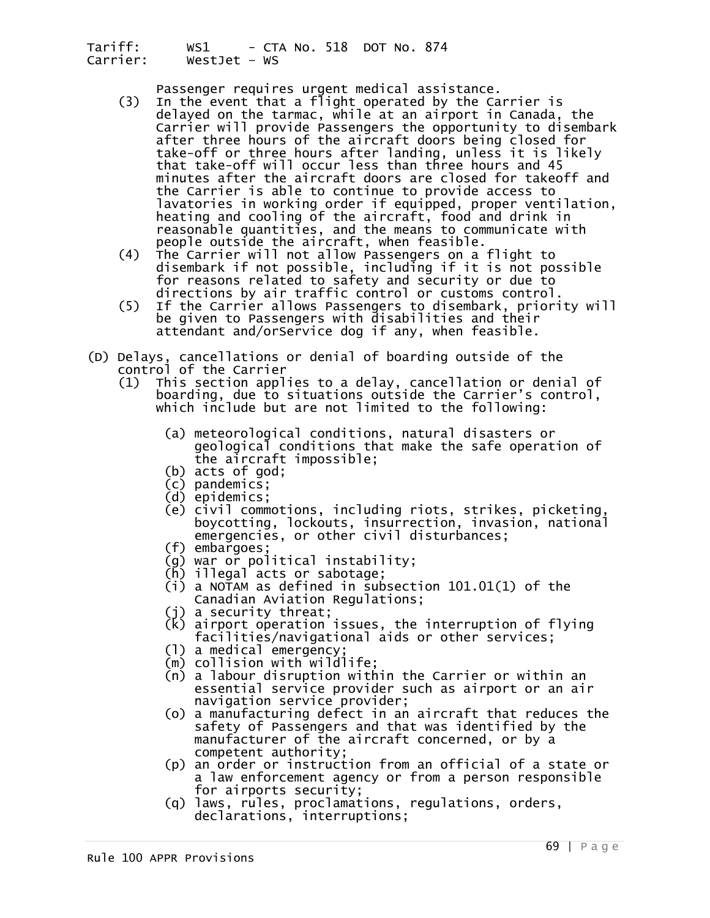- Passenger requires urgent medical assistance. (3) In the event that a flight operated by the Carrier is delayed on the tarmac, while at an airport in Canada, the Carrier will provide Passengers the opportunity to disembark<br>after three hours of the aircraft doors being closed for take-off or three hours after landing, unless it is likely<br>that take-off will occur less than three hours and 45<br>minutes after the aircraft doors are closed for takeoff and the Carrier is able to continue to provide access to<br>lavatories in working order if equipped, proper ventilation,<br>heating and cooling of the aircraft, food and drink in<br>reasonable quantities, and the means to communicate w
	- (4) The Carrier will not allow Passengers on a flight to<br>disembark if not possible, including if it is not possible<br>for reasons related to safety and security or due to<br>directions by air traffic control or customs control.
	- If the Carrier allows Passengers to disembark, priority will<br>be given to Passengers with disabilities and their attendant and/orService dog if any, when feasible.
- (D) Delays, cancellations or denial of boarding outside of the control of the Carrier (1) This section applies to a delay, cancellation or denial of
	- boarding, due to situations outside the Carrier's control, which include but are not limited to the following:
		- (a) meteorological conditions, natural disasters or geological conditions that make the safe operation of the aircraft impossible;<br>(b) acts of god;
		-
		-
		-
		- (c) pandemics;<br>(d) epidemics;<br>(e) civil commotions, including riots, strikes, picketing, boycotting, lockouts, insurrection, invasion, national<br>emergencies, or other civil disturbances;<br>(f) embargoes;
		-
		- (g) war or political instability;<br>(h) illegal acts or sabotage;
		-
		- (i) a NOTAM as defined in subsection 101.01(1) of the Canadian Aviation Regulations;
		- (j) a security threat;
		- $\overline{K}$ ) airport operation issues, the interruption of flying facilities/navigational aids or other services;
		- (l) a medical emergency;<br>(m) collision with wildlife;
		-
		- (n) a labour disruption within the Carrier or within an<br>essential service provider such as airport or an air
		- navigation service provider;<br>(o) a manufacturing defect in an aircraft that reduces the<br>safety of Passengers and that was identified by the
		- manufacturer of the aircraft concerned, or by a<br>competent authority;<br>(p) an order or instruction from an official of a state or<br>a law enforcement agency or from a person responsible<br>for airports security;<br>(q) laws, rules,
		-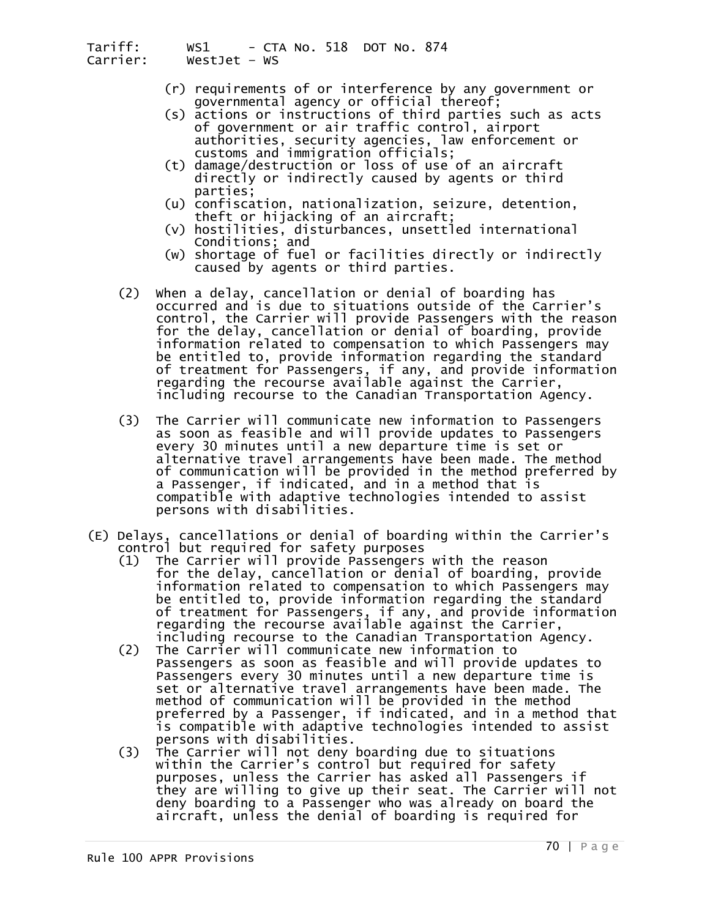- (r) requirements of or interference by any government or<br>governmental agency or official thereof;<br>(s) actions or instructions of third parties such as acts
- of government or air traffic control, airport<br>authorities, security agencies, law enforcement or
- customs and immigration officials;<br>t) damage/destruction or loss of use of an aircraft)<br>directly or indirectly caused by agents or third
	- parties; (u) confiscation, nationalization, seizure, detention, theft or hijacking of an aircraft; (v) hostilities, disturbances, unsettled international
	-
	- Conditions; and (w) shortage of fuel or facilities directly or indirectly caused by agents or third parties.
- (2) When a delay, cancellation or denial of boarding has occurred and is due to situations outside of the Carrier's control, the Carrier will provide Passengers with the reason<br>for the delay, cancellation or denial of boarding, provide information related to compensation to which Passengers may<br>be entitled to, provide information regarding the standard<br>of treatment for Passengers, if any, and provide information<br>regarding the recourse available against t including recourse to the Canadian Transportation Agency.
- (3) The Carrier will communicate new information to Passengers as soon as feasible and will provide updates to Passengers every 30 minutes until a new departure time is set or alternative travel arrangements have been made. The method of communication will be provided in the method preferred by<br>a Passenger, if indicated, and in a method that is<br>compatible with adaptive technologies intended to assist persons with disabilities.
- (E) Delays, cancellations or denial of boarding within the Carrier's
	- (1) The Carrier will provide Passengers with the reason<br>for the delay, cancellation or denial of boarding, provide information related to compensation to which Passengers may<br>be entitled to, provide information regarding the standard of treatment for Passengers, if any, and provide information regarding the recourse available against the Carrier,<br>including recourse to the Canadian Transportation Agency.<br>(2) The Carrier will communicate new information to
- The Carrier will communicate new information to Passengers as soon as feasible and will provide updates to<br>Passengers every 30 minutes until a new departure time is<br>set or alternative travel arrangements have been made. The set or alternative travel arrangements have been made. The<br>method of communication will be provided in the method<br>preferred by a Passenger, if indicated, and in a method that
- is compatible with adaptive technologies intended to assist<br>persons with disabilities.<br>(3) The Carrier will not deny boarding due to situations<br>within the Carrier's control but required for safety<br>purposes, unless the Carr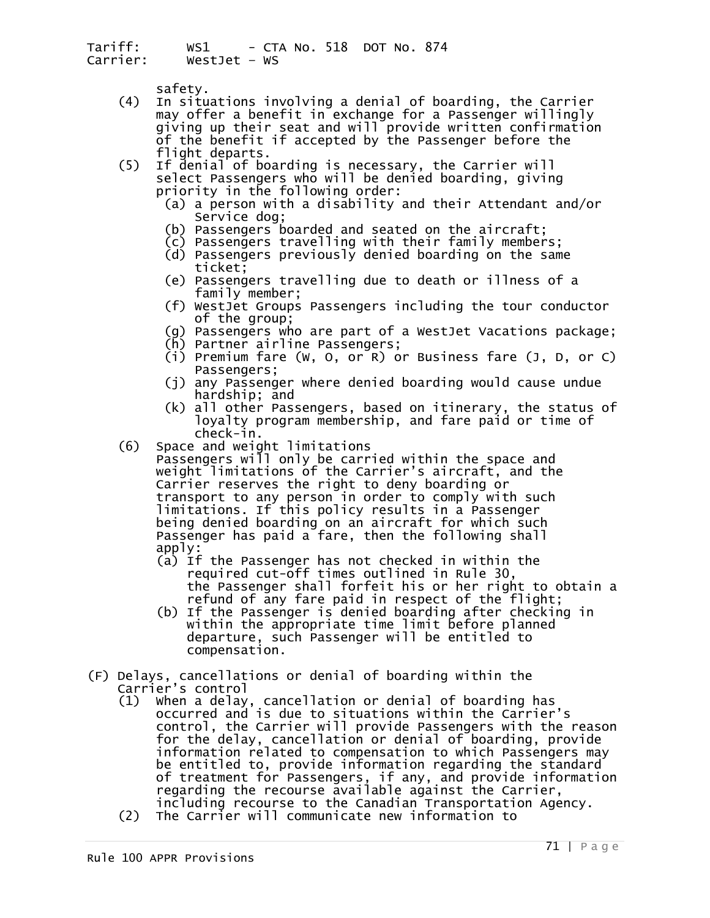- safety. (4) In situations involving a denial of boarding, the Carrier may offer a benefit in exchange for a Passenger willingly giving up their seat and will provide written confirmation<br>of the benefit if accepted by the Passenger before the<br>flight departs.
- (5) If denial of boarding is necessary, the Carrier will<br>select Passengers who will be denied boarding, giving<br>priority in the following order:
	- (a) a person with a disability and their Attendant and/or<br>Service dog;<br>(b) Passengers boarded and seated on the aircraft;<br>(c) Passengers travelling with their family members;
	-
	-
	-
	- (d) Passengers previously denied boarding on the same<br>ticket;<br>(e) Passengers travelling due to death or illness of a<br>family member;
	- (f) WestJet Groups Passengers including the tour conductor
	- (g) Passengers who are part of a WestJet Vacations package;<br>(h) Partner airline Passengers;
	-
	- (i) Premium fare (W, O, or R) or Business fare (J, D, or C)<br>Passengers;<br>(j) any Passenger where denied boarding would cause undue
	- hardship; and (k) all other Passengers, based on itinerary, the status of
	- loyalty program membership, and fare paid or time of
- $(6)$  Space and weight limitations

Passengers will only be carried within the space and<br>weight limitations of the Carrier's aircraft, and the weight limitations of the Carrier's aircraft, and the<br>Carrier reserves the right to deny boarding or<br>transport to any person in order to comply with such limitations. If this policy results in a Passenger<br>being denied boarding on an aircraft for which such<br>Passenger has paid a fare, then the following shall

- apply:<br>(a) If the Passenger has not checked in within the<br>required cut-off times outlined in Rule 30, the Passenger shall forfeit his or her right to obtain a refund of any fare paid in respect of the flight;
- (b) If the Passenger is denied boarding after checking in within the appropriate time limit before planned departure, such Passenger will be entitled to compensation.
- (F) Delays, cancellations or denial of boarding within the
	- (1) When a delay, cancellation or denial of boarding has<br>occurred and is due to situations within the Carrier's<br>control, the Carrier will provide Passengers with the reason For the delay, cancellation or denial of boarding, provide<br>information related to compensation to which Passengers may<br>be entitled to, provide information regarding the standard<br>of treatment for Passengers, if any, and pro
	-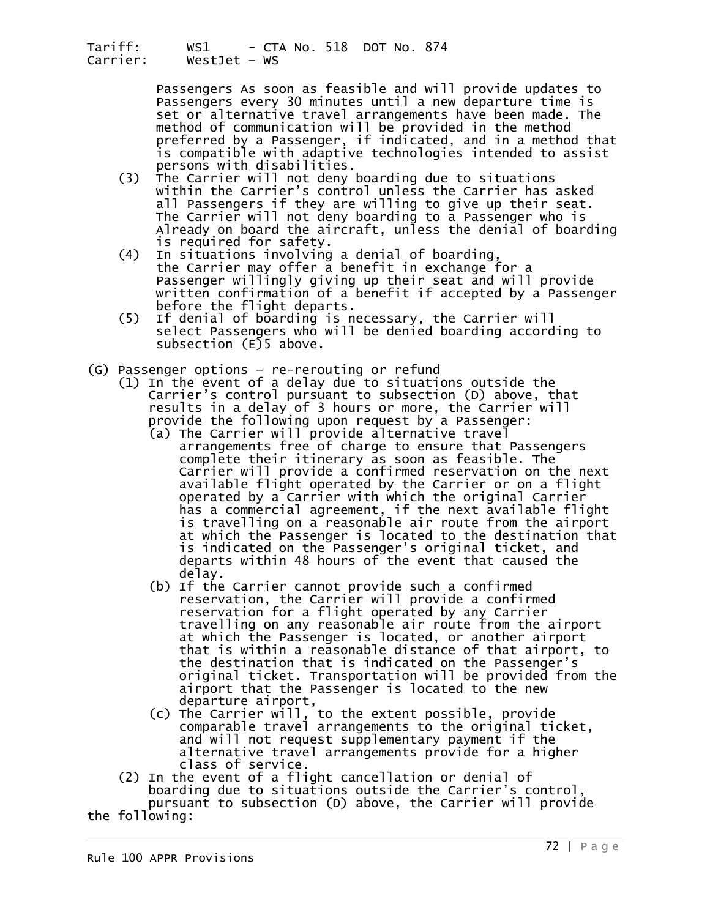Passengers As soon as feasible and will provide updates to<br>Passengers every 30 minutes until a new departure time is<br>set or alternative travel arrangements have been made. The method of communication will be provided in the method<br>preferred by a Passenger, if indicated, and in a method that is compatible with adaptive technologies intended to assist<br>persons with disabilities.<br>(3) The Carrier will not deny boarding due to situations

- within the Carrier's control unless the Carrier has asked<br>all Passengers if they are willing to give up their seat.<br>The Carrier will not deny boarding to a Passenger who is<br>Already on board the aircraft, unless the denial
- (4) In situations involving a denial of boarding,<br>the Carrier may offer a benefit in exchange for a<br>Passenger willingly giving up their seat and will provide<br>written confirmation of a benefit if accepted by a Passenger
- before the flight departs.<br>(5) If denial of boarding is necessary, the Carrier will select Passengers who will be denied boarding according to subsection  $(E)$ 5 above.
- 
- (G) Passenger options re-rerouting or refund<br>(1) In the event of a delay due to situations outside the<br>Carrier's control pursuant to subsection (D) above, that results in a delay of 3 hours or more, the Carrier will provide the following upon request by a Passenger:
- (a) The Carrier will provide alternative travel arrangements free of charge to ensure that Passengers complete their itinerary as soon as feasible. The Carrier will provide a confirmed reservation on the next<br>available flight operated by the Carrier or on a flight<br>operated by a Carrier with which the original Carrier has a commercial agreement, if the next available flight<br>is travelling on a reasonable air route from the airport<br>at which the Passenger is located to the destination that<br>is indicated on the Passenger's original ticket, a departs within 48 hours of the event that caused the delay.
	- (b) If the Carrier cannot provide such a confirmed reservation, the Carrier will provide a confirmed reservation for a flight operated by any Carrier<br>travelling on any reasonable air route from the airport at which the Passenger is located, or another airport that is within a reasonable distance of that airport, to original ticket. Transportation will be provided from the<br>airport that the Passenger is located to the new
	- departure airport,<br>
	(c) The Carrier will, to the extent possible, provide<br>
	comparable travel arrangements to the original ticket, and will not request supplementary payment if the<br>alternative travel arrangements provide for a higher<br>class of service.<br>(2) In the event of a flight cancellation or denial of<br>boarding due to situations outside the Carrier
	- pursuant to subsection (D) above, the Carrier will provide

the following: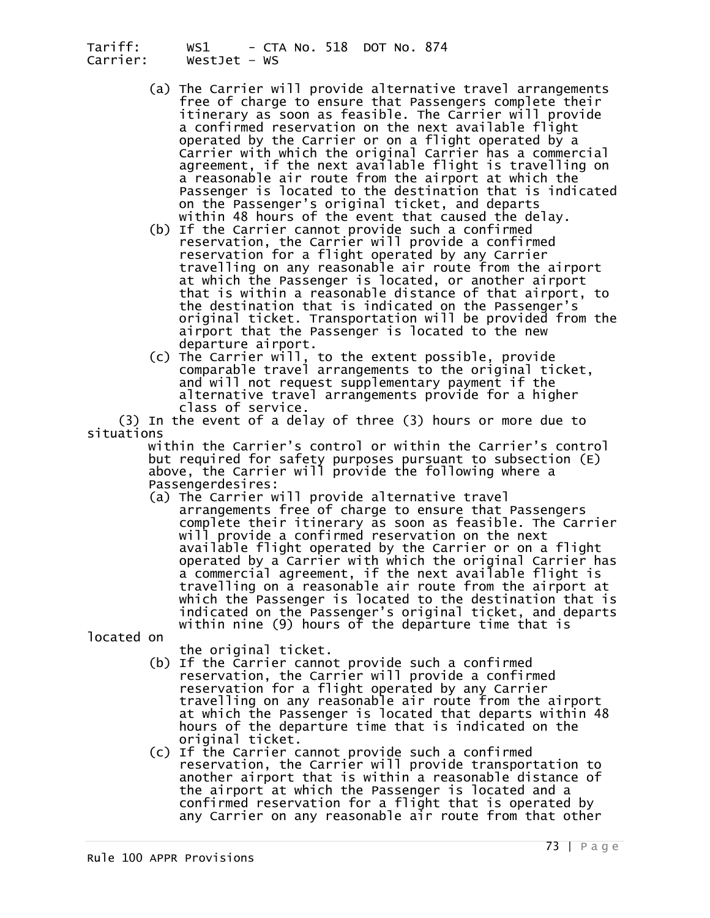- (a) The Carrier will provide alternative travel arrangements<br>free of charge to ensure that Passengers complete their<br>itinerary as soon as feasible. The Carrier will provide a confirmed reservation on the next available flight<br>operated by the Carrier or on a flight operated by a<br>Carrier with which the original Carrier has a commercial agreement, if the next available flight is travelling on<br>a reasonable air route from the airport at which the<br>Passenger is located to the destination that is indicated on the Passenger's original ticket, and departs<br>within 48 hours of the event that caused the delay.<br>(b) If the Carrier cannot provide such a confirmed<br>reservation, the Carrier will provide a confirmed
- reservation for a flight operated by any Carrier<br>travelling on any reasonable air route from the airport<br>at which the Passenger is located, or another airport<br>that is within a reasonable distance of that airport, to the destination that is indicated on the Passenger's original ticket. Transportation will be provided from the<br>airport that the Passenger is located to the new<br>departure airport.
- (c) The Carrier will, to the extent possible, provide<br>comparable travel arrangements to the original ticket,<br>and will not request supplementary payment if the alternative travel arrangements provide for a higher class of service.

 (3) In the event of a delay of three (3) hours or more due to situations

 within the Carrier's control or within the Carrier's control but required for safety purposes pursuant to subsection (E) above, the Carrier will provide the following where a<br>Passengerdesires:<br>(a) The Carrier will provide alternative travel

arrangements free of charge to ensure that Passengers<br>complete their itinerary as soon as feasible. The Carrier<br>will provide a confirmed reservation on the next<br>available flight operated by the Carrier or on a flight operated by a Carrier with which the original Carrier has<br>a commercial agreement, if the next available flight is travelling on a reasonable air route from the airport at which the Passenger is located to the destination that is indicated on the Passenger's original ticket, and departs within nine (9) hours of the departure time that is

located on

- 
- the original ticket.<br>(b) If the Carrier cannot provide such a confirmed reservation, the Carrier will provide a confirmed<br>reservation for a flight operated by any Carrier travelling on any reasonable air route from the airport<br>at which the Passenger is located that departs within 48<br>hours of the departure time that is indicated on the
- original ticket.<br>
(c) If the Carrier cannot provide such a confirmed<br>
reservation, the Carrier will provide transportation to<br>
another airport that is within a reasonable distance of<br>
the airport at which the Passenger is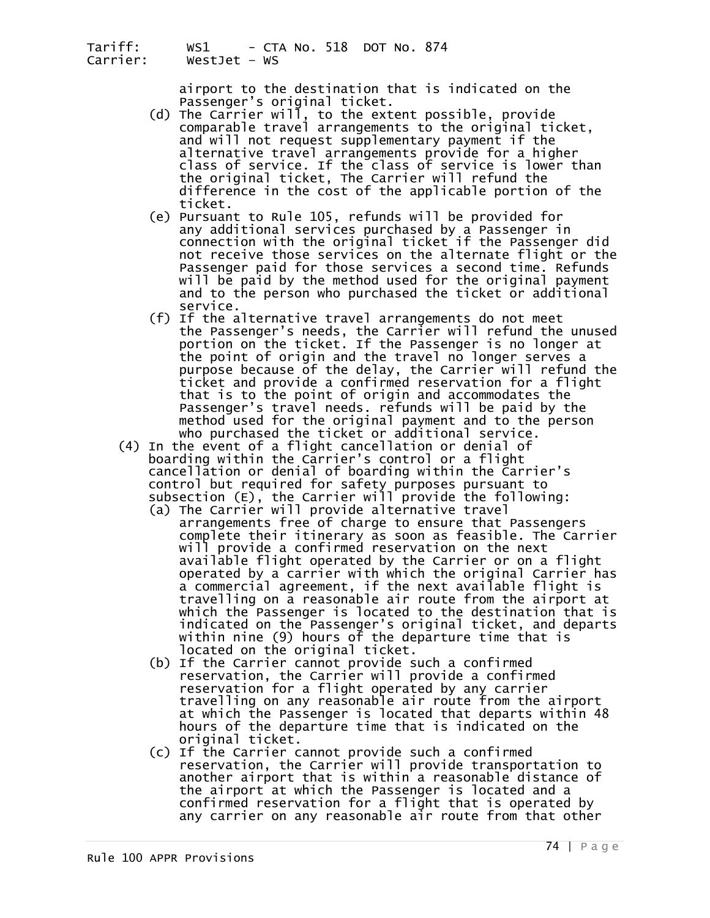airport to the destination that is indicated on the<br>Passenger's original ticket.<br>(d) The Carrier will, to the extent possible, provide

- comparable travel arrangements to the original ticket,<br>and will not request supplementary payment if the alternative travel arrangements provide for a higher<br>class of service. If the class of service is lower than<br>the original ticket, The Carrier will refund the<br>difference in the cost of the applicable portion of the
	- ticket.<br>(e) Pursuant to Rule 105, refunds will be provided for<br>any additional services purchased by a Passenger in<br>connection with the original ticket if the Passenger did not receive those services on the alternate flight or the<br>Passenger paid for those services a second time. Refunds<br>will be paid by the method used for the original payment<br>and to the person who purchased the ticket or addi
- service.<br>(f) If the alternative travel arrangements do not meet the Passenger's needs, the Carrier will refund the unused<br>portion on the ticket. If the Passenger is no longer at the point of origin and the travel no longer serves a<br>purpose because of the delay, the Carrier will refund the<br>ticket and provide a confirmed reservation for a flight<br>that is to the point of origin and accommodates the Passenger's travel needs. refunds will be paid by the method used for the original payment and to the person
- who purchased the ticket or additional service. (4) In the event of a flight cancellation or denial of boarding within the Carrier's control or a flight cancellation or denial of boarding within the Carrier's<br>control but required for safety purposes pursuant to<br>subsection (E), the Carrier will provide the following:
- (a) The Carrier will provide alternative travel<br>arrangements free of charge to ensure that Passengers<br>complete their itinerary as soon as feasible. The Carrier will provide a confirmed reservation on the next<br>available flight operated by the Carrier or on a flight<br>operated by a carrier with which the original Carrier has operated by a carrier with which the original Carrier has<br>a commercial agreement, if the next available flight is<br>travelling on a reasonable air route from the airport at which the Passenger is located to the destination that is indicated on the Passenger's original ticket, and departs within nine (9) hours of the departure time that is
	- located on the original ticket.<br>(b) If the Carrier cannot provide such a confirmed reservation, the Carrier will provide a confirmed<br>reservation for a flight operated by any carrier travelling on any reasonable air route from the airport<br>at which the Passenger is located that departs within 48<br>hours of the departure time that is indicated on the original ticket.<br>(c) If the Carrier cannot provide such a confirmed
	- reservation, the Carrier will provide transportation to another airport that is within a reasonable distance of the airport at which the Passenger is located and a confirmed reservation for a flight that is operated by<br>any carrier on any reasonable air route from that other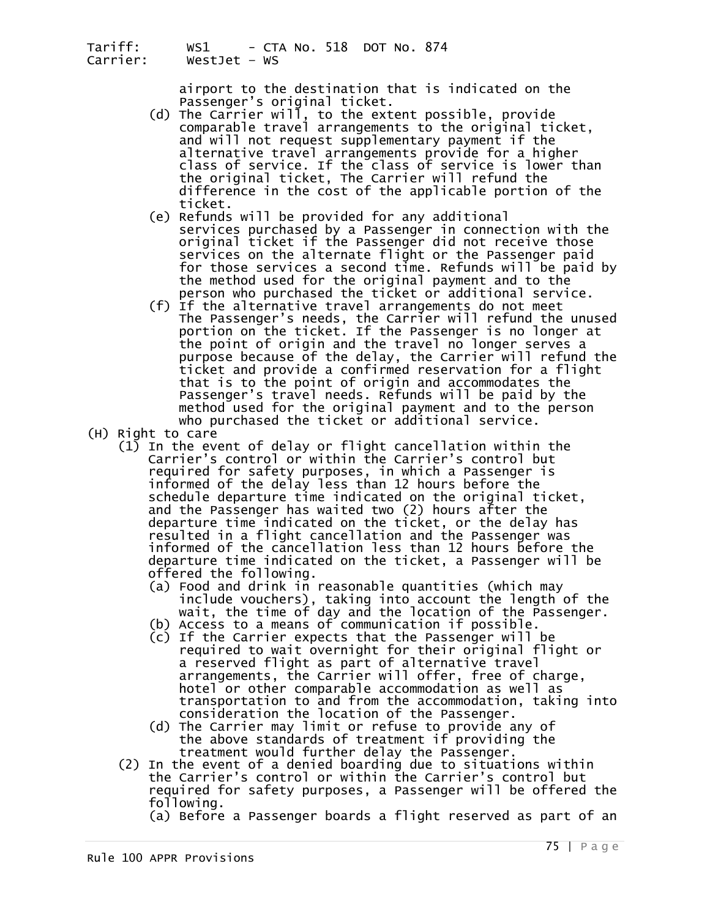airport to the destination that is indicated on the<br>Passenger's original ticket.<br>(d) The Carrier will, to the extent possible, provide

- comparable travel arrangements to the original ticket,<br>and will not request supplementary payment if the alternative travel arrangements provide for a higher<br>class of service. If the class of service is lower than<br>the original ticket, The Carrier will refund the<br>difference in the cost of the applicable portion of the
	- ticket.<br>(e) Refunds will be provided for any additional<br>services purchased by a Passenger in connection with the<br>original ticket if the Passenger did not receive those services on the alternate flight or the Passenger paid<br>for those services a second time. Refunds will be paid by<br>the method used for the original payment and to the<br>person who purchased the ticket or additional service.
- (f) If the alternative travel arrangements do not meet The Passenger's needs, the Carrier will refund the unused portion on the ticket. If the Passenger is no longer at the point of origin and the travel no longer serves a purpose because of the delay, the Carrier will refund the<br>ticket and provide a confirmed reservation for a flight<br>that is to the point of origin and accommodates the Passenger's travel needs. Refunds will be paid by the method used for the original payment and to the person who purchased the ticket or additional service.<br>(H) Right to care
- - $(1)$  In the event of delay or flight cancellation within the Carrier's control or within the Carrier's control but informed of the delay less than 12 hours before the<br>schedule departure time indicated on the original ticket,<br>and the Passenger has waited two (2) hours after the departure time indicated on the ticket, or the delay has<br>resulted in a flight cancellation and the Passenger was informed of the cancellation less than 12 hours before the departure time indicated on the ticket, a Passenger will be
- offered the following.<br>(a) Food and drink in reasonable quantities (which may<br>include vouchers), taking into account the length of the wait, the time of day and the location of the Passenger.
	- (b) Access to a means of communication if possible. (c) If the Carrier expects that the Passenger will be
	- required to wait overnight for their original flight or<br>a reserved flight as part of alternative travel arrangements, the Carrier will offer, free of charge,<br>hotel or other comparable accommodation as well as transportation to and from the accommodation, taking into consideration the location of the Passenger.
	- (d) The Carrier may limit or refuse to provide any of<br>the above standards of treatment if providing the<br>treatment would further delay the Passenger.<br>(2) In the event of a denied boarding due to situations within<br>the Carrie
	- required for safety purposes, a Passenger will be offered the<br>following.

(a) Before a Passenger boards a flight reserved as part of an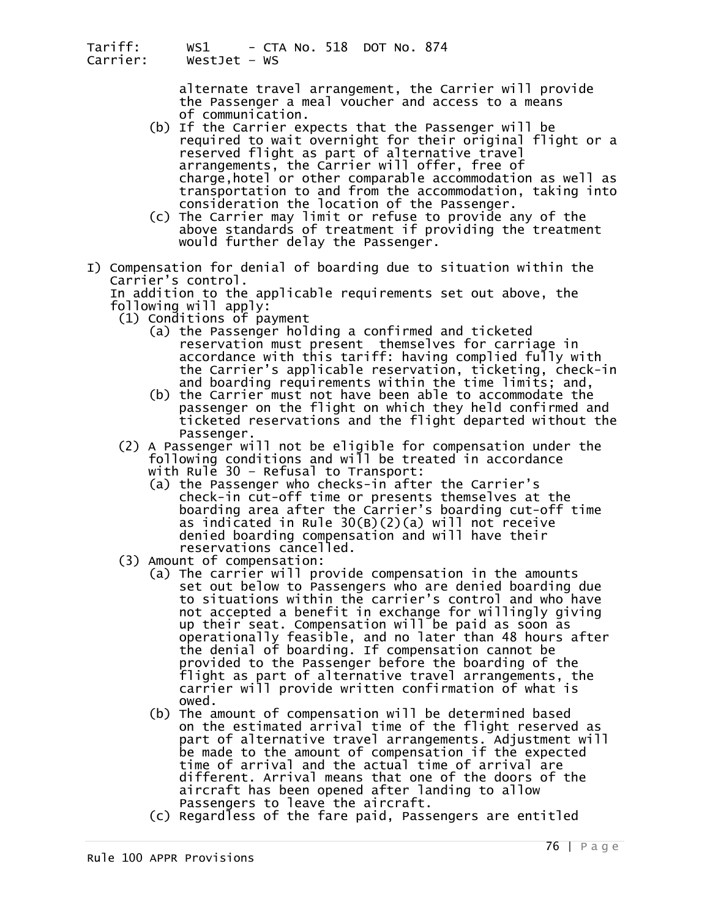alternate travel arrangement, the Carrier will provide the Passenger a meal voucher and access to a means of communication.

- (b) If the Carrier expects that the Passenger will be required to wait overnight for their original flight or a reserved flight as part of alternative travel arrangements, the Carrier will offer, free of<br>charge,hotel or other comparable accommodation as well as<br>transportation to and from the accommodation, taking into
- transportation to and from the accommodation of the accommodation.<br>(c) The Carrier may limit or refuse to provide any of the above standards of treatment if providing the treatment would further delay the Passenger.
- I) Compensation for denial of boarding due to situation within the<br>Carrier's control.<br>In addition to the applicable requirements set out above, the

following will apply:

- 
- (1) Conditions of payment<br>(a) the Passenger holding a confirmed and ticketed<br>reservation must present themselves for carriage in accordance with this tariff: having complied fully with<br>the Carrier's applicable reservation, ticketing, check-in<br>and boarding requirements within the time limits; and,<br>(b) the Carrier must not have been able to accommodat
	- passenger on the flight on which they held confirmed and ticketed reservations and the flight departed without the
- Passenger.<br>(2) A Passenger will not be eligible for compensation under the following conditions and will be treated in accordance with Rule 30 - Refusal to Transport:
	- (a) the Passenger who checks-in after the Carrier's check-in cut-off time or presents themselves at the boarding area after the Carrier's boarding cut-off time as indicated in Rule 30(B)(2)(a) will not receive denied boarding compensation and will have their
- 
- (3) Amount of compensation:<br>(a) The carrier will provide compensation in the amounts set out below to Passengers who are denied boarding due<br>to situations within the carrier's control and who have not accepted a benefit in exchange for willingly giving up their seat. Compensation will be paid as soon as operationally feasible, and no later than 48 hours after the denial of boarding. If compensation cannot be provided to the Passenger before the boarding of the flight as part of alternative travel arrangements, the<br>carrier will provide written confirmation of what is
	- owed.<br>(b) The amount of compensation will be determined based<br>on the estimated arrival time of the flight reserved as part of alternative travel arrangements. Adjustment will be made to the amount of compensation if the expected time of arrival and the actual time of arrival are different. Arrival means that one of the doors of the aircraft has been opened after landing to allow Passengers to leave the aircraft.
	- (c) Regardless of the fare paid, Passengers are entitled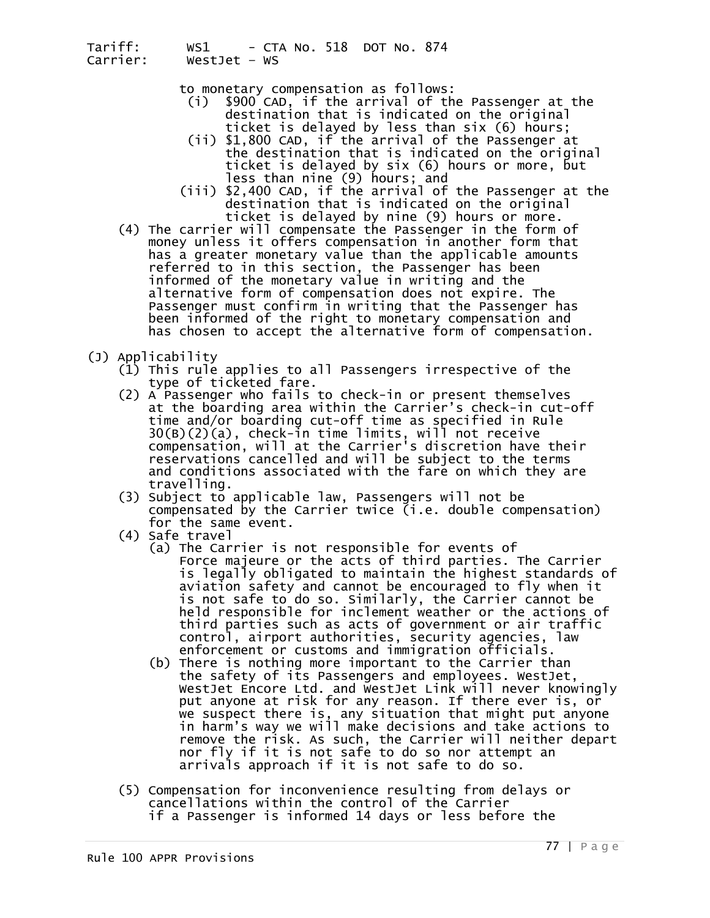- to monetary compensation as follows: (i) \$900 CAD, if the arrival of the Passenger at the destination that is indicated on the original
- ticket is delayed by less than six (6) hours;<br>(ii) \$1,800 CAD, if the arrival of the Passenger at<br>the destination that is indicated on the original ticket is delayed by six (6) hours or more, but<br>less than nine (9) hours; and<br>(iii) \$2,400 CAD, if the arrival of the Passenger at the
- 
- destination that is indicated on the original<br>ticket is delayed by nine (9) hours or more.<br>(4) The carrier will compensate the Passenger in the form of<br>money unless it offers compensation in another form that has a greater monetary value than the applicable amounts<br>referred to in this section, the Passenger has been<br>informed of the monetary value in writing and the<br>alternative form of compensation does not expire. The Passenger must confirm in writing that the Passenger has<br>been informed of the right to monetary compensation and has chosen to accept the alternative form of compensation.
- 
- (J) Applicability<br>(1) This rule applies to all Passengers irrespective of the<br>type of ticketed fare.<br>(2) A Passenger who fails to check-in or present themselves
- at the boarding area within the Carrier's check-in cut-off time and/or boarding cut-off time as specified in Rule 30(B)(2)(a), check-in time limits, will not receive<br>compensation, will at the Carrier's discretion have their reservations cancelled and will be subject to the terms and conditions associated with the fare on which they are travelling. (3) Subject to applicable law, Passengers will not be
	- compensated by the Carrier twice (i.e. double compensation)<br>for the same event.<br>(4) Safe travel<br>(a) The Carrier is not responsible for events of
	-
- Force majeure or the acts of third parties. The Carrier<br>is legally obligated to maintain the highest standards of is legally obligated to maintain the highest standards of<br>aviation safety and cannot be encouraged to fly when it<br>is not safe to do so. Similarly, the Carrier cannot be held responsible for inclement weather or the actions of third parties such as acts of government or air traffic control, airport authorities, security agencies, law
- enforcement or customs and immigration officials.<br>(b) There is nothing more important to the Carrier than the safety of its Passengers and employees. WestJet,<br>WestJet Encore Ltd. and WestJet Link will never knowingly put anyone at risk for any reason. If there ever is, or<br>we suspect there is, any situation that might put anyone<br>in harm's way we will make decisions and take actions to remove the risk. As such, the Carrier will neither depart<br>nor fly if it is not safe to do so nor attempt an arrivals approach if it is not safe to do so.
	- (5) Compensation for inconvenience resulting from delays or if a Passenger is informed 14 days or less before the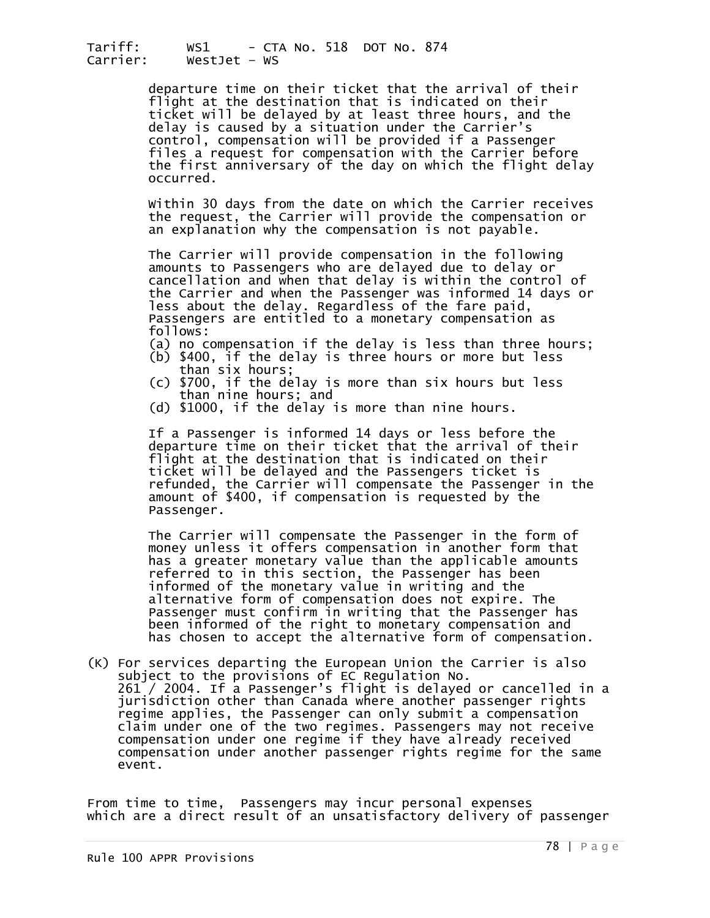departure time on their ticket that the arrival of their<br>flight at the destination that is indicated on their<br>ticket will be delayed by at least three hours, and the delay is caused by a situation under the Carrier's<br>control, compensation will be provided if a Passenger files a request for compensation with the Carrier before<br>the first anniversary of the day on which the flight delay<br>occurred.

Within 30 days from the date on which the Carrier receives the request, the Carrier will provide the compensation or an explanation why the compensation is not payable.

The Carrier will provide compensation in the following<br>amounts to Passengers who are delayed due to delay or<br>cancellation and when that delay is within the control of<br>the Carrier and when the Passenger was informed 14 days less about the delay. Regardless of the fare paid, Passengers are entitled to a monetary compensation as<br>follows:<br>(a) no compensation if the delay is less than three hours;

- 
- (b) \$400, if the delay is three hours or more but less<br>than six hours;<br>(c) \$700, if the delay is more than six hours but less
- than nine hours; and<br>(d) \$1000, if the delay is more than nine hours.
- 

If a Passenger is informed 14 days or less before the<br>departure time on their ticket that the arrival of their flight at the destination that is indicated on their ticket will be delayed and the Passengers ticket is refunded, the Carrier will compensate the Passenger in the amount of \$400, if compensation is requested by the Passenger.

The Carrier will compensate the Passenger in the form of money unless it offers compensation in another form that has a greater monetary value than the applicable amounts<br>referred to in this section, the Passenger has been referred to in this section, the Passenger has been<br>informed of the monetary value in writing and the<br>alternative form of compensation does not expire. The Passenger must confirm in writing that the Passenger has been informed of the right to monetary compensation and has chosen to accept the alternative form of compensation.

(K) For services departing the European Union the Carrier is also subject to the provisions of EC Regulation No. jurisdiction other than Canada where another passenger rights<br>regime applies, the Passenger can only submit a compensation<br>claim under one of the two regimes. Passengers may not receive compensation under one regime if they have already received<br>compensation under another passenger rights regime for the same<br>event.

From time to time, Passengers may incur personal expenses which are a direct result of an unsatisfactory delivery of passenger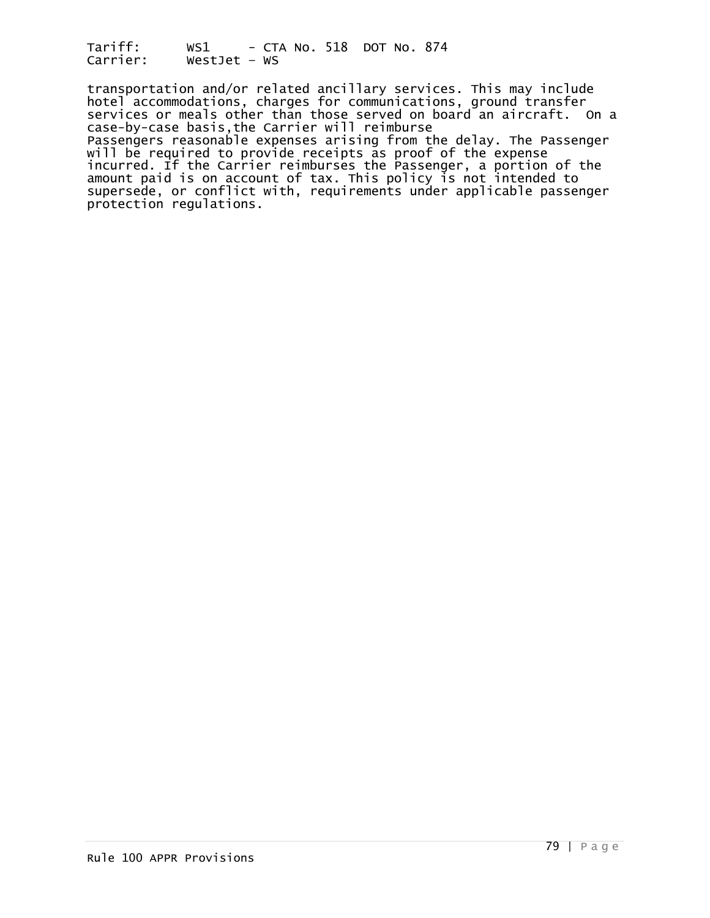transportation and/or related ancillary services. This may include hotel accommodations, charges for communications, ground transfer services or meals other than those served on board an aircraft. On a case-by-case basis,the Carrier will reimburse Passengers reasonable expenses arising from the delay. The Passenger will be required to provide receipts as proof of the expense incurred. If the Carrier reimburses the Passenger, a portion of the amount paid is on account of tax. This policy is not intended to supersede, or conflict with, requirements under applicable passenger protection regulations.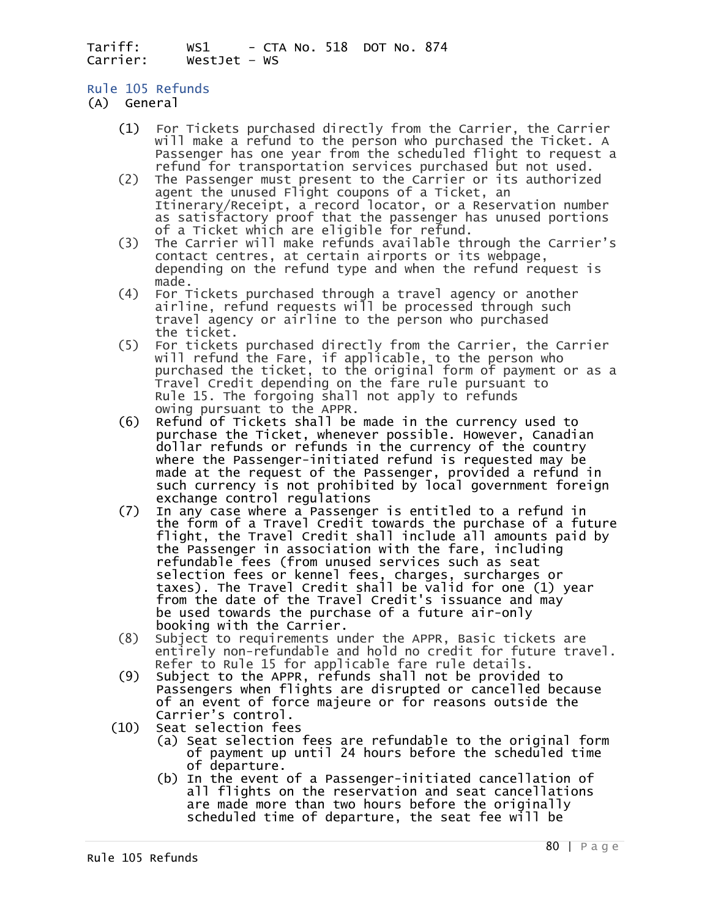# Rule 105 Refunds

- (A) General
	- (1) For Tickets purchased directly from the Carrier, the Carrier Passenger has one year from the scheduled flight to request a refund for transportation services purchased but not used.
	- (2) The Passenger must present to the Carrier or its authorized agent the unused Flight coupons of a Ticket, an Itinerary/Receipt, a record locator, or a Reservation number as satisfactory proof that the passenger has unused portions<br>of a Ticket which are eligible for refund.<br>(3) The Carrier will make refunds available through the Carrier's
	- contact centres, at certain airports or its webpage, depending on the refund type and when the refund request is
	- made.<br>For Tickets purchased through a travel agency or another (4) For Tickets purchased through a travel agency or another airline, refund requests will be processed through such travel agency or airline to the person who purchased
	- the ticket. (5) For tickets purchased directly from the Carrier, the Carrier will refund the Fare, if applicable, to the person who purchased the ticket, to the original form of payment or as a Travel Credit depending on the fare rule pursuant to Rule 15. The forgoing shall not apply to refunds owing pursuant to the APPR.
- $(6)$  Refund of Tickets shall be made in the currency used to purchase the Ticket, whenever possible. However, Canadian dollar refunds or refunds in the currency of the country where the Passenger-initiated refund is requested may be made at the request of the Passenger, provided a refund in such currency is not prohibited by local government foreign<br>exchange control regulations<br>(7) In any case where a Passenger is entitled to a refund in
- the form of a Travel Credit towards the purchase of a future<br>flight, the Travel Credit shall include all amounts paid by the Passenger in association with the fare, including refundable fees (from unused services such as seat<br>selection fees or kennel fees, charges, surcharges or taxes). The Travel Credit shall be valid for one (1) year<br>from the date of the Travel Credit's issuance and may<br>be used towards the purchase of a future air-only booking with the Carrier.
	- (8) Subject to requirements under the APPR, Basic tickets are<br>entirely non-refundable and hold no credit for future travel.<br>Refer to Rule 15 for applicable fare rule details.<br>(9) Subject to the APPR, refunds shall not be p
	- of an event of force majeure or for reasons outside the Carrier's control.
	- (10) Seat selection fees
- (a) Seat selection fees are refundable to the original form of payment up until 24 hours before the scheduled time<br>of departure.
	- (b) In the event of a Passenger-initiated cancellation of all flights on the reservation and seat cancellations<br>are made more than two hours before the originally scheduled time of departure, the seat fee will be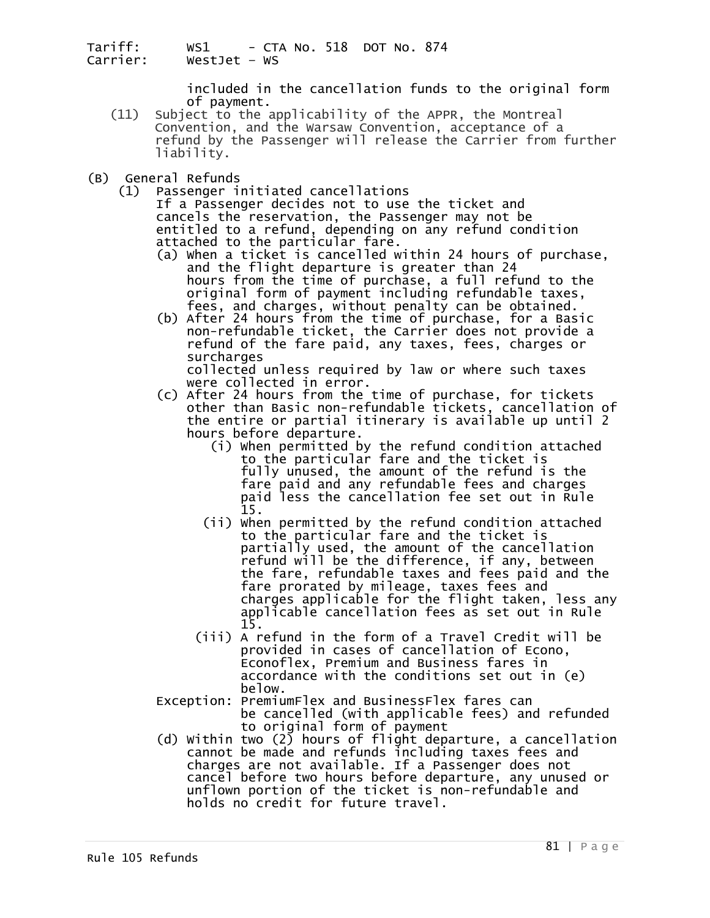included in the cancellation funds to the original form<br>of payment.<br>(11) Subject to the applicability of the APPR, the Montreal

- Subject to the applicability of the APPR, the Montreal Convention, and the Warsaw Convention, acceptance of a refund by the Passenger will release the Carrier from further liability.
- (B) General Refunds<br>(1) Passenger i
	- Passenger initiated cancellations<br>If a Passenger decides not to use the ticket and cancels the reservation, the Passenger may not be<br>entitled to a refund, depending on any refund condition<br>attached to the particular fare.
		- (a) When a ticket is cancelled within 24 hours of purchase, and the flight departure is greater than 24 hours from the time of purchase, a full refund to the original form of payment including refundable taxes,<br>fees, and charges, without penalty can be obtained.
		- (b) After 24 hours from the time of purchase, for a Basic<br>non-refundable ticket, the Carrier does not provide a<br>refund of the fare paid, any taxes, fees, charges or<br>surcharges

collected unless required by law or where such taxes were collected in error.

- (c) After 24 hours from the time of purchase, for tickets other than Basic non-refundable tickets, cancellation of the entire or partial itinerary is available up until 2<br>hours before departure. hours before departure. (i) When permitted by the refund condition attached
- to the particular fare and the ticket is fully unused, the amount of the refund is the fare paid and any refundable fees and charges paid less the cancellation fee set out in Rule 15. (ii) When permitted by the refund condition attached
- to the particular fare and the ticket is partially used, the amount of the cancellation refund will be the difference, if any, between the fare, refundable taxes and fees paid and the fare prorated by mileage, taxes fees and charges applicable for the flight taken, less any applicable cancellation fees as set out in Rule
	- 15. (iii) A refund in the form of a Travel Credit will be provided in cases of cancellation of Econo, Econoflex, Premium and Business fares in accordance with the conditions set out in (e)<br>below.
	- Exception: PremiumFlex and BusinessFlex fares can<br>be cancelled (with applicable fees) and refunded to original form of payment
- (d) Within two (2) hours of flight departure, a cancellation cannot be made and refunds including taxes fees and charges are not available. If a Passenger does not cancel before two hours before departure, any unused or unflown portion of the ticket is non-refundable and holds no credit for future travel.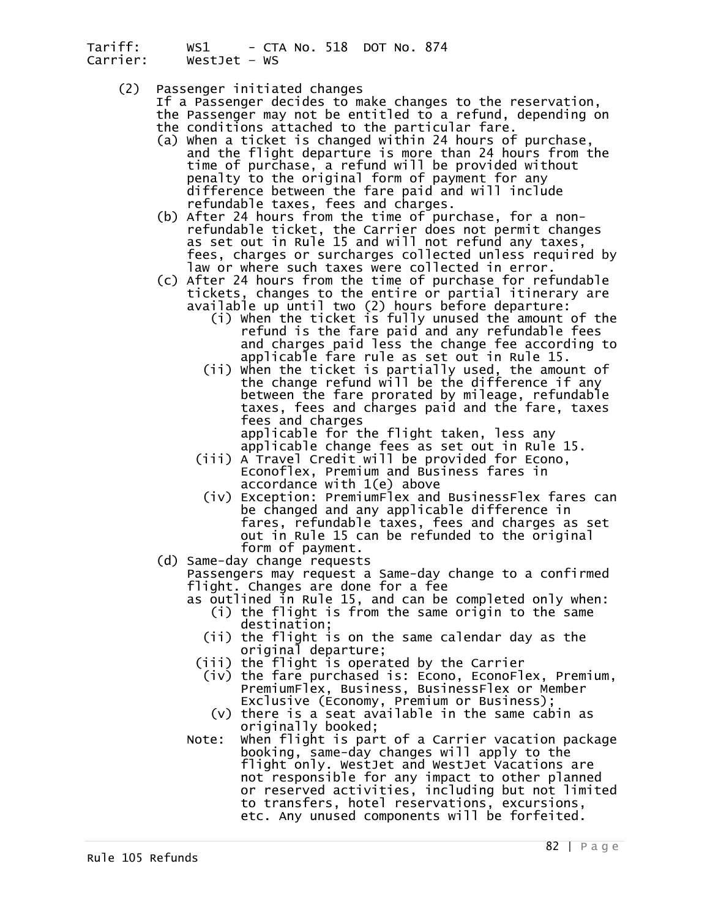- 
- (2) Passenger initiated changes<br>If a Passenger decides to make changes to the reservation,<br>the Passenger may not be entitled to a refund, depending on
	- the conditions attached to the particular fare.<br>(a) When a ticket is changed within 24 hours of purchase,<br>and the flight departure is more than 24 hours from the time of purchase, a refund will be provided without<br>penalty to the original form of payment for any<br>difference between the fare paid and will include
- refundable taxes, fees and charges.<br>(b) After 24 hours from the time of purchase, for a non-<br>refundable ticket, the Carrier does not permit changes<br>as set out in Rule 15 and will not refund any taxes, as set out in Rule 15 and will not refund any taxes,<br>fees, charges or surcharges collected unless required by<br>law or where such taxes were collected in error.<br>(c) After 24 hours from the time of purchase for refundable<br>tic
- available up until two (2) hours before departure:
- (i) When the ticket is fully unused the amount of the refund is the fare paid and any refundable fees
	- and charges paid less the change fee according to<br>applicable fare rule as set out in Rule 15.<br>(ii) When the ticket is partially used, the amount of<br>the change refund will be the difference if any<br>between the fare prorated taxes, fees and charges paid and the fare, taxes fees and charges

applicable for the flight taken, less any<br>applicable change fees as set out in Rule 15.

- (iii) A Travel Credit will be provided for Econo, Econoflex, Premium and Business fares in<br>accordance with 1(e) above
	- (iv) Exception: PremiumFlex and BusinessFlex fares can be changed and any applicable difference in<br>fares, refundable taxes, fees and charges as set out in Rule 15 can be refunded to the original<br>form of payment.
	-

(d) Same-day change requests<br>Passengers may request a Same-day change to a confirmed Flight. Changes are done for a fee<br>as outlined in Rule 15, and can be completed only when:

- (i) the flight is from the same origin to the same
	-
- $(i)$  the flight is on the same calendar day as the original departure;<br>iii) the flight is operated by the Carrier)
- 
- (iv) the fare purchased is: Econo, EconoFlex, Premium,<br>PremiumFlex, Business, BusinessFlex or Member PremiumFlex, Business, BusinessFlex or Member<br>Exclusive (Economy, Premium or Business);
	- (v) there is a seat available in the same cabin as
	- originally booked; Note: When flight is part of a Carrier vacation package booking, same-day changes will apply to the flight only. WestJet and WestJet Vacations are not responsible for any impact to other planned or reserved activities, including but not limited to transfers, hotel reservations, excursions, etc. Any unused components will be forfeited.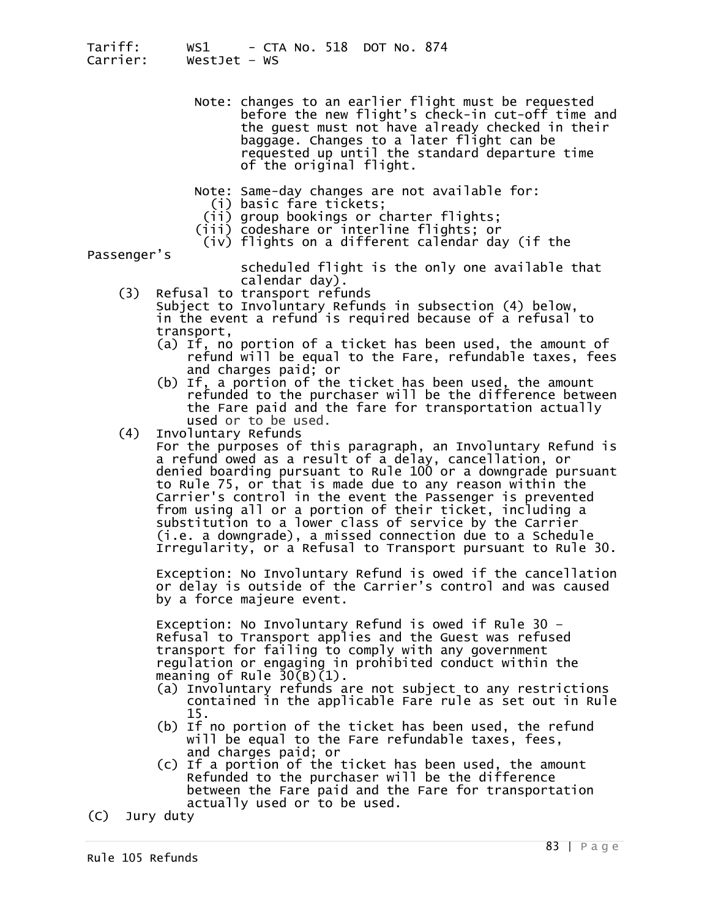- Note: changes to an earlier flight must be requested before the new flight's check-in cut-off time and the guest must not have already checked in their baggage. Changes to a later flight can be requested up until the standard departure time of the original flight.
	- Note: Same-day changes are not available for: (i) basic fare tickets; (ii) group bookings or charter flights; (iii) codeshare or interline flights; or
	-
	-
	- (iv) flights on a different calendar day (if the

Passenger's

scheduled flight is the only one available that<br>calendar day).

- (3) Refusal to transport refunds Subject to Involuntary Refunds in subsection (4) below, in the event a refund is required because of a refusal to<br>transport,<br>(a) If, no portion of a ticket has been used, the amount of
	- refund will be equal to the Fare, refundable taxes, fees<br>and charges paid; or<br>(b) If, a portion of the ticket has been used, the amount<br>refunded to the purchaser will be the difference between
	- the Fare paid and the fare for transportation actually
- used or to be used.<br>(4) Involuntary Refunds

(4) Involuntary Refunds<br>For the purposes of this paragraph, an Involuntary Refund is a refund owed as a result of a delay, cancellation, or denied boarding pursuant to Rule 100 or a downgrade pursuant<br>to Rule 75, or that is made due to any reason within the from using all or a portion of their ticket, including a substitution to a lower class of service by the Carrier (i.e. a downgrade), a missed connection due to a Schedule Irregularity, or a Refusal to Transport pursuant to Rule 30.

Exception: No Involuntary Refund is owed if the cancellation<br>or delay is outside of the Carrier's control and was caused<br>by a force majeure event.

Exception: No Involuntary Refund is owed if Rule 30 -<br>Refusal to Transport applies and the Guest was refused transport for failing to comply with any government regulation or engaging in prohibited conduct within the meaning of Rule 30(B)(1).

- (a) Involuntary refunds are not subject to any restrictions<br>contained in the applicable Fare rule as set out in Rule<br>15.<br>(b) If no portion of the ticket has been used, the refund
- 
- will be equal to the Fare refundable taxes, fees,<br>and charges paid; or<br>(c) If a portion of the ticket has been used, the amount<br>Refunded to the purchaser will be the difference<br>between the Fare paid and the Fare for transp

(C) Jury duty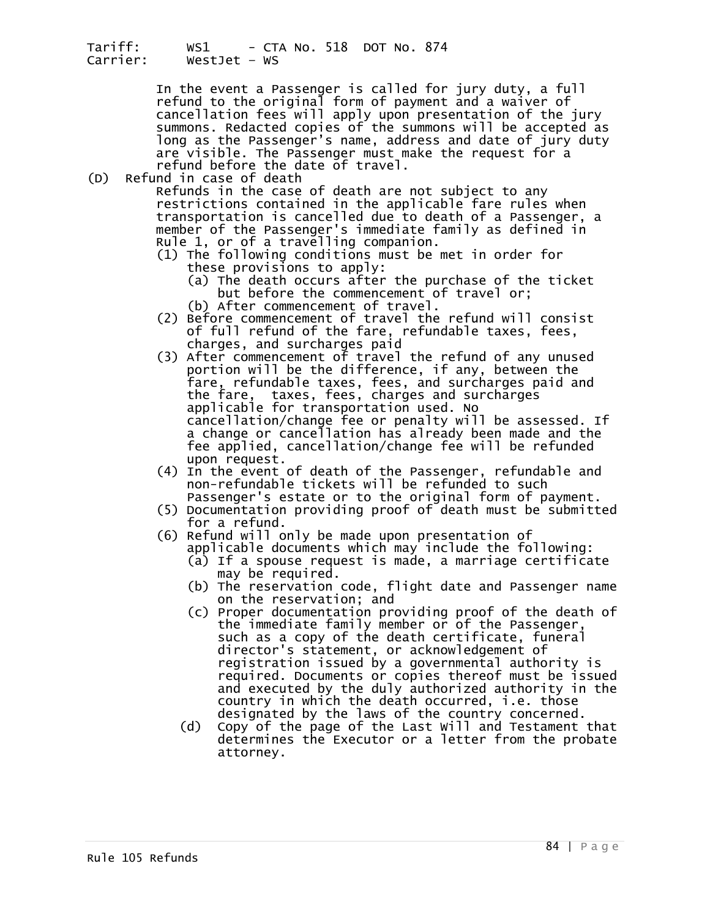In the event a Passenger is called for jury duty, a full refund to the original form of payment and a waiver of cancellation fees will apply upon presentation of the jury summons. Redacted copies of the summons will be accepted as long as the Passenger's name, address and date of jury duty are visible. The Passenger must make the request for a<br>refund before the date of travel.<br>(D) Refund in case of death refund before the date of travel.<br>Refund in case of death<br>Refunds in the case of death are not subject to any

restrictions contained in the applicable fare rules when<br>transportation is cancelled due to death of a Passenger, a<br>member of the Passenger's immediate family as defined in<br>Rule 1, or of a travelling companion.

- (1) The following conditions must be met in order for<br>these provisions to apply:<br>(a) The death occurs after the purchase of the ticket<br>but before the commencement of travel or;
- (b) After commencement of travel.
- (2) Before commencement of travel the refund will consist of full refund of the fare, refundable taxes, fees,
- charges, and surcharges paid (3) After commencement of travel the refund of any unused portion will be the difference, if any, between the fare, refundable taxes, fees, and surcharges paid and the fare, taxes, fees, charges and surcharges applicable for transportation used. No cancellation/change fee or penalty will be assessed. If a change or cancellation has already been made and the<br>fee applied, cancellation/change fee will be refunded upon request.
	- (4) In the event of death of the Passenger, refundable and non-refundable tickets will be refunded to such Passenger's estate or to the original form of payment.
	- (5) Documentation providing proof of death must be submitted<br>for a refund.<br>(6) Refund will only be made upon presentation of<br>applicable documents which may include the following:
	- - (a) If a spouse request is made, a marriage certificate may be required.
		- (b) The reservation code, flight date and Passenger name on the reservation; and
- (c) Proper documentation providing proof of the death of the immediate family member or of the Passenger,<br>such as a copy of the death certificate, funeral director's statement, or acknowledgement of registration issued by a governmental authority is required. Documents or copies thereof must be issued and executed by the duly authorized authority in the country in which the death occurred, i.e. those
	- designated by the laws of the country concerned.<br>Copy of the page of the Last Will and Testament that (d) Copy of the page of the Last Will and Testament that determines the Executor or a letter from the probate attorney.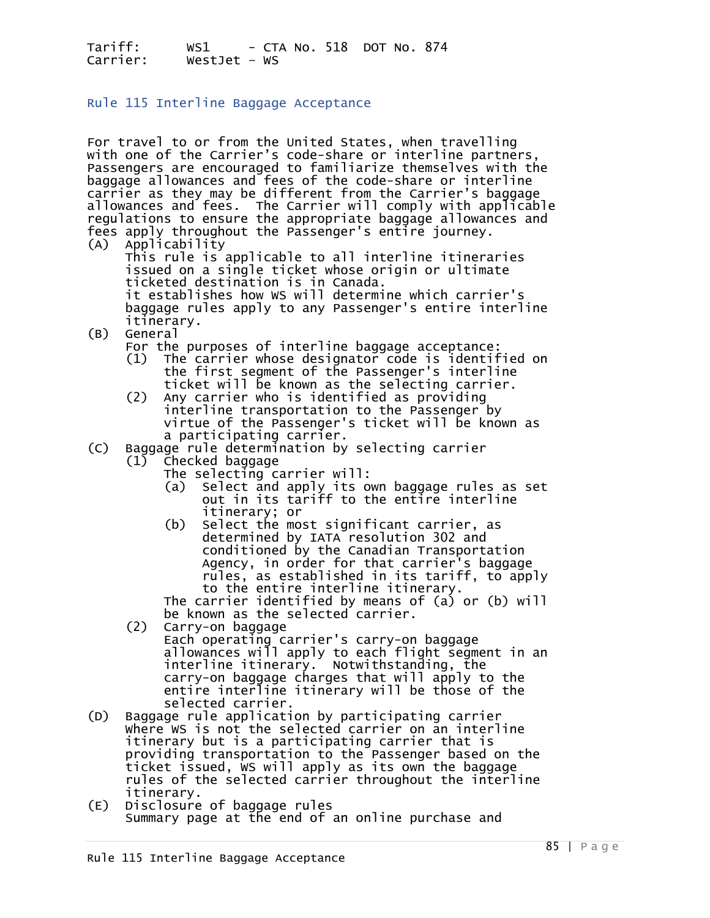## Rule 115 Interline Baggage Acceptance

For travel to or from the United States, when travelling with one of the Carrier's code-share or interline partners. Passengers are encouraged to familiarize themselves with the baggage allowances and fees of the code-share or interline carrier as they may be different from the Carrier's baggage allowances and fees. The Carrier will comply with applicable regulations to ensure the appropriate baggage allowances and fees apply throughout the Passenger's entire journey.<br>(A) Applicability

This rule is applicable to all interline itineraries issued on a single ticket whose origin or ultimate<br>ticketed destination is in Canada.<br>it establishes how WS will determine which carrier's<br>baggage rules apply to any Passenger's entire interline<br>itinerary.<br>(B) General

General<br>For the purposes of interline baggage acceptance:

- $(1)$  The carrier whose designator code is identified on the first segment of the Passenger's interline
- ticket will be known as the selecting carrier.<br>(2) Any carrier who is identified as providing<br>interline transportation to the Passenger by<br>virtue of the Passenger's ticket will be known as<br>a participating carrier.

# (C) Baggage rule determination by selecting carrier

- 
- (1) Checked baggage The selecting carrier will: (a) Select and apply its own baggage rules as set out in its tariff to the entire interline<br>itinerary; or
- itinerary; or<br>(b) Select the most significant carrier, as determined by IATA resolution 302 and conditioned by the Canadian Transportation<br>Agency, in order for that carrier's baggage rules, as established in its tariff, to apply to the entire interline itinerary.

The carrier identified by means of (a) or (b) will<br>be known as the selected carrier.<br>(2) Carry-on baggage

- 
- Each operating carrier's carry-on baggage<br>allowances will apply to each flight segment in an allowances will apply to each flight segment in an<br>interline itinerary. Notwithstanding, the carry-on baggage charges that will apply to the entire interline itinerary will be those of the<br>selected carrier.
- (D) Baggage rule application by participating carrier where wS is not the selected carrier on an interline<br>itinerary but is a participating carrier that is<br>providing transportation to the Passenger based on the ticket issued, WS will apply as its own the baggage<br>rules of the selected carrier throughout the interline<br>itinerary.<br>Disclosure of baggage rules
- (E) Disclosure of baggage rules Summary page at the end of an online purchase and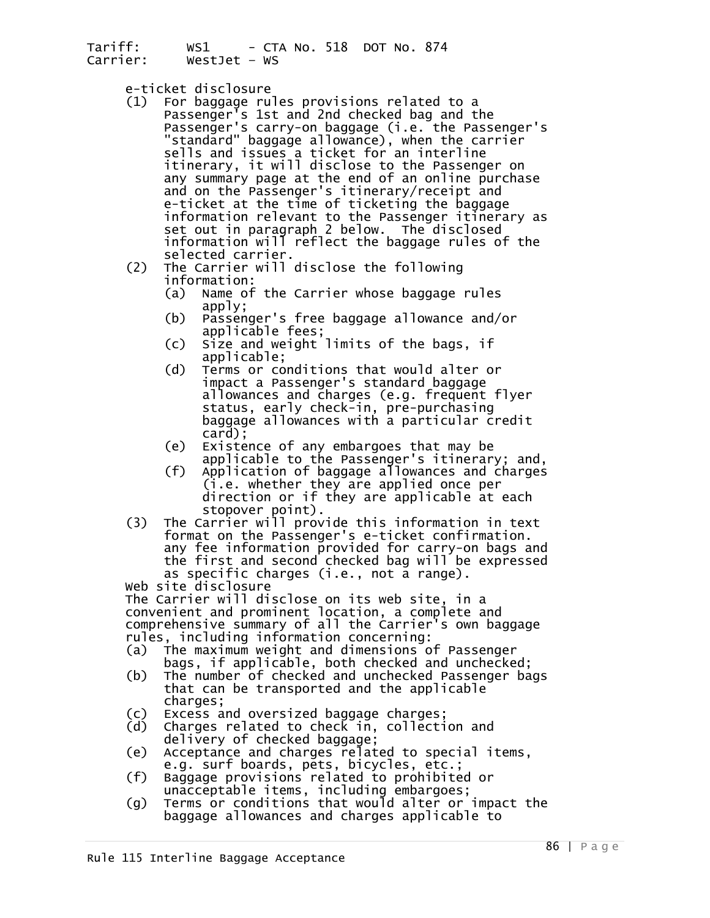- e-ticket disclosure<br>(1) For baggage rules provisions related to a<br>Passenger's 1st and 2nd checked bag and the Passenger's carry-on baggage (i.e. the Passenger's<br>"standard" baggage allowance), when the carrier sells and issues a ticket for an interline<br>itinerary, it will disclose to the Passenger on<br>any summary page at the end of an online purchase and on the Passenger's itinerary/receipt and<br>e-ticket at the time of ticketing the baggage<br>information relevant to the Passenger itinerary as<br>set out in paragraph 2 below. The disclosed<br>information will reflect the baggage
	- selected carrier.<br>
	(2) The Carrier will disclose the following<br>
	information:<br>
	(a) Name of the Carrier whose baggage rules
		- apply;<br>b) Passen)
		- Passenger's free baggage allowance and/or<br>applicable fees;
		-
- (c) Size and weight limits of the bags, if<br>applicable;<br>(d) Terms or conditions that would alter or<br>impact a Passenger's standard baggage<br>allowances and charges (e.g. frequent flyer allowances and charges (e.g. frequent flyer<br>status, early check-in, pre-purchasing baggage allowances with a particular credit
	- card); (e) Existence of any embargoes that may be
	- applicable to the Passenger's itinerary; and,<br>(f) Application of baggage allowances and charges (i.e. whether they are applied once per<br>direction or if they are applicable at each<br>stopover point).
	- (3) The Carrier will provide this information in text<br>format on the Passenger's e-ticket confirmation.<br>any fee information provided for carry-on bags and the first and second checked bag will be expressed<br>as specific charges (i.e., not a range).

web site disclosure<br>The Carrier will disclose on its web site, in a convenient and prominent location, a complete and comprehensive summary of all the Carrier's own baggage<br>rules, including information concerning:

- (a) The maximum weight and dimensions of Passenger<br>bags, if applicable, both checked and unchecked;
- (b) The number of checked and unchecked Passenger bags that can be transported and the applicable<br>charges;<br>(c) Excess and oversized baggage charges;<br>(d) Charges related to check in, collection and
- 
- 
- delivery of checked baggage;<br>
(e) Acceptance and charges related to special items,<br>
e.g. surf boards, pets, bicycles, etc.;<br>
(f) Baggage provisions related to prohibited or<br>
unacceptable items, including embargoes;<br>
(g) Te
- 
-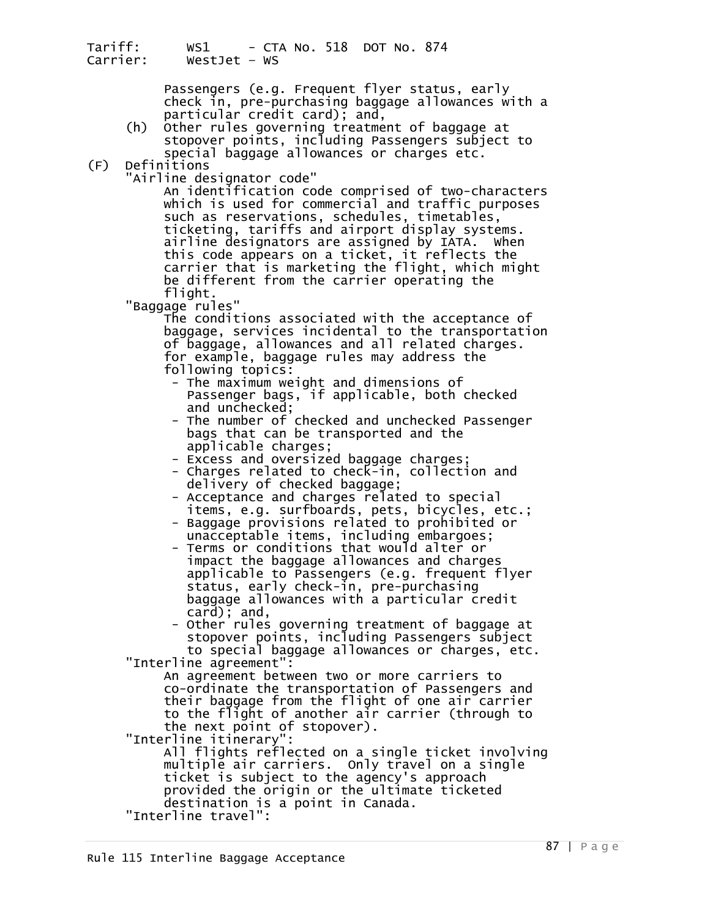Passengers (e.g. Frequent flyer status, early check in, pre-purchasing baggage allowances with a particular credit card); and,

- (h) Other rules governing treatment of baggage at stopover points, including Passengers subject to special baggage allowances or charges etc.<br>(F) Definitions
- -

'Airline designator code"<br>An identification code comprised of two-characters which is used for commercial and traffic purposes<br>such as reservations, schedules, timetables,<br>ticketing, tariffs and airport display systems.<br>airline designators are assigned by IATA. When this code appears on a ticket, it reflects the<br>carrier that is marketing the flight, which might<br>be different from the carrier operating the<br>flight.

"Baggage rules"<br>The conditions associated with the acceptance of baggage, services incidental to the transportation of baggage, allowances and all related charges.<br>for example, baggage rules may address the<br>following topics:<br>- The maximum weight and dimensions of

- Passenger bags, if applicable, both checked<br>and unchecked;
- The number of checked and unchecked Passenger bags that can be transported and the<br>applicable charges;
- Excess and oversized baggage charges;
	- Charges related to check-in, collection and delivery of checked baggage; Acceptance and charges related to special
	-
	- items, e.g. surfboards, pets, bicycles, etc.;<br>- Baggage provisions related to prohibited or<br>unacceptable items, including embargoes;<br>- Terms or conditions that would alter or
	- impact the baggage allowances and charges<br>applicable to Passengers (e.g. frequent flyer status, early check-in, pre-purchasing<br>baggage allowances with a particular credit card); and,
	- Other rules governing treatment of baggage at stopover points, including Passengers subject to special baggage allowances or charges, etc.<br>"Interline agreement":

An agreement between two or more carriers to<br>co-ordinate the transportation of Passengers and their baggage from the flight of one air carrier<br>to the flight of another air carrier (through to

the next point of stopover).<br>"Interline itinerary":<br>All flights reflected on a single ticket involving<br>multiple air carriers. Only travel on a single<br>ticket is subject to the agency's approach<br>provided the origin or the ul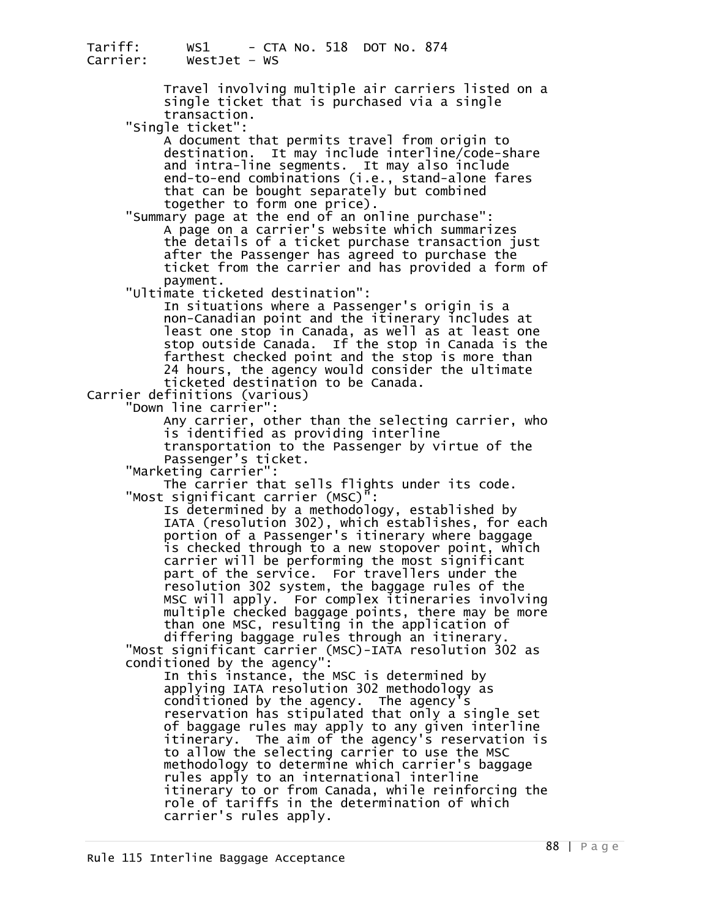Tariff: WS1 - CTA No. 518 DOT No. 874 WestJet – WS Travel involving multiple air carriers listed on a<br>single ticket that is purchased via a single<br>"Single ticket": "Single ticket":<br>"A document that permits travel from origin to<br>destination. It may include interline/code-share and intra-line segments. It may also include<br>end-to-end combinations (i.e., stand-alone fares<br>that can be bought separately but combined together to form one price).<br>"Summary page at the end of an online purchase":<br>A page on a carrier's website which summarizes<br>the details of a ticket purchase transaction just after the Passenger has agreed to purchase the<br>ticket from the carrier and has provided a form of<br>"Ultimate ticketed destination": In situations where a Passenger's origin is a least one stop in Canada, as well as at least one<br>stop outside Canada. If the stop in Canada is the farthest checked point and the stop is more than<br>24 hours, the agency would consider the ultimate<br>ticketed destination to be Canada. Carrier definitions (various) "Down line carrier": Any carrier, other than the selecting carrier, who is identified as providing interline<br>transportation to the Passenger by virtue of the Passenger's ticket.<br>"Marketing carrier": The carrier that sells flights under its code.<br>"Most significant carrier (MSC)": Is determined by a methodology, established by<br>IATA (resolution 302), which establishes, for each<br>portion of a Passenger's itinerary where baggage<br>is checked through to a new stopover point, which carrier will be performing the most significant part of the service. For travellers under the<br>resolution 302 system, the baggage rules of the<br>MSC will apply. For complex itineraries involving multiple checked baggage points, there may be more than one MSC, resulting in the application of differing baggage rules through an itinerary. "Most significant carrier (MSC)-IATA resolution 302 as conditioned by the agency": In this instance, the MSC is determined by applying IATA resolution 302 methodology as conditioned by the agency. The agency's reservation has stipulated that only a single set of baggage rules may apply to any given interline<br>itinerary. The aim of the agency's reservation is<br>to allow the selecting carrier to use the MSC<br>methodology to determine which carrier's baggage<br>rules apply to an internati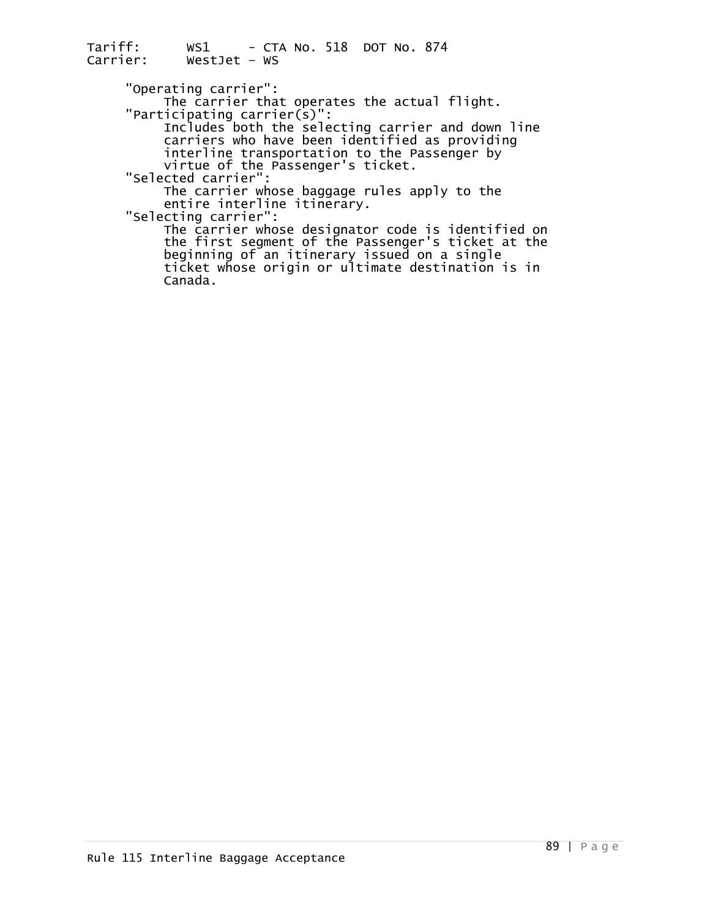"Operating carrier":<br>The carrier that operates the actual flight.<br>"Participating carrier(s)":

 Includes both the selecting carrier and down line carriers who have been identified as providing interline transportation to the Passenger by<br>virtue of the Passenger's ticket.<br>"Selected carrier":<br>The carrier whose baggage rules apply to the

entire interline itinerary.<br>"Selecting carrier":<br>The carrier whose designator code is identified on

the first segment of the Passenger's ticket at the beginning of an itinerary issued on a single ticket whose origin or ultimate destination is in Canada.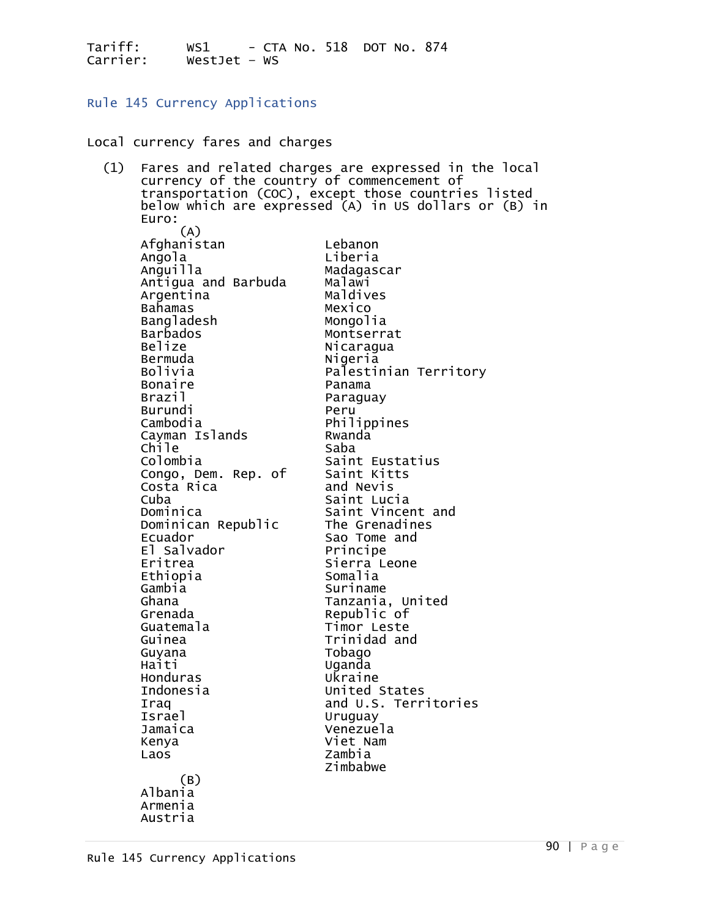Rule 145 Currency Applications

Local currency fares and charges

| (1) | Fares and related charges are expressed in the local<br>currency of the country of commencement of<br>transportation (COC), except those countries listed |                                                       |
|-----|-----------------------------------------------------------------------------------------------------------------------------------------------------------|-------------------------------------------------------|
|     | Euro:                                                                                                                                                     | below which are expressed (A) in US dollars or (B) in |
|     | (A)<br>Afghanistan<br>Angola                                                                                                                              | Lebanon<br>Liberia                                    |
|     | Anguilla<br>Antigua and Barbuda                                                                                                                           | Madagascar<br>Malawi                                  |
|     | Argentina                                                                                                                                                 | Maldives                                              |
|     | Bahamas                                                                                                                                                   | Mexico                                                |
|     | Bangladesh<br><b>Barbados</b>                                                                                                                             | Mongolia<br>Montserrat                                |
|     | Belize                                                                                                                                                    | Nicaragua                                             |
|     | Bermuda                                                                                                                                                   | Nigeria                                               |
|     | Bolivia<br><b>Bonaire</b>                                                                                                                                 | Palestinian Territory<br>Panama                       |
|     | Brazil                                                                                                                                                    | Paraguay                                              |
|     | <b>Burundi</b>                                                                                                                                            | Peru                                                  |
|     | Cambodia<br>Cayman Islands                                                                                                                                | Philippines<br>Rwanda                                 |
|     | Chile                                                                                                                                                     | Saba                                                  |
|     | Colombia                                                                                                                                                  | Saint Eustatius                                       |
|     | Congo, Dem. Rep. of<br>Costa Rica                                                                                                                         | Saint Kitts<br>and Nevis                              |
|     | Cuba                                                                                                                                                      | Saint Lucia                                           |
|     | Dominica                                                                                                                                                  | Saint Vincent and                                     |
|     | Dominican Republic<br>Ecuador                                                                                                                             | The Grenadines<br>Sao Tome and                        |
|     | El Salvador                                                                                                                                               | Principe                                              |
|     | Eritrea                                                                                                                                                   | Sierra Leone<br>Somalia                               |
|     | Ethiopia<br>Gambia                                                                                                                                        | Suriname                                              |
|     | Ghana                                                                                                                                                     | Tanzania, United                                      |
|     | Grenada<br>Guatemala                                                                                                                                      | Republic of<br>Timor Leste                            |
|     | Guinea                                                                                                                                                    | Trinidad and                                          |
|     | Guyana                                                                                                                                                    | Tobago                                                |
|     | Haiti<br>Honduras                                                                                                                                         | Uganda<br>Ukraine                                     |
|     | Indonesia                                                                                                                                                 | United States                                         |
|     | Iraq                                                                                                                                                      | and U.S. Territories                                  |
|     | <b>Israel</b><br>Jamaica                                                                                                                                  | Uruguay<br>Venezuela                                  |
|     | Kenya                                                                                                                                                     | Viet Nam                                              |
|     | Laos                                                                                                                                                      | Zambia<br>Zimbabwe                                    |
|     | (B)<br>Albania                                                                                                                                            |                                                       |
|     | Armenia                                                                                                                                                   |                                                       |
|     | Austria                                                                                                                                                   |                                                       |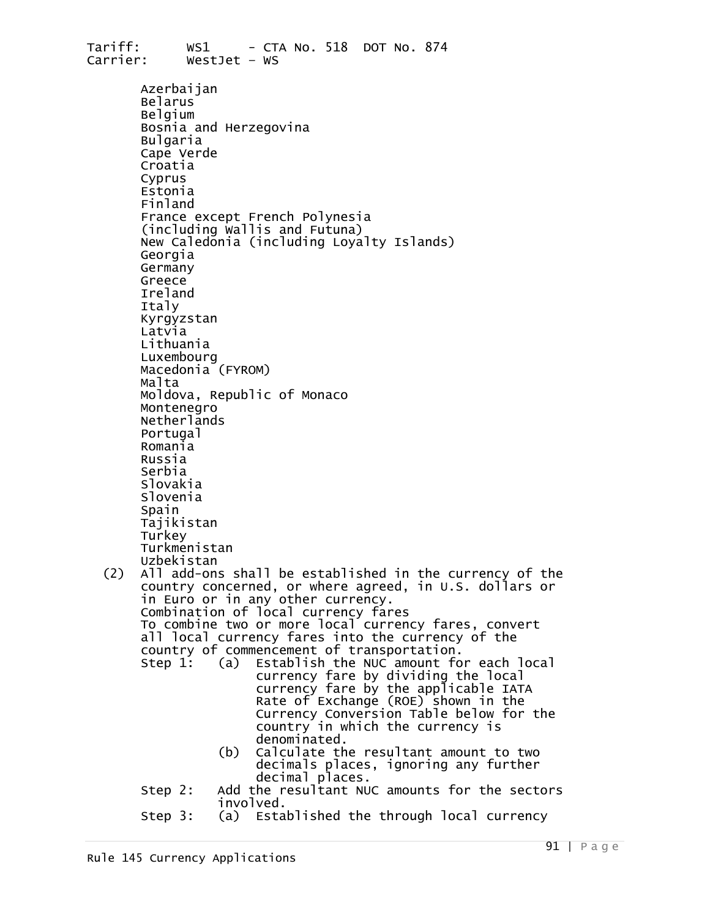Tariff: WS1 - CTA No. 518 DOT No. 874 WestJet – WS Azerbaijan<br>Belarus<br>Belgium Bosnia and Herzegovina Bulgaria Cape Verde<br>Croatia<br>Cyprus<br>Estonia Finland<br>France except French Polynesia<br>(including Wallis and Futuna) New Caledonia (including Loyalty Islands)<br>Georgia<br>Germany<br>Greece<br>Ireland Italy Kyrgyzstan<br>Latvia<br>Lithuania Luxembourg<br>Macedonia (FYROM)<br>Malta Moldova, Republic of Monaco Montenegro Netherlands Portugal Romania Russia<br>Serbia Slovakia<br>Slovenia Spain<br>Tajikistan<br>Turkey Turkmenistan<br>Uzbekistan<br>(2) All add-ons shall be established in the currency of the country concerned, or where agreed, in U.S. dollars or in Euro or in any other currency. Combination of local currency fares all local currency fares into the currency of the country of commencement of transportation.<br>Step 1: (a) Establish the NUC amount for each local a) Establish the NUC amount for each local<br>currency fare by dividing the local<br>currency fare by the applicable IATA currency fare by the applicable IATA<br>Rate of Exchange (ROE) shown in the Currency Conversion Table below for the country in which the currency is<br>denominated. (b) Calculate the resultant amount to two decimals places, ignoring any further decimal places.<br>Step 2: Add the resultant NUC amounts for the sectors<br>step 3: (a) Established the through local currency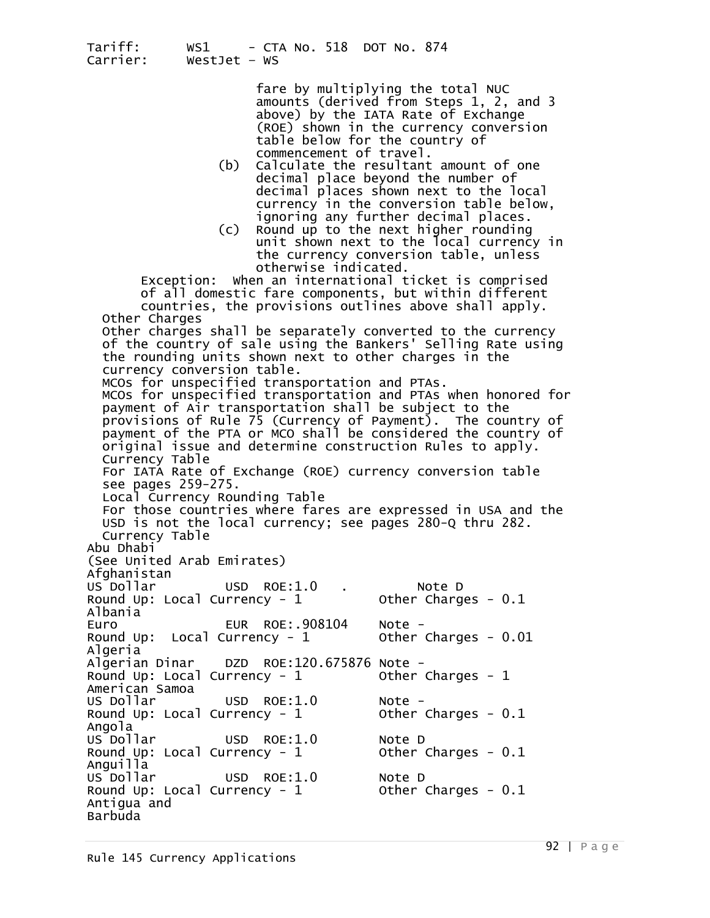> fare by multiplying the total NUC amounts (derived from Steps 1, 2, and 3 above) by the IATA Rate of Exchange (ROE) shown in the currency conversion table below for the country of

- commencement of travel.<br>(b) Calculate the resultant amount of one<br>decimal place beyond the number of decimal places shown next to the local currency in the conversion table below,<br>ignoring any further decimal places.
	- $(c)$  Round up to the next higher rounding unit shown next to the local currency in the currency conversion table, unless<br>otherwise indicated.

Exception: When an international ticket is comprised<br>of all domestic fare components, but within different

countries, the provisions outlines above shall apply.<br>Other Charges Other charges shall be separately converted to the currency of the country of sale using the Bankers' Selling Rate using the rounding units shown next to other charges in the currency conversion table. MCOs for unspecified transportation and PTAs. MCOs for unspecified transportation and PTAs when honored for<br>payment of Air transportation shall be subject to the provisions of Rule 75 (Currency of Payment). The country of payment of the PTA or MCO shall be considered the country of<br>original issue and determine construction Rules to apply. Currency Table For IATÁ Rate of Exchange (ROE) currency conversion table<br>see pages 259-275.<br>Local Currency Rounding Table<br>For those countries where fares are expressed in USA and the USD is not the local currency; see pages 280-Q thru 282.<br>Currency Table Abu Dhabi (See United Arab Emirates) Afghanistan US Dollar USD ROE:1.0 . Note D Round Up: Local Currency -  $1$ Albania<br>Euro Euro EUR ROE:.908104 Note - Round Up: Local Currency - 1 Other Charges - 0.01 Algeria Algerian Dinar DZD ROE:120.675876 Note - Round Up: Local Currency - 1 Other Charges - <sup>1</sup> American Samoa US Dollar USD ROE:1.0 Note - Round Up: Local Currency - 1 Other Charges - 0.1 Angola<br>US Dollar USD ROE: $1.0$  Note D<br>Intency -  $1$  Other Charges -  $0.1$ Round Up: Local Currency -  $1$ Anguilla<br>US Dollar USD ROE:1.0 Note D<br>|rrency - 1 Other Charges - 0.1 Round Up: Local Currency -  $1$ Antigua and Barbuda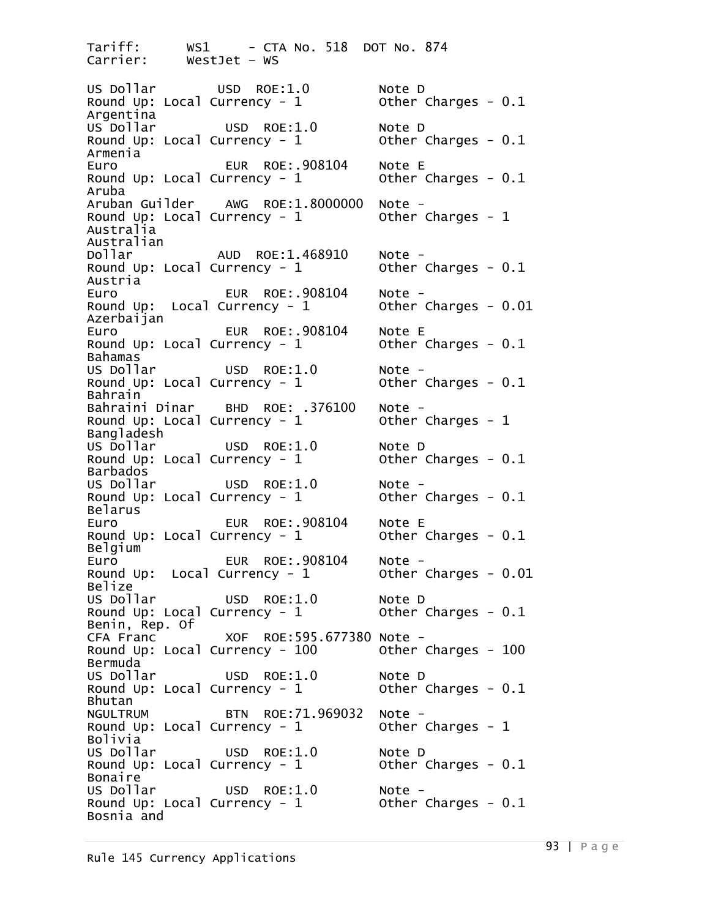Tariff: WS1 - CTA No. 518 DOT No. 874<br>Carrier: WestJet - WS WestJet – WS US Dollar USD ROE:1.0 Note D Round Up: Local Currency -  $1$ Argentina USD ROE: $1.0$  Note D<br>Prency -  $1$  Other Charges -  $0.1$ Round Up: Local Currency -  $1$ Armenia EUR ROE:.908104 Note E<br>rrency - 1 0ther Charges - 0.1 Round Up: Local Currency -  $1$ Aruba<br>Aruban Guilder Aruban Guilder AWG ROE:1.8000000 Note -<br>Round Up: Local Currency - 1 Other Charges - 1 Australia Australian<br>Dollar Dollar AUD ROE:1.468910 Note - Round Up: Local Currency - 1 Other Charges - 0.1 Austria Euro EUR ROE:.908104 Note - Round Up: Local Currency -  $1$ Azerbaijan Euro EUR ROE:.908104 Note E<br>Round Up: Local Currency - 1 0ther Charges - 0.1 Round Up: Local Currency -  $1$ Bahamas<br>US Dollar US Dollar USD ROE:1.0 Note - Round Up: Local Currency - 1 Other Charges - 0.1 Bahrain<br>Bahraini Dinar BHD ROE: .376100 Note -<br>Intency - 1 0ther Charges - 1 Round Up: Local Currency -  $1$ Bangladesh<br>US Dollar USD ROE:1.0 Note D<br>Intency - 1 Other Charges - 0.1 Round Up: Local Currency -  $1$ Barbados<br>US Dollar US Dollar USD ROE:1.0 Note - Round Up: Local Currency - 1 Other Charges - 0.1 Belarus Euro EUR ROE:.908104 Note E Round Up: Local Currency -  $1$ Belgium Euro EUR ROE:.908104 Note - Round Up: Local Currency -  $1$ Belize<br>US Dollar USD ROE:1.0 Note D<br>Intency - 1 Other Charges - 0.1 Round Up: Local Currency -  $1$ Benin, Rep. Of<br>CFA Franc XOF ROE:595.677380 Note -<br>Intency - 100 0ther Charges - 100 Round Up: Local Currency -  $100$ Bermuda US Dollar USD ROE:1.0 Note D Round Up: Local Currency -  $1$ Bhutan NGULTRUM BTN ROE:71.969032 Note -<br>Round Up: Local Currency - 1 0ther Charges - 1 Round Up: Local Currency -  $1$ Bolivia US Dollar USD ROE:1.0 Note D<br>Round Up: Local Currency - 1 Other Charges - 0.1 Round Up: Local Currency -  $1$ Bonaire<br>US Dollar US Dollar USD ROE:1.0 Note - Round Up: Local Currency - 1 Other Charges - 0.1 Bosnia and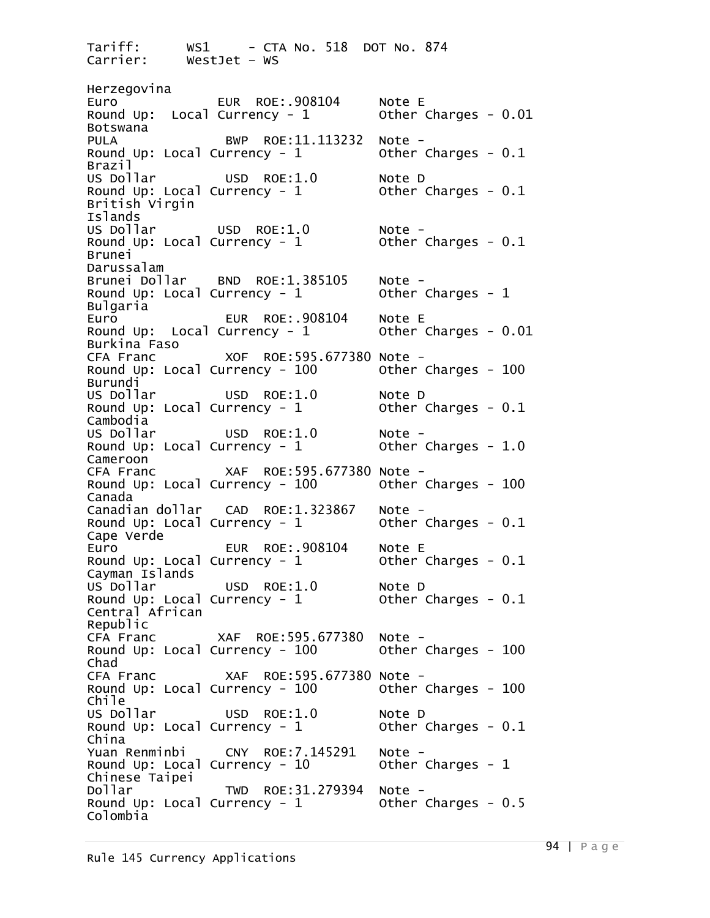Tariff: WS1 - CTA No. 518 DOT No. 874<br>Carrier: WestJet - WS WestJet – WS Herzegovina Euro EUR ROE:.908104 Note E<br>Round Up: Local Currency - 1 0ther Charges - 0.01 Round Up: Local Currency -  $1$ Botswana PULA BWP ROE:11.113232 Note -<br>Round Up: Local Currency - 1 0ther Charges - 0.1 Round Up: Local Currency -  $1$ Brazil<br>US Dollar USD ROE:1.0 Note D<br>Intency - 1 Other Charges - 0.1 Round Up: Local Currency -  $1$ British Virgin Islands<br>US Dollar USD ROE:1.0 Note -<br>Currency - 1 Other Charges - 0.1 Round Up: Local Currency -  $1$ Brunei Darussalam<br>Brunei Dollar Brunei Dollar BND ROE:1.385105 Note -<br>Round Up: Local Currency - 1 Other Charges - 1 Bulgaria<br>Euro EUR ROE:.908104 Note E<br>urrency - 1 0ther Charges - 0.01 Round Up: Local Currency -  $1$ Burkina Faso CFA Franc XOF ROE:595.677380 Note - Round Up: Local Currency - 100 Other Charges - <sup>100</sup> Burundi<br>US Dollar USD ROE:1.0 Note D<br>Intency - 1 Other Charges - 0.1 Round Up: Local Currency -  $1$ Cambodia<br>US Dollar US Dollar USD ROE:1.0 Note - Round Up: Local Currency - 1 Other Charges - 1.0 Cameroon<br>CFA Franc CFA Franc XAF ROE:595.677380 Note - Round Up: Local Currency - 100 Other Charges - <sup>100</sup> Canada Canadian dollar CAD ROE:1.323867 Note - Round Up: Local Currency - 1 Other Charges - 0.1 Cape Verde EUR ROE:.908104 Note E<br>prency - 1 cother Charges - 0.1 Round Up: Local Currency -  $1$ Cayman Islands USD ROE:1.0 Note D<br>Intency - 1 Other Charges - 0.1 Round Up: Local Currency -  $1$ Central African Republic CFA Franc XAF ROE:595.677380 Note - Round Up: Local Currency -  $100$ Chad CFA Franc XAF ROE:595.677380 Note - Round Up: Local Currency -  $100$ Chile<br>US Dollar USD ROE:1.0 Note D<br>Intency - 1 Other Charges - 0.1 Round Up: Local Currency -  $1$ China<br>Yuan Renminbi Yuan Renminbi CNY ROE:7.145291 Note - Round Up: Local Currency - 10 Other Charges - <sup>1</sup> Chinese Taipei Dollar TWD ROE:31.279394 Note - Round Up: Local Currency - 1 Other Charges - 0.5 Colombia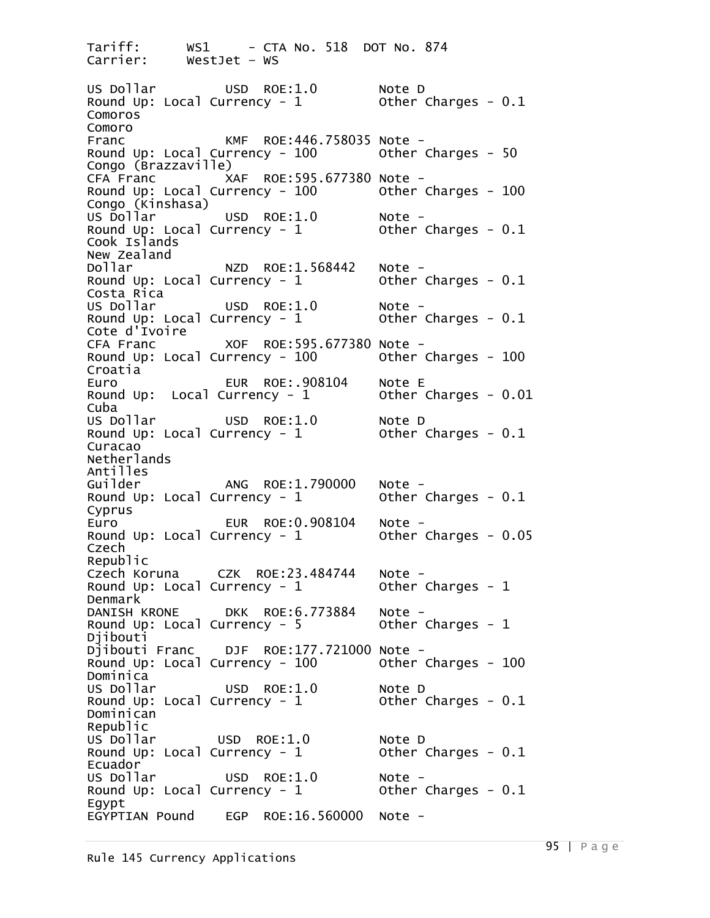Tariff: WS1 - CTA No. 518 DOT No. 874<br>Carrier: WestJet - WS WestJet – WS US Dollar USD ROE:1.0 Note D Round Up: Local Currency -  $1$ Comoros Comoro Franc KMF ROE:446.758035 Note - Round Up: Local Currency -  $100$ Congo (Brazzaville)<br>CFA Franc XI XAF ROE:595.677380 Note -<br>rrency - 100 0ther Charges - 100 Round Up: Local Currency -  $100$ Congo (Kinshasa)<br>US Dollar US Dollar USD ROE:1.0 Note - Round Up: Local Currency - 1 Other Charges - 0.1 Cook Islands New Zealand<br>Dollar Dollar NZD ROE:1.568442 Note - Round Up: Local Currency - 1 Other Charges - 0.1 Costa Rica<br>US Dollar USD ROE:1.0 Note -<br>Intency - 1 Other Charges - 0.1 Round Up: Local Currency -  $1$ Cote d'Ivoire CFA Franc XOF ROE:595.677380 Note -<br>Round Up: Local Currency - 100 Other Charges - 100 Croatia Euro EUR ROE:.908104 Note E Round Up: Local Currency -  $1$ Cuba<br>US Dollar USD ROE:1.0 Note D<br>Intency - 1 Other Charges - 0.1 Round Up: Local Currency -  $1$ Curacao Netherlands Antilles Guilder ANG ROE:1.790000 Note - Round Up: Local Currency - 1 Other Charges - 0.1 Cyprus Euro EUR ROE:0.908104 Note - Round Up: Local Currency - 1 Other Charges - 0.05 Czech Republic<br>Czech Koruna Czech Koruna CZK ROE:23.484744 Note -<br>Round Up: Local Currency - 1 Other Charges - 1 Denmark<br>DANISH KRONE DANISH KRONE DKK ROE:6.773884 Note - Round Up: Local Currency -  $5$ Djibouti<br>Djibouti Franc DJF ROE:177.721000 Note -<br>Intency - 100 0ther Charges - 100 Round Up: Local Currency -  $100$ Dominica<br>US Dollar USD ROE:1.0 Note D<br>Intency - 1 Other Charges - 0.1 Round Up: Local Currency -  $1$ Dominican Republic US Dollar USD ROE:1.0 Note D<br>Round Up: Local Currency - 1 Other Charges - 0.1 Round Up: Local Currency -  $1$ Ecuador<br>US Dollar US Dollar USD ROE:1.0 Note - Round Up: Local Currency - 1 Other Charges - 0.1 Egypt EGYPTIAN Pound EGP ROE:16.560000 Note -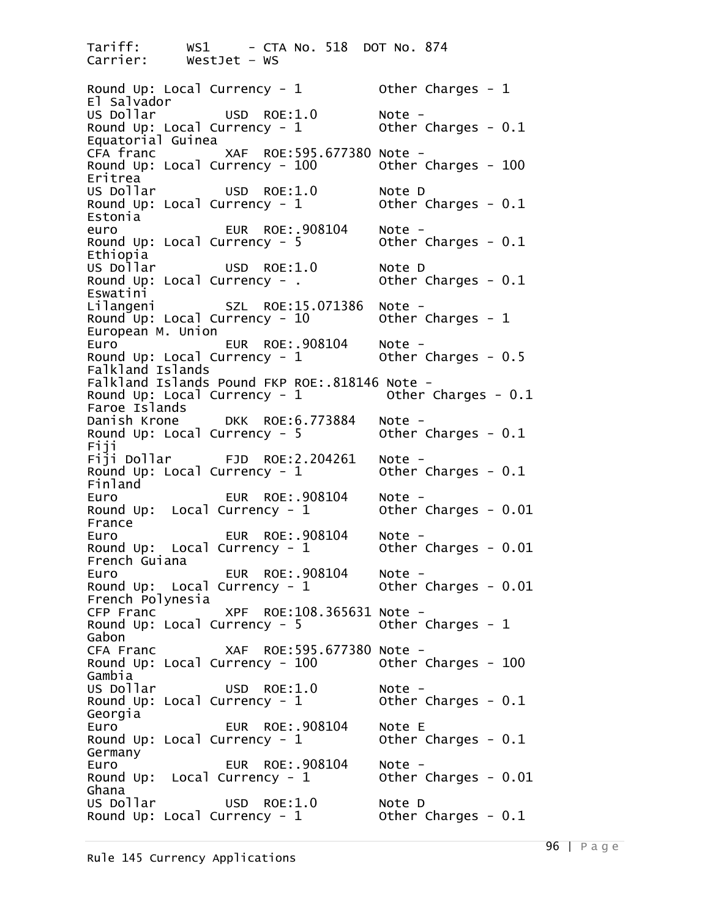Tariff: WS1 - CTA No. 518 DOT No. 874<br>Carrier: WestJet - WS WestJet – WS Round Up: Local Currency - 1 Other Charges - 1 El Salvador<br>US Dollar USD ROE:1.0 Note -<br>Intency - 1 Other Charges - 0.1 Round Up: Local Currency -  $1$ Equatorial Guinea CFA franc XAF ROE:595.677380 Note - Round Up: Local Currency - 100 Other Charges - <sup>100</sup> Eritrea<br>US Dollar USD ROE:1.0 Note D<br>Intency - 1 Other Charges - 0.1 Round Up: Local Currency -  $1$ Estonia euro EUR ROE:.908104 Note - Round Up: Local Currency -  $5$ Ethiopia<br>US Dollar USD ROE:1.0 Note D<br>Intency - . Other Charges - 0.1 Round Up: Local Currency - . Eswatini<br>Lilangeni SZL ROE:15.071386 Note -<br>Intency - 10 0ther Charges - 1 Round Up: Local Currency -  $10$ European M. Union Euro EUR ROE:.908104 Note - Round Up: Local Currency - 1 Other Charges - 0.5 Falkland Islands Falkland Islands Pound FKP ROE:.818146 Note - Round Up: Local Currency -  $1$ Faroe Islands<br>Danish Krone DKK ROE:6.773884 Note -<br>Intency - 5 0ther Charges - 0.1 Round Up: Local Currency -  $5$ Fiji<br>Fiji Dollar FJD ROE:2.204261 Note -<br>Intency - 1 Other Charges - 0.1 Round Up: Local Currency -  $1$ Finland<br>Euro EUR ROE:.908104 Note -<br>urrency - 1 0ther Charges - 0.01 Round Up: Local Currency -  $1$ France Euro EUR ROE:.908104 Note - Round Up: Local Currency -  $1$ French Guiana Euro EUR ROE:.908104 Note - Round Up: Local Currency - 1 Other Charges - 0.01 French Polynesia CFP Franc XPF ROE:108.365631 Note - Round Up: Local Currency -  $5$ Gabon<br>CFA Franc XAF ROE:595.677380 Note -<br>prency - 100 0ther Charges - 100 Round Up: Local Currency -  $100$ Gambia<br>US Dollar US Dollar USD ROE:1.0 Note - Round Up: Local Currency - 1 Other Charges - 0.1 Georgia Euro EUR ROE:.908104 Note E Round Up: Local Currency -  $1$ Germany Euro EUR ROE:.908104 Note - Round Up: Local Currency - 1 Other Charges - 0.01 Ghana<br>US Dollar USD ROE:1.0 Note D<br>Intency - 1 Other Charges - 0.1 Round Up: Local Currency -  $1$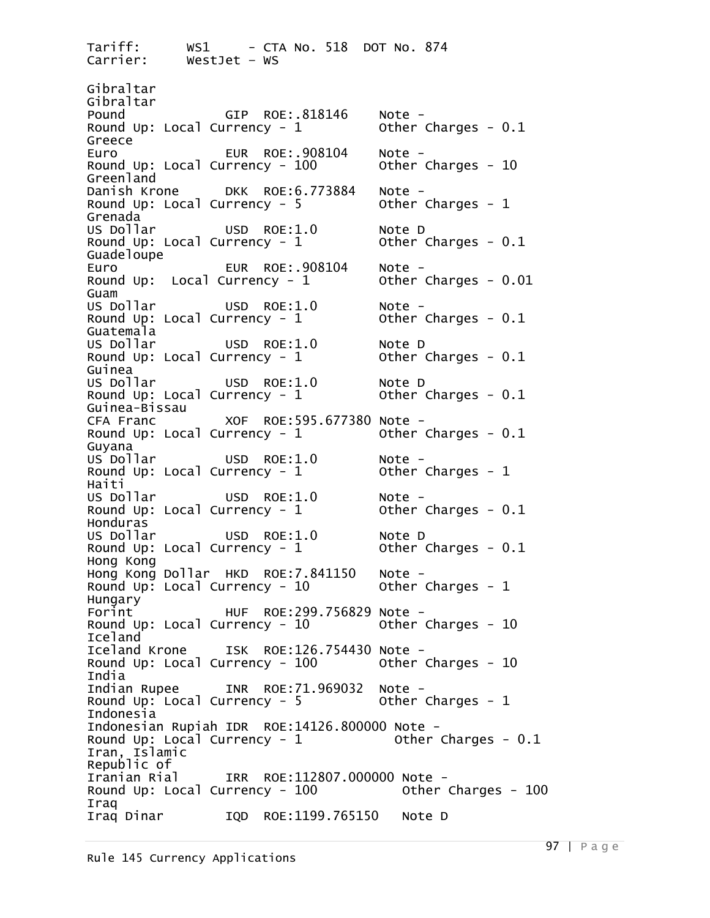Tariff: WS1 - CTA No. 518 DOT No. 874<br>Carrier: WestJet - WS WestJet – WS Gibraltar Gibraltar<br>Pound GIP ROE:.818146 Note -<br>Prency - 1 Other Charges - 0.1 Round Up: Local Currency -  $1$ Greece Euro EUR ROE:.908104 Note - Round Up: Local Currency - 100 Other Charges - <sup>10</sup> Greenland<br>Danish Krone Danish Krone DKK ROE:6.773884 Note - Round Up: Local Currency - 5 Other Charges - <sup>1</sup> Grenada<br>US Dollar USD ROE:1.0 Note D<br>Intency - 1 Other Charges - 0.1 Round Up: Local Currency -  $1$ Guadeloupe Euro EUR ROE:.908104 Note - Round Up: Local Currency - 1 Other Charges - 0.01 Guam<br>US Dollar USD ROE:1.0 Note -<br>Intency - 1 Other Charges - 0.1 Round Up: Local Currency -  $1$ Guatemala<br>US Dollar USD ROE: $1.0$  Note D<br>Intency -  $1$  Other Charges -  $0.1$ Round Up: Local Currency -  $1$ Guinea<br>US Dollar USD ROE:1.0 Note D<br>Intency - 1 Other Charges - 0.1 Round Up: Local Currency -  $1$ Guinea-Bissau CFA Franc XOF ROE:595.677380 Note - Round Up: Local Currency -  $1$ Guyana<br>US Dollar USD ROE:1.0 Note -<br>Intency - 1 Other Charges - 1 Round Up: Local Currency -  $1$ Haiti<br>US Dollar USD ROE:1.0 Note -<br>Intency - 1 Other Charges - 0.1 Round Up: Local Currency -  $1$ Honduras<br>US Dollar USD ROE:1.0 Note D<br>Intency - 1 Other Charges - 0.1 Round Up: Local Currency -  $1$ Hong Kong Hong Kong Dollar HKD ROE:7.841150 Note -<br>Round Up: Local Currency - 10 Other Charges - 1 Hungary HUF ROE:299.756829 Note -<br>Intency - 10 0ther Charges - 10 Round Up: Local Currency -  $10$ Iceland<br>Iceland Krone ISK ROE:126.754430 Note -<br>Intency - 100 0ther Charges - 10 Round Up: Local Currency -  $100$ India<br>Indian Rupee Indian Rupee INR ROE:71.969032 Note -<br>Round Up: Local Currency - 5 Other Charges - 1 Indonesia Indonesian Rupiah IDR ROE:14126.800000 Note -<br>Round Up: Local Currency - 1 Other Charges - 0.1 Iran, Islamic Republic of Iranian Rial IRR ROE:112807.000000 Note -<br>Round Up: Local Currency - 100 Other Charges - 100 Iraq<br>Iraq Dinar IQD ROE:1199.765150 Note D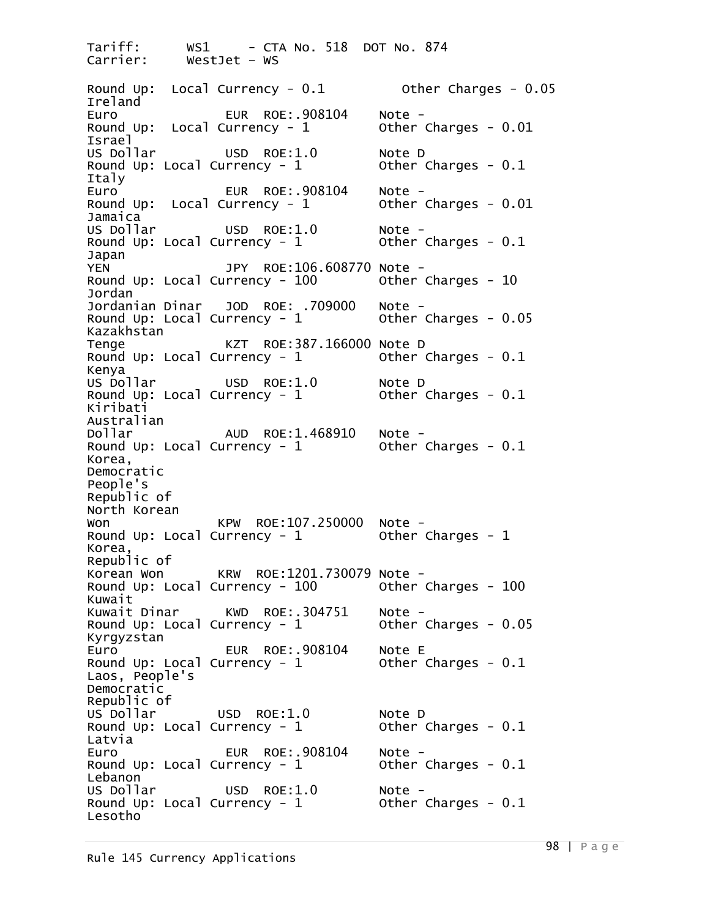Tariff: WS1 - CTA No. 518 DOT No. 874  $WestJet - WS$ Round Up: Local Currency - 0.1 Other Charges - 0.05 Ireland Euro EUR ROE:.908104 Note - Other Charges -  $0.01$ Israel<br>US Dollar USD ROE:1.0 Note D<br>Intency - 1 Other Charges - 0.1 Round Up: Local Currency -  $1$ Italy Euro EUR ROE:.908104 Note - Round Up: Local Currency - 1 Other Charges - 0.01 Jamaica<br>US Dollar USD ROE: $1.0$  Note -<br>
university - 1 Other Charges - 0.1 Round Up: Local Currency -  $1$ Japan YEN JPY ROE:106.608770 Note - Round Up: Local Currency - 100 Other Charges - <sup>10</sup> Jordan<br>Jordanian Dinar JOD ROE: .709000 Note -<br>Intency - 1 0ther Charges - 0.05 Round Up: Local Currency -  $1$ Kazakhstan Tenge KZT ROE:387.166000 Note D<br>Round Up: Local Currency - 1 0ther Charges - 0.1 Round Up: Local Currency -  $1$ Kenya<br>US Dollar USD ROE:1.0 Note D<br>Intency - 1 Other Charges - 0.1 Round Up: Local Currency -  $1$ Kiribati Australian<br>Dollar Dollar AUD ROE:1.468910 Note - Round Up: Local Currency - 1 Other Charges - 0.1 Korea, Democratic People's Republic of North Korean Won KPW ROE:107.250000 Note - Round Up: Local Currency - 1 Other Charges - <sup>1</sup> Korea, Republic of<br>Korean Won Korean Won KRW ROE:1201.730079 Note -<br>Round Up: Local Currency - 100 Other Charges - 100 Kuwait<br>Kuwait Dinar KWD ROE:.304751 Note -<br>prency - 1 cother Charges - 0.05 Round Up: Local Currency -  $1$ Kyrgyzstan Euro EUR ROE:.908104 Note E Round Up: Local Currency -  $1$ Laos, People's Democratic Republic of<br>US Dollar USD ROE:1.0 Note D<br>Currency - 1 Other Charges - 0.1 Round Up: Local Currency -  $1$ Latvia Euro EUR ROE:.908104 Note - Round Up: Local Currency - 1 Other Charges - 0.1 Lebanon<br>US Dollar US Dollar USD ROE:1.0 Note - Round Up: Local Currency - 1 Other Charges - 0.1 Lesotho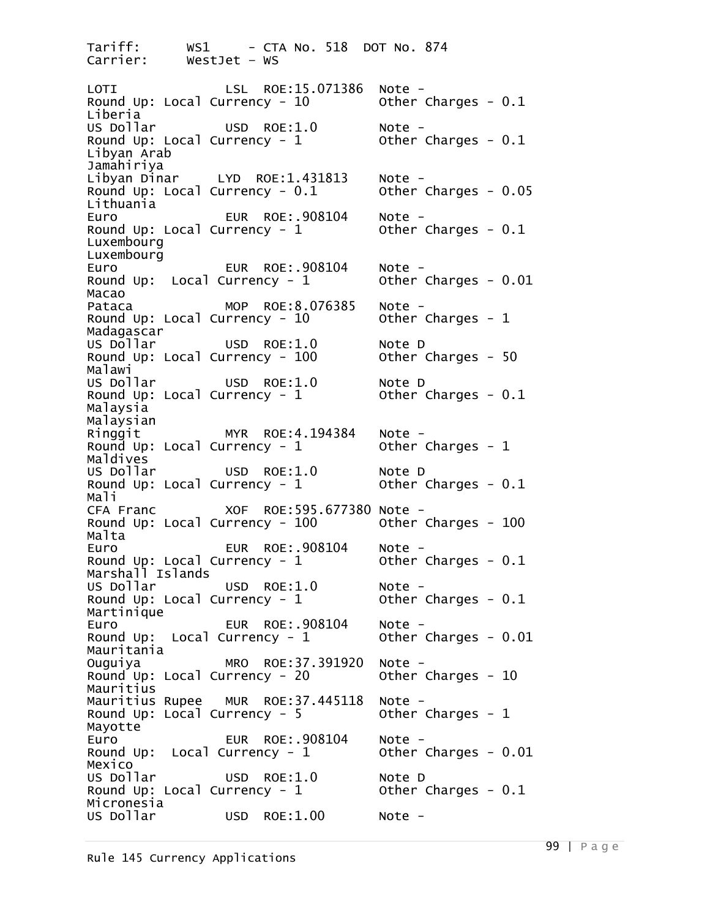Tariff: WS1 - CTA No. 518 DOT No. 874<br>Carrier: WestJet - WS WestJet – WS LOTI LSL ROE:15.071386 Note - Round Up: Local Currency - 10 Other Charges - 0.1 Liberia<br>US Dollar US Dollar USD ROE:1.0 Note - Round Up: Local Currency - 1 Other Charges - 0.1 Libyan Arab Jamahiriya<br>Libyan Dinar LYD ROE:1.431813 Note -<br>Currency - 0.1 Other Charges - 0.05 Round Up: Local Currency -  $0.1$ Lithuania Euro EUR ROE:.908104 Note - Round Up: Local Currency - 1 Other Charges - 0.1 Luxembourg Luxembourg Euro EUR ROE:.908104 Note - Round Up: Local Currency - 1 Other Charges - 0.01 Macao Pataca MOP ROE:8.076385 Note - Round Up: Local Currency -  $10$ Madagascar<br>US Dollar USD ROE:1.0 Note D<br>Intency - 100 Other Charges - 50 Round Up: Local Currency -  $100$ Malawi<br>US Dollar USD ROE:1.0 Note D<br>Intency - 1 Other Charges - 0.1 Round Up: Local Currency -  $1$ Malaysia Malaysian<br>Ringgit Ringgit MYR ROE:4.194384 Note - Round Up: Local Currency - 1 Other Charges - <sup>1</sup> Maldives<br>US Dollar USD ROE:1.0 Note D<br>|rrency - 1 Other Charges - 0.1 Round Up: Local Currency -  $1$ Mali CFA Franc XOF ROE:595.677380 Note - Round Up: Local Currency - 100 Other Charges - <sup>100</sup> Malta<br>Euro Euro EUR ROE:.908104 Note - Round Up: Local Currency - 1 Other Charges - 0.1 Marshall Islands<br>US Dollar US Dollar USD ROE:1.0 Note - Round Up: Local Currency - 1 Other Charges - 0.1 Martinique Euro EUR ROE:.908104 Note - Round Up: Local Currency - 1 Other Charges - 0.01 Mauritania Ouguiya MRO ROE:37.391920 Note - Round Up: Local Currency - 20 Other Charges - <sup>10</sup> Mauritius<br>Mauritius Rupee Mauritius Rupee MUR ROE:37.445118 Note - Round Up: Local Currency - 5 Other Charges - <sup>1</sup> Mayotte Euro EUR ROE:.908104 Note - Round Up: Local Currency - 1 Other Charges - 0.01 Mexico<br>US Dollar USD ROE:1.0 Note D<br>|rrency - 1 Other Charges - 0.1 Round Up: Local Currency -  $1$ Micronesia<br>US Dollar  $USD$  ROE:1.00 Note -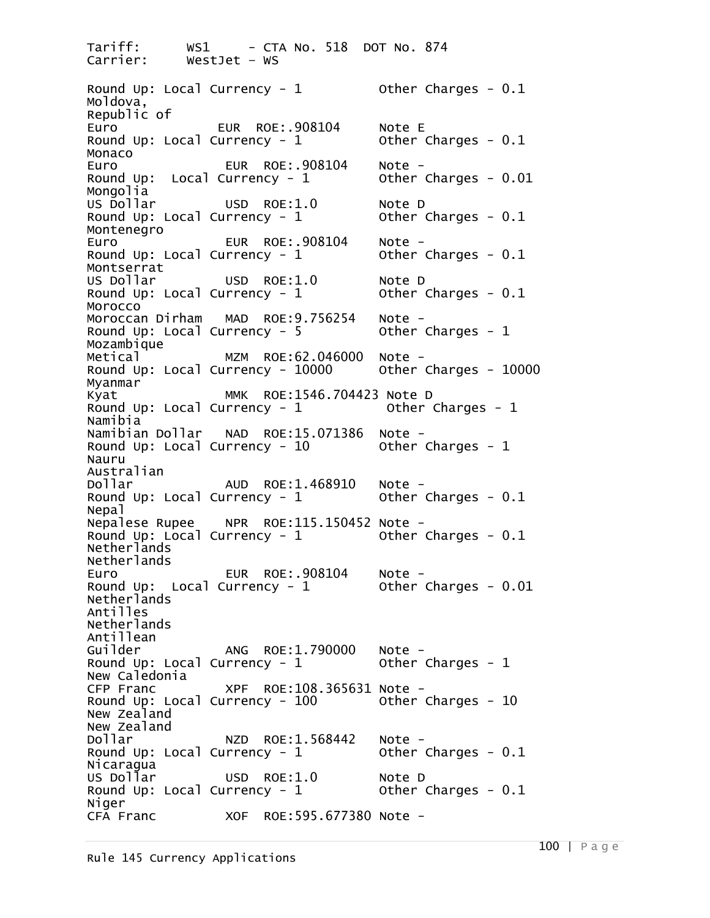Tariff: WS1 - CTA No. 518 DOT No. 874<br>Carrier: WestJet - WS WestJet – WS Round Up: Local Currency - 1 0ther Charges - 0.1 Moldova, Republic of Euro EUR ROE:.908104 Note E Round Up: Local Currency -  $1$ Monaco<br>Euro Euro EUR ROE:.908104 Note - Round Up: Local Currency - 1 Other Charges - 0.01 Mongolia<br>US Dollar USD ROE:1.0 Note D<br>|rrency - 1 Other Charges - 0.1 Round Up: Local Currency -  $1$ Montenegro Euro EUR ROE:.908104 Note -<br>Round Up: Local Currency - 1 Other Charges - 0.1 Montserrat<br>US Dollar USD ROE: $1.0$  Note D<br>Intency -  $1$  Other Charges -  $0.1$ Round Up: Local Currency -  $1$ Morocco<br>Moroccan Dirham Moroccan Dirham MAD ROE:9.756254 Note -<br>Round Up: Local Currency - 5 Other Charges - 1 Mozambique Metical MZM ROE:62.046000 Note - Round Up: Local Currency - 10000 Other Charges - <sup>10000</sup> Myanmar<br>Kyat Kyat MMK ROE:1546.704423 Note D Round Up: Local Currency -  $1$ Namibia<br>Namibian Dollar Namibian Dollar - NAD - ROE:15.071386 - Note -<br>Round Up: Local Currency - 10 - - - - Other Charges - 1 Nauru Australian<br>Dollar Dollar AUD ROE:1.468910 Note - Round Up: Local Currency - 1 Other Charges - 0.1 Nepal<br>Nepalese Rupee Nepalese Rupee NPR ROE:115.150452 Note -<br>Round Up: Local Currency - 1 Other Charges - 0.1 Netherlands Netherlands Euro EUR ROE:.908104 Note - Round Up: Local Currency - 1 Other Charges - 0.01 Netherlands Antilles Netherlands Antillean<br>Guilder ANG ROE:1.790000 Note -<br>Intency - 1 0ther Charges - 1 Round Up: Local Currency -  $1$ New Caledonia<br>CFP Franc CFP Franc XPF ROE:108.365631 Note - Round Up: Local Currency - 100 Other Charges - <sup>10</sup> New Zealand New Zealand<br>Dollar Dollar NZD ROE:1.568442 Note - Round Up: Local Currency - 1 Other Charges - 0.1 Nicaragua<br>US Dollar USD ROE:1.0 Note D<br>Intency - 1 Other Charges - 0.1 Round Up: Local Currency -  $1$ Niger CFA Franc XOF ROE:595.677380 Note -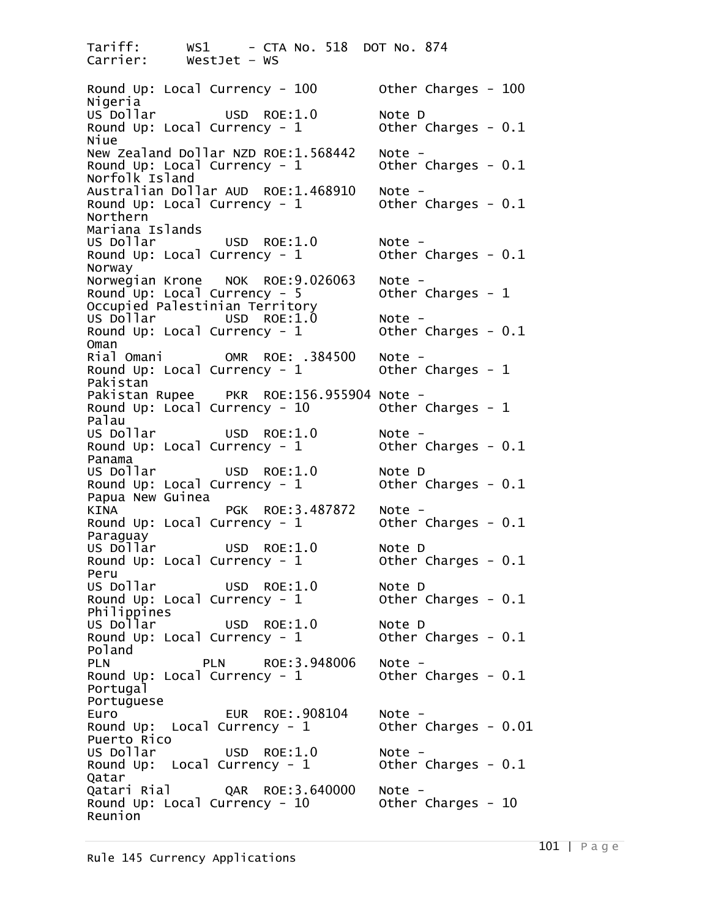Tariff: WS1 - CTA No. 518 DOT No. 874 WestJet – WS Round Up: Local Currency - 100 Other Charges - 100 Nigeria<br>US Dollar USD ROE:1.0 Note D<br>Intency - 1 Other Charges - 0.1 Round Up: Local Currency -  $1$ Niue New Zealand Dollar NZD ROE:1.568442 Note -<br>Round Up: Local Currency - 1 Other Charges - 0.1 Norfolk Island Australian Dollar AUD ROE:1.468910 Note -<br>Round Up: Local Currency - 1 Other Charges - 0.1 Northern Mariana Islands<br>US Dollar US Dollar USD ROE:1.0 Note - Round Up: Local Currency - 1 Other Charges - 0.1 Norway<br>Norwegian Krone Norwegian Krone NOK ROE:9.026063 Note -<br>Round Up: Local Currency - 5 Other Charges - 1 Occupied Palestinian Territory US Dollar USD ROE:1.0 Note - Round Up: Local Currency - 1 Other Charges - 0.1 Oman<br>Rial Omani Rial Omani OMR ROE: .384500 Note - Round Up: Local Currency - 1 Other Charges - <sup>1</sup> Pakistan<br>Pakistan Rupee Pakistan Rupee PKR ROE:156.955904 Note -<br>Round Up: Local Currency - 10 Other Charges - 1 Palau<br>US Dollar US Dollar USD ROE:1.0 Note - Round Up: Local Currency - 1 Other Charges - 0.1 Panama<br>US Dollar USD ROE:1.0 Note D<br>|rrency - 1 Other Charges - 0.1 Round Up: Local Currency -  $1$ Papua New Guinea KINA PGK ROE:3.487872 Note - Round Up: Local Currency - 1 Other Charges - 0.1 Paraguay<br>US Dollar USD ROE:1.0 Note D<br>|rrency - 1 Other Charges - 0.1 Round Up: Local Currency -  $1$ Peru<br>US Dollar USD ROE:1.0 Note D<br>|rrency - 1 Other Charges - 0.1 Round Up: Local Currency -  $1$ Philippines<br>US Dollar USD ROE:1.0 Note D<br>|rrency - 1 Other Charges - 0.1 Round Up: Local Currency -  $1$ Poland PLN PLN ROE:3.948006 Note - Round Up: Local Currency - 1 Other Charges - 0.1 Portugal Portuguese Euro EUR ROE:.908104 Note -<br>Round Up: Local Currency - 1 0ther Charges - 0.01 Round Up: Local Currency -  $1$ Puerto Rico<br>US Dollar US Dollar USD ROE:1.0 Note - Round Up: Local Currency - 1 Other Charges - 0.1 Qatar<br>Qatari Rial QAR ROE:3.640000 Note -<br>Intency - 10 0ther Charges - 10 Round Up: Local Currency -  $10$ Reunion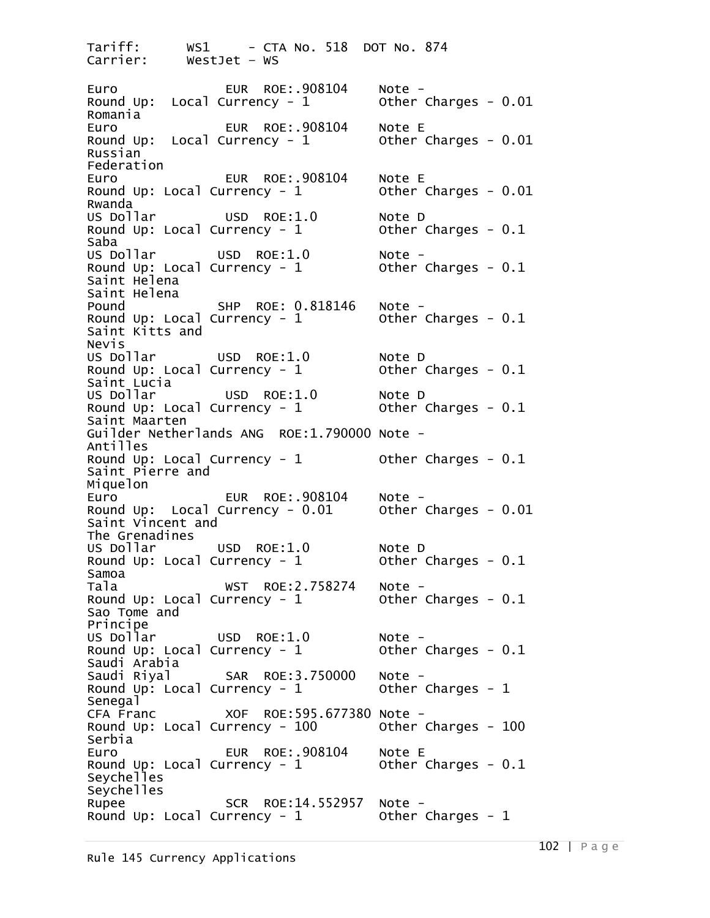Tariff: WS1 - CTA No. 518 DOT No. 874<br>Carrier: WestJet - WS WestJet – WS Euro EUR ROE:.908104 Note - Round Up: Local Currency - 1 Other Charges - 0.01 Romania Euro EUR ROE:.908104 Note E Round Up: Local Currency -  $1$ Russian Federation Euro EUR ROE:.908104 Note E<br>Round Up: Local Currency - 1 0ther Charges - 0.01 Round Up: Local Currency -  $1$ Rwanda US Dollar USD ROE:1.0 Note D Round Up: Local Currency -  $1$ Saba<br>US Dollar US Dollar USD ROE:1.0 Note - Round Up: Local Currency - 1 Other Charges - 0.1 Saint Helena Saint Helena<br>Pound SHP ROE: 0.818146 Note -<br>Currency - 1 0ther Charges - 0.1 Round Up: Local Currency -  $1$ Saint Kitts and Nevis<br>US Dollar US Dollar USD ROE:1.0 Note D Round Up: Local Currency -  $1$ Saint Lucia<br>US Dollar USD ROE:1.0 Note D<br>|rrency - 1 Other Charges - 0.1 Round Up: Local Currency -  $1$ Saint Maarten Guilder Netherlands ANG ROE:1.790000 Note -<br>Antilles<br>Round Up: Local Currency - 1 Other Charges - 0.1 Round Up: Local Currency -  $1$ Saint Pierre and Miquelon<br>Euro EUR ROE:.908104 Note -<br>urrency - 0.01 other Charges - 0.01 Round Up: Local Currency -  $0.01$ Saint Vincent and The Grenadines<br>US Dollar US Dollar USD ROE:1.0 Note D Round Up: Local Currency -  $1$ Samoa Tala WST ROE:2.758274 Note - Round Up: Local Currency - 1 Other Charges - 0.1 Sao Tome and Principe<br>US Dollar US Dollar USD ROE:1.0 Note - Round Up: Local Currency -  $1$ Saudi Arabia Saudi Riyal SAR ROE:3.750000 Note - Round Up: Local Currency -  $1$ Senegal<br>CFA Franc XOF ROE:595.677380 Note -<br>190 – 100 – Other Charges - 100 Round Up: Local Currency -  $100$ Serbia Euro EUR ROE:.908104 Note E Round Up: Local Currency -  $1$ Seychelles Seychelles Rupee SCR ROE:14.552957 Note - Round Up: Local Currency - 1 Other Charges - <sup>1</sup>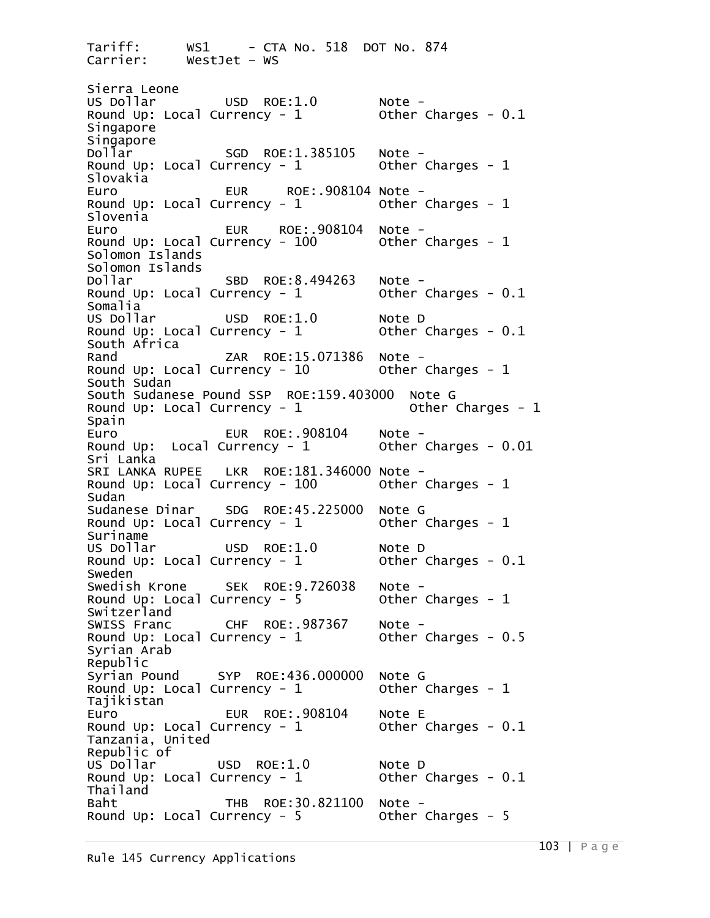Tariff: WS1 - CTA No. 518 DOT No. 874<br>Carrier: WestJet - WS WestJet – WS Sierra Leone<br>US Dollar US Dollar USD ROE:1.0 Note - Round Up: Local Currency - 1 Other Charges - 0.1 Singapore Singapore<br>Dollar Dollar SGD ROE:1.385105 Note - Round Up: Local Currency - 1 Other Charges - <sup>1</sup> Slovakia Euro EUR ROE:.908104 Note - Round Up: Local Currency - 1 Other Charges - <sup>1</sup> Slovenia<br>Euro EUR ROE:.908104 Note -<br>Intency - 100 0ther Charges - 1 Round Up: Local Currency -  $100$ Solomon Islands Solomon Islands<br>Dollar Dollar SBD ROE:8.494263 Note - Round Up: Local Currency - 1 Other Charges - 0.1 Somalia<br>US Dollar USD ROE:1.0 Note D<br>Intency - 1 Other Charges - 0.1 Round Up: Local Currency -  $1$ South Africa Rand ZAR ROE:15.071386 Note - Round Up: Local Currency - 10 Other Charges - <sup>1</sup> South Sudan South Sudanese Pound SSP ROE:159.403000 Note G Round Up: Local Currency -  $1$ Spain Euro EUR ROE:.908104 Note - Round Up: Local Currency - 1 Other Charges - 0.01 Sri Lanka<br>SRI LANKA RUPEE SRI LANKA RUPEE LKR ROE:181.346000 Note -<br>Round Up: Local Currency - 100 Other Charges - 1 Sudan<br>Sudanese Dinar SDG ROE:45.225000 Note G<br>Intency - 1 0ther Charges - 1 Round Up: Local Currency -  $1$ Suriname<br>US Dollar USD ROE:1.0 Note D<br>|rrency - 1 Other Charges - 0.1 Round Up: Local Currency -  $1$ Sweden<br>Swedish Krone Swedish Krone SEK ROE:9.726038 Note - Round Up: Local Currency - 5 Other Charges - <sup>1</sup> Switzerland<br>SWISS Franc SWISS Franc CHF ROE:.987367 Note - Round Up: Local Currency - 1 Other Charges - 0.5 Syrian Arab Republic Syrian Pound SYP ROE:436.000000 Note G Round Up: Local Currency -  $1$ Tajikistan<br>Euro EUR ROE:.908104 Note E<br>Intency - 1 0ther Charges - 0.1 Round Up: Local Currency -  $1$ Tanzania, United Republic of US Dollar USD ROE:1.0 Note D<br>Round Up: Local Currency - 1 Other Charges - 0.1 Round Up: Local Currency -  $1$ Thailand Baht THB ROE:30.821100 Note - Round Up: Local Currency -  $5$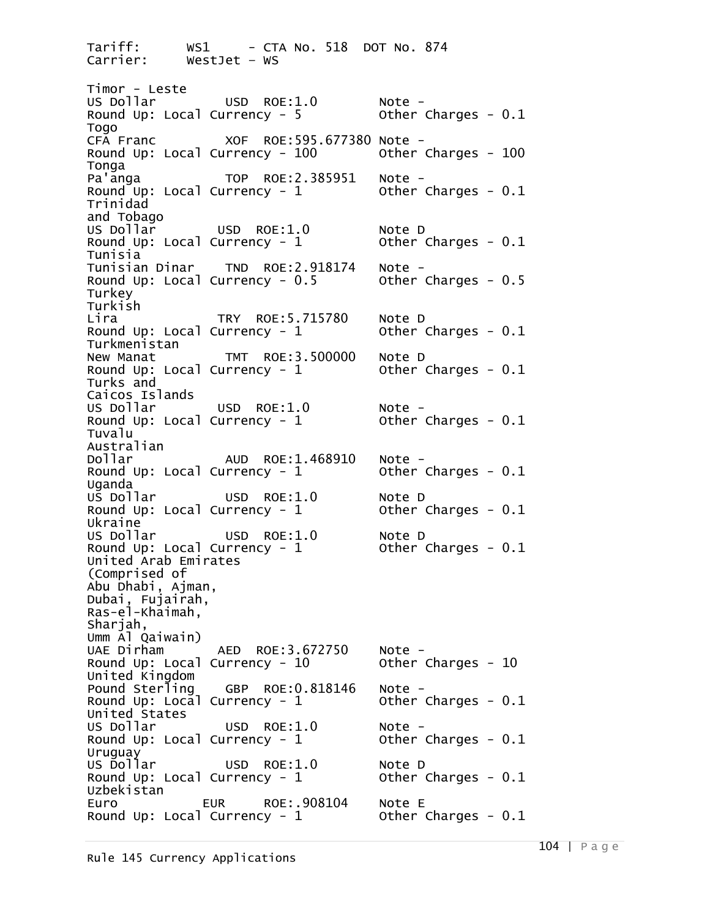Tariff: WS1 - CTA No. 518 DOT No. 874<br>Carrier: WestJet - WS WestJet – WS Timor - Leste US Dollar USD ROE:1.0 Note -<br>Round Up: Local Currency - 5 Other Charges - 0.1 Togo<br>CFA Franc CFA Franc XOF ROE:595.677380 Note - Round Up: Local Currency -  $100$ Tonga<br>Pa'anga TOP ROE:2.385951 Note -<br>Intency - 1 0ther Charges - 0.1 Round Up: Local Currency -  $1$ Trinidad and Tobago<br>US Dollar USD ROE:1.0  $\blacksquare$  Note D<br>University - 1 Other Charges - 0.1 Round Up: Local Currency -  $1$ Tunisia<br>Tunisian Dinar Tunisian Dinar TND ROE:2.918174 Note -<br>Round Up: Local Currency - 0.5 Other Charges - 0.5 Turkey Turkish<br>Lira Lira TRY ROE:5.715780 Note D Round Up: Local Currency -  $1$ Turkmenistan<br>New Manat New Manat TMT ROE:3.500000 Note D Round Up: Local Currency -  $1$ Turks and Caicos Islands USD ROE:1.0 Note -<br>Currency - 1 Other Charges - 0.1 Round Up: Local Currency -  $1$ Tuvalu Australian AUD ROE:1.468910 Note -<br>prency - 1 cother Charges - 0.1 Round Up: Local Currency -  $1$ Uganda<br>US Dollar USD ROE:1.0 Note D<br>Intency - 1 Other Charges - 0.1 Round Up: Local Currency -  $1$ Ukraine<br>US Dollar USD ROE: $1.0$  Note D<br>Intency -  $1$  Other Charges -  $0.1$ Round Up: Local Currency -  $1$ United Arab Emirates (Comprised of Abu Dhabi, Ajman, Dubai, Fujairah, Ras-el-Khaimah, Sharjah, Umm Al Qaiwain) AED ROE:3.672750 Note -<br>Currency - 10 0ther Charges - 10 Round Up: Local Currency -  $10$ United Kingdom Pound Sterling GBP ROE:0.818146 Note -<br>Round Up: Local Currency - 1 Other Charges - 0.1 United States US Dollar USD ROE:1.0 Note - Round Up: Local Currency - 1 Other Charges - 0.1 Uruguay<br>US Dollar USD ROE:1.0 Note D<br>Intency - 1 Other Charges - 0.1 Round Up: Local Currency -  $1$ Uzbekistan Euro EUR ROE:.908104 Note E Round Up: Local Currency -  $1$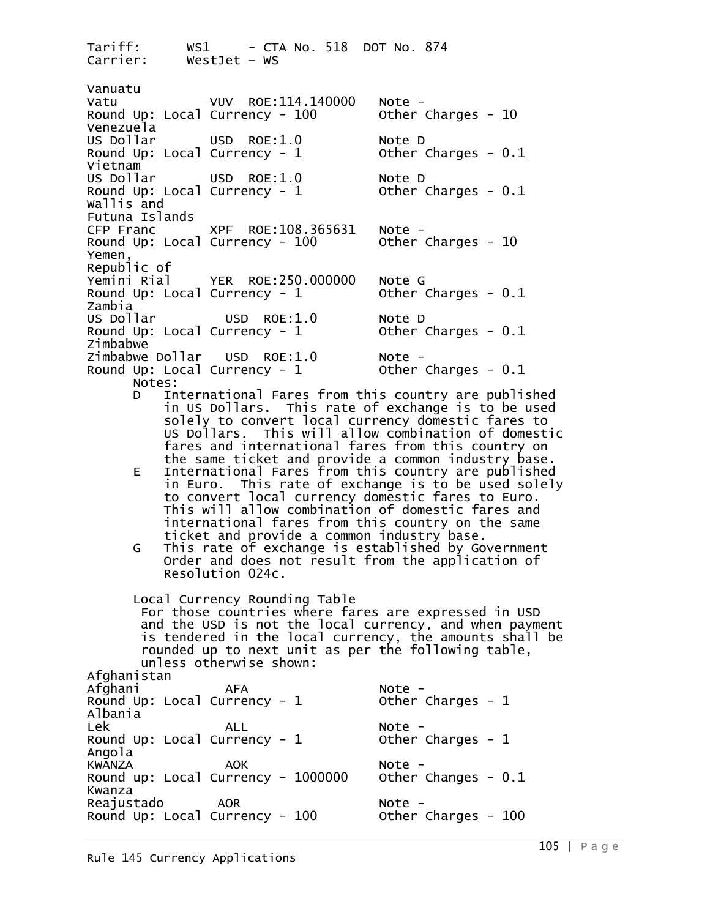Tariff: WS1 - CTA No. 518 DOT No. 874<br>Carrier: WestJet - WS WestJet – WS Vanuatu Vatu VUV ROE:114.140000 Note - Round Up: Local Currency - 100 Other Charges - <sup>10</sup> Venezuela<br>US Dollar USD ROE:1.0 Note D<br>Currency - 1 Other Charges - 0.1 Round Up: Local Currency -  $1$ Vietnam<br>US Dollar USD ROE:1.0 Note D<br>Currency - 1 Other Charges - 0.1 Round Up: Local Currency -  $1$ Wallis and Futuna Islands XPF ROE:108.365631 Note -<br>Currency - 100 0ther Charges - 10 Round Up: Local Currency -  $100$ Yemen, Republic of<br>Yemini Rial Yemini Rial YER ROE:250.000000 Note G Round Up: Local Currency -  $1$ zambia<br>US Dollar USD ROE:1.0 Note D<br>urrency - 1 Other Charges - 0.1 Round Up: Local Currency -  $1$ Zimbabwe<br>Zimbabwe Dollar USD ROE:1.0 Zimbabwe Dollar USD ROE:1.0 Note -<br>Round Up: Local Currency - 1 Other Charges - 0.1<br>Notes: D International Fares from this country are published in US Dollars. This rate of exchange is to be used solely to convert local currency domestic fares to US Dollars. This will allow combination of domestic fares and international fares from this country on the same ticket and provide a common industry base. E International Fares from this country are published in Euro. This rate of exchange is to be used solely to convert local currency domestic fares to Euro. This will allow combination of domestic fares and<br>international fares from this country on the same<br>ticket and provide a common industry base.<br>G This rate of exchange is established by Government Order and does not result from the application of Resolution 024c. Local Currency Rounding Table For those countries where fares are expressed in USD and the USD is not the local currency, and when payment is tendered in the local currency, the amounts shall be rounded up to next unit as per the following table, unless otherwise shown: Afghanistan<br>Afghani Afghani AFA Note - Round Up: Local Currency - 1 Other Charges - <sup>1</sup> Albania Lek ALL Note - Round Up: Local Currency - 1 Other Charges - <sup>1</sup> Angola<br>KWANZA KWANZA AOK Note - Round up: Local Currency - 1000000 Other Changes - 0.1 Kwanza Reajustado AOR Note - Round Up: Local Currency - 100 Other Charges - <sup>100</sup>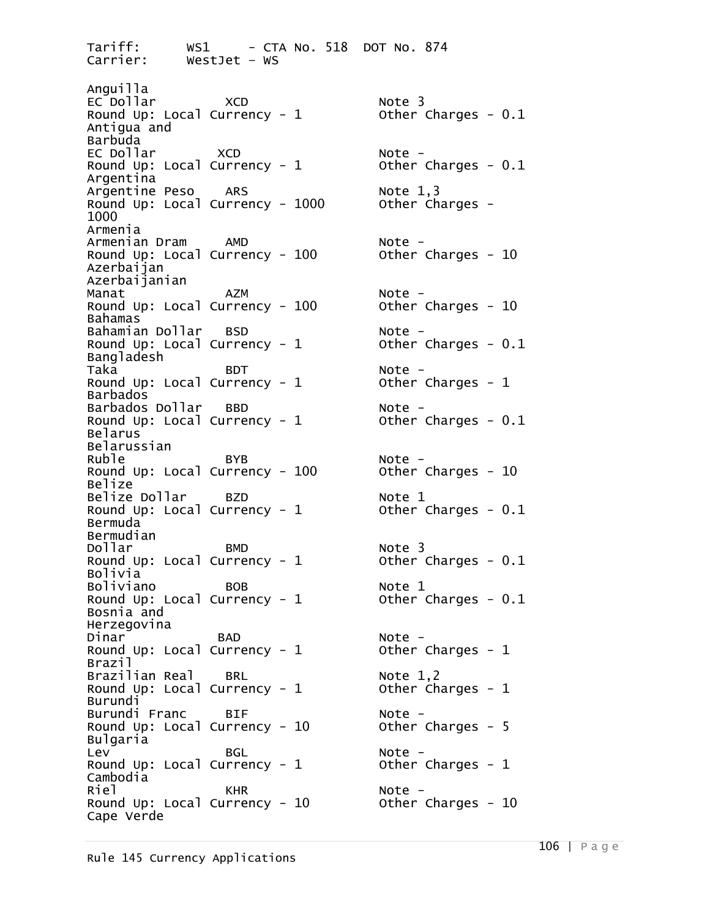Tariff: WS1 - CTA No. 518 DOT No. 874<br>Carrier: WestJet - WS WestJet – WS Anguilla EC Dollar XCD Note 3 Round Up: Local Currency -  $1$ Antigua and Barbuda<br>EC Dollar EC Dollar XCD Note - Round Up: Local Currency - 1 Other Charges - 0.1 Argentina Argentine Peso ARS Note 1,3 Round Up: Local Currency - 1000 Other Charges - <sup>1000</sup> Armenia<br>Armenian Dram Armenian Dram AMD Note - Round Up: Local Currency - 100 Other Charges - <sup>10</sup> Azerbaijan Azerbaijanian Manat AZM Note - Round Up: Local Currency -  $100$ Bahamas Bahamian Dollar BSD Note -<br>Round Up: Local Currency - 1 Other Charges - 0.1 Round Up: Local Currency -  $1$ Bangladesh Taka BDT Note - Round Up: Local Currency - 1 Other Charges - <sup>1</sup> Barbados Barbados Dollar BBD Note - Round Up: Local Currency -  $1$ Belarus Belarussian<br>Ruble Round Up: Local Currency -  $100$ Belize Belize Dollar BZD Note 1 Round Up: Local Currency -  $1$ Bermuda Bermudian<br>Dollar Round Up: Local Currency -  $1$ Bolivia Boliviano BOB Note 1 Round Up: Local Currency -  $1$ Bosnia and Herzegovina Dinar BAD Note - Round Up: Local Currency -  $1$ Brazil Brazilian Real BRL Note 1,2 Round Up: Local Currency -  $1$ Burundi Burundi Franc BIF<br>Round Up: Local Currency - 10 0ther Charges - 5 Round Up: Local Currency -  $10$ Bulgaria Lev BGL Note - Round Up: Local Currency - 1 Other Charges - <sup>1</sup> Cambodia<br>Riel Riel KHR Note - Round Up: Local Currency - 10 Other Charges - <sup>10</sup> Cape Verde

Ruble BYB Note - Dollar BMD Note 3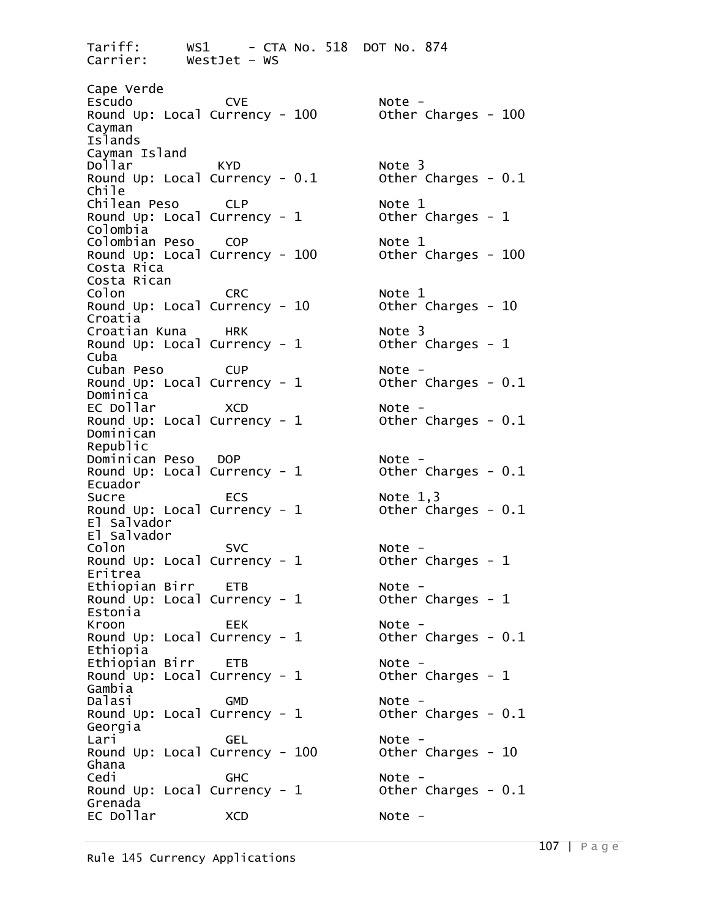Tariff: WS1 - CTA No. 518 DOT No. 874<br>Carrier: WestJet - WS WestJet – WS Cape Verde<br>Escudo Escudo CVE Note - Round Up: Local Currency - 100 Other Charges - <sup>100</sup> Cayman Islands Cayman Island<br>Dollar Round Up: Local Currency -  $0.1$ Chile Chilean Peso CLP Note 1 Round Up: Local Currency -  $1$ Colombia Colombian Peso COP Note 1 Round Up: Local Currency -  $100$ Costa Rica Costa Rican Colon CRC Note 1 Round Up: Local Currency -  $10$ Croatia Croatian Kuna HRK Note 3 Round Up: Local Currency -  $1$ Cuba Cuban Peso CUP Note - Round Up: Local Currency - 1 Other Charges - 0.1 Dominica EC Dollar XCD Note - Round Up: Local Currency -  $1$ Dominican Republic Dominican Peso DOP Note - Round Up: Local Currency -  $1$ Ecuador Round Up: Local Currency -  $1$ El Salvador El Salvador Colon SVC Note - Round Up: Local Currency - 1 Other Charges - <sup>1</sup> Eritrea<br>Ethiopian Birr Ethiopian Birr ETB Note - Round Up: Local Currency - 1 Other Charges - <sup>1</sup> Estonia<br>Kroon Kroon EEK Note - Round Up: Local Currency - 1 Other Charges - 0.1 Ethiopia<br>Ethiopian Birr Ethiopian Birr ETB Note - Round Up: Local Currency - 1 Other Charges - <sup>1</sup> Gambia<br>Dalasi Dalasi GMD Note - Round Up: Local Currency - 1 Other Charges - 0.1 Georgia Lari GEL Note - Round Up: Local Currency - 100 Other Charges - <sup>10</sup> Ghana<br>Cedi Cedi GHC Note - Round Up: Local Currency - 1 Other Charges - 0.1 Grenada EC Dollar XCD Note -

 $KYD$   $\sim$   $0.1$   $\sim$   $0$   $\sim$   $0.1$   $\sim$   $0$   $\sim$   $0.1$ Sucre ECS Note 1,3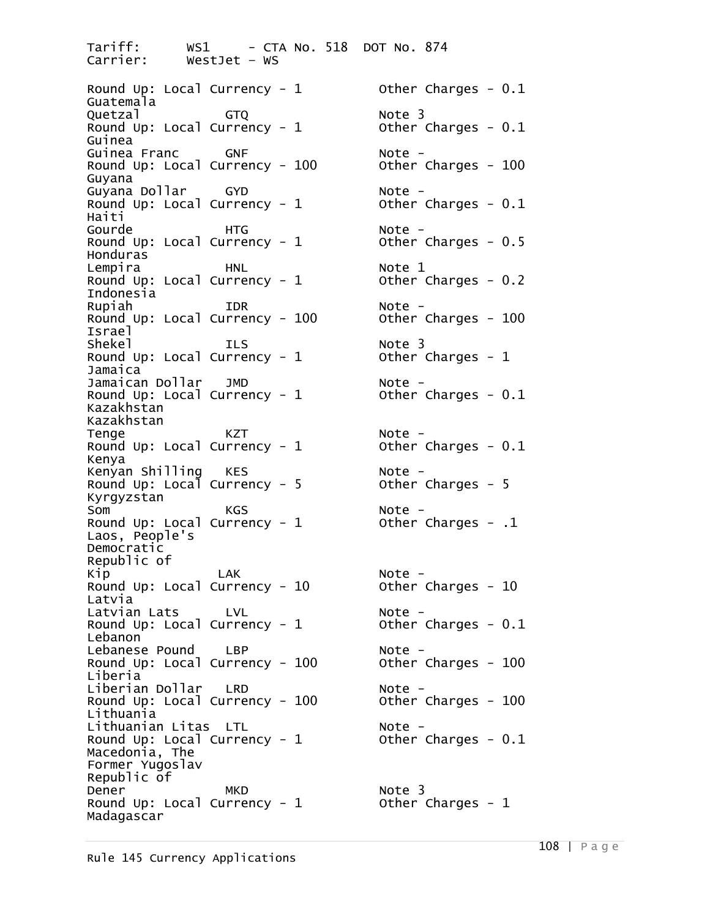Tariff: WS1 - CTA No. 518 DOT No. 874 WestJet – WS Round Up: Local Currency - 1 0ther Charges - 0.1 Guatemala Quetzal GTQ Note 3 Round Up: Local Currency -  $1$ Guinea<br>Guinea Franc Guinea Franc GNF Note - Round Up: Local Currency - 100 Other Charges - <sup>100</sup> Guyana<br>Guyana Dollar Guyana Dollar GYD Note - Round Up: Local Currency - 1 Other Charges - 0.1 Haiti Gourde HTG Note - Round Up: Local Currency -  $1$ Honduras Lempira HNL Note 1 Round Up: Local Currency -  $1$ Indonesia<br>Rupiah Round Up: Local Currency -  $100$ Israel Shekel ILS Note 3 Round Up: Local Currency -  $1$ Jamaica Jamaican Dollar JMD Note - Round Up: Local Currency -  $1$ Kazakhstan Kazakhstan Tenge KZT Note - Round Up: Local Currency - 1 Other Charges - 0.1 Kenya<br>Kenyan Shilling Kenyan Shilling KES Note - Round Up: Local Currency - 5 Other Charges - <sup>5</sup> Kyrgyzstan Som KGS Note - Round Up: Local Currency - 1 Other Charges - .1 Laos, People's Democratic Republic of Kip LAK Note - Round Up: Local Currency - 10 Other Charges - <sup>10</sup> Latvia Latvian Lats LVL Note -<br>Round Up: Local Currency - 1 0ther Charges - 0.1 Round Up: Local Currency -  $1$ Lebanon<sup>1</sup> Lebanese Pound LBP Note - Round Up: Local Currency -  $100$ Liberia<br>Liberian Dollar - LRD Liberian Dollar LRD Note - Round Up: Local Currency - 100 Other Charges - <sup>100</sup> Lithuania<br>Lithuanian Litas LTL Lithuanian Litas LTL Note - Round Up: Local Currency - 1 Other Charges - 0.1 Macedonia, The Former Yugoslav Republic of Dener MKD Note 3<br>Round Up: Local Currency - 1 Other Charges - 1 Round Up: Local Currency -  $1$ Madagascar

Rupiah IDR Note -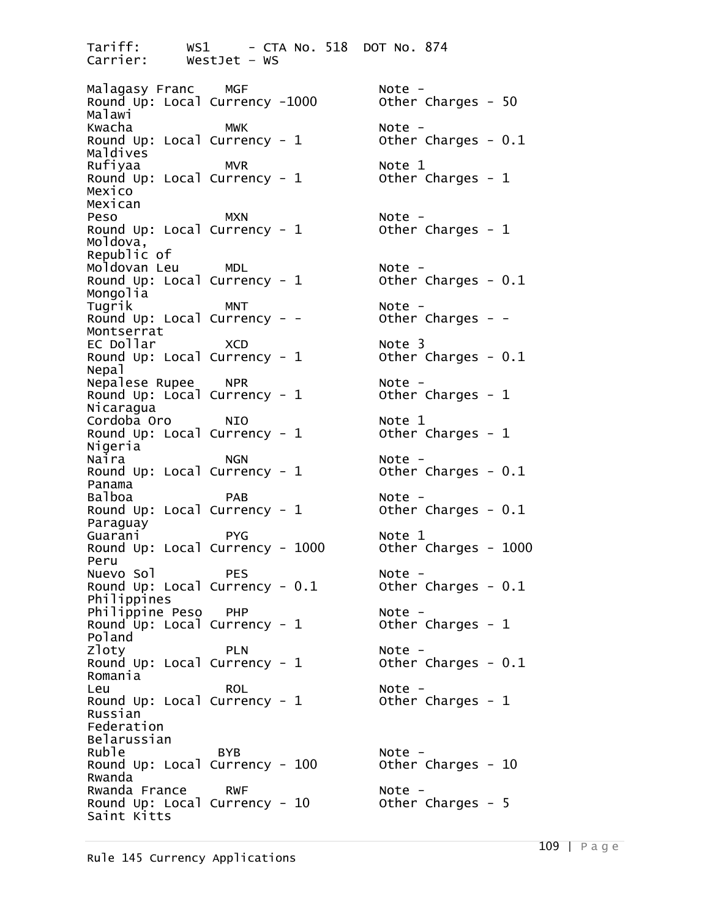Tariff: WS1 - CTA No. 518 DOT No. 874<br>Carrier: WestJet - WS WestJet – WS Malagasy Franc MGF Note - Round Up: Local Currency -1000 Other Charges - <sup>50</sup> Malawi Kwacha MWK Note - Round Up: Local Currency - 1 Other Charges - 0.1 Maldives Rufiyaa MVR Note 1 Round Up: Local Currency -  $1$ Mexico Mexican Peso MXN Note - Round Up: Local Currency - 1 Other Charges - <sup>1</sup> Moldova, Republic of<br>Moldovan Leu Moldovan Leu MDL Note - Round Up: Local Currency - 1 Other Charges - 0.1 Mongolia Tugrik MNT Note - Round Up: Local Currency - -<br>Montserrat EC Dollar XCD Note 3 Round Up: Local Currency -  $1$ Nepal Nepalese Rupee NPR Note - Round Up: Local Currency -  $1$ Nicaragua Cordoba Oro NIO Note 1 Round Up: Local Currency - 1 0ther Charges - 1 Nigeria<br>Naira Round Up: Local Currency -  $1$ Panama Balboa PAB Note - Round Up: Local Currency -  $1$ Paraguay Guarani PYG Note 1 Round Up: Local Currency -  $1000$ Peru<br>Nuevo Sol Nuevo Sol PES Note - Round Up: Local Currency - 0.1 Other Charges - 0.1 Philippines Philippine Peso PHP Note -<br>Round Up: Local Currency - 1 Other Charges - 1 Round Up: Local Currency -  $1$ Poland<br>Zloty Round Up: Local Currency -  $1$ Romania Leu ROL Note - Round Up: Local Currency - 1 Other Charges - <sup>1</sup> Russian Federation Belarussian Ruble BYB Note - Round Up: Local Currency - 100 Other Charges - <sup>10</sup> Rwanda<br>Rwanda France Rwanda France RWF Note - Round Up: Local Currency - 10 Other Charges - <sup>5</sup> Saint Kitts

NGN<br>Intency - 1 Mote -<br>Other Charges - 0.1 PLN Note -<br>
rrency - 1 Other Charges - 0.1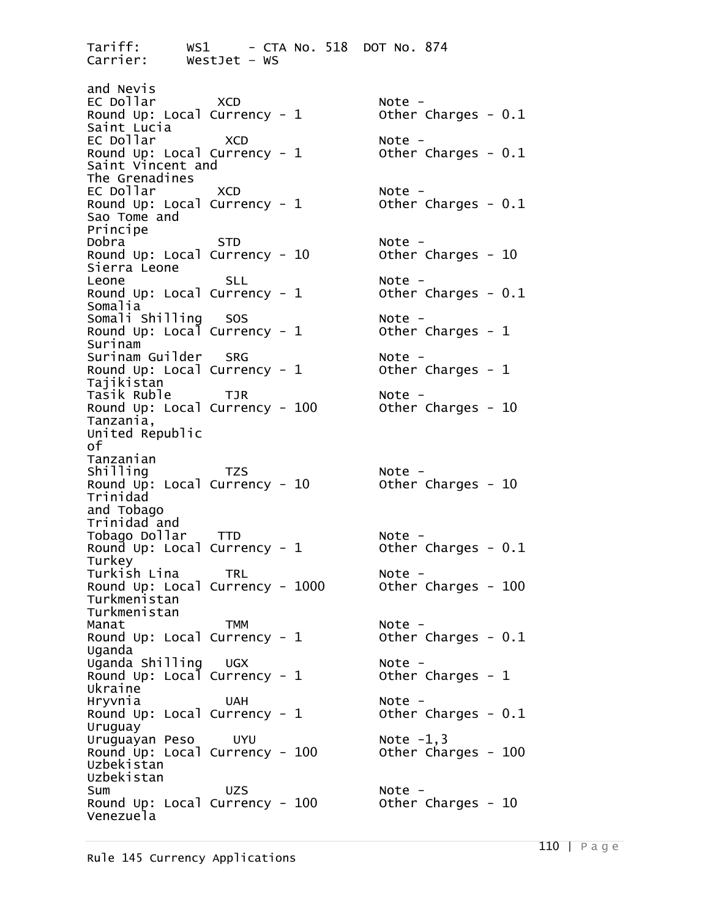Tariff: WS1 - CTA No. 518 DOT No. 874<br>Carrier: WestJet - WS WestJet – WS and Nevis EC Dollar XCD Note - Round Up: Local Currency - 1 Other Charges - 0.1 Saint Lucia EC Dollar XCD Note - Round Up: Local Currency - 1 0ther Charges - 0.1 Saint Vincent and The Grenadines EC Dollar XCD Note - Round Up: Local Currency - 1 Other Charges - 0.1 Sao Tome and Principe Dobra STD Note - Round Up: Local Currency - 10 Other Charges - <sup>10</sup> Sierra Leone Leone SLL Note - Round Up: Local Currency - 1 Other Charges - 0.1 Somalia<br>Somali Shilling Somali Shilling SOS Note - Round Up: Local Currency - 1 Other Charges - <sup>1</sup> Surinam<br>Surinam Guilder Surinam Guilder SRG Note -<br>Round Up: Local Currency - 1 Other Charges - 1 Tajikistan<br>Tasik Ruble Tasik Ruble TJR Note - Round Up: Local Currency - 100 Other Charges - <sup>10</sup> Tanzania, United Republic of Tanzanian Shilling TZS Note - Round Up: Local Currency - 10 Other Charges - <sup>10</sup> Trinidad and Tobago Trinidad and Tobago Dollar TTD Note - Round Up: Local Currency -  $1$ Turkey<br>Turkish Lina Turkish Lina TRL Note - Round Up: Local Currency - 1000 Other Charges - <sup>100</sup> Turkmenistan Turkmenistan Manat TMM Note - Round Up: Local Currency - 1 Other Charges - 0.1 Uganda<br>Uganda Shilling Uganda Shilling UGX Note - Round Up: Local Currency - 1 Other Charges - <sup>1</sup> Ukraine Hryvnia UAH Note - Round Up: Local Currency - 1 Other Charges - 0.1 Uruguay Uruguayan Peso UYU Note -1,3 Round  $Up: Local Current$ Uzbekistan Uzbekistan Sum UZS Note - Round Up: Local Currency - 100 Other Charges - <sup>10</sup> Venezuela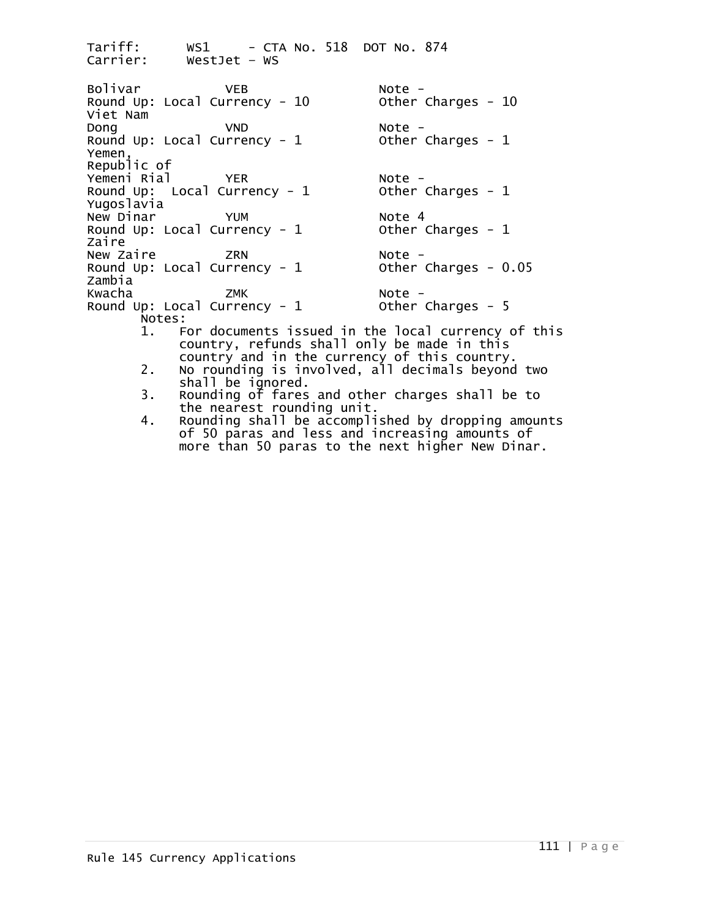Tariff: WS1 - CTA No. 518 DOT No. 874<br>Carrier: WestJet - WS WestJet – WS Bolivar VEB Note - Round Up: Local Currency - 10 Other Charges - <sup>10</sup> Viet Nam Dong VND Note - Round Up: Local Currency - 1 Other Charges - <sup>1</sup> Yemen, Republic of Yemeni Rial YER Note -<br>Round Up: Local Currency - 1 Other Charges - 1 Round Up: Local Currency -  $1$ Yugoslavia New Dinar YUM Note 4 Round Up: Local Currency -  $1$ Zaire<br>New Zaire New Zaire ZRN Note - Round Up: Local Currency - 1 Other Charges - 0.05 Zambia Kwacha ZMK Note - Round Up: Local Currency - 1<br>Notes: 1. For documents issued in the local currency of this<br>country, refunds shall only be made in this country and in the currency of this country.<br>2. No rounding is involved, all decimals beyond two shall be ignored.<br>3. Rounding of fares and other charges shall be to 3. Rounding of fares and other charges shall be to<br>the nearest rounding unit.<br>4. Rounding shall be accomplished by dropping amour

Rounding shall be accomplished by dropping amounts of 50 paras and less and increasing amounts of more than 50 paras to the next higher New Dinar.